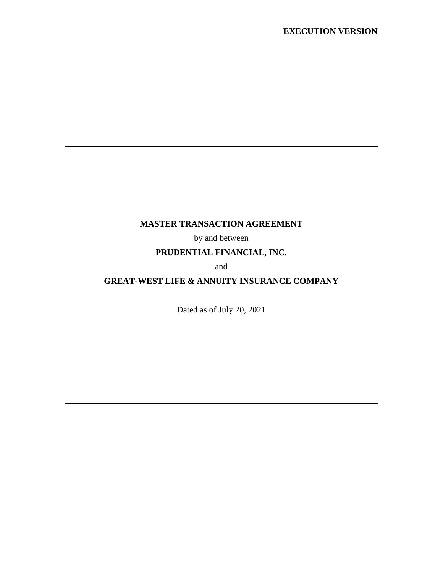#### **EXECUTION VERSION**

## **MASTER TRANSACTION AGREEMENT**

by and between

## **PRUDENTIAL FINANCIAL, INC.**

and

# **GREAT-WEST LIFE & ANNUITY INSURANCE COMPANY**

Dated as of July 20, 2021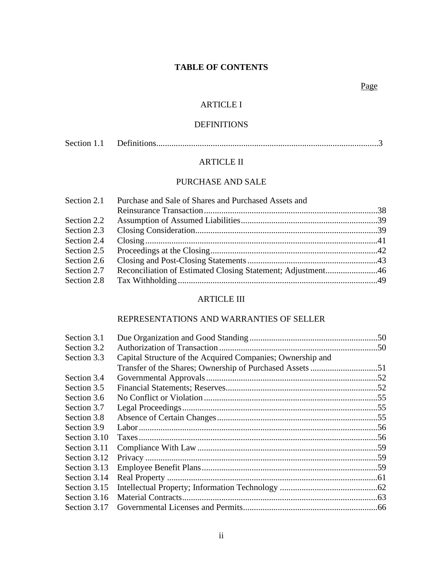## **TABLE OF CONTENTS**

### Page

#### ARTICLE I

### DEFINITIONS

| Section 1.1 |  |  |
|-------------|--|--|
|-------------|--|--|

### ARTICLE II

## PURCHASE AND SALE

|             | Section 2.1 Purchase and Sale of Shares and Purchased Assets and |  |
|-------------|------------------------------------------------------------------|--|
|             |                                                                  |  |
| Section 2.2 |                                                                  |  |
| Section 2.3 |                                                                  |  |
| Section 2.4 |                                                                  |  |
| Section 2.5 |                                                                  |  |
| Section 2.6 |                                                                  |  |
| Section 2.7 | Reconciliation of Estimated Closing Statement; Adjustment46      |  |
| Section 2.8 |                                                                  |  |
|             |                                                                  |  |

### ARTICLE III

### REPRESENTATIONS AND WARRANTIES OF SELLER

| Section 3.1  |                                                            |  |
|--------------|------------------------------------------------------------|--|
| Section 3.2  |                                                            |  |
| Section 3.3  | Capital Structure of the Acquired Companies; Ownership and |  |
|              |                                                            |  |
| Section 3.4  |                                                            |  |
| Section 3.5  |                                                            |  |
| Section 3.6  |                                                            |  |
| Section 3.7  |                                                            |  |
| Section 3.8  |                                                            |  |
| Section 3.9  |                                                            |  |
| Section 3.10 |                                                            |  |
| Section 3.11 |                                                            |  |
| Section 3.12 |                                                            |  |
| Section 3.13 |                                                            |  |
| Section 3.14 |                                                            |  |
| Section 3.15 |                                                            |  |
| Section 3.16 |                                                            |  |
| Section 3.17 |                                                            |  |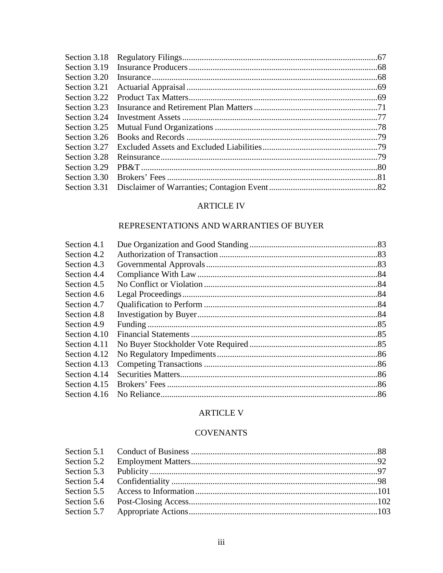| Section 3.18 |  |
|--------------|--|
| Section 3.19 |  |
| Section 3.20 |  |
| Section 3.21 |  |
| Section 3.22 |  |
| Section 3.23 |  |
| Section 3.24 |  |
| Section 3.25 |  |
| Section 3.26 |  |
| Section 3.27 |  |
| Section 3.28 |  |
| Section 3.29 |  |
| Section 3.30 |  |
| Section 3.31 |  |
|              |  |

## **ARTICLE IV**

## REPRESENTATIONS AND WARRANTIES OF BUYER

| Section 4.1  |  |
|--------------|--|
| Section 4.2  |  |
| Section 4.3  |  |
| Section 4.4  |  |
| Section 4.5  |  |
| Section 4.6  |  |
| Section 4.7  |  |
| Section 4.8  |  |
| Section 4.9  |  |
| Section 4.10 |  |
| Section 4.11 |  |
| Section 4.12 |  |
| Section 4.13 |  |
| Section 4.14 |  |
| Section 4.15 |  |
| Section 4.16 |  |
|              |  |

# **ARTICLE V**

### **COVENANTS**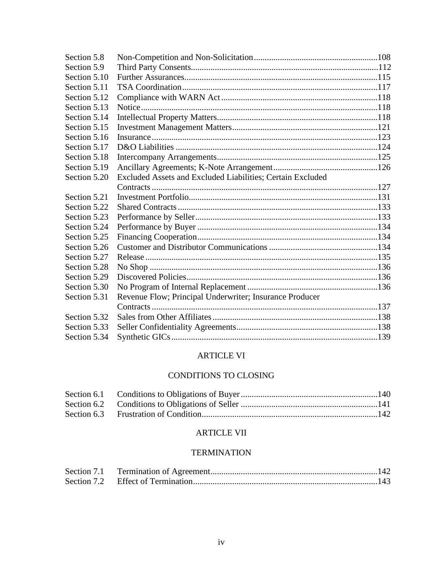| Section 5.8  |                                                            |  |
|--------------|------------------------------------------------------------|--|
| Section 5.9  |                                                            |  |
| Section 5.10 |                                                            |  |
| Section 5.11 |                                                            |  |
| Section 5.12 |                                                            |  |
| Section 5.13 |                                                            |  |
| Section 5.14 |                                                            |  |
| Section 5.15 |                                                            |  |
| Section 5.16 |                                                            |  |
| Section 5.17 |                                                            |  |
| Section 5.18 |                                                            |  |
| Section 5.19 |                                                            |  |
| Section 5.20 | Excluded Assets and Excluded Liabilities; Certain Excluded |  |
|              |                                                            |  |
| Section 5.21 |                                                            |  |
| Section 5.22 |                                                            |  |
| Section 5.23 |                                                            |  |
| Section 5.24 |                                                            |  |
| Section 5.25 |                                                            |  |
| Section 5.26 |                                                            |  |
| Section 5.27 |                                                            |  |
| Section 5.28 |                                                            |  |
| Section 5.29 |                                                            |  |
| Section 5.30 |                                                            |  |
| Section 5.31 | Revenue Flow; Principal Underwriter; Insurance Producer    |  |
|              |                                                            |  |
| Section 5.32 |                                                            |  |
| Section 5.33 |                                                            |  |
| Section 5.34 |                                                            |  |
|              |                                                            |  |

## ARTICLE VI

## CONDITIONS TO CLOSING

## ARTICLE VII

# TERMINATION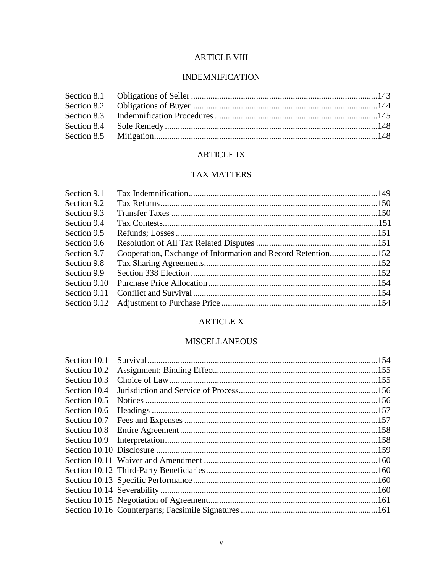## **ARTICLE VIII**

## **INDEMNIFICATION**

## **ARTICLE IX**

## **TAX MATTERS**

| Section 9.1  |                                                              |  |
|--------------|--------------------------------------------------------------|--|
| Section 9.2  |                                                              |  |
| Section 9.3  |                                                              |  |
| Section 9.4  |                                                              |  |
| Section 9.5  |                                                              |  |
| Section 9.6  |                                                              |  |
| Section 9.7  | Cooperation, Exchange of Information and Record Retention152 |  |
| Section 9.8  |                                                              |  |
| Section 9.9  |                                                              |  |
| Section 9.10 |                                                              |  |
| Section 9.11 |                                                              |  |
|              |                                                              |  |
|              |                                                              |  |

## **ARTICLE X**

## **MISCELLANEOUS**

| Section 10.1 |  |
|--------------|--|
| Section 10.2 |  |
| Section 10.3 |  |
| Section 10.4 |  |
| Section 10.5 |  |
| Section 10.6 |  |
| Section 10.7 |  |
|              |  |
|              |  |
|              |  |
|              |  |
|              |  |
|              |  |
|              |  |
|              |  |
|              |  |
|              |  |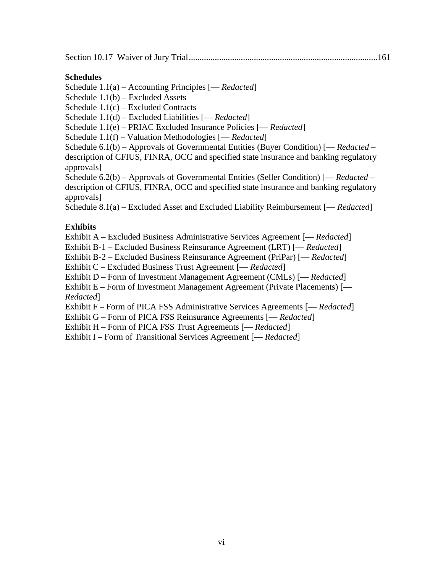Section 10.17 Waiver of Jury Trial .......................................................................................161

## **Schedules**

Schedule 1.1(a) – Accounting Principles [— *Redacted*]

Schedule 1.1(b) – Excluded Assets

Schedule 1.1(c) – Excluded Contracts

Schedule 1.1(d) – Excluded Liabilities [— *Redacted*]

Schedule 1.1(e) – PRIAC Excluded Insurance Policies [— *Redacted*]

Schedule 1.1(f) – Valuation Methodologies [— *Redacted*]

Schedule 6.1(b) – Approvals of Governmental Entities (Buyer Condition) [— *Redacted* – description of CFIUS, FINRA, OCC and specified state insurance and banking regulatory approvals]

Schedule 6.2(b) – Approvals of Governmental Entities (Seller Condition) [— *Redacted* – description of CFIUS, FINRA, OCC and specified state insurance and banking regulatory approvals]

Schedule 8.1(a) – Excluded Asset and Excluded Liability Reimbursement [— *Redacted*]

## **Exhibits**

Exhibit A – Excluded Business Administrative Services Agreement [— *Redacted*]

Exhibit B-1 – Excluded Business Reinsurance Agreement (LRT) [— *Redacted*]

Exhibit B-2 – Excluded Business Reinsurance Agreement (PriPar) [— *Redacted*]

Exhibit C – Excluded Business Trust Agreement [— *Redacted*]

Exhibit D – Form of Investment Management Agreement (CMLs) [— *Redacted*]

Exhibit E – Form of Investment Management Agreement (Private Placements) [— *Redacted*]

Exhibit F – Form of PICA FSS Administrative Services Agreements [— *Redacted*]

Exhibit G – Form of PICA FSS Reinsurance Agreements [— *Redacted*]

Exhibit H – Form of PICA FSS Trust Agreements [— *Redacted*]

Exhibit I – Form of Transitional Services Agreement [— *Redacted*]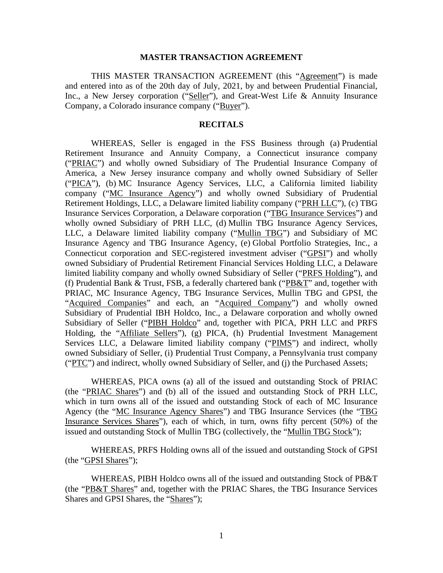#### **MASTER TRANSACTION AGREEMENT**

THIS MASTER TRANSACTION AGREEMENT (this "Agreement") is made and entered into as of the 20th day of July, 2021, by and between Prudential Financial, Inc., a New Jersey corporation ("Seller"), and Great-West Life & Annuity Insurance Company, a Colorado insurance company ("Buyer").

#### **RECITALS**

WHEREAS, Seller is engaged in the FSS Business through (a) Prudential Retirement Insurance and Annuity Company, a Connecticut insurance company ("PRIAC") and wholly owned Subsidiary of The Prudential Insurance Company of America, a New Jersey insurance company and wholly owned Subsidiary of Seller ("PICA"), (b) MC Insurance Agency Services, LLC, a California limited liability company ("MC Insurance Agency") and wholly owned Subsidiary of Prudential Retirement Holdings, LLC, a Delaware limited liability company ("PRH LLC"), (c) TBG Insurance Services Corporation, a Delaware corporation ("TBG Insurance Services") and wholly owned Subsidiary of PRH LLC, (d) Mullin TBG Insurance Agency Services, LLC, a Delaware limited liability company ("Mullin TBG") and Subsidiary of MC Insurance Agency and TBG Insurance Agency, (e) Global Portfolio Strategies, Inc., a Connecticut corporation and SEC-registered investment adviser ("GPSI") and wholly owned Subsidiary of Prudential Retirement Financial Services Holding LLC, a Delaware limited liability company and wholly owned Subsidiary of Seller ("PRFS Holding"), and (f) Prudential Bank & Trust, FSB, a federally chartered bank ("PB&T" and, together with PRIAC, MC Insurance Agency, TBG Insurance Services, Mullin TBG and GPSI, the "Acquired Companies" and each, an "Acquired Company") and wholly owned Subsidiary of Prudential IBH Holdco, Inc., a Delaware corporation and wholly owned Subsidiary of Seller ("PIBH Holdco" and, together with PICA, PRH LLC and PRFS Holding, the "Affiliate Sellers"), (g) PICA, (h) Prudential Investment Management Services LLC, a Delaware limited liability company ("PIMS") and indirect, wholly owned Subsidiary of Seller, (i) Prudential Trust Company, a Pennsylvania trust company ("PTC") and indirect, wholly owned Subsidiary of Seller, and (j) the Purchased Assets;

WHEREAS, PICA owns (a) all of the issued and outstanding Stock of PRIAC (the "PRIAC Shares") and (b) all of the issued and outstanding Stock of PRH LLC, which in turn owns all of the issued and outstanding Stock of each of MC Insurance Agency (the "MC Insurance Agency Shares") and TBG Insurance Services (the "TBG Insurance Services Shares"), each of which, in turn, owns fifty percent (50%) of the issued and outstanding Stock of Mullin TBG (collectively, the "Mullin TBG Stock");

WHEREAS, PRFS Holding owns all of the issued and outstanding Stock of GPSI (the "GPSI Shares");

WHEREAS, PIBH Holdco owns all of the issued and outstanding Stock of PB&T (the "PB&T Shares" and, together with the PRIAC Shares, the TBG Insurance Services Shares and GPSI Shares, the "Shares");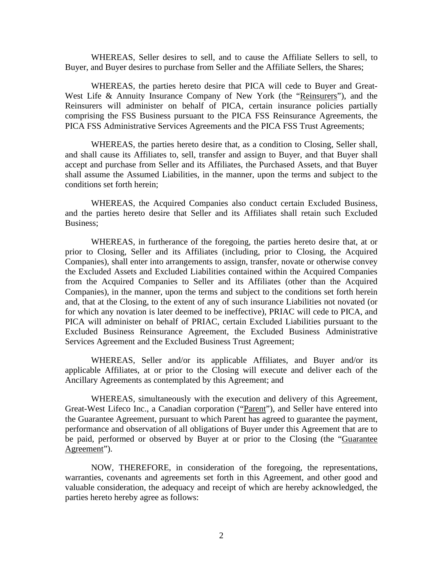WHEREAS, Seller desires to sell, and to cause the Affiliate Sellers to sell, to Buyer, and Buyer desires to purchase from Seller and the Affiliate Sellers, the Shares;

WHEREAS, the parties hereto desire that PICA will cede to Buyer and Great-West Life & Annuity Insurance Company of New York (the "Reinsurers"), and the Reinsurers will administer on behalf of PICA, certain insurance policies partially comprising the FSS Business pursuant to the PICA FSS Reinsurance Agreements, the PICA FSS Administrative Services Agreements and the PICA FSS Trust Agreements;

WHEREAS, the parties hereto desire that, as a condition to Closing, Seller shall, and shall cause its Affiliates to, sell, transfer and assign to Buyer, and that Buyer shall accept and purchase from Seller and its Affiliates, the Purchased Assets, and that Buyer shall assume the Assumed Liabilities, in the manner, upon the terms and subject to the conditions set forth herein;

WHEREAS, the Acquired Companies also conduct certain Excluded Business, and the parties hereto desire that Seller and its Affiliates shall retain such Excluded Business;

WHEREAS, in furtherance of the foregoing, the parties hereto desire that, at or prior to Closing, Seller and its Affiliates (including, prior to Closing, the Acquired Companies), shall enter into arrangements to assign, transfer, novate or otherwise convey the Excluded Assets and Excluded Liabilities contained within the Acquired Companies from the Acquired Companies to Seller and its Affiliates (other than the Acquired Companies), in the manner, upon the terms and subject to the conditions set forth herein and, that at the Closing, to the extent of any of such insurance Liabilities not novated (or for which any novation is later deemed to be ineffective), PRIAC will cede to PICA, and PICA will administer on behalf of PRIAC, certain Excluded Liabilities pursuant to the Excluded Business Reinsurance Agreement, the Excluded Business Administrative Services Agreement and the Excluded Business Trust Agreement;

WHEREAS, Seller and/or its applicable Affiliates, and Buyer and/or its applicable Affiliates, at or prior to the Closing will execute and deliver each of the Ancillary Agreements as contemplated by this Agreement; and

WHEREAS, simultaneously with the execution and delivery of this Agreement, Great-West Lifeco Inc., a Canadian corporation ("Parent"), and Seller have entered into the Guarantee Agreement, pursuant to which Parent has agreed to guarantee the payment, performance and observation of all obligations of Buyer under this Agreement that are to be paid, performed or observed by Buyer at or prior to the Closing (the "Guarantee Agreement").

NOW, THEREFORE, in consideration of the foregoing, the representations, warranties, covenants and agreements set forth in this Agreement, and other good and valuable consideration, the adequacy and receipt of which are hereby acknowledged, the parties hereto hereby agree as follows: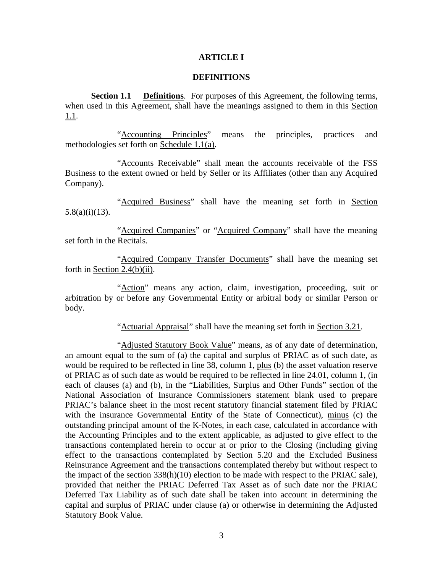#### **ARTICLE I**

#### **DEFINITIONS**

**Section 1.1 Definitions**. For purposes of this Agreement, the following terms, when used in this Agreement, shall have the meanings assigned to them in this Section 1.1.

"Accounting Principles" means the principles, practices and methodologies set forth on Schedule 1.1(a).

"Accounts Receivable" shall mean the accounts receivable of the FSS Business to the extent owned or held by Seller or its Affiliates (other than any Acquired Company).

"Acquired Business" shall have the meaning set forth in Section 5.8(a)(i)(13).

"Acquired Companies" or "Acquired Company" shall have the meaning set forth in the Recitals.

"Acquired Company Transfer Documents" shall have the meaning set forth in Section 2.4(b)(ii).

"Action" means any action, claim, investigation, proceeding, suit or arbitration by or before any Governmental Entity or arbitral body or similar Person or body.

"Actuarial Appraisal" shall have the meaning set forth in Section 3.21.

"Adjusted Statutory Book Value" means, as of any date of determination, an amount equal to the sum of (a) the capital and surplus of PRIAC as of such date, as would be required to be reflected in line 38, column 1, plus (b) the asset valuation reserve of PRIAC as of such date as would be required to be reflected in line 24.01, column 1, (in each of clauses (a) and (b), in the "Liabilities, Surplus and Other Funds" section of the National Association of Insurance Commissioners statement blank used to prepare PRIAC's balance sheet in the most recent statutory financial statement filed by PRIAC with the insurance Governmental Entity of the State of Connecticut), minus (c) the outstanding principal amount of the K-Notes, in each case, calculated in accordance with the Accounting Principles and to the extent applicable, as adjusted to give effect to the transactions contemplated herein to occur at or prior to the Closing (including giving effect to the transactions contemplated by Section 5.20 and the Excluded Business Reinsurance Agreement and the transactions contemplated thereby but without respect to the impact of the section 338(h)(10) election to be made with respect to the PRIAC sale), provided that neither the PRIAC Deferred Tax Asset as of such date nor the PRIAC Deferred Tax Liability as of such date shall be taken into account in determining the capital and surplus of PRIAC under clause (a) or otherwise in determining the Adjusted Statutory Book Value.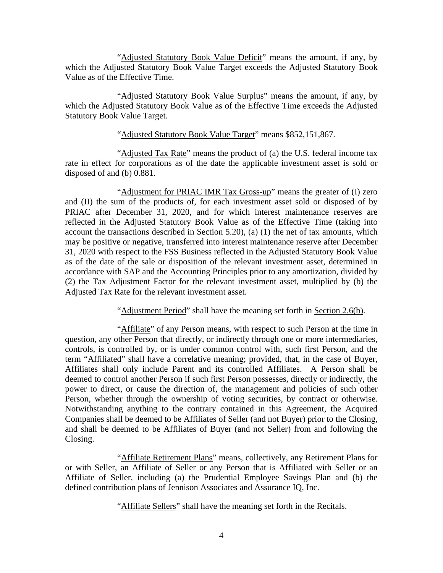"Adjusted Statutory Book Value Deficit" means the amount, if any, by which the Adjusted Statutory Book Value Target exceeds the Adjusted Statutory Book Value as of the Effective Time.

"Adjusted Statutory Book Value Surplus" means the amount, if any, by which the Adjusted Statutory Book Value as of the Effective Time exceeds the Adjusted Statutory Book Value Target.

#### "Adjusted Statutory Book Value Target" means \$852,151,867.

"Adjusted Tax Rate" means the product of (a) the U.S. federal income tax rate in effect for corporations as of the date the applicable investment asset is sold or disposed of and (b) 0.881.

"Adjustment for PRIAC IMR Tax Gross-up" means the greater of (I) zero and (II) the sum of the products of, for each investment asset sold or disposed of by PRIAC after December 31, 2020, and for which interest maintenance reserves are reflected in the Adjusted Statutory Book Value as of the Effective Time (taking into account the transactions described in Section 5.20), (a) (1) the net of tax amounts, which may be positive or negative, transferred into interest maintenance reserve after December 31, 2020 with respect to the FSS Business reflected in the Adjusted Statutory Book Value as of the date of the sale or disposition of the relevant investment asset, determined in accordance with SAP and the Accounting Principles prior to any amortization, divided by (2) the Tax Adjustment Factor for the relevant investment asset, multiplied by (b) the Adjusted Tax Rate for the relevant investment asset.

"Adjustment Period" shall have the meaning set forth in Section 2.6(b).

"Affiliate" of any Person means, with respect to such Person at the time in question, any other Person that directly, or indirectly through one or more intermediaries, controls, is controlled by, or is under common control with, such first Person, and the term "Affiliated" shall have a correlative meaning; provided, that, in the case of Buyer, Affiliates shall only include Parent and its controlled Affiliates. A Person shall be deemed to control another Person if such first Person possesses, directly or indirectly, the power to direct, or cause the direction of, the management and policies of such other Person, whether through the ownership of voting securities, by contract or otherwise. Notwithstanding anything to the contrary contained in this Agreement, the Acquired Companies shall be deemed to be Affiliates of Seller (and not Buyer) prior to the Closing, and shall be deemed to be Affiliates of Buyer (and not Seller) from and following the Closing.

"Affiliate Retirement Plans" means, collectively, any Retirement Plans for or with Seller, an Affiliate of Seller or any Person that is Affiliated with Seller or an Affiliate of Seller, including (a) the Prudential Employee Savings Plan and (b) the defined contribution plans of Jennison Associates and Assurance IQ, Inc.

"Affiliate Sellers" shall have the meaning set forth in the Recitals.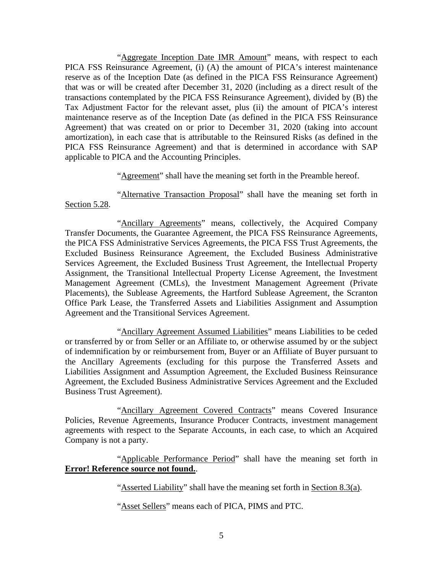"Aggregate Inception Date IMR Amount" means, with respect to each PICA FSS Reinsurance Agreement, (i) (A) the amount of PICA's interest maintenance reserve as of the Inception Date (as defined in the PICA FSS Reinsurance Agreement) that was or will be created after December 31, 2020 (including as a direct result of the transactions contemplated by the PICA FSS Reinsurance Agreement), divided by (B) the Tax Adjustment Factor for the relevant asset, plus (ii) the amount of PICA's interest maintenance reserve as of the Inception Date (as defined in the PICA FSS Reinsurance Agreement) that was created on or prior to December 31, 2020 (taking into account amortization), in each case that is attributable to the Reinsured Risks (as defined in the PICA FSS Reinsurance Agreement) and that is determined in accordance with SAP applicable to PICA and the Accounting Principles.

"Agreement" shall have the meaning set forth in the Preamble hereof.

"Alternative Transaction Proposal" shall have the meaning set forth in Section 5.28.

"Ancillary Agreements" means, collectively, the Acquired Company Transfer Documents, the Guarantee Agreement, the PICA FSS Reinsurance Agreements, the PICA FSS Administrative Services Agreements, the PICA FSS Trust Agreements, the Excluded Business Reinsurance Agreement, the Excluded Business Administrative Services Agreement, the Excluded Business Trust Agreement, the Intellectual Property Assignment, the Transitional Intellectual Property License Agreement, the Investment Management Agreement (CMLs), the Investment Management Agreement (Private Placements), the Sublease Agreements, the Hartford Sublease Agreement, the Scranton Office Park Lease, the Transferred Assets and Liabilities Assignment and Assumption Agreement and the Transitional Services Agreement.

"Ancillary Agreement Assumed Liabilities" means Liabilities to be ceded or transferred by or from Seller or an Affiliate to, or otherwise assumed by or the subject of indemnification by or reimbursement from, Buyer or an Affiliate of Buyer pursuant to the Ancillary Agreements (excluding for this purpose the Transferred Assets and Liabilities Assignment and Assumption Agreement, the Excluded Business Reinsurance Agreement, the Excluded Business Administrative Services Agreement and the Excluded Business Trust Agreement).

"Ancillary Agreement Covered Contracts" means Covered Insurance Policies, Revenue Agreements, Insurance Producer Contracts, investment management agreements with respect to the Separate Accounts, in each case, to which an Acquired Company is not a party.

"Applicable Performance Period" shall have the meaning set forth in **Error! Reference source not found.**.

"Asserted Liability" shall have the meaning set forth in Section 8.3(a).

"Asset Sellers" means each of PICA, PIMS and PTC.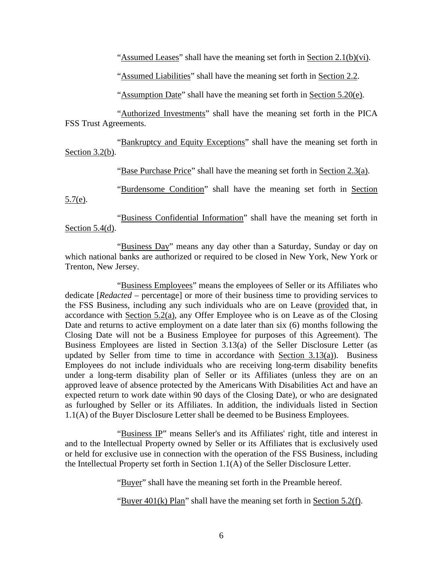"Assumed Leases" shall have the meaning set forth in Section  $2.1(b)(vi)$ .

"Assumed Liabilities" shall have the meaning set forth in Section 2.2.

"Assumption Date" shall have the meaning set forth in Section 5.20(e).

"Authorized Investments" shall have the meaning set forth in the PICA FSS Trust Agreements.

"Bankruptcy and Equity Exceptions" shall have the meaning set forth in Section 3.2(b).

"Base Purchase Price" shall have the meaning set forth in Section 2.3(a).

"Burdensome Condition" shall have the meaning set forth in Section 5.7(e).

"Business Confidential Information" shall have the meaning set forth in Section 5.4(d).

"Business Day" means any day other than a Saturday, Sunday or day on which national banks are authorized or required to be closed in New York, New York or Trenton, New Jersey.

"Business Employees" means the employees of Seller or its Affiliates who dedicate [*Redacted* – percentage] or more of their business time to providing services to the FSS Business, including any such individuals who are on Leave (provided that, in accordance with Section 5.2(a), any Offer Employee who is on Leave as of the Closing Date and returns to active employment on a date later than six (6) months following the Closing Date will not be a Business Employee for purposes of this Agreement). The Business Employees are listed in Section 3.13(a) of the Seller Disclosure Letter (as updated by Seller from time to time in accordance with Section 3.13(a)). Business Employees do not include individuals who are receiving long-term disability benefits under a long-term disability plan of Seller or its Affiliates (unless they are on an approved leave of absence protected by the Americans With Disabilities Act and have an expected return to work date within 90 days of the Closing Date), or who are designated as furloughed by Seller or its Affiliates. In addition, the individuals listed in Section 1.1(A) of the Buyer Disclosure Letter shall be deemed to be Business Employees.

"Business IP" means Seller's and its Affiliates' right, title and interest in and to the Intellectual Property owned by Seller or its Affiliates that is exclusively used or held for exclusive use in connection with the operation of the FSS Business, including the Intellectual Property set forth in Section 1.1(A) of the Seller Disclosure Letter.

"Buyer" shall have the meaning set forth in the Preamble hereof.

"Buyer 401(k) Plan" shall have the meaning set forth in Section 5.2(f).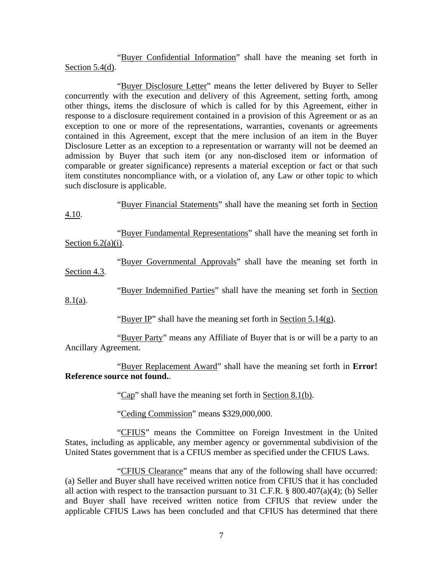"Buyer Confidential Information" shall have the meaning set forth in Section 5.4(d).

"Buyer Disclosure Letter" means the letter delivered by Buyer to Seller concurrently with the execution and delivery of this Agreement, setting forth, among other things, items the disclosure of which is called for by this Agreement, either in response to a disclosure requirement contained in a provision of this Agreement or as an exception to one or more of the representations, warranties, covenants or agreements contained in this Agreement, except that the mere inclusion of an item in the Buyer Disclosure Letter as an exception to a representation or warranty will not be deemed an admission by Buyer that such item (or any non-disclosed item or information of comparable or greater significance) represents a material exception or fact or that such item constitutes noncompliance with, or a violation of, any Law or other topic to which such disclosure is applicable.

"Buyer Financial Statements" shall have the meaning set forth in Section 4.10.

"Buyer Fundamental Representations" shall have the meaning set forth in Section  $6.2(a)(i)$ .

"Buyer Governmental Approvals" shall have the meaning set forth in Section 4.3.

"Buyer Indemnified Parties" shall have the meaning set forth in Section

8.1(a).

"Buyer IP" shall have the meaning set forth in Section  $5.14(g)$ .

"Buyer Party" means any Affiliate of Buyer that is or will be a party to an Ancillary Agreement.

"Buyer Replacement Award" shall have the meaning set forth in **Error! Reference source not found.**.

"Cap" shall have the meaning set forth in Section 8.1(b).

"Ceding Commission" means \$329,000,000.

"CFIUS" means the Committee on Foreign Investment in the United States, including as applicable, any member agency or governmental subdivision of the United States government that is a CFIUS member as specified under the CFIUS Laws.

"CFIUS Clearance" means that any of the following shall have occurred: (a) Seller and Buyer shall have received written notice from CFIUS that it has concluded all action with respect to the transaction pursuant to 31 C.F.R.  $\S$  800.407(a)(4); (b) Seller and Buyer shall have received written notice from CFIUS that review under the applicable CFIUS Laws has been concluded and that CFIUS has determined that there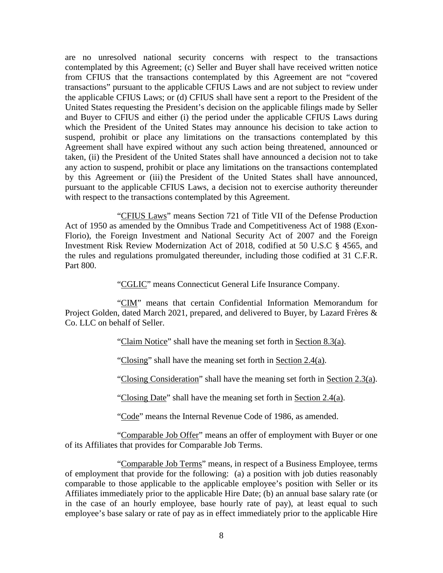are no unresolved national security concerns with respect to the transactions contemplated by this Agreement; (c) Seller and Buyer shall have received written notice from CFIUS that the transactions contemplated by this Agreement are not "covered transactions" pursuant to the applicable CFIUS Laws and are not subject to review under the applicable CFIUS Laws; or (d) CFIUS shall have sent a report to the President of the United States requesting the President's decision on the applicable filings made by Seller and Buyer to CFIUS and either (i) the period under the applicable CFIUS Laws during which the President of the United States may announce his decision to take action to suspend, prohibit or place any limitations on the transactions contemplated by this Agreement shall have expired without any such action being threatened, announced or taken, (ii) the President of the United States shall have announced a decision not to take any action to suspend, prohibit or place any limitations on the transactions contemplated by this Agreement or (iii) the President of the United States shall have announced, pursuant to the applicable CFIUS Laws, a decision not to exercise authority thereunder with respect to the transactions contemplated by this Agreement.

"CFIUS Laws" means Section 721 of Title VII of the Defense Production Act of 1950 as amended by the Omnibus Trade and Competitiveness Act of 1988 (Exon-Florio), the Foreign Investment and National Security Act of 2007 and the Foreign Investment Risk Review Modernization Act of 2018, codified at 50 U.S.C § 4565, and the rules and regulations promulgated thereunder, including those codified at 31 C.F.R. Part 800.

"CGLIC" means Connecticut General Life Insurance Company.

"CIM" means that certain Confidential Information Memorandum for Project Golden, dated March 2021, prepared, and delivered to Buyer, by Lazard Frères & Co. LLC on behalf of Seller.

"Claim Notice" shall have the meaning set forth in Section 8.3(a).

"Closing" shall have the meaning set forth in Section 2.4(a).

"Closing Consideration" shall have the meaning set forth in Section 2.3(a).

"Closing Date" shall have the meaning set forth in Section 2.4(a).

"Code" means the Internal Revenue Code of 1986, as amended.

"Comparable Job Offer" means an offer of employment with Buyer or one of its Affiliates that provides for Comparable Job Terms.

"Comparable Job Terms" means, in respect of a Business Employee, terms of employment that provide for the following: (a) a position with job duties reasonably comparable to those applicable to the applicable employee's position with Seller or its Affiliates immediately prior to the applicable Hire Date; (b) an annual base salary rate (or in the case of an hourly employee, base hourly rate of pay), at least equal to such employee's base salary or rate of pay as in effect immediately prior to the applicable Hire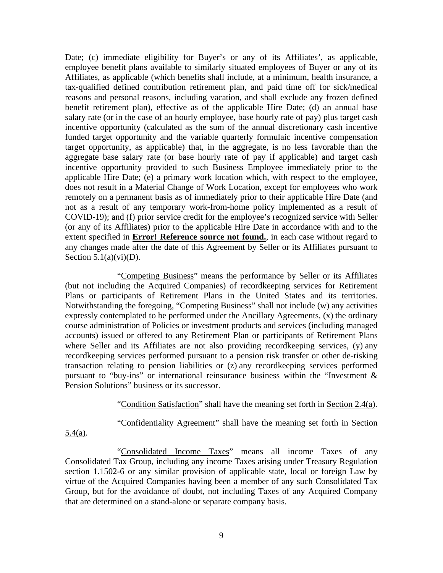Date; (c) immediate eligibility for Buyer's or any of its Affiliates', as applicable, employee benefit plans available to similarly situated employees of Buyer or any of its Affiliates, as applicable (which benefits shall include, at a minimum, health insurance, a tax-qualified defined contribution retirement plan, and paid time off for sick/medical reasons and personal reasons, including vacation, and shall exclude any frozen defined benefit retirement plan), effective as of the applicable Hire Date; (d) an annual base salary rate (or in the case of an hourly employee, base hourly rate of pay) plus target cash incentive opportunity (calculated as the sum of the annual discretionary cash incentive funded target opportunity and the variable quarterly formulaic incentive compensation target opportunity, as applicable) that, in the aggregate, is no less favorable than the aggregate base salary rate (or base hourly rate of pay if applicable) and target cash incentive opportunity provided to such Business Employee immediately prior to the applicable Hire Date; (e) a primary work location which, with respect to the employee, does not result in a Material Change of Work Location, except for employees who work remotely on a permanent basis as of immediately prior to their applicable Hire Date (and not as a result of any temporary work-from-home policy implemented as a result of COVID-19); and (f) prior service credit for the employee's recognized service with Seller (or any of its Affiliates) prior to the applicable Hire Date in accordance with and to the extent specified in **Error! Reference source not found.**, in each case without regard to any changes made after the date of this Agreement by Seller or its Affiliates pursuant to Section  $5.1(a)(vi)(D)$ .

"Competing Business" means the performance by Seller or its Affiliates (but not including the Acquired Companies) of recordkeeping services for Retirement Plans or participants of Retirement Plans in the United States and its territories. Notwithstanding the foregoing, "Competing Business" shall not include (w) any activities expressly contemplated to be performed under the Ancillary Agreements, (x) the ordinary course administration of Policies or investment products and services (including managed accounts) issued or offered to any Retirement Plan or participants of Retirement Plans where Seller and its Affiliates are not also providing record keeping services, (y) any recordkeeping services performed pursuant to a pension risk transfer or other de-risking transaction relating to pension liabilities or (z) any recordkeeping services performed pursuant to "buy-ins" or international reinsurance business within the "Investment & Pension Solutions" business or its successor.

"Condition Satisfaction" shall have the meaning set forth in Section 2.4(a).

"Confidentiality Agreement" shall have the meaning set forth in Section

 $5.4(a)$ .

"Consolidated Income Taxes" means all income Taxes of any Consolidated Tax Group, including any income Taxes arising under Treasury Regulation section 1.1502-6 or any similar provision of applicable state, local or foreign Law by virtue of the Acquired Companies having been a member of any such Consolidated Tax Group, but for the avoidance of doubt, not including Taxes of any Acquired Company that are determined on a stand-alone or separate company basis.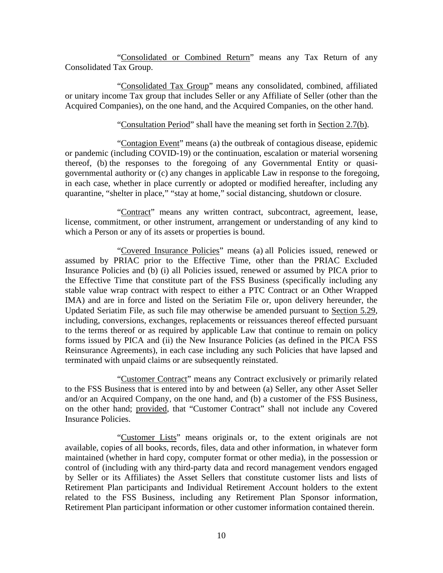"Consolidated or Combined Return" means any Tax Return of any Consolidated Tax Group.

"Consolidated Tax Group" means any consolidated, combined, affiliated or unitary income Tax group that includes Seller or any Affiliate of Seller (other than the Acquired Companies), on the one hand, and the Acquired Companies, on the other hand.

#### "Consultation Period" shall have the meaning set forth in Section 2.7(b).

"Contagion Event" means (a) the outbreak of contagious disease, epidemic or pandemic (including COVID-19) or the continuation, escalation or material worsening thereof, (b) the responses to the foregoing of any Governmental Entity or quasigovernmental authority or (c) any changes in applicable Law in response to the foregoing, in each case, whether in place currently or adopted or modified hereafter, including any quarantine, "shelter in place," "stay at home," social distancing, shutdown or closure.

"Contract" means any written contract, subcontract, agreement, lease, license, commitment, or other instrument, arrangement or understanding of any kind to which a Person or any of its assets or properties is bound.

"Covered Insurance Policies" means (a) all Policies issued, renewed or assumed by PRIAC prior to the Effective Time, other than the PRIAC Excluded Insurance Policies and (b) (i) all Policies issued, renewed or assumed by PICA prior to the Effective Time that constitute part of the FSS Business (specifically including any stable value wrap contract with respect to either a PTC Contract or an Other Wrapped IMA) and are in force and listed on the Seriatim File or, upon delivery hereunder, the Updated Seriatim File, as such file may otherwise be amended pursuant to Section 5.29, including, conversions, exchanges, replacements or reissuances thereof effected pursuant to the terms thereof or as required by applicable Law that continue to remain on policy forms issued by PICA and (ii) the New Insurance Policies (as defined in the PICA FSS Reinsurance Agreements), in each case including any such Policies that have lapsed and terminated with unpaid claims or are subsequently reinstated.

"Customer Contract" means any Contract exclusively or primarily related to the FSS Business that is entered into by and between (a) Seller, any other Asset Seller and/or an Acquired Company, on the one hand, and (b) a customer of the FSS Business, on the other hand; provided, that "Customer Contract" shall not include any Covered Insurance Policies.

"Customer Lists" means originals or, to the extent originals are not available, copies of all books, records, files, data and other information, in whatever form maintained (whether in hard copy, computer format or other media), in the possession or control of (including with any third-party data and record management vendors engaged by Seller or its Affiliates) the Asset Sellers that constitute customer lists and lists of Retirement Plan participants and Individual Retirement Account holders to the extent related to the FSS Business, including any Retirement Plan Sponsor information, Retirement Plan participant information or other customer information contained therein.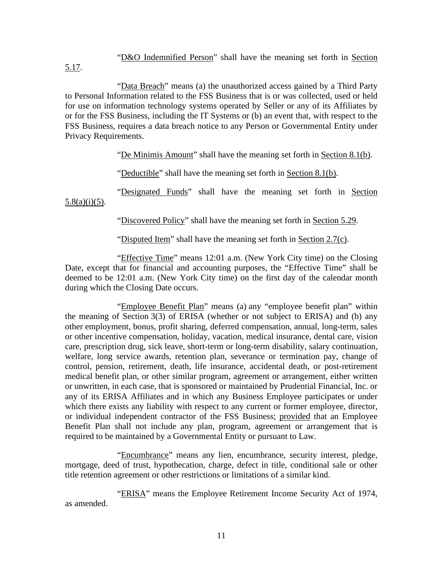"D&O Indemnified Person" shall have the meaning set forth in Section 5.17.

"Data Breach" means (a) the unauthorized access gained by a Third Party to Personal Information related to the FSS Business that is or was collected, used or held for use on information technology systems operated by Seller or any of its Affiliates by or for the FSS Business, including the IT Systems or (b) an event that, with respect to the FSS Business, requires a data breach notice to any Person or Governmental Entity under Privacy Requirements.

"De Minimis Amount" shall have the meaning set forth in Section 8.1(b).

"Deductible" shall have the meaning set forth in Section 8.1(b).

"Designated Funds" shall have the meaning set forth in Section  $5.8(a)(i)(5)$ .

"Discovered Policy" shall have the meaning set forth in Section 5.29.

"Disputed Item" shall have the meaning set forth in Section 2.7(c).

"Effective Time" means 12:01 a.m. (New York City time) on the Closing Date, except that for financial and accounting purposes, the "Effective Time" shall be deemed to be 12:01 a.m. (New York City time) on the first day of the calendar month during which the Closing Date occurs.

"Employee Benefit Plan" means (a) any "employee benefit plan" within the meaning of Section 3(3) of ERISA (whether or not subject to ERISA) and (b) any other employment, bonus, profit sharing, deferred compensation, annual, long-term, sales or other incentive compensation, holiday, vacation, medical insurance, dental care, vision care, prescription drug, sick leave, short-term or long-term disability, salary continuation, welfare, long service awards, retention plan, severance or termination pay, change of control, pension, retirement, death, life insurance, accidental death, or post-retirement medical benefit plan, or other similar program, agreement or arrangement, either written or unwritten, in each case, that is sponsored or maintained by Prudential Financial, Inc. or any of its ERISA Affiliates and in which any Business Employee participates or under which there exists any liability with respect to any current or former employee, director, or individual independent contractor of the FSS Business; provided that an Employee Benefit Plan shall not include any plan, program, agreement or arrangement that is required to be maintained by a Governmental Entity or pursuant to Law.

"Encumbrance" means any lien, encumbrance, security interest, pledge, mortgage, deed of trust, hypothecation, charge, defect in title, conditional sale or other title retention agreement or other restrictions or limitations of a similar kind.

"ERISA" means the Employee Retirement Income Security Act of 1974, as amended.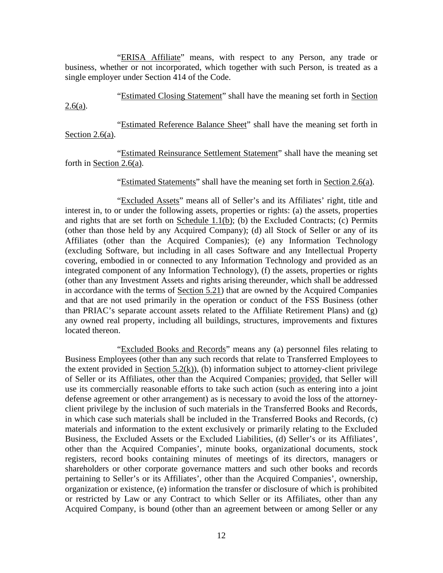"ERISA Affiliate" means, with respect to any Person, any trade or business, whether or not incorporated, which together with such Person, is treated as a single employer under Section 414 of the Code.

"Estimated Closing Statement" shall have the meaning set forth in Section  $2.6(a)$ .

"Estimated Reference Balance Sheet" shall have the meaning set forth in Section 2.6(a).

"Estimated Reinsurance Settlement Statement" shall have the meaning set forth in Section 2.6(a).

"Estimated Statements" shall have the meaning set forth in Section 2.6(a).

"Excluded Assets" means all of Seller's and its Affiliates' right, title and interest in, to or under the following assets, properties or rights: (a) the assets, properties and rights that are set forth on Schedule 1.1(b); (b) the Excluded Contracts; (c) Permits (other than those held by any Acquired Company); (d) all Stock of Seller or any of its Affiliates (other than the Acquired Companies); (e) any Information Technology (excluding Software, but including in all cases Software and any Intellectual Property covering, embodied in or connected to any Information Technology and provided as an integrated component of any Information Technology), (f) the assets, properties or rights (other than any Investment Assets and rights arising thereunder, which shall be addressed in accordance with the terms of Section 5.21) that are owned by the Acquired Companies and that are not used primarily in the operation or conduct of the FSS Business (other than PRIAC's separate account assets related to the Affiliate Retirement Plans) and (g) any owned real property, including all buildings, structures, improvements and fixtures located thereon.

"Excluded Books and Records" means any (a) personnel files relating to Business Employees (other than any such records that relate to Transferred Employees to the extent provided in Section  $5.2(k)$ , (b) information subject to attorney-client privilege of Seller or its Affiliates, other than the Acquired Companies; provided, that Seller will use its commercially reasonable efforts to take such action (such as entering into a joint defense agreement or other arrangement) as is necessary to avoid the loss of the attorneyclient privilege by the inclusion of such materials in the Transferred Books and Records, in which case such materials shall be included in the Transferred Books and Records, (c) materials and information to the extent exclusively or primarily relating to the Excluded Business, the Excluded Assets or the Excluded Liabilities, (d) Seller's or its Affiliates', other than the Acquired Companies', minute books, organizational documents, stock registers, record books containing minutes of meetings of its directors, managers or shareholders or other corporate governance matters and such other books and records pertaining to Seller's or its Affiliates', other than the Acquired Companies', ownership, organization or existence, (e) information the transfer or disclosure of which is prohibited or restricted by Law or any Contract to which Seller or its Affiliates, other than any Acquired Company, is bound (other than an agreement between or among Seller or any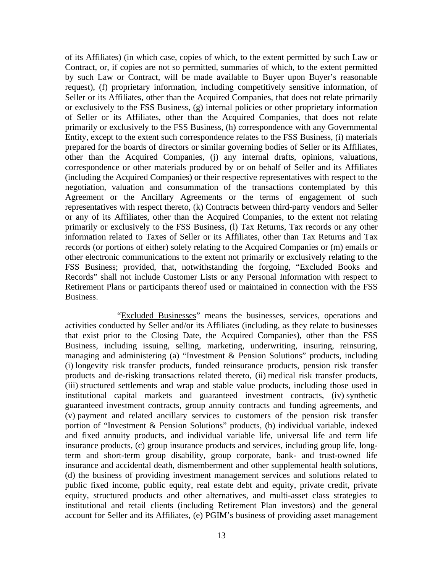of its Affiliates) (in which case, copies of which, to the extent permitted by such Law or Contract, or, if copies are not so permitted, summaries of which, to the extent permitted by such Law or Contract, will be made available to Buyer upon Buyer's reasonable request), (f) proprietary information, including competitively sensitive information, of Seller or its Affiliates, other than the Acquired Companies, that does not relate primarily or exclusively to the FSS Business, (g) internal policies or other proprietary information of Seller or its Affiliates, other than the Acquired Companies, that does not relate primarily or exclusively to the FSS Business, (h) correspondence with any Governmental Entity, except to the extent such correspondence relates to the FSS Business, (i) materials prepared for the boards of directors or similar governing bodies of Seller or its Affiliates, other than the Acquired Companies, (j) any internal drafts, opinions, valuations, correspondence or other materials produced by or on behalf of Seller and its Affiliates (including the Acquired Companies) or their respective representatives with respect to the negotiation, valuation and consummation of the transactions contemplated by this Agreement or the Ancillary Agreements or the terms of engagement of such representatives with respect thereto, (k) Contracts between third-party vendors and Seller or any of its Affiliates, other than the Acquired Companies, to the extent not relating primarily or exclusively to the FSS Business, (l) Tax Returns, Tax records or any other information related to Taxes of Seller or its Affiliates, other than Tax Returns and Tax records (or portions of either) solely relating to the Acquired Companies or (m) emails or other electronic communications to the extent not primarily or exclusively relating to the FSS Business; provided, that, notwithstanding the forgoing, "Excluded Books and Records" shall not include Customer Lists or any Personal Information with respect to Retirement Plans or participants thereof used or maintained in connection with the FSS Business.

"Excluded Businesses" means the businesses, services, operations and activities conducted by Seller and/or its Affiliates (including, as they relate to businesses that exist prior to the Closing Date, the Acquired Companies), other than the FSS Business, including issuing, selling, marketing, underwriting, insuring, reinsuring, managing and administering (a) "Investment & Pension Solutions" products, including (i) longevity risk transfer products, funded reinsurance products, pension risk transfer products and de-risking transactions related thereto, (ii) medical risk transfer products, (iii) structured settlements and wrap and stable value products, including those used in institutional capital markets and guaranteed investment contracts, (iv) synthetic guaranteed investment contracts, group annuity contracts and funding agreements, and (v) payment and related ancillary services to customers of the pension risk transfer portion of "Investment & Pension Solutions" products, (b) individual variable, indexed and fixed annuity products, and individual variable life, universal life and term life insurance products, (c) group insurance products and services, including group life, longterm and short-term group disability, group corporate, bank- and trust-owned life insurance and accidental death, dismemberment and other supplemental health solutions, (d) the business of providing investment management services and solutions related to public fixed income, public equity, real estate debt and equity, private credit, private equity, structured products and other alternatives, and multi-asset class strategies to institutional and retail clients (including Retirement Plan investors) and the general account for Seller and its Affiliates, (e) PGIM's business of providing asset management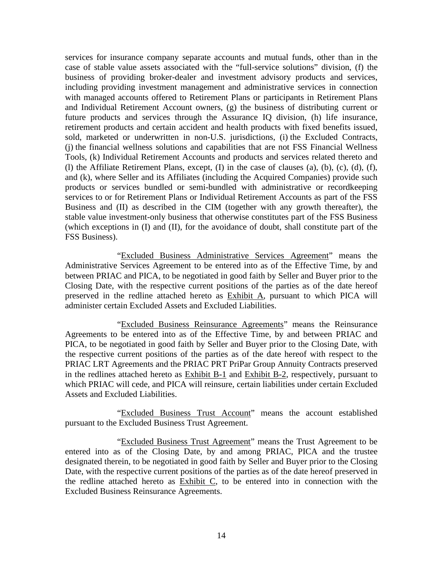services for insurance company separate accounts and mutual funds, other than in the case of stable value assets associated with the "full-service solutions" division, (f) the business of providing broker-dealer and investment advisory products and services, including providing investment management and administrative services in connection with managed accounts offered to Retirement Plans or participants in Retirement Plans and Individual Retirement Account owners, (g) the business of distributing current or future products and services through the Assurance IQ division, (h) life insurance, retirement products and certain accident and health products with fixed benefits issued, sold, marketed or underwritten in non-U.S. jurisdictions, (i) the Excluded Contracts, (j) the financial wellness solutions and capabilities that are not FSS Financial Wellness Tools, (k) Individual Retirement Accounts and products and services related thereto and (l) the Affiliate Retirement Plans, except, (I) in the case of clauses (a), (b), (c), (d), (f), and (k), where Seller and its Affiliates (including the Acquired Companies) provide such products or services bundled or semi-bundled with administrative or recordkeeping services to or for Retirement Plans or Individual Retirement Accounts as part of the FSS Business and (II) as described in the CIM (together with any growth thereafter), the stable value investment-only business that otherwise constitutes part of the FSS Business (which exceptions in (I) and (II), for the avoidance of doubt, shall constitute part of the FSS Business).

"Excluded Business Administrative Services Agreement" means the Administrative Services Agreement to be entered into as of the Effective Time, by and between PRIAC and PICA, to be negotiated in good faith by Seller and Buyer prior to the Closing Date, with the respective current positions of the parties as of the date hereof preserved in the redline attached hereto as Exhibit A, pursuant to which PICA will administer certain Excluded Assets and Excluded Liabilities.

"Excluded Business Reinsurance Agreements" means the Reinsurance Agreements to be entered into as of the Effective Time, by and between PRIAC and PICA, to be negotiated in good faith by Seller and Buyer prior to the Closing Date, with the respective current positions of the parties as of the date hereof with respect to the PRIAC LRT Agreements and the PRIAC PRT PriPar Group Annuity Contracts preserved in the redlines attached hereto as Exhibit B-1 and Exhibit B-2, respectively, pursuant to which PRIAC will cede, and PICA will reinsure, certain liabilities under certain Excluded Assets and Excluded Liabilities.

"Excluded Business Trust Account" means the account established pursuant to the Excluded Business Trust Agreement.

"Excluded Business Trust Agreement" means the Trust Agreement to be entered into as of the Closing Date, by and among PRIAC, PICA and the trustee designated therein, to be negotiated in good faith by Seller and Buyer prior to the Closing Date, with the respective current positions of the parties as of the date hereof preserved in the redline attached hereto as Exhibit C, to be entered into in connection with the Excluded Business Reinsurance Agreements.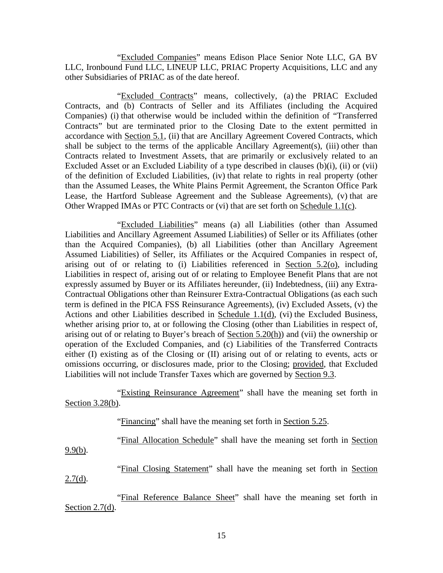"Excluded Companies" means Edison Place Senior Note LLC, GA BV LLC, Ironbound Fund LLC, LINEUP LLC, PRIAC Property Acquisitions, LLC and any other Subsidiaries of PRIAC as of the date hereof.

"Excluded Contracts" means, collectively, (a) the PRIAC Excluded Contracts, and (b) Contracts of Seller and its Affiliates (including the Acquired Companies) (i) that otherwise would be included within the definition of "Transferred Contracts" but are terminated prior to the Closing Date to the extent permitted in accordance with Section 5.1, (ii) that are Ancillary Agreement Covered Contracts, which shall be subject to the terms of the applicable Ancillary Agreement(s), (iii) other than Contracts related to Investment Assets, that are primarily or exclusively related to an Excluded Asset or an Excluded Liability of a type described in clauses (b)(i), (ii) or (vii) of the definition of Excluded Liabilities, (iv) that relate to rights in real property (other than the Assumed Leases, the White Plains Permit Agreement, the Scranton Office Park Lease, the Hartford Sublease Agreement and the Sublease Agreements), (v) that are Other Wrapped IMAs or PTC Contracts or (vi) that are set forth on Schedule 1.1(c).

"Excluded Liabilities" means (a) all Liabilities (other than Assumed Liabilities and Ancillary Agreement Assumed Liabilities) of Seller or its Affiliates (other than the Acquired Companies), (b) all Liabilities (other than Ancillary Agreement Assumed Liabilities) of Seller, its Affiliates or the Acquired Companies in respect of, arising out of or relating to (i) Liabilities referenced in Section 5.2(o), including Liabilities in respect of, arising out of or relating to Employee Benefit Plans that are not expressly assumed by Buyer or its Affiliates hereunder, (ii) Indebtedness, (iii) any Extra-Contractual Obligations other than Reinsurer Extra-Contractual Obligations (as each such term is defined in the PICA FSS Reinsurance Agreements), (iv) Excluded Assets, (v) the Actions and other Liabilities described in Schedule 1.1(d), (vi) the Excluded Business, whether arising prior to, at or following the Closing (other than Liabilities in respect of, arising out of or relating to Buyer's breach of Section 5.20(h)) and (vii) the ownership or operation of the Excluded Companies, and (c) Liabilities of the Transferred Contracts either (I) existing as of the Closing or (II) arising out of or relating to events, acts or omissions occurring, or disclosures made, prior to the Closing; provided, that Excluded Liabilities will not include Transfer Taxes which are governed by Section 9.3.

"Existing Reinsurance Agreement" shall have the meaning set forth in Section 3.28(b).

"Financing" shall have the meaning set forth in Section 5.25.

"Final Allocation Schedule" shall have the meaning set forth in Section

9.9(b).

"Final Closing Statement" shall have the meaning set forth in Section

 $2.7(d)$ .

"Final Reference Balance Sheet" shall have the meaning set forth in Section  $2.7(d)$ .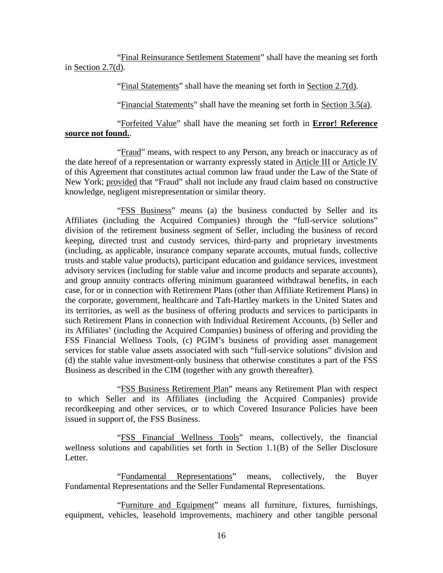"Final Reinsurance Settlement Statement" shall have the meaning set forth in Section 2.7(d).

"Final Statements" shall have the meaning set forth in Section 2.7(d).

"Financial Statements" shall have the meaning set forth in Section 3.5(a).

"Forfeited Value" shall have the meaning set forth in **Error! Reference source not found.**.

"Fraud" means, with respect to any Person, any breach or inaccuracy as of the date hereof of a representation or warranty expressly stated in Article III or Article IV of this Agreement that constitutes actual common law fraud under the Law of the State of New York; provided that "Fraud" shall not include any fraud claim based on constructive knowledge, negligent misrepresentation or similar theory.

"FSS Business" means (a) the business conducted by Seller and its Affiliates (including the Acquired Companies) through the "full-service solutions" division of the retirement business segment of Seller, including the business of record keeping, directed trust and custody services, third-party and proprietary investments (including, as applicable, insurance company separate accounts, mutual funds, collective trusts and stable value products), participant education and guidance services, investment advisory services (including for stable value and income products and separate accounts), and group annuity contracts offering minimum guaranteed withdrawal benefits, in each case, for or in connection with Retirement Plans (other than Affiliate Retirement Plans) in the corporate, government, healthcare and Taft-Hartley markets in the United States and its territories, as well as the business of offering products and services to participants in such Retirement Plans in connection with Individual Retirement Accounts, (b) Seller and its Affiliates' (including the Acquired Companies) business of offering and providing the FSS Financial Wellness Tools, (c) PGIM's business of providing asset management services for stable value assets associated with such "full-service solutions" division and (d) the stable value investment-only business that otherwise constitutes a part of the FSS Business as described in the CIM (together with any growth thereafter).

"FSS Business Retirement Plan" means any Retirement Plan with respect to which Seller and its Affiliates (including the Acquired Companies) provide recordkeeping and other services, or to which Covered Insurance Policies have been issued in support of, the FSS Business.

"FSS Financial Wellness Tools" means, collectively, the financial wellness solutions and capabilities set forth in Section 1.1(B) of the Seller Disclosure Letter.

"Fundamental Representations" means, collectively, the Buyer Fundamental Representations and the Seller Fundamental Representations.

"Furniture and Equipment" means all furniture, fixtures, furnishings, equipment, vehicles, leasehold improvements, machinery and other tangible personal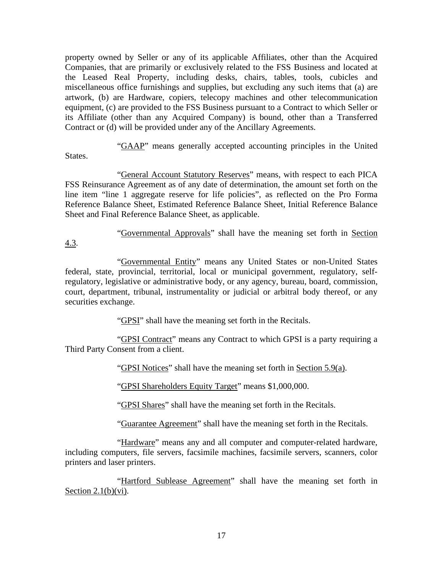property owned by Seller or any of its applicable Affiliates, other than the Acquired Companies, that are primarily or exclusively related to the FSS Business and located at the Leased Real Property, including desks, chairs, tables, tools, cubicles and miscellaneous office furnishings and supplies, but excluding any such items that (a) are artwork, (b) are Hardware, copiers, telecopy machines and other telecommunication equipment, (c) are provided to the FSS Business pursuant to a Contract to which Seller or its Affiliate (other than any Acquired Company) is bound, other than a Transferred Contract or (d) will be provided under any of the Ancillary Agreements.

"GAAP" means generally accepted accounting principles in the United States.

"General Account Statutory Reserves" means, with respect to each PICA FSS Reinsurance Agreement as of any date of determination, the amount set forth on the line item "line 1 aggregate reserve for life policies", as reflected on the Pro Forma Reference Balance Sheet, Estimated Reference Balance Sheet, Initial Reference Balance Sheet and Final Reference Balance Sheet, as applicable.

"Governmental Approvals" shall have the meaning set forth in Section

"Governmental Entity" means any United States or non-United States federal, state, provincial, territorial, local or municipal government, regulatory, selfregulatory, legislative or administrative body, or any agency, bureau, board, commission, court, department, tribunal, instrumentality or judicial or arbitral body thereof, or any securities exchange.

4.3.

"GPSI" shall have the meaning set forth in the Recitals.

"GPSI Contract" means any Contract to which GPSI is a party requiring a Third Party Consent from a client.

"GPSI Notices" shall have the meaning set forth in Section 5.9(a).

"GPSI Shareholders Equity Target" means \$1,000,000.

"GPSI Shares" shall have the meaning set forth in the Recitals.

"Guarantee Agreement" shall have the meaning set forth in the Recitals.

"Hardware" means any and all computer and computer-related hardware, including computers, file servers, facsimile machines, facsimile servers, scanners, color printers and laser printers.

"Hartford Sublease Agreement" shall have the meaning set forth in Section  $2.1(b)(vi)$ .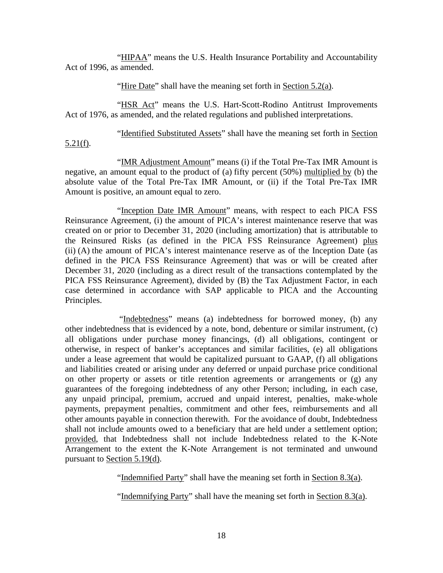"HIPAA" means the U.S. Health Insurance Portability and Accountability Act of 1996, as amended.

"Hire Date" shall have the meaning set forth in Section 5.2(a).

"HSR Act" means the U.S. Hart-Scott-Rodino Antitrust Improvements Act of 1976, as amended, and the related regulations and published interpretations.

"Identified Substituted Assets" shall have the meaning set forth in Section

5.21(f).

"IMR Adjustment Amount" means (i) if the Total Pre-Tax IMR Amount is negative, an amount equal to the product of (a) fifty percent (50%) multiplied by (b) the absolute value of the Total Pre-Tax IMR Amount, or (ii) if the Total Pre-Tax IMR Amount is positive, an amount equal to zero.

"Inception Date IMR Amount" means, with respect to each PICA FSS Reinsurance Agreement, (i) the amount of PICA's interest maintenance reserve that was created on or prior to December 31, 2020 (including amortization) that is attributable to the Reinsured Risks (as defined in the PICA FSS Reinsurance Agreement) plus (ii) (A) the amount of PICA's interest maintenance reserve as of the Inception Date (as defined in the PICA FSS Reinsurance Agreement) that was or will be created after December 31, 2020 (including as a direct result of the transactions contemplated by the PICA FSS Reinsurance Agreement), divided by (B) the Tax Adjustment Factor, in each case determined in accordance with SAP applicable to PICA and the Accounting Principles.

"Indebtedness" means (a) indebtedness for borrowed money, (b) any other indebtedness that is evidenced by a note, bond, debenture or similar instrument, (c) all obligations under purchase money financings, (d) all obligations, contingent or otherwise, in respect of banker's acceptances and similar facilities, (e) all obligations under a lease agreement that would be capitalized pursuant to GAAP, (f) all obligations and liabilities created or arising under any deferred or unpaid purchase price conditional on other property or assets or title retention agreements or arrangements or (g) any guarantees of the foregoing indebtedness of any other Person; including, in each case, any unpaid principal, premium, accrued and unpaid interest, penalties, make-whole payments, prepayment penalties, commitment and other fees, reimbursements and all other amounts payable in connection therewith. For the avoidance of doubt, Indebtedness shall not include amounts owed to a beneficiary that are held under a settlement option; provided, that Indebtedness shall not include Indebtedness related to the K-Note Arrangement to the extent the K-Note Arrangement is not terminated and unwound pursuant to Section 5.19(d).

"Indemnified Party" shall have the meaning set forth in Section 8.3(a).

"Indemnifying Party" shall have the meaning set forth in Section 8.3(a).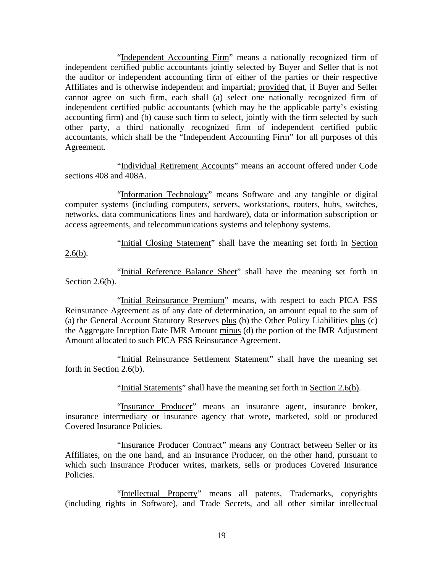"Independent Accounting Firm" means a nationally recognized firm of independent certified public accountants jointly selected by Buyer and Seller that is not the auditor or independent accounting firm of either of the parties or their respective Affiliates and is otherwise independent and impartial; provided that, if Buyer and Seller cannot agree on such firm, each shall (a) select one nationally recognized firm of independent certified public accountants (which may be the applicable party's existing accounting firm) and (b) cause such firm to select, jointly with the firm selected by such other party, a third nationally recognized firm of independent certified public accountants, which shall be the "Independent Accounting Firm" for all purposes of this Agreement.

"Individual Retirement Accounts" means an account offered under Code sections 408 and 408A.

"Information Technology" means Software and any tangible or digital computer systems (including computers, servers, workstations, routers, hubs, switches, networks, data communications lines and hardware), data or information subscription or access agreements, and telecommunications systems and telephony systems.

"Initial Closing Statement" shall have the meaning set forth in Section  $2.6(b)$ .

"Initial Reference Balance Sheet" shall have the meaning set forth in Section 2.6(b).

"Initial Reinsurance Premium" means, with respect to each PICA FSS Reinsurance Agreement as of any date of determination, an amount equal to the sum of (a) the General Account Statutory Reserves plus (b) the Other Policy Liabilities plus (c) the Aggregate Inception Date IMR Amount minus (d) the portion of the IMR Adjustment Amount allocated to such PICA FSS Reinsurance Agreement.

"Initial Reinsurance Settlement Statement" shall have the meaning set forth in Section 2.6(b).

"Initial Statements" shall have the meaning set forth in Section 2.6(b).

"Insurance Producer" means an insurance agent, insurance broker, insurance intermediary or insurance agency that wrote, marketed, sold or produced Covered Insurance Policies.

"Insurance Producer Contract" means any Contract between Seller or its Affiliates, on the one hand, and an Insurance Producer, on the other hand, pursuant to which such Insurance Producer writes, markets, sells or produces Covered Insurance Policies.

"Intellectual Property" means all patents, Trademarks, copyrights (including rights in Software), and Trade Secrets, and all other similar intellectual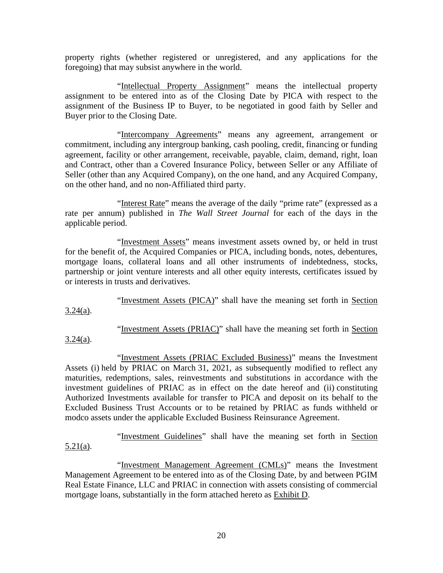property rights (whether registered or unregistered, and any applications for the foregoing) that may subsist anywhere in the world.

"Intellectual Property Assignment" means the intellectual property assignment to be entered into as of the Closing Date by PICA with respect to the assignment of the Business IP to Buyer, to be negotiated in good faith by Seller and Buyer prior to the Closing Date.

"Intercompany Agreements" means any agreement, arrangement or commitment, including any intergroup banking, cash pooling, credit, financing or funding agreement, facility or other arrangement, receivable, payable, claim, demand, right, loan and Contract, other than a Covered Insurance Policy, between Seller or any Affiliate of Seller (other than any Acquired Company), on the one hand, and any Acquired Company, on the other hand, and no non-Affiliated third party.

"Interest Rate" means the average of the daily "prime rate" (expressed as a rate per annum) published in *The Wall Street Journal* for each of the days in the applicable period.

"Investment Assets" means investment assets owned by, or held in trust for the benefit of, the Acquired Companies or PICA, including bonds, notes, debentures, mortgage loans, collateral loans and all other instruments of indebtedness, stocks, partnership or joint venture interests and all other equity interests, certificates issued by or interests in trusts and derivatives.

"Investment Assets (PICA)" shall have the meaning set forth in Section  $3.24(a)$ .

"Investment Assets (PRIAC)" shall have the meaning set forth in Section

 $3.24(a)$ .

"Investment Assets (PRIAC Excluded Business)" means the Investment Assets (i) held by PRIAC on March 31, 2021, as subsequently modified to reflect any maturities, redemptions, sales, reinvestments and substitutions in accordance with the investment guidelines of PRIAC as in effect on the date hereof and (ii) constituting Authorized Investments available for transfer to PICA and deposit on its behalf to the Excluded Business Trust Accounts or to be retained by PRIAC as funds withheld or modco assets under the applicable Excluded Business Reinsurance Agreement.

"Investment Guidelines" shall have the meaning set forth in Section 5.21(a).

"Investment Management Agreement (CMLs)" means the Investment Management Agreement to be entered into as of the Closing Date, by and between PGIM Real Estate Finance, LLC and PRIAC in connection with assets consisting of commercial mortgage loans, substantially in the form attached hereto as Exhibit D.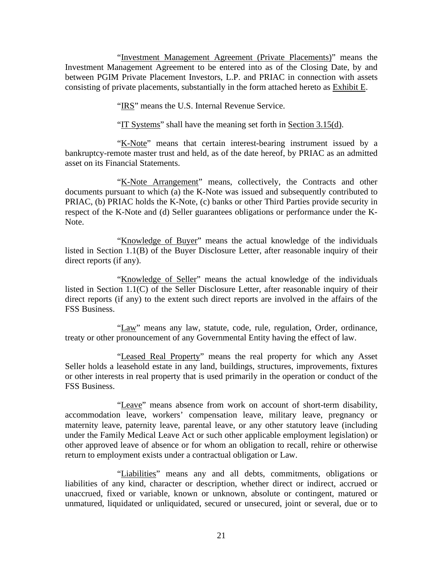"Investment Management Agreement (Private Placements)" means the Investment Management Agreement to be entered into as of the Closing Date, by and between PGIM Private Placement Investors, L.P. and PRIAC in connection with assets consisting of private placements, substantially in the form attached hereto as **Exhibit E**.

"IRS" means the U.S. Internal Revenue Service.

"IT Systems" shall have the meaning set forth in Section 3.15(d).

"K-Note" means that certain interest-bearing instrument issued by a bankruptcy-remote master trust and held, as of the date hereof, by PRIAC as an admitted asset on its Financial Statements.

"K-Note Arrangement" means, collectively, the Contracts and other documents pursuant to which (a) the K-Note was issued and subsequently contributed to PRIAC, (b) PRIAC holds the K-Note, (c) banks or other Third Parties provide security in respect of the K-Note and (d) Seller guarantees obligations or performance under the K-Note.

"Knowledge of Buyer" means the actual knowledge of the individuals listed in Section 1.1(B) of the Buyer Disclosure Letter, after reasonable inquiry of their direct reports (if any).

"Knowledge of Seller" means the actual knowledge of the individuals listed in Section 1.1(C) of the Seller Disclosure Letter, after reasonable inquiry of their direct reports (if any) to the extent such direct reports are involved in the affairs of the FSS Business.

"Law" means any law, statute, code, rule, regulation, Order, ordinance, treaty or other pronouncement of any Governmental Entity having the effect of law.

"Leased Real Property" means the real property for which any Asset Seller holds a leasehold estate in any land, buildings, structures, improvements, fixtures or other interests in real property that is used primarily in the operation or conduct of the FSS Business.

"Leave" means absence from work on account of short-term disability, accommodation leave, workers' compensation leave, military leave, pregnancy or maternity leave, paternity leave, parental leave, or any other statutory leave (including under the Family Medical Leave Act or such other applicable employment legislation) or other approved leave of absence or for whom an obligation to recall, rehire or otherwise return to employment exists under a contractual obligation or Law.

"Liabilities" means any and all debts, commitments, obligations or liabilities of any kind, character or description, whether direct or indirect, accrued or unaccrued, fixed or variable, known or unknown, absolute or contingent, matured or unmatured, liquidated or unliquidated, secured or unsecured, joint or several, due or to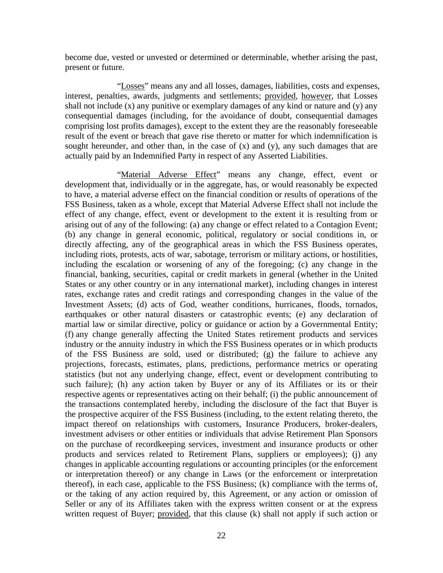become due, vested or unvested or determined or determinable, whether arising the past, present or future.

"Losses" means any and all losses, damages, liabilities, costs and expenses, interest, penalties, awards, judgments and settlements; provided, however, that Losses shall not include (x) any punitive or exemplary damages of any kind or nature and (y) any consequential damages (including, for the avoidance of doubt, consequential damages comprising lost profits damages), except to the extent they are the reasonably foreseeable result of the event or breach that gave rise thereto or matter for which indemnification is sought hereunder, and other than, in the case of  $(x)$  and  $(y)$ , any such damages that are actually paid by an Indemnified Party in respect of any Asserted Liabilities.

"Material Adverse Effect" means any change, effect, event or development that, individually or in the aggregate, has, or would reasonably be expected to have, a material adverse effect on the financial condition or results of operations of the FSS Business, taken as a whole, except that Material Adverse Effect shall not include the effect of any change, effect, event or development to the extent it is resulting from or arising out of any of the following: (a) any change or effect related to a Contagion Event; (b) any change in general economic, political, regulatory or social conditions in, or directly affecting, any of the geographical areas in which the FSS Business operates, including riots, protests, acts of war, sabotage, terrorism or military actions, or hostilities, including the escalation or worsening of any of the foregoing; (c) any change in the financial, banking, securities, capital or credit markets in general (whether in the United States or any other country or in any international market), including changes in interest rates, exchange rates and credit ratings and corresponding changes in the value of the Investment Assets; (d) acts of God, weather conditions, hurricanes, floods, tornados, earthquakes or other natural disasters or catastrophic events; (e) any declaration of martial law or similar directive, policy or guidance or action by a Governmental Entity; (f) any change generally affecting the United States retirement products and services industry or the annuity industry in which the FSS Business operates or in which products of the FSS Business are sold, used or distributed; (g) the failure to achieve any projections, forecasts, estimates, plans, predictions, performance metrics or operating statistics (but not any underlying change, effect, event or development contributing to such failure); (h) any action taken by Buyer or any of its Affiliates or its or their respective agents or representatives acting on their behalf; (i) the public announcement of the transactions contemplated hereby, including the disclosure of the fact that Buyer is the prospective acquirer of the FSS Business (including, to the extent relating thereto, the impact thereof on relationships with customers, Insurance Producers, broker-dealers, investment advisers or other entities or individuals that advise Retirement Plan Sponsors on the purchase of recordkeeping services, investment and insurance products or other products and services related to Retirement Plans, suppliers or employees); (j) any changes in applicable accounting regulations or accounting principles (or the enforcement or interpretation thereof) or any change in Laws (or the enforcement or interpretation thereof), in each case, applicable to the FSS Business; (k) compliance with the terms of, or the taking of any action required by, this Agreement, or any action or omission of Seller or any of its Affiliates taken with the express written consent or at the express written request of Buyer; provided, that this clause (k) shall not apply if such action or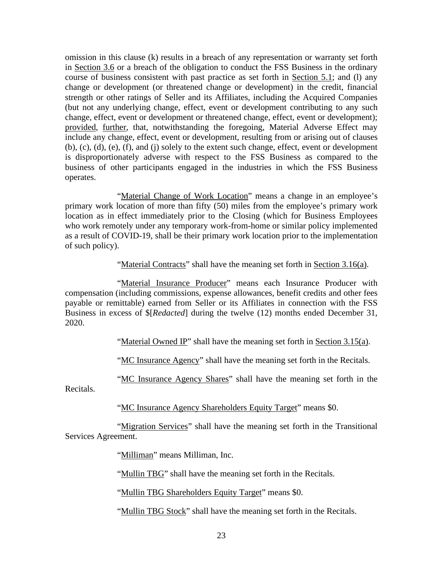omission in this clause (k) results in a breach of any representation or warranty set forth in Section 3.6 or a breach of the obligation to conduct the FSS Business in the ordinary course of business consistent with past practice as set forth in Section 5.1; and (l) any change or development (or threatened change or development) in the credit, financial strength or other ratings of Seller and its Affiliates, including the Acquired Companies (but not any underlying change, effect, event or development contributing to any such change, effect, event or development or threatened change, effect, event or development); provided, further, that, notwithstanding the foregoing, Material Adverse Effect may include any change, effect, event or development, resulting from or arising out of clauses (b), (c), (d), (e), (f), and (j) solely to the extent such change, effect, event or development is disproportionately adverse with respect to the FSS Business as compared to the business of other participants engaged in the industries in which the FSS Business operates.

"Material Change of Work Location" means a change in an employee's primary work location of more than fifty (50) miles from the employee's primary work location as in effect immediately prior to the Closing (which for Business Employees who work remotely under any temporary work-from-home or similar policy implemented as a result of COVID-19, shall be their primary work location prior to the implementation of such policy).

"Material Contracts" shall have the meaning set forth in Section 3.16(a).

"Material Insurance Producer" means each Insurance Producer with compensation (including commissions, expense allowances, benefit credits and other fees payable or remittable) earned from Seller or its Affiliates in connection with the FSS Business in excess of \$[*Redacted*] during the twelve (12) months ended December 31, 2020.

"Material Owned IP" shall have the meaning set forth in Section 3.15(a).

"MC Insurance Agency" shall have the meaning set forth in the Recitals.

"MC Insurance Agency Shares" shall have the meaning set forth in the

Recitals.

"MC Insurance Agency Shareholders Equity Target" means \$0.

"Migration Services" shall have the meaning set forth in the Transitional Services Agreement.

"Milliman" means Milliman, Inc.

"Mullin TBG" shall have the meaning set forth in the Recitals.

"Mullin TBG Shareholders Equity Target" means \$0.

"Mullin TBG Stock" shall have the meaning set forth in the Recitals.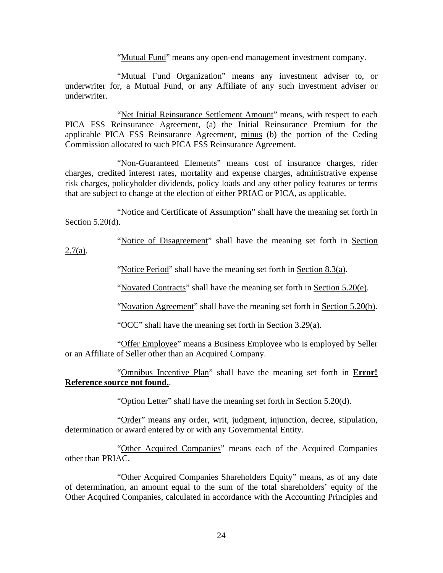"Mutual Fund" means any open-end management investment company.

"Mutual Fund Organization" means any investment adviser to, or underwriter for, a Mutual Fund, or any Affiliate of any such investment adviser or underwriter.

"Net Initial Reinsurance Settlement Amount" means, with respect to each PICA FSS Reinsurance Agreement, (a) the Initial Reinsurance Premium for the applicable PICA FSS Reinsurance Agreement, minus (b) the portion of the Ceding Commission allocated to such PICA FSS Reinsurance Agreement.

"Non-Guaranteed Elements" means cost of insurance charges, rider charges, credited interest rates, mortality and expense charges, administrative expense risk charges, policyholder dividends, policy loads and any other policy features or terms that are subject to change at the election of either PRIAC or PICA, as applicable.

"Notice and Certificate of Assumption" shall have the meaning set forth in Section 5.20(d).

"Notice of Disagreement" shall have the meaning set forth in Section

 $2.7(a)$ .

"Notice Period" shall have the meaning set forth in Section 8.3(a).

"Novated Contracts" shall have the meaning set forth in Section 5.20(e).

"Novation Agreement" shall have the meaning set forth in Section 5.20(b).

"OCC" shall have the meaning set forth in Section 3.29(a).

"Offer Employee" means a Business Employee who is employed by Seller or an Affiliate of Seller other than an Acquired Company.

"Omnibus Incentive Plan" shall have the meaning set forth in **Error! Reference source not found.**.

"Option Letter" shall have the meaning set forth in Section 5.20(d).

"Order" means any order, writ, judgment, injunction, decree, stipulation, determination or award entered by or with any Governmental Entity.

"Other Acquired Companies" means each of the Acquired Companies other than PRIAC.

"Other Acquired Companies Shareholders Equity" means, as of any date of determination, an amount equal to the sum of the total shareholders' equity of the Other Acquired Companies, calculated in accordance with the Accounting Principles and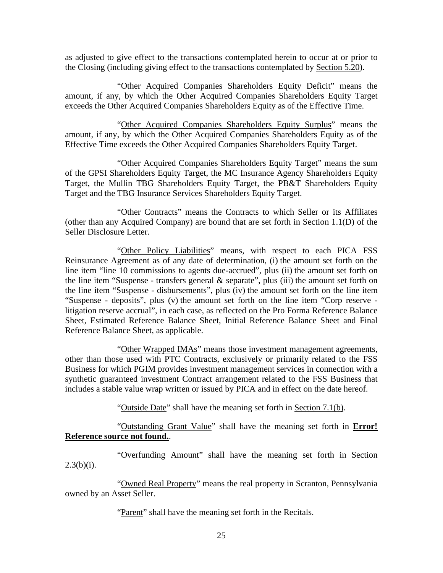as adjusted to give effect to the transactions contemplated herein to occur at or prior to the Closing (including giving effect to the transactions contemplated by Section 5.20).

"Other Acquired Companies Shareholders Equity Deficit" means the amount, if any, by which the Other Acquired Companies Shareholders Equity Target exceeds the Other Acquired Companies Shareholders Equity as of the Effective Time.

"Other Acquired Companies Shareholders Equity Surplus" means the amount, if any, by which the Other Acquired Companies Shareholders Equity as of the Effective Time exceeds the Other Acquired Companies Shareholders Equity Target.

"Other Acquired Companies Shareholders Equity Target" means the sum of the GPSI Shareholders Equity Target, the MC Insurance Agency Shareholders Equity Target, the Mullin TBG Shareholders Equity Target, the PB&T Shareholders Equity Target and the TBG Insurance Services Shareholders Equity Target.

"Other Contracts" means the Contracts to which Seller or its Affiliates (other than any Acquired Company) are bound that are set forth in Section 1.1(D) of the Seller Disclosure Letter.

"Other Policy Liabilities" means, with respect to each PICA FSS Reinsurance Agreement as of any date of determination, (i) the amount set forth on the line item "line 10 commissions to agents due-accrued", plus (ii) the amount set forth on the line item "Suspense - transfers general  $\&$  separate", plus (iii) the amount set forth on the line item "Suspense - disbursements", plus (iv) the amount set forth on the line item "Suspense - deposits", plus (v) the amount set forth on the line item "Corp reserve litigation reserve accrual", in each case, as reflected on the Pro Forma Reference Balance Sheet, Estimated Reference Balance Sheet, Initial Reference Balance Sheet and Final Reference Balance Sheet, as applicable.

"Other Wrapped IMAs" means those investment management agreements, other than those used with PTC Contracts, exclusively or primarily related to the FSS Business for which PGIM provides investment management services in connection with a synthetic guaranteed investment Contract arrangement related to the FSS Business that includes a stable value wrap written or issued by PICA and in effect on the date hereof.

"Outside Date" shall have the meaning set forth in Section 7.1(b).

"Outstanding Grant Value" shall have the meaning set forth in **Error! Reference source not found.**.

"Overfunding Amount" shall have the meaning set forth in Section  $2.3(b)(i)$ .

"Owned Real Property" means the real property in Scranton, Pennsylvania owned by an Asset Seller.

"Parent" shall have the meaning set forth in the Recitals.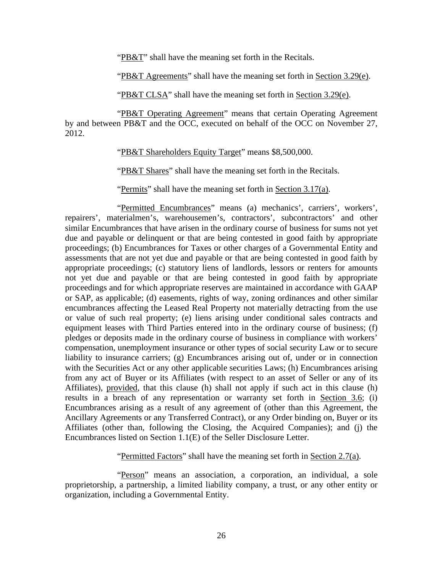"PB&T" shall have the meaning set forth in the Recitals.

"PB&T Agreements" shall have the meaning set forth in Section 3.29(e).

"PB&T CLSA" shall have the meaning set forth in Section 3.29(e).

"PB&T Operating Agreement" means that certain Operating Agreement by and between PB&T and the OCC, executed on behalf of the OCC on November 27, 2012.

"PB&T Shareholders Equity Target" means \$8,500,000.

"PB&T Shares" shall have the meaning set forth in the Recitals.

"Permits" shall have the meaning set forth in Section 3.17(a).

"Permitted Encumbrances" means (a) mechanics', carriers', workers', repairers', materialmen's, warehousemen's, contractors', subcontractors' and other similar Encumbrances that have arisen in the ordinary course of business for sums not yet due and payable or delinquent or that are being contested in good faith by appropriate proceedings; (b) Encumbrances for Taxes or other charges of a Governmental Entity and assessments that are not yet due and payable or that are being contested in good faith by appropriate proceedings; (c) statutory liens of landlords, lessors or renters for amounts not yet due and payable or that are being contested in good faith by appropriate proceedings and for which appropriate reserves are maintained in accordance with GAAP or SAP, as applicable; (d) easements, rights of way, zoning ordinances and other similar encumbrances affecting the Leased Real Property not materially detracting from the use or value of such real property; (e) liens arising under conditional sales contracts and equipment leases with Third Parties entered into in the ordinary course of business; (f) pledges or deposits made in the ordinary course of business in compliance with workers' compensation, unemployment insurance or other types of social security Law or to secure liability to insurance carriers; (g) Encumbrances arising out of, under or in connection with the Securities Act or any other applicable securities Laws; (h) Encumbrances arising from any act of Buyer or its Affiliates (with respect to an asset of Seller or any of its Affiliates), provided, that this clause (h) shall not apply if such act in this clause (h) results in a breach of any representation or warranty set forth in Section 3.6; (i) Encumbrances arising as a result of any agreement of (other than this Agreement, the Ancillary Agreements or any Transferred Contract), or any Order binding on, Buyer or its Affiliates (other than, following the Closing, the Acquired Companies); and (j) the Encumbrances listed on Section 1.1(E) of the Seller Disclosure Letter.

"Permitted Factors" shall have the meaning set forth in Section 2.7(a).

"Person" means an association, a corporation, an individual, a sole proprietorship, a partnership, a limited liability company, a trust, or any other entity or organization, including a Governmental Entity.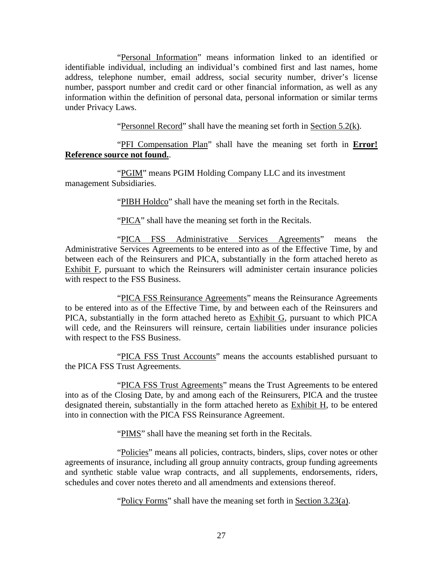"Personal Information" means information linked to an identified or identifiable individual, including an individual's combined first and last names, home address, telephone number, email address, social security number, driver's license number, passport number and credit card or other financial information, as well as any information within the definition of personal data, personal information or similar terms under Privacy Laws.

"Personnel Record" shall have the meaning set forth in Section 5.2(k).

"PFI Compensation Plan" shall have the meaning set forth in **Error! Reference source not found.**.

"PGIM" means PGIM Holding Company LLC and its investment management Subsidiaries.

"PIBH Holdco" shall have the meaning set forth in the Recitals.

"PICA" shall have the meaning set forth in the Recitals.

"PICA FSS Administrative Services Agreements" means the Administrative Services Agreements to be entered into as of the Effective Time, by and between each of the Reinsurers and PICA, substantially in the form attached hereto as Exhibit F, pursuant to which the Reinsurers will administer certain insurance policies with respect to the FSS Business.

"PICA FSS Reinsurance Agreements" means the Reinsurance Agreements to be entered into as of the Effective Time, by and between each of the Reinsurers and PICA, substantially in the form attached hereto as Exhibit G, pursuant to which PICA will cede, and the Reinsurers will reinsure, certain liabilities under insurance policies with respect to the FSS Business.

"PICA FSS Trust Accounts" means the accounts established pursuant to the PICA FSS Trust Agreements.

"PICA FSS Trust Agreements" means the Trust Agreements to be entered into as of the Closing Date, by and among each of the Reinsurers, PICA and the trustee designated therein, substantially in the form attached hereto as Exhibit H, to be entered into in connection with the PICA FSS Reinsurance Agreement.

"PIMS" shall have the meaning set forth in the Recitals.

"Policies" means all policies, contracts, binders, slips, cover notes or other agreements of insurance, including all group annuity contracts, group funding agreements and synthetic stable value wrap contracts, and all supplements, endorsements, riders, schedules and cover notes thereto and all amendments and extensions thereof.

"Policy Forms" shall have the meaning set forth in Section 3.23(a).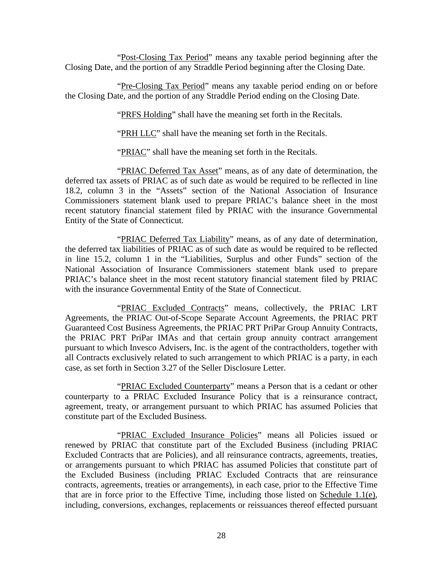"Post-Closing Tax Period" means any taxable period beginning after the Closing Date, and the portion of any Straddle Period beginning after the Closing Date.

"Pre-Closing Tax Period" means any taxable period ending on or before the Closing Date, and the portion of any Straddle Period ending on the Closing Date.

"PRFS Holding" shall have the meaning set forth in the Recitals.

"PRH LLC" shall have the meaning set forth in the Recitals.

"PRIAC" shall have the meaning set forth in the Recitals.

"PRIAC Deferred Tax Asset" means, as of any date of determination, the deferred tax assets of PRIAC as of such date as would be required to be reflected in line 18.2, column 3 in the "Assets" section of the National Association of Insurance Commissioners statement blank used to prepare PRIAC's balance sheet in the most recent statutory financial statement filed by PRIAC with the insurance Governmental Entity of the State of Connecticut.

"PRIAC Deferred Tax Liability" means, as of any date of determination, the deferred tax liabilities of PRIAC as of such date as would be required to be reflected in line 15.2, column 1 in the "Liabilities, Surplus and other Funds" section of the National Association of Insurance Commissioners statement blank used to prepare PRIAC's balance sheet in the most recent statutory financial statement filed by PRIAC with the insurance Governmental Entity of the State of Connecticut.

"PRIAC Excluded Contracts" means, collectively, the PRIAC LRT Agreements, the PRIAC Out-of-Scope Separate Account Agreements, the PRIAC PRT Guaranteed Cost Business Agreements, the PRIAC PRT PriPar Group Annuity Contracts, the PRIAC PRT PriPar IMAs and that certain group annuity contract arrangement pursuant to which Invesco Advisers, Inc. is the agent of the contractholders, together with all Contracts exclusively related to such arrangement to which PRIAC is a party, in each case, as set forth in Section 3.27 of the Seller Disclosure Letter.

"PRIAC Excluded Counterparty" means a Person that is a cedant or other counterparty to a PRIAC Excluded Insurance Policy that is a reinsurance contract, agreement, treaty, or arrangement pursuant to which PRIAC has assumed Policies that constitute part of the Excluded Business.

"PRIAC Excluded Insurance Policies" means all Policies issued or renewed by PRIAC that constitute part of the Excluded Business (including PRIAC Excluded Contracts that are Policies), and all reinsurance contracts, agreements, treaties, or arrangements pursuant to which PRIAC has assumed Policies that constitute part of the Excluded Business (including PRIAC Excluded Contracts that are reinsurance contracts, agreements, treaties or arrangements), in each case, prior to the Effective Time that are in force prior to the Effective Time, including those listed on Schedule 1.1(e), including, conversions, exchanges, replacements or reissuances thereof effected pursuant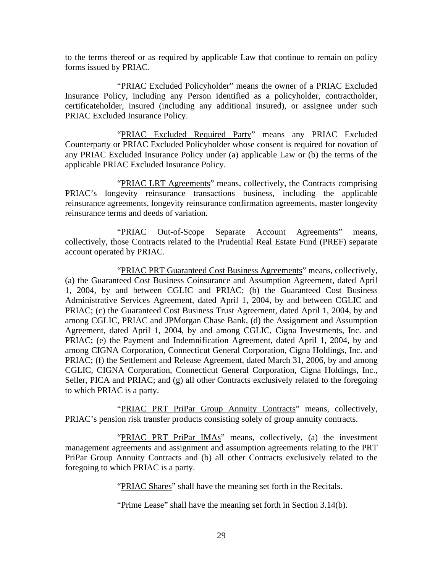to the terms thereof or as required by applicable Law that continue to remain on policy forms issued by PRIAC.

"PRIAC Excluded Policyholder" means the owner of a PRIAC Excluded Insurance Policy, including any Person identified as a policyholder, contractholder, certificateholder, insured (including any additional insured), or assignee under such PRIAC Excluded Insurance Policy.

"PRIAC Excluded Required Party" means any PRIAC Excluded Counterparty or PRIAC Excluded Policyholder whose consent is required for novation of any PRIAC Excluded Insurance Policy under (a) applicable Law or (b) the terms of the applicable PRIAC Excluded Insurance Policy.

"PRIAC LRT Agreements" means, collectively, the Contracts comprising PRIAC's longevity reinsurance transactions business, including the applicable reinsurance agreements, longevity reinsurance confirmation agreements, master longevity reinsurance terms and deeds of variation.

"PRIAC Out-of-Scope Separate Account Agreements" means, collectively, those Contracts related to the Prudential Real Estate Fund (PREF) separate account operated by PRIAC.

"PRIAC PRT Guaranteed Cost Business Agreements" means, collectively, (a) the Guaranteed Cost Business Coinsurance and Assumption Agreement, dated April 1, 2004, by and between CGLIC and PRIAC; (b) the Guaranteed Cost Business Administrative Services Agreement, dated April 1, 2004, by and between CGLIC and PRIAC; (c) the Guaranteed Cost Business Trust Agreement, dated April 1, 2004, by and among CGLIC, PRIAC and JPMorgan Chase Bank, (d) the Assignment and Assumption Agreement, dated April 1, 2004, by and among CGLIC, Cigna Investments, Inc. and PRIAC; (e) the Payment and Indemnification Agreement, dated April 1, 2004, by and among CIGNA Corporation, Connecticut General Corporation, Cigna Holdings, Inc. and PRIAC; (f) the Settlement and Release Agreement, dated March 31, 2006, by and among CGLIC, CIGNA Corporation, Connecticut General Corporation, Cigna Holdings, Inc., Seller, PICA and PRIAC; and (g) all other Contracts exclusively related to the foregoing to which PRIAC is a party.

"PRIAC PRT PriPar Group Annuity Contracts" means, collectively, PRIAC's pension risk transfer products consisting solely of group annuity contracts.

"PRIAC PRT PriPar IMAs" means, collectively, (a) the investment management agreements and assignment and assumption agreements relating to the PRT PriPar Group Annuity Contracts and (b) all other Contracts exclusively related to the foregoing to which PRIAC is a party.

"PRIAC Shares" shall have the meaning set forth in the Recitals.

"Prime Lease" shall have the meaning set forth in Section 3.14(b).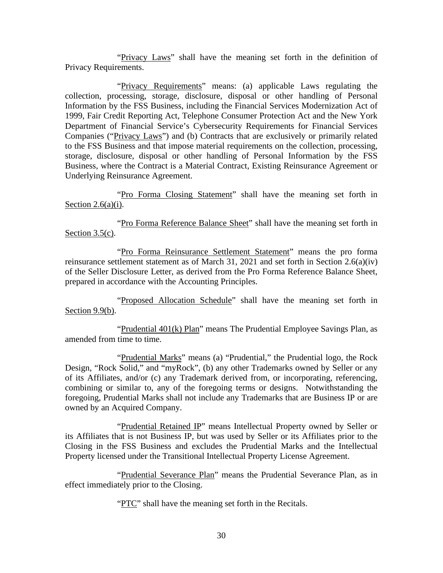"Privacy Laws" shall have the meaning set forth in the definition of Privacy Requirements.

"Privacy Requirements" means: (a) applicable Laws regulating the collection, processing, storage, disclosure, disposal or other handling of Personal Information by the FSS Business, including the Financial Services Modernization Act of 1999, Fair Credit Reporting Act, Telephone Consumer Protection Act and the New York Department of Financial Service's Cybersecurity Requirements for Financial Services Companies ("Privacy Laws") and (b) Contracts that are exclusively or primarily related to the FSS Business and that impose material requirements on the collection, processing, storage, disclosure, disposal or other handling of Personal Information by the FSS Business, where the Contract is a Material Contract, Existing Reinsurance Agreement or Underlying Reinsurance Agreement.

"Pro Forma Closing Statement" shall have the meaning set forth in Section  $2.6(a)(i)$ .

"Pro Forma Reference Balance Sheet" shall have the meaning set forth in Section  $3.5(c)$ .

"Pro Forma Reinsurance Settlement Statement" means the pro forma reinsurance settlement statement as of March 31, 2021 and set forth in Section 2.6(a)(iv) of the Seller Disclosure Letter, as derived from the Pro Forma Reference Balance Sheet, prepared in accordance with the Accounting Principles.

"Proposed Allocation Schedule" shall have the meaning set forth in Section 9.9(b).

"Prudential 401(k) Plan" means The Prudential Employee Savings Plan, as amended from time to time.

"Prudential Marks" means (a) "Prudential," the Prudential logo, the Rock Design, "Rock Solid," and "myRock", (b) any other Trademarks owned by Seller or any of its Affiliates, and/or (c) any Trademark derived from, or incorporating, referencing, combining or similar to, any of the foregoing terms or designs. Notwithstanding the foregoing, Prudential Marks shall not include any Trademarks that are Business IP or are owned by an Acquired Company.

"Prudential Retained IP" means Intellectual Property owned by Seller or its Affiliates that is not Business IP, but was used by Seller or its Affiliates prior to the Closing in the FSS Business and excludes the Prudential Marks and the Intellectual Property licensed under the Transitional Intellectual Property License Agreement.

"Prudential Severance Plan" means the Prudential Severance Plan, as in effect immediately prior to the Closing.

"PTC" shall have the meaning set forth in the Recitals.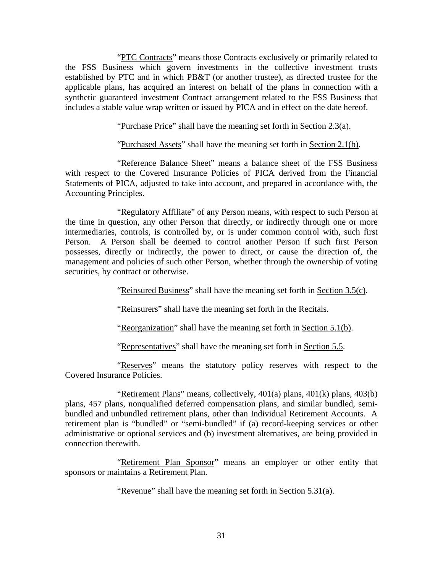"PTC Contracts" means those Contracts exclusively or primarily related to the FSS Business which govern investments in the collective investment trusts established by PTC and in which PB&T (or another trustee), as directed trustee for the applicable plans, has acquired an interest on behalf of the plans in connection with a synthetic guaranteed investment Contract arrangement related to the FSS Business that includes a stable value wrap written or issued by PICA and in effect on the date hereof.

"Purchase Price" shall have the meaning set forth in Section 2.3(a).

"Purchased Assets" shall have the meaning set forth in Section 2.1(b).

"Reference Balance Sheet" means a balance sheet of the FSS Business with respect to the Covered Insurance Policies of PICA derived from the Financial Statements of PICA, adjusted to take into account, and prepared in accordance with, the Accounting Principles.

"Regulatory Affiliate" of any Person means, with respect to such Person at the time in question, any other Person that directly, or indirectly through one or more intermediaries, controls, is controlled by, or is under common control with, such first Person. A Person shall be deemed to control another Person if such first Person possesses, directly or indirectly, the power to direct, or cause the direction of, the management and policies of such other Person, whether through the ownership of voting securities, by contract or otherwise.

"Reinsured Business" shall have the meaning set forth in Section 3.5(c).

"Reinsurers" shall have the meaning set forth in the Recitals.

"Reorganization" shall have the meaning set forth in Section 5.1(b).

"Representatives" shall have the meaning set forth in Section 5.5.

"Reserves" means the statutory policy reserves with respect to the Covered Insurance Policies.

"Retirement Plans" means, collectively, 401(a) plans, 401(k) plans, 403(b) plans, 457 plans, nonqualified deferred compensation plans, and similar bundled, semibundled and unbundled retirement plans, other than Individual Retirement Accounts. A retirement plan is "bundled" or "semi-bundled" if (a) record-keeping services or other administrative or optional services and (b) investment alternatives, are being provided in connection therewith.

"Retirement Plan Sponsor" means an employer or other entity that sponsors or maintains a Retirement Plan.

"Revenue" shall have the meaning set forth in Section 5.31(a).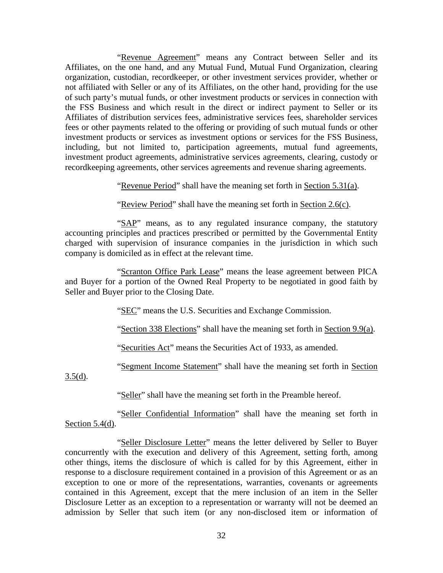"Revenue Agreement" means any Contract between Seller and its Affiliates, on the one hand, and any Mutual Fund, Mutual Fund Organization, clearing organization, custodian, recordkeeper, or other investment services provider, whether or not affiliated with Seller or any of its Affiliates, on the other hand, providing for the use of such party's mutual funds, or other investment products or services in connection with the FSS Business and which result in the direct or indirect payment to Seller or its Affiliates of distribution services fees, administrative services fees, shareholder services fees or other payments related to the offering or providing of such mutual funds or other investment products or services as investment options or services for the FSS Business, including, but not limited to, participation agreements, mutual fund agreements, investment product agreements, administrative services agreements, clearing, custody or recordkeeping agreements, other services agreements and revenue sharing agreements.

"Revenue Period" shall have the meaning set forth in Section 5.31(a).

"Review Period" shall have the meaning set forth in Section 2.6(c).

"SAP" means, as to any regulated insurance company, the statutory accounting principles and practices prescribed or permitted by the Governmental Entity charged with supervision of insurance companies in the jurisdiction in which such company is domiciled as in effect at the relevant time.

"Scranton Office Park Lease" means the lease agreement between PICA and Buyer for a portion of the Owned Real Property to be negotiated in good faith by Seller and Buyer prior to the Closing Date.

"SEC" means the U.S. Securities and Exchange Commission.

"Section 338 Elections" shall have the meaning set forth in Section 9.9(a).

"Securities Act" means the Securities Act of 1933, as amended.

"Segment Income Statement" shall have the meaning set forth in Section

 $3.5(d)$ .

"Seller" shall have the meaning set forth in the Preamble hereof.

"Seller Confidential Information" shall have the meaning set forth in Section  $5.4(d)$ .

"Seller Disclosure Letter" means the letter delivered by Seller to Buyer concurrently with the execution and delivery of this Agreement, setting forth, among other things, items the disclosure of which is called for by this Agreement, either in response to a disclosure requirement contained in a provision of this Agreement or as an exception to one or more of the representations, warranties, covenants or agreements contained in this Agreement, except that the mere inclusion of an item in the Seller Disclosure Letter as an exception to a representation or warranty will not be deemed an admission by Seller that such item (or any non-disclosed item or information of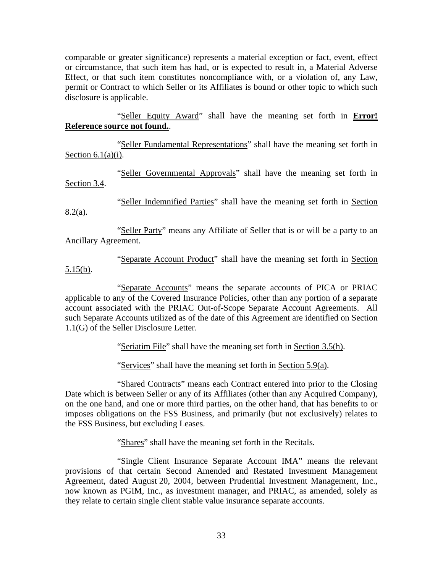comparable or greater significance) represents a material exception or fact, event, effect or circumstance, that such item has had, or is expected to result in, a Material Adverse Effect, or that such item constitutes noncompliance with, or a violation of, any Law, permit or Contract to which Seller or its Affiliates is bound or other topic to which such disclosure is applicable.

"Seller Equity Award" shall have the meaning set forth in **Error! Reference source not found.**.

"Seller Fundamental Representations" shall have the meaning set forth in Section  $6.1(a)(i)$ .

"Seller Governmental Approvals" shall have the meaning set forth in Section 3.4.

"Seller Indemnified Parties" shall have the meaning set forth in Section 8.2(a).

"Seller Party" means any Affiliate of Seller that is or will be a party to an Ancillary Agreement.

"Separate Account Product" shall have the meaning set forth in Section 5.15(b).

"Separate Accounts" means the separate accounts of PICA or PRIAC applicable to any of the Covered Insurance Policies, other than any portion of a separate account associated with the PRIAC Out-of-Scope Separate Account Agreements. All such Separate Accounts utilized as of the date of this Agreement are identified on Section 1.1(G) of the Seller Disclosure Letter.

"Seriatim File" shall have the meaning set forth in Section 3.5(h).

"Services" shall have the meaning set forth in Section 5.9(a).

"Shared Contracts" means each Contract entered into prior to the Closing Date which is between Seller or any of its Affiliates (other than any Acquired Company), on the one hand, and one or more third parties, on the other hand, that has benefits to or imposes obligations on the FSS Business, and primarily (but not exclusively) relates to the FSS Business, but excluding Leases.

"Shares" shall have the meaning set forth in the Recitals.

"Single Client Insurance Separate Account IMA" means the relevant provisions of that certain Second Amended and Restated Investment Management Agreement, dated August 20, 2004, between Prudential Investment Management, Inc., now known as PGIM, Inc., as investment manager, and PRIAC, as amended, solely as they relate to certain single client stable value insurance separate accounts.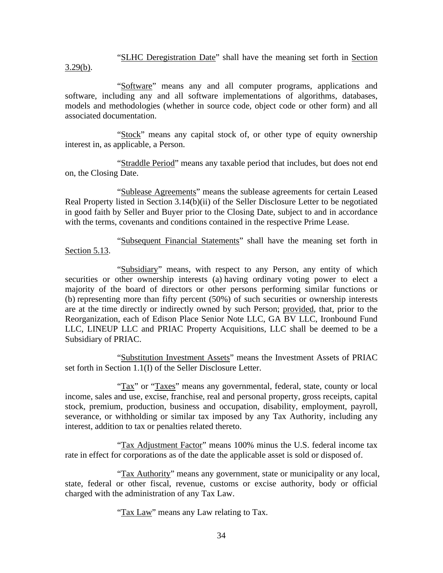"SLHC Deregistration Date" shall have the meaning set forth in Section  $3.29(b)$ .

"Software" means any and all computer programs, applications and software, including any and all software implementations of algorithms, databases, models and methodologies (whether in source code, object code or other form) and all associated documentation.

"Stock" means any capital stock of, or other type of equity ownership interest in, as applicable, a Person.

"Straddle Period" means any taxable period that includes, but does not end on, the Closing Date.

"Sublease Agreements" means the sublease agreements for certain Leased Real Property listed in Section 3.14(b)(ii) of the Seller Disclosure Letter to be negotiated in good faith by Seller and Buyer prior to the Closing Date, subject to and in accordance with the terms, covenants and conditions contained in the respective Prime Lease.

"Subsequent Financial Statements" shall have the meaning set forth in Section 5.13.

"Subsidiary" means, with respect to any Person, any entity of which securities or other ownership interests (a) having ordinary voting power to elect a majority of the board of directors or other persons performing similar functions or (b) representing more than fifty percent (50%) of such securities or ownership interests are at the time directly or indirectly owned by such Person; provided, that, prior to the Reorganization, each of Edison Place Senior Note LLC, GA BV LLC, Ironbound Fund LLC, LINEUP LLC and PRIAC Property Acquisitions, LLC shall be deemed to be a Subsidiary of PRIAC.

"Substitution Investment Assets" means the Investment Assets of PRIAC set forth in Section 1.1(I) of the Seller Disclosure Letter.

"Tax" or "Taxes" means any governmental, federal, state, county or local income, sales and use, excise, franchise, real and personal property, gross receipts, capital stock, premium, production, business and occupation, disability, employment, payroll, severance, or withholding or similar tax imposed by any Tax Authority, including any interest, addition to tax or penalties related thereto.

"Tax Adjustment Factor" means 100% minus the U.S. federal income tax rate in effect for corporations as of the date the applicable asset is sold or disposed of.

"Tax Authority" means any government, state or municipality or any local, state, federal or other fiscal, revenue, customs or excise authority, body or official charged with the administration of any Tax Law.

"Tax Law" means any Law relating to Tax.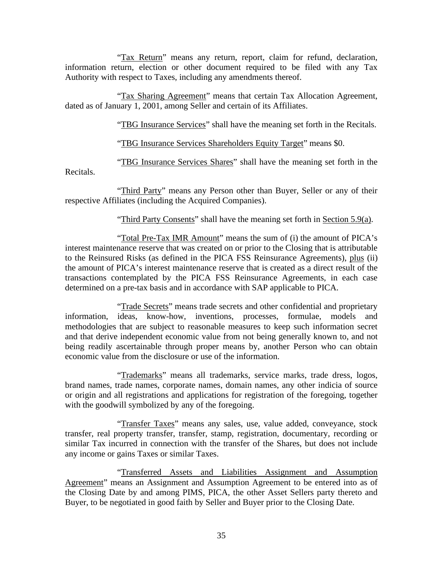"Tax Return" means any return, report, claim for refund, declaration, information return, election or other document required to be filed with any Tax Authority with respect to Taxes, including any amendments thereof.

"Tax Sharing Agreement" means that certain Tax Allocation Agreement, dated as of January 1, 2001, among Seller and certain of its Affiliates.

"TBG Insurance Services" shall have the meaning set forth in the Recitals.

"TBG Insurance Services Shareholders Equity Target" means \$0.

"TBG Insurance Services Shares" shall have the meaning set forth in the Recitals.

"Third Party" means any Person other than Buyer, Seller or any of their respective Affiliates (including the Acquired Companies).

"Third Party Consents" shall have the meaning set forth in Section 5.9(a).

"Total Pre-Tax IMR Amount" means the sum of (i) the amount of PICA's interest maintenance reserve that was created on or prior to the Closing that is attributable to the Reinsured Risks (as defined in the PICA FSS Reinsurance Agreements), plus (ii) the amount of PICA's interest maintenance reserve that is created as a direct result of the transactions contemplated by the PICA FSS Reinsurance Agreements, in each case determined on a pre-tax basis and in accordance with SAP applicable to PICA.

"Trade Secrets" means trade secrets and other confidential and proprietary information, ideas, know-how, inventions, processes, formulae, models and methodologies that are subject to reasonable measures to keep such information secret and that derive independent economic value from not being generally known to, and not being readily ascertainable through proper means by, another Person who can obtain economic value from the disclosure or use of the information.

"Trademarks" means all trademarks, service marks, trade dress, logos, brand names, trade names, corporate names, domain names, any other indicia of source or origin and all registrations and applications for registration of the foregoing, together with the goodwill symbolized by any of the foregoing.

"Transfer Taxes" means any sales, use, value added, conveyance, stock transfer, real property transfer, transfer, stamp, registration, documentary, recording or similar Tax incurred in connection with the transfer of the Shares, but does not include any income or gains Taxes or similar Taxes.

"Transferred Assets and Liabilities Assignment and Assumption Agreement" means an Assignment and Assumption Agreement to be entered into as of the Closing Date by and among PIMS, PICA, the other Asset Sellers party thereto and Buyer, to be negotiated in good faith by Seller and Buyer prior to the Closing Date.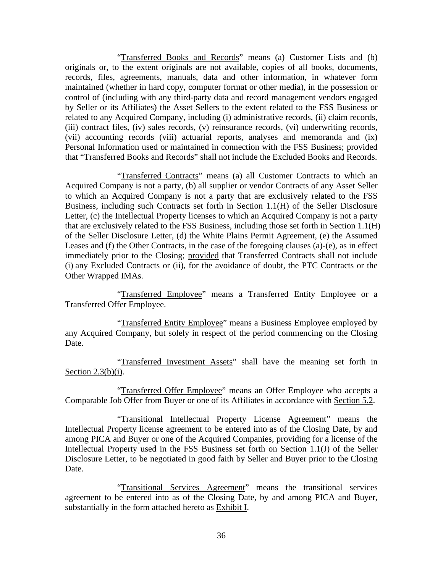"Transferred Books and Records" means (a) Customer Lists and (b) originals or, to the extent originals are not available, copies of all books, documents, records, files, agreements, manuals, data and other information, in whatever form maintained (whether in hard copy, computer format or other media), in the possession or control of (including with any third-party data and record management vendors engaged by Seller or its Affiliates) the Asset Sellers to the extent related to the FSS Business or related to any Acquired Company, including (i) administrative records, (ii) claim records, (iii) contract files, (iv) sales records, (v) reinsurance records, (vi) underwriting records, (vii) accounting records (viii) actuarial reports, analyses and memoranda and (ix) Personal Information used or maintained in connection with the FSS Business; provided that "Transferred Books and Records" shall not include the Excluded Books and Records.

"Transferred Contracts" means (a) all Customer Contracts to which an Acquired Company is not a party, (b) all supplier or vendor Contracts of any Asset Seller to which an Acquired Company is not a party that are exclusively related to the FSS Business, including such Contracts set forth in Section 1.1(H) of the Seller Disclosure Letter, (c) the Intellectual Property licenses to which an Acquired Company is not a party that are exclusively related to the FSS Business, including those set forth in Section 1.1(H) of the Seller Disclosure Letter, (d) the White Plains Permit Agreement, (e) the Assumed Leases and (f) the Other Contracts, in the case of the foregoing clauses (a)-(e), as in effect immediately prior to the Closing; provided that Transferred Contracts shall not include (i) any Excluded Contracts or (ii), for the avoidance of doubt, the PTC Contracts or the Other Wrapped IMAs.

"Transferred Employee" means a Transferred Entity Employee or a Transferred Offer Employee.

"Transferred Entity Employee" means a Business Employee employed by any Acquired Company, but solely in respect of the period commencing on the Closing Date.

"Transferred Investment Assets" shall have the meaning set forth in Section  $2.3(b)(i)$ .

"Transferred Offer Employee" means an Offer Employee who accepts a Comparable Job Offer from Buyer or one of its Affiliates in accordance with Section 5.2.

"Transitional Intellectual Property License Agreement" means the Intellectual Property license agreement to be entered into as of the Closing Date, by and among PICA and Buyer or one of the Acquired Companies, providing for a license of the Intellectual Property used in the FSS Business set forth on Section 1.1(J) of the Seller Disclosure Letter, to be negotiated in good faith by Seller and Buyer prior to the Closing Date.

"Transitional Services Agreement" means the transitional services agreement to be entered into as of the Closing Date, by and among PICA and Buyer, substantially in the form attached hereto as Exhibit I.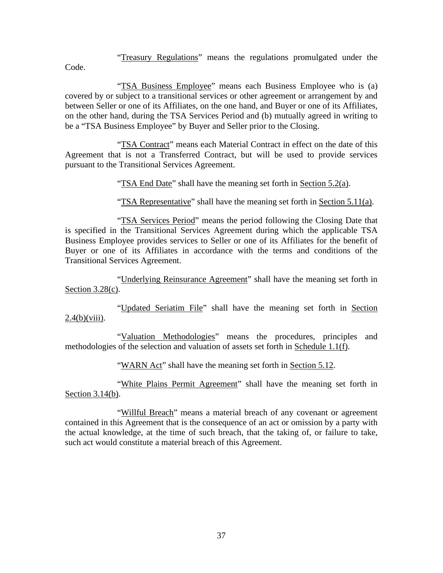"Treasury Regulations" means the regulations promulgated under the

Code.

"TSA Business Employee" means each Business Employee who is (a) covered by or subject to a transitional services or other agreement or arrangement by and between Seller or one of its Affiliates, on the one hand, and Buyer or one of its Affiliates, on the other hand, during the TSA Services Period and (b) mutually agreed in writing to be a "TSA Business Employee" by Buyer and Seller prior to the Closing.

"TSA Contract" means each Material Contract in effect on the date of this Agreement that is not a Transferred Contract, but will be used to provide services pursuant to the Transitional Services Agreement.

"TSA End Date" shall have the meaning set forth in Section 5.2(a).

"TSA Representative" shall have the meaning set forth in Section 5.11(a).

"TSA Services Period" means the period following the Closing Date that is specified in the Transitional Services Agreement during which the applicable TSA Business Employee provides services to Seller or one of its Affiliates for the benefit of Buyer or one of its Affiliates in accordance with the terms and conditions of the Transitional Services Agreement.

"Underlying Reinsurance Agreement" shall have the meaning set forth in Section 3.28(c).

"Updated Seriatim File" shall have the meaning set forth in Section  $2.4(b)$ (viii).

"Valuation Methodologies" means the procedures, principles and methodologies of the selection and valuation of assets set forth in Schedule 1.1(f).

"WARN Act" shall have the meaning set forth in Section 5.12.

"White Plains Permit Agreement" shall have the meaning set forth in Section 3.14(b).

"Willful Breach" means a material breach of any covenant or agreement contained in this Agreement that is the consequence of an act or omission by a party with the actual knowledge, at the time of such breach, that the taking of, or failure to take, such act would constitute a material breach of this Agreement.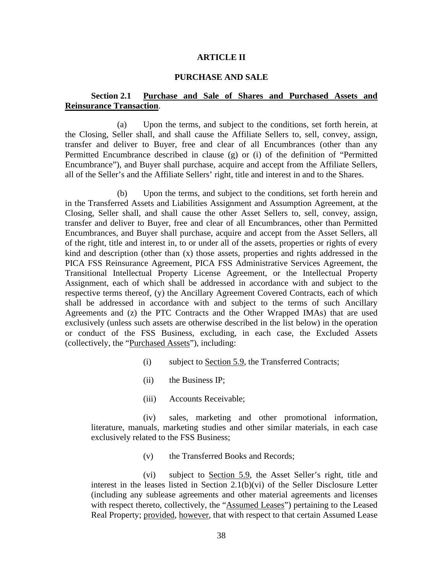#### **ARTICLE II**

### **PURCHASE AND SALE**

# **Section 2.1 Purchase and Sale of Shares and Purchased Assets and Reinsurance Transaction**.

(a) Upon the terms, and subject to the conditions, set forth herein, at the Closing, Seller shall, and shall cause the Affiliate Sellers to, sell, convey, assign, transfer and deliver to Buyer, free and clear of all Encumbrances (other than any Permitted Encumbrance described in clause (g) or (i) of the definition of "Permitted Encumbrance"), and Buyer shall purchase, acquire and accept from the Affiliate Sellers, all of the Seller's and the Affiliate Sellers' right, title and interest in and to the Shares.

(b) Upon the terms, and subject to the conditions, set forth herein and in the Transferred Assets and Liabilities Assignment and Assumption Agreement, at the Closing, Seller shall, and shall cause the other Asset Sellers to, sell, convey, assign, transfer and deliver to Buyer, free and clear of all Encumbrances, other than Permitted Encumbrances, and Buyer shall purchase, acquire and accept from the Asset Sellers, all of the right, title and interest in, to or under all of the assets, properties or rights of every kind and description (other than (x) those assets, properties and rights addressed in the PICA FSS Reinsurance Agreement, PICA FSS Administrative Services Agreement, the Transitional Intellectual Property License Agreement, or the Intellectual Property Assignment, each of which shall be addressed in accordance with and subject to the respective terms thereof, (y) the Ancillary Agreement Covered Contracts, each of which shall be addressed in accordance with and subject to the terms of such Ancillary Agreements and (z) the PTC Contracts and the Other Wrapped IMAs) that are used exclusively (unless such assets are otherwise described in the list below) in the operation or conduct of the FSS Business, excluding, in each case, the Excluded Assets (collectively, the "Purchased Assets"), including:

- (i) subject to Section 5.9, the Transferred Contracts;
- (ii) the Business IP;
- (iii) Accounts Receivable;

(iv) sales, marketing and other promotional information, literature, manuals, marketing studies and other similar materials, in each case exclusively related to the FSS Business;

(v) the Transferred Books and Records;

(vi) subject to Section 5.9, the Asset Seller's right, title and interest in the leases listed in Section 2.1(b)(vi) of the Seller Disclosure Letter (including any sublease agreements and other material agreements and licenses with respect thereto, collectively, the "Assumed Leases") pertaining to the Leased Real Property; provided, however, that with respect to that certain Assumed Lease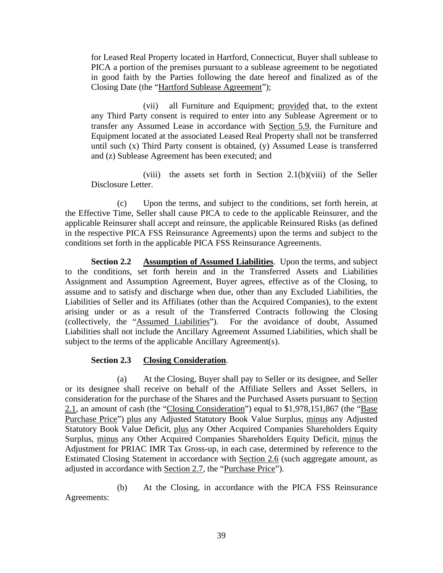for Leased Real Property located in Hartford, Connecticut, Buyer shall sublease to PICA a portion of the premises pursuant to a sublease agreement to be negotiated in good faith by the Parties following the date hereof and finalized as of the Closing Date (the "Hartford Sublease Agreement");

(vii) all Furniture and Equipment; provided that, to the extent any Third Party consent is required to enter into any Sublease Agreement or to transfer any Assumed Lease in accordance with Section 5.9, the Furniture and Equipment located at the associated Leased Real Property shall not be transferred until such (x) Third Party consent is obtained, (y) Assumed Lease is transferred and (z) Sublease Agreement has been executed; and

(viii) the assets set forth in Section  $2.1(b)(viii)$  of the Seller Disclosure Letter.

(c) Upon the terms, and subject to the conditions, set forth herein, at the Effective Time, Seller shall cause PICA to cede to the applicable Reinsurer, and the applicable Reinsurer shall accept and reinsure, the applicable Reinsured Risks (as defined in the respective PICA FSS Reinsurance Agreements) upon the terms and subject to the conditions set forth in the applicable PICA FSS Reinsurance Agreements.

**Section 2.2 Assumption of Assumed Liabilities**. Upon the terms, and subject to the conditions, set forth herein and in the Transferred Assets and Liabilities Assignment and Assumption Agreement, Buyer agrees, effective as of the Closing, to assume and to satisfy and discharge when due, other than any Excluded Liabilities, the Liabilities of Seller and its Affiliates (other than the Acquired Companies), to the extent arising under or as a result of the Transferred Contracts following the Closing (collectively, the "Assumed Liabilities"). For the avoidance of doubt, Assumed Liabilities shall not include the Ancillary Agreement Assumed Liabilities, which shall be subject to the terms of the applicable Ancillary Agreement(s).

# **Section 2.3 Closing Consideration**.

(a) At the Closing, Buyer shall pay to Seller or its designee, and Seller or its designee shall receive on behalf of the Affiliate Sellers and Asset Sellers, in consideration for the purchase of the Shares and the Purchased Assets pursuant to Section  $2.1$ , an amount of cash (the "Closing Consideration") equal to \$1,978,151,867 (the "Base Purchase Price") plus any Adjusted Statutory Book Value Surplus, minus any Adjusted Statutory Book Value Deficit, plus any Other Acquired Companies Shareholders Equity Surplus, minus any Other Acquired Companies Shareholders Equity Deficit, minus the Adjustment for PRIAC IMR Tax Gross-up, in each case, determined by reference to the Estimated Closing Statement in accordance with Section 2.6 (such aggregate amount, as adjusted in accordance with Section 2.7, the "Purchase Price").

(b) At the Closing, in accordance with the PICA FSS Reinsurance Agreements: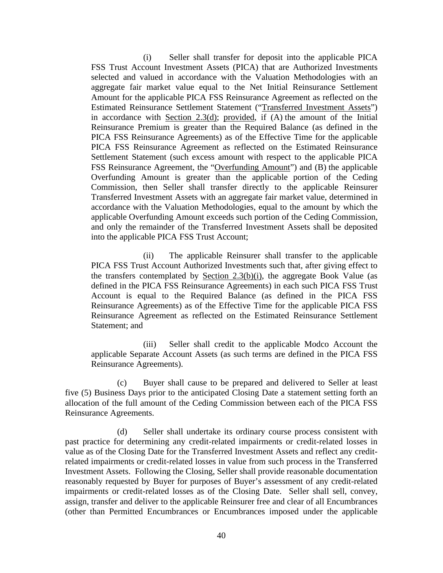(i) Seller shall transfer for deposit into the applicable PICA FSS Trust Account Investment Assets (PICA) that are Authorized Investments selected and valued in accordance with the Valuation Methodologies with an aggregate fair market value equal to the Net Initial Reinsurance Settlement Amount for the applicable PICA FSS Reinsurance Agreement as reflected on the Estimated Reinsurance Settlement Statement ("Transferred Investment Assets") in accordance with Section 2.3(d); provided, if (A) the amount of the Initial Reinsurance Premium is greater than the Required Balance (as defined in the PICA FSS Reinsurance Agreements) as of the Effective Time for the applicable PICA FSS Reinsurance Agreement as reflected on the Estimated Reinsurance Settlement Statement (such excess amount with respect to the applicable PICA FSS Reinsurance Agreement, the "Overfunding Amount") and (B) the applicable Overfunding Amount is greater than the applicable portion of the Ceding Commission, then Seller shall transfer directly to the applicable Reinsurer Transferred Investment Assets with an aggregate fair market value, determined in accordance with the Valuation Methodologies, equal to the amount by which the applicable Overfunding Amount exceeds such portion of the Ceding Commission, and only the remainder of the Transferred Investment Assets shall be deposited into the applicable PICA FSS Trust Account;

(ii) The applicable Reinsurer shall transfer to the applicable PICA FSS Trust Account Authorized Investments such that, after giving effect to the transfers contemplated by Section 2.3(b)(i), the aggregate Book Value (as defined in the PICA FSS Reinsurance Agreements) in each such PICA FSS Trust Account is equal to the Required Balance (as defined in the PICA FSS Reinsurance Agreements) as of the Effective Time for the applicable PICA FSS Reinsurance Agreement as reflected on the Estimated Reinsurance Settlement Statement; and

(iii) Seller shall credit to the applicable Modco Account the applicable Separate Account Assets (as such terms are defined in the PICA FSS Reinsurance Agreements).

(c) Buyer shall cause to be prepared and delivered to Seller at least five (5) Business Days prior to the anticipated Closing Date a statement setting forth an allocation of the full amount of the Ceding Commission between each of the PICA FSS Reinsurance Agreements.

(d) Seller shall undertake its ordinary course process consistent with past practice for determining any credit-related impairments or credit-related losses in value as of the Closing Date for the Transferred Investment Assets and reflect any creditrelated impairments or credit-related losses in value from such process in the Transferred Investment Assets. Following the Closing, Seller shall provide reasonable documentation reasonably requested by Buyer for purposes of Buyer's assessment of any credit-related impairments or credit-related losses as of the Closing Date. Seller shall sell, convey, assign, transfer and deliver to the applicable Reinsurer free and clear of all Encumbrances (other than Permitted Encumbrances or Encumbrances imposed under the applicable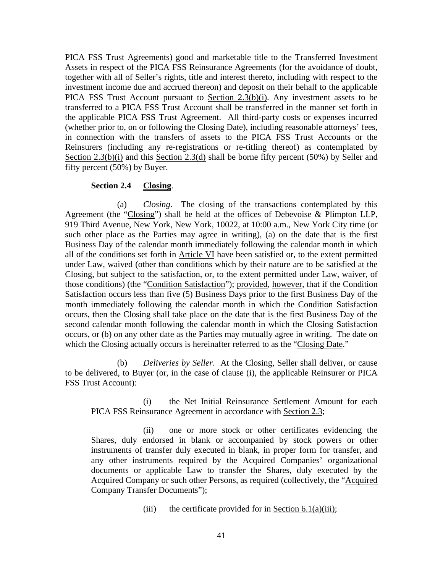PICA FSS Trust Agreements) good and marketable title to the Transferred Investment Assets in respect of the PICA FSS Reinsurance Agreements (for the avoidance of doubt, together with all of Seller's rights, title and interest thereto, including with respect to the investment income due and accrued thereon) and deposit on their behalf to the applicable PICA FSS Trust Account pursuant to Section 2.3(b)(i). Any investment assets to be transferred to a PICA FSS Trust Account shall be transferred in the manner set forth in the applicable PICA FSS Trust Agreement. All third-party costs or expenses incurred (whether prior to, on or following the Closing Date), including reasonable attorneys' fees, in connection with the transfers of assets to the PICA FSS Trust Accounts or the Reinsurers (including any re-registrations or re-titling thereof) as contemplated by Section 2.3(b)(i) and this Section 2.3(d) shall be borne fifty percent (50%) by Seller and fifty percent (50%) by Buyer.

## **Section 2.4 Closing**.

(a) *Closing*. The closing of the transactions contemplated by this Agreement (the "Closing") shall be held at the offices of Debevoise & Plimpton LLP, 919 Third Avenue, New York, New York, 10022, at 10:00 a.m., New York City time (or such other place as the Parties may agree in writing), (a) on the date that is the first Business Day of the calendar month immediately following the calendar month in which all of the conditions set forth in Article VI have been satisfied or, to the extent permitted under Law, waived (other than conditions which by their nature are to be satisfied at the Closing, but subject to the satisfaction, or, to the extent permitted under Law, waiver, of those conditions) (the "Condition Satisfaction"); provided, however, that if the Condition Satisfaction occurs less than five (5) Business Days prior to the first Business Day of the month immediately following the calendar month in which the Condition Satisfaction occurs, then the Closing shall take place on the date that is the first Business Day of the second calendar month following the calendar month in which the Closing Satisfaction occurs, or (b) on any other date as the Parties may mutually agree in writing. The date on which the Closing actually occurs is hereinafter referred to as the "Closing Date."

(b) *Deliveries by Seller*. At the Closing, Seller shall deliver, or cause to be delivered, to Buyer (or, in the case of clause (i), the applicable Reinsurer or PICA FSS Trust Account):

(i) the Net Initial Reinsurance Settlement Amount for each PICA FSS Reinsurance Agreement in accordance with Section 2.3;

(ii) one or more stock or other certificates evidencing the Shares, duly endorsed in blank or accompanied by stock powers or other instruments of transfer duly executed in blank, in proper form for transfer, and any other instruments required by the Acquired Companies' organizational documents or applicable Law to transfer the Shares, duly executed by the Acquired Company or such other Persons, as required (collectively, the "Acquired Company Transfer Documents");

(iii) the certificate provided for in Section  $6.1(a)(iii)$ ;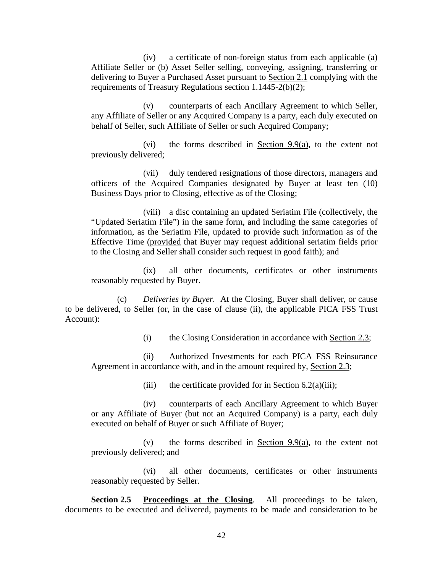(iv) a certificate of non-foreign status from each applicable (a) Affiliate Seller or (b) Asset Seller selling, conveying, assigning, transferring or delivering to Buyer a Purchased Asset pursuant to Section 2.1 complying with the requirements of Treasury Regulations section 1.1445-2(b)(2);

(v) counterparts of each Ancillary Agreement to which Seller, any Affiliate of Seller or any Acquired Company is a party, each duly executed on behalf of Seller, such Affiliate of Seller or such Acquired Company;

(vi) the forms described in Section 9.9(a), to the extent not previously delivered;

(vii) duly tendered resignations of those directors, managers and officers of the Acquired Companies designated by Buyer at least ten (10) Business Days prior to Closing, effective as of the Closing;

(viii) a disc containing an updated Seriatim File (collectively, the "Updated Seriatim File") in the same form, and including the same categories of information, as the Seriatim File, updated to provide such information as of the Effective Time (provided that Buyer may request additional seriatim fields prior to the Closing and Seller shall consider such request in good faith); and

(ix) all other documents, certificates or other instruments reasonably requested by Buyer.

(c) *Deliveries by Buyer.* At the Closing, Buyer shall deliver, or cause to be delivered, to Seller (or, in the case of clause (ii), the applicable PICA FSS Trust Account):

(i) the Closing Consideration in accordance with Section 2.3;

(ii) Authorized Investments for each PICA FSS Reinsurance Agreement in accordance with, and in the amount required by, Section 2.3;

(iii) the certificate provided for in <u>Section 6.2(a)(iii)</u>;

(iv) counterparts of each Ancillary Agreement to which Buyer or any Affiliate of Buyer (but not an Acquired Company) is a party, each duly executed on behalf of Buyer or such Affiliate of Buyer;

(v) the forms described in Section 9.9(a), to the extent not previously delivered; and

(vi) all other documents, certificates or other instruments reasonably requested by Seller.

**Section 2.5 Proceedings at the Closing.** All proceedings to be taken, documents to be executed and delivered, payments to be made and consideration to be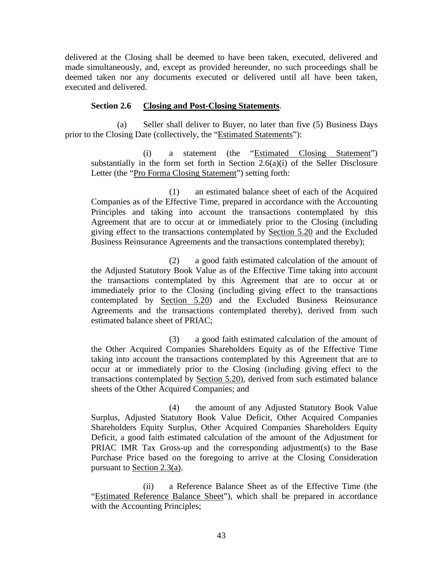delivered at the Closing shall be deemed to have been taken, executed, delivered and made simultaneously, and, except as provided hereunder, no such proceedings shall be deemed taken nor any documents executed or delivered until all have been taken, executed and delivered.

## **Section 2.6 Closing and Post-Closing Statements**.

(a) Seller shall deliver to Buyer, no later than five (5) Business Days prior to the Closing Date (collectively, the "Estimated Statements"):

(i) a statement (the "Estimated Closing Statement") substantially in the form set forth in Section 2.6(a)(i) of the Seller Disclosure Letter (the "Pro Forma Closing Statement") setting forth:

(1) an estimated balance sheet of each of the Acquired Companies as of the Effective Time, prepared in accordance with the Accounting Principles and taking into account the transactions contemplated by this Agreement that are to occur at or immediately prior to the Closing (including giving effect to the transactions contemplated by Section 5.20 and the Excluded Business Reinsurance Agreements and the transactions contemplated thereby);

(2) a good faith estimated calculation of the amount of the Adjusted Statutory Book Value as of the Effective Time taking into account the transactions contemplated by this Agreement that are to occur at or immediately prior to the Closing (including giving effect to the transactions contemplated by Section 5.20) and the Excluded Business Reinsurance Agreements and the transactions contemplated thereby), derived from such estimated balance sheet of PRIAC;

(3) a good faith estimated calculation of the amount of the Other Acquired Companies Shareholders Equity as of the Effective Time taking into account the transactions contemplated by this Agreement that are to occur at or immediately prior to the Closing (including giving effect to the transactions contemplated by Section 5.20), derived from such estimated balance sheets of the Other Acquired Companies; and

(4) the amount of any Adjusted Statutory Book Value Surplus, Adjusted Statutory Book Value Deficit, Other Acquired Companies Shareholders Equity Surplus, Other Acquired Companies Shareholders Equity Deficit, a good faith estimated calculation of the amount of the Adjustment for PRIAC IMR Tax Gross-up and the corresponding adjustment(s) to the Base Purchase Price based on the foregoing to arrive at the Closing Consideration pursuant to Section 2.3(a).

(ii) a Reference Balance Sheet as of the Effective Time (the "Estimated Reference Balance Sheet"), which shall be prepared in accordance with the Accounting Principles;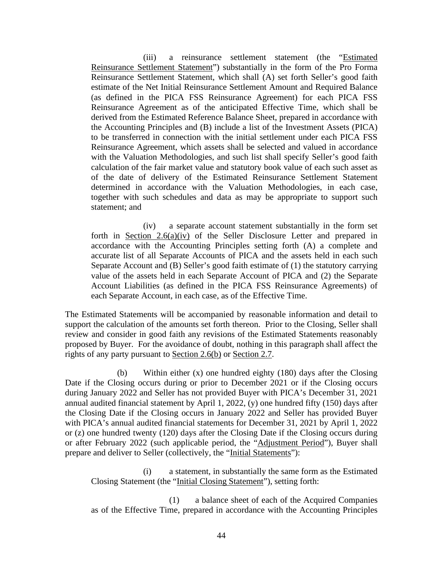(iii) a reinsurance settlement statement (the "Estimated Reinsurance Settlement Statement") substantially in the form of the Pro Forma Reinsurance Settlement Statement, which shall (A) set forth Seller's good faith estimate of the Net Initial Reinsurance Settlement Amount and Required Balance (as defined in the PICA FSS Reinsurance Agreement) for each PICA FSS Reinsurance Agreement as of the anticipated Effective Time, which shall be derived from the Estimated Reference Balance Sheet, prepared in accordance with the Accounting Principles and (B) include a list of the Investment Assets (PICA) to be transferred in connection with the initial settlement under each PICA FSS Reinsurance Agreement, which assets shall be selected and valued in accordance with the Valuation Methodologies, and such list shall specify Seller's good faith calculation of the fair market value and statutory book value of each such asset as of the date of delivery of the Estimated Reinsurance Settlement Statement determined in accordance with the Valuation Methodologies, in each case, together with such schedules and data as may be appropriate to support such statement; and

(iv) a separate account statement substantially in the form set forth in Section 2.6(a)(iv) of the Seller Disclosure Letter and prepared in accordance with the Accounting Principles setting forth (A) a complete and accurate list of all Separate Accounts of PICA and the assets held in each such Separate Account and (B) Seller's good faith estimate of (1) the statutory carrying value of the assets held in each Separate Account of PICA and (2) the Separate Account Liabilities (as defined in the PICA FSS Reinsurance Agreements) of each Separate Account, in each case, as of the Effective Time.

The Estimated Statements will be accompanied by reasonable information and detail to support the calculation of the amounts set forth thereon. Prior to the Closing, Seller shall review and consider in good faith any revisions of the Estimated Statements reasonably proposed by Buyer. For the avoidance of doubt, nothing in this paragraph shall affect the rights of any party pursuant to Section 2.6(b) or Section 2.7.

(b) Within either (x) one hundred eighty (180) days after the Closing Date if the Closing occurs during or prior to December 2021 or if the Closing occurs during January 2022 and Seller has not provided Buyer with PICA's December 31, 2021 annual audited financial statement by April 1, 2022, (y) one hundred fifty (150) days after the Closing Date if the Closing occurs in January 2022 and Seller has provided Buyer with PICA's annual audited financial statements for December 31, 2021 by April 1, 2022 or (z) one hundred twenty (120) days after the Closing Date if the Closing occurs during or after February 2022 (such applicable period, the "Adjustment Period"), Buyer shall prepare and deliver to Seller (collectively, the "Initial Statements"):

(i) a statement, in substantially the same form as the Estimated Closing Statement (the "Initial Closing Statement"), setting forth:

(1) a balance sheet of each of the Acquired Companies as of the Effective Time, prepared in accordance with the Accounting Principles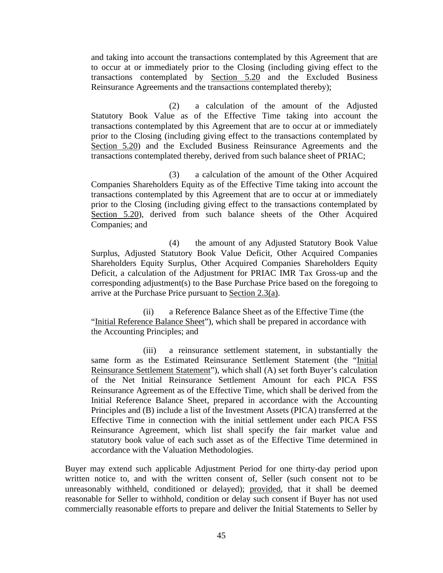and taking into account the transactions contemplated by this Agreement that are to occur at or immediately prior to the Closing (including giving effect to the transactions contemplated by Section 5.20 and the Excluded Business Reinsurance Agreements and the transactions contemplated thereby);

(2) a calculation of the amount of the Adjusted Statutory Book Value as of the Effective Time taking into account the transactions contemplated by this Agreement that are to occur at or immediately prior to the Closing (including giving effect to the transactions contemplated by Section 5.20) and the Excluded Business Reinsurance Agreements and the transactions contemplated thereby, derived from such balance sheet of PRIAC;

(3) a calculation of the amount of the Other Acquired Companies Shareholders Equity as of the Effective Time taking into account the transactions contemplated by this Agreement that are to occur at or immediately prior to the Closing (including giving effect to the transactions contemplated by Section 5.20), derived from such balance sheets of the Other Acquired Companies; and

(4) the amount of any Adjusted Statutory Book Value Surplus, Adjusted Statutory Book Value Deficit, Other Acquired Companies Shareholders Equity Surplus, Other Acquired Companies Shareholders Equity Deficit, a calculation of the Adjustment for PRIAC IMR Tax Gross-up and the corresponding adjustment(s) to the Base Purchase Price based on the foregoing to arrive at the Purchase Price pursuant to Section 2.3(a).

(ii) a Reference Balance Sheet as of the Effective Time (the "Initial Reference Balance Sheet"), which shall be prepared in accordance with the Accounting Principles; and

(iii) a reinsurance settlement statement, in substantially the same form as the Estimated Reinsurance Settlement Statement (the "Initial Reinsurance Settlement Statement"), which shall (A) set forth Buyer's calculation of the Net Initial Reinsurance Settlement Amount for each PICA FSS Reinsurance Agreement as of the Effective Time, which shall be derived from the Initial Reference Balance Sheet, prepared in accordance with the Accounting Principles and (B) include a list of the Investment Assets (PICA) transferred at the Effective Time in connection with the initial settlement under each PICA FSS Reinsurance Agreement, which list shall specify the fair market value and statutory book value of each such asset as of the Effective Time determined in accordance with the Valuation Methodologies.

Buyer may extend such applicable Adjustment Period for one thirty-day period upon written notice to, and with the written consent of, Seller (such consent not to be unreasonably withheld, conditioned or delayed); provided, that it shall be deemed reasonable for Seller to withhold, condition or delay such consent if Buyer has not used commercially reasonable efforts to prepare and deliver the Initial Statements to Seller by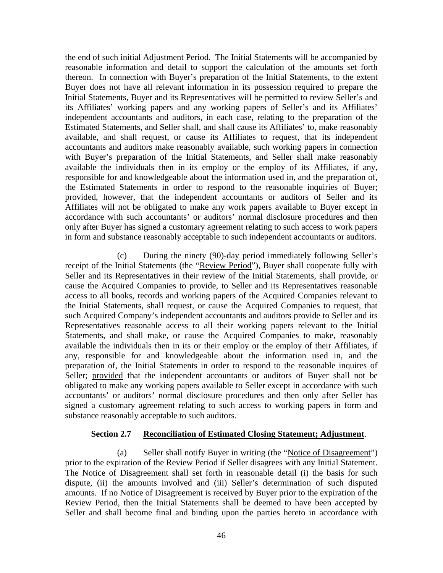the end of such initial Adjustment Period. The Initial Statements will be accompanied by reasonable information and detail to support the calculation of the amounts set forth thereon. In connection with Buyer's preparation of the Initial Statements, to the extent Buyer does not have all relevant information in its possession required to prepare the Initial Statements, Buyer and its Representatives will be permitted to review Seller's and its Affiliates' working papers and any working papers of Seller's and its Affiliates' independent accountants and auditors, in each case, relating to the preparation of the Estimated Statements, and Seller shall, and shall cause its Affiliates' to, make reasonably available, and shall request, or cause its Affiliates to request, that its independent accountants and auditors make reasonably available, such working papers in connection with Buyer's preparation of the Initial Statements, and Seller shall make reasonably available the individuals then in its employ or the employ of its Affiliates, if any, responsible for and knowledgeable about the information used in, and the preparation of, the Estimated Statements in order to respond to the reasonable inquiries of Buyer; provided, however, that the independent accountants or auditors of Seller and its Affiliates will not be obligated to make any work papers available to Buyer except in accordance with such accountants' or auditors' normal disclosure procedures and then only after Buyer has signed a customary agreement relating to such access to work papers in form and substance reasonably acceptable to such independent accountants or auditors.

(c) During the ninety (90)-day period immediately following Seller's receipt of the Initial Statements (the "Review Period"), Buyer shall cooperate fully with Seller and its Representatives in their review of the Initial Statements, shall provide, or cause the Acquired Companies to provide, to Seller and its Representatives reasonable access to all books, records and working papers of the Acquired Companies relevant to the Initial Statements, shall request, or cause the Acquired Companies to request, that such Acquired Company's independent accountants and auditors provide to Seller and its Representatives reasonable access to all their working papers relevant to the Initial Statements, and shall make, or cause the Acquired Companies to make, reasonably available the individuals then in its or their employ or the employ of their Affiliates, if any, responsible for and knowledgeable about the information used in, and the preparation of, the Initial Statements in order to respond to the reasonable inquires of Seller; provided that the independent accountants or auditors of Buyer shall not be obligated to make any working papers available to Seller except in accordance with such accountants' or auditors' normal disclosure procedures and then only after Seller has signed a customary agreement relating to such access to working papers in form and substance reasonably acceptable to such auditors.

### **Section 2.7 Reconciliation of Estimated Closing Statement; Adjustment**.

(a) Seller shall notify Buyer in writing (the "Notice of Disagreement") prior to the expiration of the Review Period if Seller disagrees with any Initial Statement. The Notice of Disagreement shall set forth in reasonable detail (i) the basis for such dispute, (ii) the amounts involved and (iii) Seller's determination of such disputed amounts. If no Notice of Disagreement is received by Buyer prior to the expiration of the Review Period, then the Initial Statements shall be deemed to have been accepted by Seller and shall become final and binding upon the parties hereto in accordance with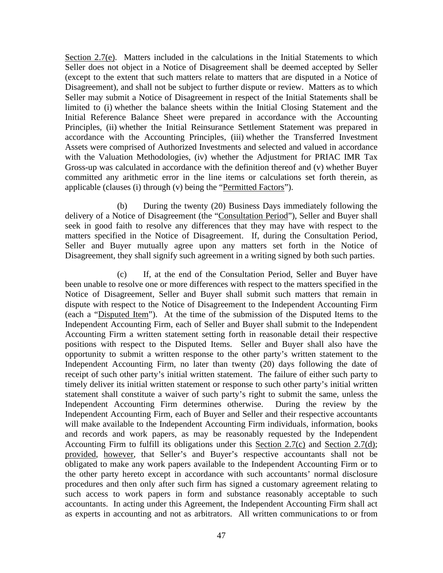Section 2.7(e). Matters included in the calculations in the Initial Statements to which Seller does not object in a Notice of Disagreement shall be deemed accepted by Seller (except to the extent that such matters relate to matters that are disputed in a Notice of Disagreement), and shall not be subject to further dispute or review. Matters as to which Seller may submit a Notice of Disagreement in respect of the Initial Statements shall be limited to (i) whether the balance sheets within the Initial Closing Statement and the Initial Reference Balance Sheet were prepared in accordance with the Accounting Principles, (ii) whether the Initial Reinsurance Settlement Statement was prepared in accordance with the Accounting Principles, (iii) whether the Transferred Investment Assets were comprised of Authorized Investments and selected and valued in accordance with the Valuation Methodologies, (iv) whether the Adjustment for PRIAC IMR Tax Gross-up was calculated in accordance with the definition thereof and (v) whether Buyer committed any arithmetic error in the line items or calculations set forth therein, as applicable (clauses (i) through (v) being the "Permitted Factors").

(b) During the twenty (20) Business Days immediately following the delivery of a Notice of Disagreement (the "Consultation Period"), Seller and Buyer shall seek in good faith to resolve any differences that they may have with respect to the matters specified in the Notice of Disagreement. If, during the Consultation Period, Seller and Buyer mutually agree upon any matters set forth in the Notice of Disagreement, they shall signify such agreement in a writing signed by both such parties.

(c) If, at the end of the Consultation Period, Seller and Buyer have been unable to resolve one or more differences with respect to the matters specified in the Notice of Disagreement, Seller and Buyer shall submit such matters that remain in dispute with respect to the Notice of Disagreement to the Independent Accounting Firm (each a "Disputed Item"). At the time of the submission of the Disputed Items to the Independent Accounting Firm, each of Seller and Buyer shall submit to the Independent Accounting Firm a written statement setting forth in reasonable detail their respective positions with respect to the Disputed Items. Seller and Buyer shall also have the opportunity to submit a written response to the other party's written statement to the Independent Accounting Firm, no later than twenty (20) days following the date of receipt of such other party's initial written statement. The failure of either such party to timely deliver its initial written statement or response to such other party's initial written statement shall constitute a waiver of such party's right to submit the same, unless the Independent Accounting Firm determines otherwise. During the review by the Independent Accounting Firm, each of Buyer and Seller and their respective accountants will make available to the Independent Accounting Firm individuals, information, books and records and work papers, as may be reasonably requested by the Independent Accounting Firm to fulfill its obligations under this Section 2.7(c) and Section 2.7(d); provided, however, that Seller's and Buyer's respective accountants shall not be obligated to make any work papers available to the Independent Accounting Firm or to the other party hereto except in accordance with such accountants' normal disclosure procedures and then only after such firm has signed a customary agreement relating to such access to work papers in form and substance reasonably acceptable to such accountants. In acting under this Agreement, the Independent Accounting Firm shall act as experts in accounting and not as arbitrators. All written communications to or from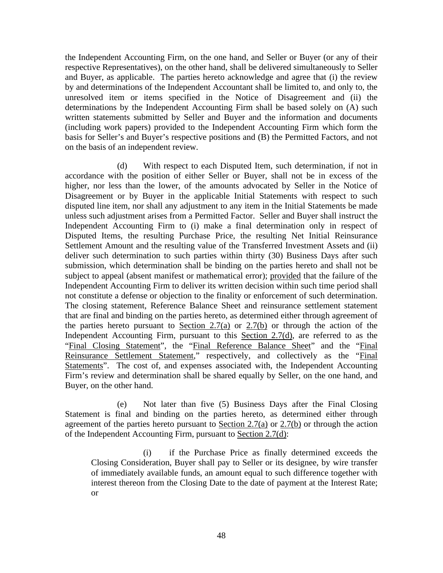the Independent Accounting Firm, on the one hand, and Seller or Buyer (or any of their respective Representatives), on the other hand, shall be delivered simultaneously to Seller and Buyer, as applicable. The parties hereto acknowledge and agree that (i) the review by and determinations of the Independent Accountant shall be limited to, and only to, the unresolved item or items specified in the Notice of Disagreement and (ii) the determinations by the Independent Accounting Firm shall be based solely on (A) such written statements submitted by Seller and Buyer and the information and documents (including work papers) provided to the Independent Accounting Firm which form the basis for Seller's and Buyer's respective positions and (B) the Permitted Factors, and not on the basis of an independent review.

(d) With respect to each Disputed Item, such determination, if not in accordance with the position of either Seller or Buyer, shall not be in excess of the higher, nor less than the lower, of the amounts advocated by Seller in the Notice of Disagreement or by Buyer in the applicable Initial Statements with respect to such disputed line item, nor shall any adjustment to any item in the Initial Statements be made unless such adjustment arises from a Permitted Factor. Seller and Buyer shall instruct the Independent Accounting Firm to (i) make a final determination only in respect of Disputed Items, the resulting Purchase Price, the resulting Net Initial Reinsurance Settlement Amount and the resulting value of the Transferred Investment Assets and (ii) deliver such determination to such parties within thirty (30) Business Days after such submission, which determination shall be binding on the parties hereto and shall not be subject to appeal (absent manifest or mathematical error); provided that the failure of the Independent Accounting Firm to deliver its written decision within such time period shall not constitute a defense or objection to the finality or enforcement of such determination. The closing statement, Reference Balance Sheet and reinsurance settlement statement that are final and binding on the parties hereto, as determined either through agreement of the parties hereto pursuant to Section 2.7(a) or 2.7(b) or through the action of the Independent Accounting Firm, pursuant to this Section 2.7(d), are referred to as the "Final Closing Statement", the "Final Reference Balance Sheet" and the "Final Reinsurance Settlement Statement," respectively, and collectively as the "Final" Statements". The cost of, and expenses associated with, the Independent Accounting Firm's review and determination shall be shared equally by Seller, on the one hand, and Buyer, on the other hand.

(e) Not later than five (5) Business Days after the Final Closing Statement is final and binding on the parties hereto, as determined either through agreement of the parties hereto pursuant to Section 2.7(a) or  $2.7(b)$  or through the action of the Independent Accounting Firm, pursuant to Section 2.7(d):

(i) if the Purchase Price as finally determined exceeds the Closing Consideration, Buyer shall pay to Seller or its designee, by wire transfer of immediately available funds, an amount equal to such difference together with interest thereon from the Closing Date to the date of payment at the Interest Rate; or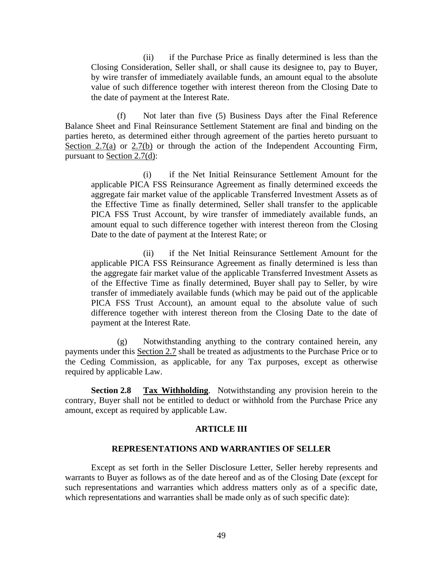(ii) if the Purchase Price as finally determined is less than the Closing Consideration, Seller shall, or shall cause its designee to, pay to Buyer, by wire transfer of immediately available funds, an amount equal to the absolute value of such difference together with interest thereon from the Closing Date to the date of payment at the Interest Rate.

(f) Not later than five (5) Business Days after the Final Reference Balance Sheet and Final Reinsurance Settlement Statement are final and binding on the parties hereto, as determined either through agreement of the parties hereto pursuant to Section  $2.7(a)$  or  $2.7(b)$  or through the action of the Independent Accounting Firm, pursuant to Section 2.7(d):

(i) if the Net Initial Reinsurance Settlement Amount for the applicable PICA FSS Reinsurance Agreement as finally determined exceeds the aggregate fair market value of the applicable Transferred Investment Assets as of the Effective Time as finally determined, Seller shall transfer to the applicable PICA FSS Trust Account, by wire transfer of immediately available funds, an amount equal to such difference together with interest thereon from the Closing Date to the date of payment at the Interest Rate; or

(ii) if the Net Initial Reinsurance Settlement Amount for the applicable PICA FSS Reinsurance Agreement as finally determined is less than the aggregate fair market value of the applicable Transferred Investment Assets as of the Effective Time as finally determined, Buyer shall pay to Seller, by wire transfer of immediately available funds (which may be paid out of the applicable PICA FSS Trust Account), an amount equal to the absolute value of such difference together with interest thereon from the Closing Date to the date of payment at the Interest Rate.

(g) Notwithstanding anything to the contrary contained herein, any payments under this Section 2.7 shall be treated as adjustments to the Purchase Price or to the Ceding Commission, as applicable, for any Tax purposes, except as otherwise required by applicable Law.

**Section 2.8 Tax Withholding**. Notwithstanding any provision herein to the contrary, Buyer shall not be entitled to deduct or withhold from the Purchase Price any amount, except as required by applicable Law.

#### **ARTICLE III**

#### **REPRESENTATIONS AND WARRANTIES OF SELLER**

Except as set forth in the Seller Disclosure Letter, Seller hereby represents and warrants to Buyer as follows as of the date hereof and as of the Closing Date (except for such representations and warranties which address matters only as of a specific date, which representations and warranties shall be made only as of such specific date):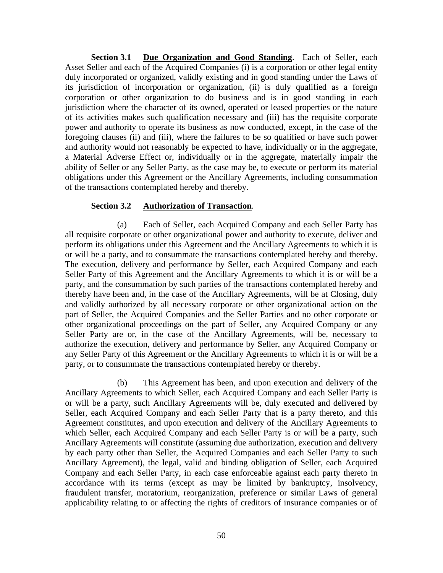**Section 3.1 Due Organization and Good Standing.** Each of Seller, each Asset Seller and each of the Acquired Companies (i) is a corporation or other legal entity duly incorporated or organized, validly existing and in good standing under the Laws of its jurisdiction of incorporation or organization, (ii) is duly qualified as a foreign corporation or other organization to do business and is in good standing in each jurisdiction where the character of its owned, operated or leased properties or the nature of its activities makes such qualification necessary and (iii) has the requisite corporate power and authority to operate its business as now conducted, except, in the case of the foregoing clauses (ii) and (iii), where the failures to be so qualified or have such power and authority would not reasonably be expected to have, individually or in the aggregate, a Material Adverse Effect or, individually or in the aggregate, materially impair the ability of Seller or any Seller Party, as the case may be, to execute or perform its material obligations under this Agreement or the Ancillary Agreements, including consummation of the transactions contemplated hereby and thereby.

# **Section 3.2 Authorization of Transaction**.

(a) Each of Seller, each Acquired Company and each Seller Party has all requisite corporate or other organizational power and authority to execute, deliver and perform its obligations under this Agreement and the Ancillary Agreements to which it is or will be a party, and to consummate the transactions contemplated hereby and thereby. The execution, delivery and performance by Seller, each Acquired Company and each Seller Party of this Agreement and the Ancillary Agreements to which it is or will be a party, and the consummation by such parties of the transactions contemplated hereby and thereby have been and, in the case of the Ancillary Agreements, will be at Closing, duly and validly authorized by all necessary corporate or other organizational action on the part of Seller, the Acquired Companies and the Seller Parties and no other corporate or other organizational proceedings on the part of Seller, any Acquired Company or any Seller Party are or, in the case of the Ancillary Agreements, will be, necessary to authorize the execution, delivery and performance by Seller, any Acquired Company or any Seller Party of this Agreement or the Ancillary Agreements to which it is or will be a party, or to consummate the transactions contemplated hereby or thereby.

(b) This Agreement has been, and upon execution and delivery of the Ancillary Agreements to which Seller, each Acquired Company and each Seller Party is or will be a party, such Ancillary Agreements will be, duly executed and delivered by Seller, each Acquired Company and each Seller Party that is a party thereto, and this Agreement constitutes, and upon execution and delivery of the Ancillary Agreements to which Seller, each Acquired Company and each Seller Party is or will be a party, such Ancillary Agreements will constitute (assuming due authorization, execution and delivery by each party other than Seller, the Acquired Companies and each Seller Party to such Ancillary Agreement), the legal, valid and binding obligation of Seller, each Acquired Company and each Seller Party, in each case enforceable against each party thereto in accordance with its terms (except as may be limited by bankruptcy, insolvency, fraudulent transfer, moratorium, reorganization, preference or similar Laws of general applicability relating to or affecting the rights of creditors of insurance companies or of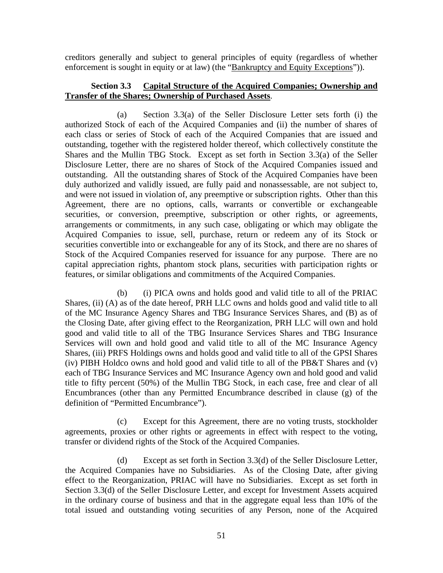creditors generally and subject to general principles of equity (regardless of whether enforcement is sought in equity or at law) (the "Bankruptcy and Equity Exceptions")).

# **Section 3.3 Capital Structure of the Acquired Companies; Ownership and Transfer of the Shares; Ownership of Purchased Assets**.

(a) Section 3.3(a) of the Seller Disclosure Letter sets forth (i) the authorized Stock of each of the Acquired Companies and (ii) the number of shares of each class or series of Stock of each of the Acquired Companies that are issued and outstanding, together with the registered holder thereof, which collectively constitute the Shares and the Mullin TBG Stock. Except as set forth in Section 3.3(a) of the Seller Disclosure Letter, there are no shares of Stock of the Acquired Companies issued and outstanding. All the outstanding shares of Stock of the Acquired Companies have been duly authorized and validly issued, are fully paid and nonassessable, are not subject to, and were not issued in violation of, any preemptive or subscription rights. Other than this Agreement, there are no options, calls, warrants or convertible or exchangeable securities, or conversion, preemptive, subscription or other rights, or agreements, arrangements or commitments, in any such case, obligating or which may obligate the Acquired Companies to issue, sell, purchase, return or redeem any of its Stock or securities convertible into or exchangeable for any of its Stock, and there are no shares of Stock of the Acquired Companies reserved for issuance for any purpose. There are no capital appreciation rights, phantom stock plans, securities with participation rights or features, or similar obligations and commitments of the Acquired Companies.

(b) (i) PICA owns and holds good and valid title to all of the PRIAC Shares, (ii) (A) as of the date hereof, PRH LLC owns and holds good and valid title to all of the MC Insurance Agency Shares and TBG Insurance Services Shares, and (B) as of the Closing Date, after giving effect to the Reorganization, PRH LLC will own and hold good and valid title to all of the TBG Insurance Services Shares and TBG Insurance Services will own and hold good and valid title to all of the MC Insurance Agency Shares, (iii) PRFS Holdings owns and holds good and valid title to all of the GPSI Shares (iv) PIBH Holdco owns and hold good and valid title to all of the PB&T Shares and (v) each of TBG Insurance Services and MC Insurance Agency own and hold good and valid title to fifty percent (50%) of the Mullin TBG Stock, in each case, free and clear of all Encumbrances (other than any Permitted Encumbrance described in clause (g) of the definition of "Permitted Encumbrance").

(c) Except for this Agreement, there are no voting trusts, stockholder agreements, proxies or other rights or agreements in effect with respect to the voting, transfer or dividend rights of the Stock of the Acquired Companies.

(d) Except as set forth in Section 3.3(d) of the Seller Disclosure Letter, the Acquired Companies have no Subsidiaries. As of the Closing Date, after giving effect to the Reorganization, PRIAC will have no Subsidiaries. Except as set forth in Section 3.3(d) of the Seller Disclosure Letter, and except for Investment Assets acquired in the ordinary course of business and that in the aggregate equal less than 10% of the total issued and outstanding voting securities of any Person, none of the Acquired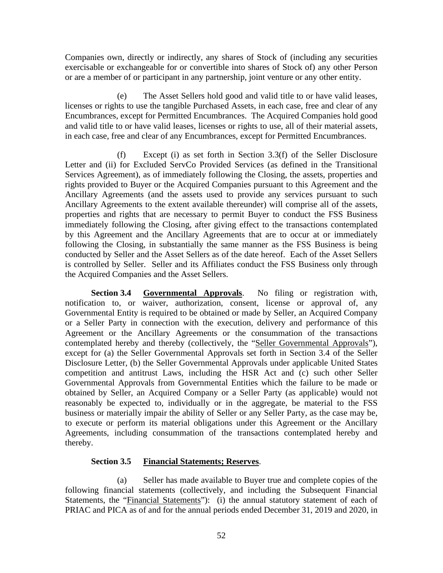Companies own, directly or indirectly, any shares of Stock of (including any securities exercisable or exchangeable for or convertible into shares of Stock of) any other Person or are a member of or participant in any partnership, joint venture or any other entity.

(e) The Asset Sellers hold good and valid title to or have valid leases, licenses or rights to use the tangible Purchased Assets, in each case, free and clear of any Encumbrances, except for Permitted Encumbrances. The Acquired Companies hold good and valid title to or have valid leases, licenses or rights to use, all of their material assets, in each case, free and clear of any Encumbrances, except for Permitted Encumbrances.

(f) Except (i) as set forth in Section 3.3(f) of the Seller Disclosure Letter and (ii) for Excluded ServCo Provided Services (as defined in the Transitional Services Agreement), as of immediately following the Closing, the assets, properties and rights provided to Buyer or the Acquired Companies pursuant to this Agreement and the Ancillary Agreements (and the assets used to provide any services pursuant to such Ancillary Agreements to the extent available thereunder) will comprise all of the assets, properties and rights that are necessary to permit Buyer to conduct the FSS Business immediately following the Closing, after giving effect to the transactions contemplated by this Agreement and the Ancillary Agreements that are to occur at or immediately following the Closing, in substantially the same manner as the FSS Business is being conducted by Seller and the Asset Sellers as of the date hereof. Each of the Asset Sellers is controlled by Seller. Seller and its Affiliates conduct the FSS Business only through the Acquired Companies and the Asset Sellers.

**Section 3.4 Governmental Approvals**. No filing or registration with, notification to, or waiver, authorization, consent, license or approval of, any Governmental Entity is required to be obtained or made by Seller, an Acquired Company or a Seller Party in connection with the execution, delivery and performance of this Agreement or the Ancillary Agreements or the consummation of the transactions contemplated hereby and thereby (collectively, the "Seller Governmental Approvals"), except for (a) the Seller Governmental Approvals set forth in Section 3.4 of the Seller Disclosure Letter, (b) the Seller Governmental Approvals under applicable United States competition and antitrust Laws, including the HSR Act and (c) such other Seller Governmental Approvals from Governmental Entities which the failure to be made or obtained by Seller, an Acquired Company or a Seller Party (as applicable) would not reasonably be expected to, individually or in the aggregate, be material to the FSS business or materially impair the ability of Seller or any Seller Party, as the case may be, to execute or perform its material obligations under this Agreement or the Ancillary Agreements, including consummation of the transactions contemplated hereby and thereby.

# **Section 3.5 Financial Statements; Reserves**.

(a) Seller has made available to Buyer true and complete copies of the following financial statements (collectively, and including the Subsequent Financial Statements, the "Financial Statements"): (i) the annual statutory statement of each of PRIAC and PICA as of and for the annual periods ended December 31, 2019 and 2020, in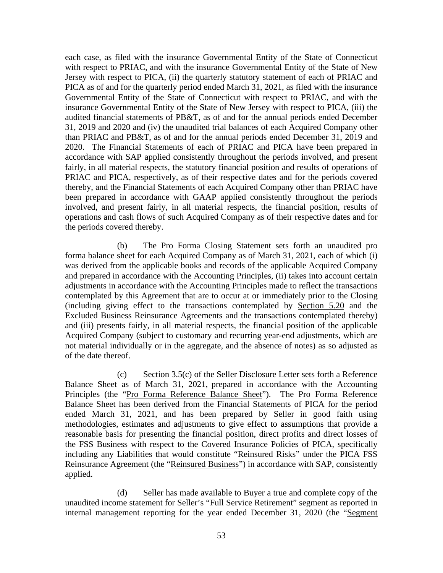each case, as filed with the insurance Governmental Entity of the State of Connecticut with respect to PRIAC, and with the insurance Governmental Entity of the State of New Jersey with respect to PICA, (ii) the quarterly statutory statement of each of PRIAC and PICA as of and for the quarterly period ended March 31, 2021, as filed with the insurance Governmental Entity of the State of Connecticut with respect to PRIAC, and with the insurance Governmental Entity of the State of New Jersey with respect to PICA, (iii) the audited financial statements of PB&T, as of and for the annual periods ended December 31, 2019 and 2020 and (iv) the unaudited trial balances of each Acquired Company other than PRIAC and PB&T, as of and for the annual periods ended December 31, 2019 and 2020. The Financial Statements of each of PRIAC and PICA have been prepared in accordance with SAP applied consistently throughout the periods involved, and present fairly, in all material respects, the statutory financial position and results of operations of PRIAC and PICA, respectively, as of their respective dates and for the periods covered thereby, and the Financial Statements of each Acquired Company other than PRIAC have been prepared in accordance with GAAP applied consistently throughout the periods involved, and present fairly, in all material respects, the financial position, results of operations and cash flows of such Acquired Company as of their respective dates and for the periods covered thereby.

(b) The Pro Forma Closing Statement sets forth an unaudited pro forma balance sheet for each Acquired Company as of March 31, 2021, each of which (i) was derived from the applicable books and records of the applicable Acquired Company and prepared in accordance with the Accounting Principles, (ii) takes into account certain adjustments in accordance with the Accounting Principles made to reflect the transactions contemplated by this Agreement that are to occur at or immediately prior to the Closing (including giving effect to the transactions contemplated by Section 5.20 and the Excluded Business Reinsurance Agreements and the transactions contemplated thereby) and (iii) presents fairly, in all material respects, the financial position of the applicable Acquired Company (subject to customary and recurring year-end adjustments, which are not material individually or in the aggregate, and the absence of notes) as so adjusted as of the date thereof.

(c) Section 3.5(c) of the Seller Disclosure Letter sets forth a Reference Balance Sheet as of March 31, 2021, prepared in accordance with the Accounting Principles (the "Pro Forma Reference Balance Sheet"). The Pro Forma Reference Balance Sheet has been derived from the Financial Statements of PICA for the period ended March 31, 2021, and has been prepared by Seller in good faith using methodologies, estimates and adjustments to give effect to assumptions that provide a reasonable basis for presenting the financial position, direct profits and direct losses of the FSS Business with respect to the Covered Insurance Policies of PICA, specifically including any Liabilities that would constitute "Reinsured Risks" under the PICA FSS Reinsurance Agreement (the "Reinsured Business") in accordance with SAP, consistently applied.

(d) Seller has made available to Buyer a true and complete copy of the unaudited income statement for Seller's "Full Service Retirement" segment as reported in internal management reporting for the year ended December 31, 2020 (the "Segment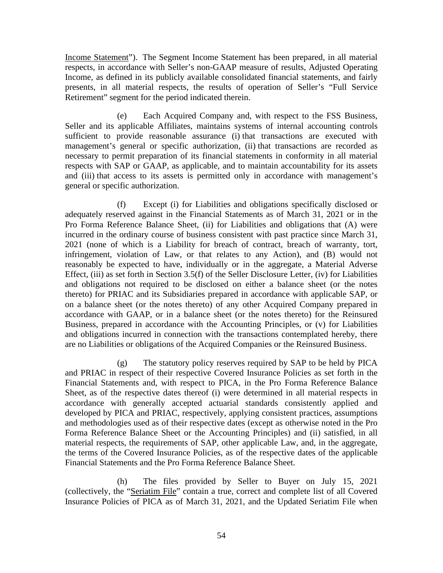Income Statement"). The Segment Income Statement has been prepared, in all material respects, in accordance with Seller's non-GAAP measure of results, Adjusted Operating Income, as defined in its publicly available consolidated financial statements, and fairly presents, in all material respects, the results of operation of Seller's "Full Service Retirement" segment for the period indicated therein.

(e) Each Acquired Company and, with respect to the FSS Business, Seller and its applicable Affiliates, maintains systems of internal accounting controls sufficient to provide reasonable assurance (i) that transactions are executed with management's general or specific authorization, (ii) that transactions are recorded as necessary to permit preparation of its financial statements in conformity in all material respects with SAP or GAAP, as applicable, and to maintain accountability for its assets and (iii) that access to its assets is permitted only in accordance with management's general or specific authorization.

(f) Except (i) for Liabilities and obligations specifically disclosed or adequately reserved against in the Financial Statements as of March 31, 2021 or in the Pro Forma Reference Balance Sheet, (ii) for Liabilities and obligations that (A) were incurred in the ordinary course of business consistent with past practice since March 31, 2021 (none of which is a Liability for breach of contract, breach of warranty, tort, infringement, violation of Law, or that relates to any Action), and (B) would not reasonably be expected to have, individually or in the aggregate, a Material Adverse Effect, (iii) as set forth in Section 3.5(f) of the Seller Disclosure Letter, (iv) for Liabilities and obligations not required to be disclosed on either a balance sheet (or the notes thereto) for PRIAC and its Subsidiaries prepared in accordance with applicable SAP, or on a balance sheet (or the notes thereto) of any other Acquired Company prepared in accordance with GAAP, or in a balance sheet (or the notes thereto) for the Reinsured Business, prepared in accordance with the Accounting Principles, or (v) for Liabilities and obligations incurred in connection with the transactions contemplated hereby, there are no Liabilities or obligations of the Acquired Companies or the Reinsured Business.

(g) The statutory policy reserves required by SAP to be held by PICA and PRIAC in respect of their respective Covered Insurance Policies as set forth in the Financial Statements and, with respect to PICA, in the Pro Forma Reference Balance Sheet, as of the respective dates thereof (i) were determined in all material respects in accordance with generally accepted actuarial standards consistently applied and developed by PICA and PRIAC, respectively, applying consistent practices, assumptions and methodologies used as of their respective dates (except as otherwise noted in the Pro Forma Reference Balance Sheet or the Accounting Principles) and (ii) satisfied, in all material respects, the requirements of SAP, other applicable Law, and, in the aggregate, the terms of the Covered Insurance Policies, as of the respective dates of the applicable Financial Statements and the Pro Forma Reference Balance Sheet.

(h) The files provided by Seller to Buyer on July 15, 2021 (collectively, the "Seriatim File" contain a true, correct and complete list of all Covered Insurance Policies of PICA as of March 31, 2021, and the Updated Seriatim File when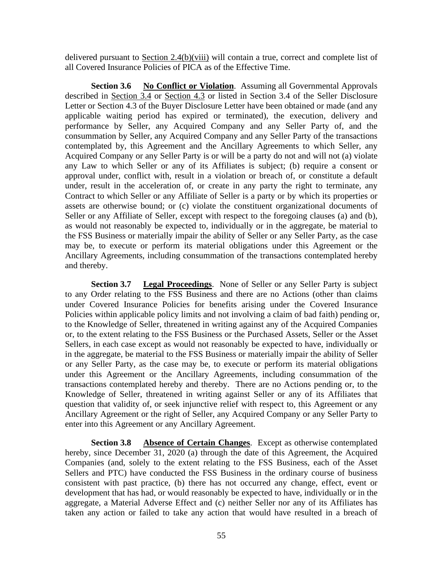delivered pursuant to Section 2.4(b)(viii) will contain a true, correct and complete list of all Covered Insurance Policies of PICA as of the Effective Time.

**Section 3.6 No Conflict or Violation**. Assuming all Governmental Approvals described in Section 3.4 or Section 4.3 or listed in Section 3.4 of the Seller Disclosure Letter or Section 4.3 of the Buyer Disclosure Letter have been obtained or made (and any applicable waiting period has expired or terminated), the execution, delivery and performance by Seller, any Acquired Company and any Seller Party of, and the consummation by Seller, any Acquired Company and any Seller Party of the transactions contemplated by, this Agreement and the Ancillary Agreements to which Seller, any Acquired Company or any Seller Party is or will be a party do not and will not (a) violate any Law to which Seller or any of its Affiliates is subject; (b) require a consent or approval under, conflict with, result in a violation or breach of, or constitute a default under, result in the acceleration of, or create in any party the right to terminate, any Contract to which Seller or any Affiliate of Seller is a party or by which its properties or assets are otherwise bound; or (c) violate the constituent organizational documents of Seller or any Affiliate of Seller, except with respect to the foregoing clauses (a) and (b), as would not reasonably be expected to, individually or in the aggregate, be material to the FSS Business or materially impair the ability of Seller or any Seller Party, as the case may be, to execute or perform its material obligations under this Agreement or the Ancillary Agreements, including consummation of the transactions contemplated hereby and thereby.

**Section 3.7 Legal Proceedings**. None of Seller or any Seller Party is subject to any Order relating to the FSS Business and there are no Actions (other than claims under Covered Insurance Policies for benefits arising under the Covered Insurance Policies within applicable policy limits and not involving a claim of bad faith) pending or, to the Knowledge of Seller, threatened in writing against any of the Acquired Companies or, to the extent relating to the FSS Business or the Purchased Assets, Seller or the Asset Sellers, in each case except as would not reasonably be expected to have, individually or in the aggregate, be material to the FSS Business or materially impair the ability of Seller or any Seller Party, as the case may be, to execute or perform its material obligations under this Agreement or the Ancillary Agreements, including consummation of the transactions contemplated hereby and thereby. There are no Actions pending or, to the Knowledge of Seller, threatened in writing against Seller or any of its Affiliates that question that validity of, or seek injunctive relief with respect to, this Agreement or any Ancillary Agreement or the right of Seller, any Acquired Company or any Seller Party to enter into this Agreement or any Ancillary Agreement.

**Section 3.8 Absence of Certain Changes**. Except as otherwise contemplated hereby, since December 31, 2020 (a) through the date of this Agreement, the Acquired Companies (and, solely to the extent relating to the FSS Business, each of the Asset Sellers and PTC) have conducted the FSS Business in the ordinary course of business consistent with past practice, (b) there has not occurred any change, effect, event or development that has had, or would reasonably be expected to have, individually or in the aggregate, a Material Adverse Effect and (c) neither Seller nor any of its Affiliates has taken any action or failed to take any action that would have resulted in a breach of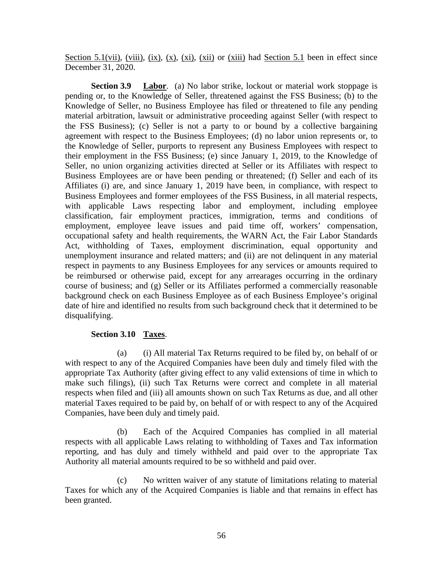Section 5.1(vii), (viii), (ix), (x), (xi), (xii) or (xiii) had Section 5.1 been in effect since December 31, 2020.

**Section 3.9 Labor**. (a) No labor strike, lockout or material work stoppage is pending or, to the Knowledge of Seller, threatened against the FSS Business; (b) to the Knowledge of Seller, no Business Employee has filed or threatened to file any pending material arbitration, lawsuit or administrative proceeding against Seller (with respect to the FSS Business); (c) Seller is not a party to or bound by a collective bargaining agreement with respect to the Business Employees; (d) no labor union represents or, to the Knowledge of Seller, purports to represent any Business Employees with respect to their employment in the FSS Business; (e) since January 1, 2019, to the Knowledge of Seller, no union organizing activities directed at Seller or its Affiliates with respect to Business Employees are or have been pending or threatened; (f) Seller and each of its Affiliates (i) are, and since January 1, 2019 have been, in compliance, with respect to Business Employees and former employees of the FSS Business, in all material respects, with applicable Laws respecting labor and employment, including employee classification, fair employment practices, immigration, terms and conditions of employment, employee leave issues and paid time off, workers' compensation, occupational safety and health requirements, the WARN Act, the Fair Labor Standards Act, withholding of Taxes, employment discrimination, equal opportunity and unemployment insurance and related matters; and (ii) are not delinquent in any material respect in payments to any Business Employees for any services or amounts required to be reimbursed or otherwise paid, except for any arrearages occurring in the ordinary course of business; and (g) Seller or its Affiliates performed a commercially reasonable background check on each Business Employee as of each Business Employee's original date of hire and identified no results from such background check that it determined to be disqualifying.

# **Section 3.10 Taxes**.

(a) (i) All material Tax Returns required to be filed by, on behalf of or with respect to any of the Acquired Companies have been duly and timely filed with the appropriate Tax Authority (after giving effect to any valid extensions of time in which to make such filings), (ii) such Tax Returns were correct and complete in all material respects when filed and (iii) all amounts shown on such Tax Returns as due, and all other material Taxes required to be paid by, on behalf of or with respect to any of the Acquired Companies, have been duly and timely paid.

(b) Each of the Acquired Companies has complied in all material respects with all applicable Laws relating to withholding of Taxes and Tax information reporting, and has duly and timely withheld and paid over to the appropriate Tax Authority all material amounts required to be so withheld and paid over.

(c) No written waiver of any statute of limitations relating to material Taxes for which any of the Acquired Companies is liable and that remains in effect has been granted.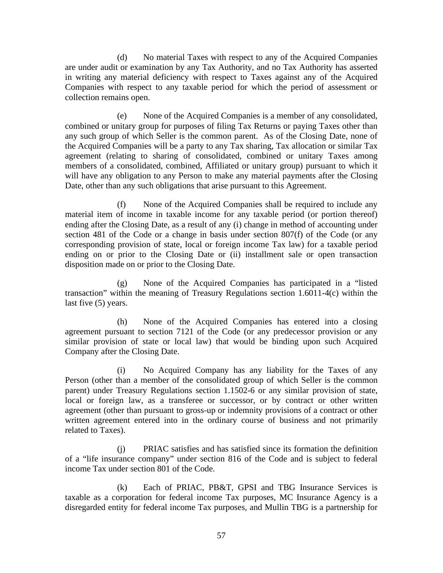(d) No material Taxes with respect to any of the Acquired Companies are under audit or examination by any Tax Authority, and no Tax Authority has asserted in writing any material deficiency with respect to Taxes against any of the Acquired Companies with respect to any taxable period for which the period of assessment or collection remains open.

(e) None of the Acquired Companies is a member of any consolidated, combined or unitary group for purposes of filing Tax Returns or paying Taxes other than any such group of which Seller is the common parent. As of the Closing Date, none of the Acquired Companies will be a party to any Tax sharing, Tax allocation or similar Tax agreement (relating to sharing of consolidated, combined or unitary Taxes among members of a consolidated, combined, Affiliated or unitary group) pursuant to which it will have any obligation to any Person to make any material payments after the Closing Date, other than any such obligations that arise pursuant to this Agreement.

(f) None of the Acquired Companies shall be required to include any material item of income in taxable income for any taxable period (or portion thereof) ending after the Closing Date, as a result of any (i) change in method of accounting under section 481 of the Code or a change in basis under section 807(f) of the Code (or any corresponding provision of state, local or foreign income Tax law) for a taxable period ending on or prior to the Closing Date or (ii) installment sale or open transaction disposition made on or prior to the Closing Date.

(g) None of the Acquired Companies has participated in a "listed transaction" within the meaning of Treasury Regulations section 1.6011-4(c) within the last five (5) years.

(h) None of the Acquired Companies has entered into a closing agreement pursuant to section 7121 of the Code (or any predecessor provision or any similar provision of state or local law) that would be binding upon such Acquired Company after the Closing Date.

(i) No Acquired Company has any liability for the Taxes of any Person (other than a member of the consolidated group of which Seller is the common parent) under Treasury Regulations section 1.1502-6 or any similar provision of state, local or foreign law, as a transferee or successor, or by contract or other written agreement (other than pursuant to gross-up or indemnity provisions of a contract or other written agreement entered into in the ordinary course of business and not primarily related to Taxes).

(j) PRIAC satisfies and has satisfied since its formation the definition of a "life insurance company" under section 816 of the Code and is subject to federal income Tax under section 801 of the Code.

(k) Each of PRIAC, PB&T, GPSI and TBG Insurance Services is taxable as a corporation for federal income Tax purposes, MC Insurance Agency is a disregarded entity for federal income Tax purposes, and Mullin TBG is a partnership for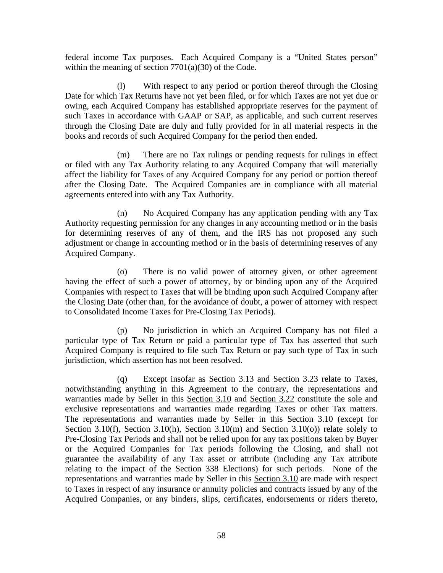federal income Tax purposes. Each Acquired Company is a "United States person" within the meaning of section 7701(a)(30) of the Code.

(l) With respect to any period or portion thereof through the Closing Date for which Tax Returns have not yet been filed, or for which Taxes are not yet due or owing, each Acquired Company has established appropriate reserves for the payment of such Taxes in accordance with GAAP or SAP, as applicable, and such current reserves through the Closing Date are duly and fully provided for in all material respects in the books and records of such Acquired Company for the period then ended.

(m) There are no Tax rulings or pending requests for rulings in effect or filed with any Tax Authority relating to any Acquired Company that will materially affect the liability for Taxes of any Acquired Company for any period or portion thereof after the Closing Date. The Acquired Companies are in compliance with all material agreements entered into with any Tax Authority.

(n) No Acquired Company has any application pending with any Tax Authority requesting permission for any changes in any accounting method or in the basis for determining reserves of any of them, and the IRS has not proposed any such adjustment or change in accounting method or in the basis of determining reserves of any Acquired Company.

(o) There is no valid power of attorney given, or other agreement having the effect of such a power of attorney, by or binding upon any of the Acquired Companies with respect to Taxes that will be binding upon such Acquired Company after the Closing Date (other than, for the avoidance of doubt, a power of attorney with respect to Consolidated Income Taxes for Pre-Closing Tax Periods).

(p) No jurisdiction in which an Acquired Company has not filed a particular type of Tax Return or paid a particular type of Tax has asserted that such Acquired Company is required to file such Tax Return or pay such type of Tax in such jurisdiction, which assertion has not been resolved.

(q) Except insofar as Section 3.13 and Section 3.23 relate to Taxes, notwithstanding anything in this Agreement to the contrary, the representations and warranties made by Seller in this Section 3.10 and Section 3.22 constitute the sole and exclusive representations and warranties made regarding Taxes or other Tax matters. The representations and warranties made by Seller in this Section 3.10 (except for Section 3.10(f), Section 3.10(h), Section 3.10(m) and Section 3.10(o)) relate solely to Pre-Closing Tax Periods and shall not be relied upon for any tax positions taken by Buyer or the Acquired Companies for Tax periods following the Closing, and shall not guarantee the availability of any Tax asset or attribute (including any Tax attribute relating to the impact of the Section 338 Elections) for such periods. None of the representations and warranties made by Seller in this Section 3.10 are made with respect to Taxes in respect of any insurance or annuity policies and contracts issued by any of the Acquired Companies, or any binders, slips, certificates, endorsements or riders thereto,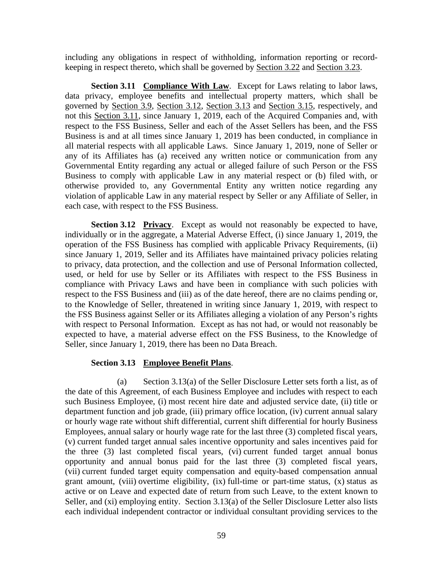including any obligations in respect of withholding, information reporting or recordkeeping in respect thereto, which shall be governed by Section 3.22 and Section 3.23.

**Section 3.11 Compliance With Law**. Except for Laws relating to labor laws, data privacy, employee benefits and intellectual property matters, which shall be governed by Section 3.9, Section 3.12, Section 3.13 and Section 3.15, respectively, and not this Section 3.11, since January 1, 2019, each of the Acquired Companies and, with respect to the FSS Business, Seller and each of the Asset Sellers has been, and the FSS Business is and at all times since January 1, 2019 has been conducted, in compliance in all material respects with all applicable Laws. Since January 1, 2019, none of Seller or any of its Affiliates has (a) received any written notice or communication from any Governmental Entity regarding any actual or alleged failure of such Person or the FSS Business to comply with applicable Law in any material respect or (b) filed with, or otherwise provided to, any Governmental Entity any written notice regarding any violation of applicable Law in any material respect by Seller or any Affiliate of Seller, in each case, with respect to the FSS Business.

**Section 3.12 Privacy**. Except as would not reasonably be expected to have, individually or in the aggregate, a Material Adverse Effect, (i) since January 1, 2019, the operation of the FSS Business has complied with applicable Privacy Requirements, (ii) since January 1, 2019, Seller and its Affiliates have maintained privacy policies relating to privacy, data protection, and the collection and use of Personal Information collected, used, or held for use by Seller or its Affiliates with respect to the FSS Business in compliance with Privacy Laws and have been in compliance with such policies with respect to the FSS Business and (iii) as of the date hereof, there are no claims pending or, to the Knowledge of Seller, threatened in writing since January 1, 2019, with respect to the FSS Business against Seller or its Affiliates alleging a violation of any Person's rights with respect to Personal Information. Except as has not had, or would not reasonably be expected to have, a material adverse effect on the FSS Business, to the Knowledge of Seller, since January 1, 2019, there has been no Data Breach.

### **Section 3.13 Employee Benefit Plans**.

(a) Section 3.13(a) of the Seller Disclosure Letter sets forth a list, as of the date of this Agreement, of each Business Employee and includes with respect to each such Business Employee, (i) most recent hire date and adjusted service date, (ii) title or department function and job grade, (iii) primary office location, (iv) current annual salary or hourly wage rate without shift differential, current shift differential for hourly Business Employees, annual salary or hourly wage rate for the last three (3) completed fiscal years, (v) current funded target annual sales incentive opportunity and sales incentives paid for the three (3) last completed fiscal years, (vi) current funded target annual bonus opportunity and annual bonus paid for the last three (3) completed fiscal years, (vii) current funded target equity compensation and equity-based compensation annual grant amount, (viii) overtime eligibility, (ix) full-time or part-time status, (x) status as active or on Leave and expected date of return from such Leave, to the extent known to Seller, and (xi) employing entity. Section 3.13(a) of the Seller Disclosure Letter also lists each individual independent contractor or individual consultant providing services to the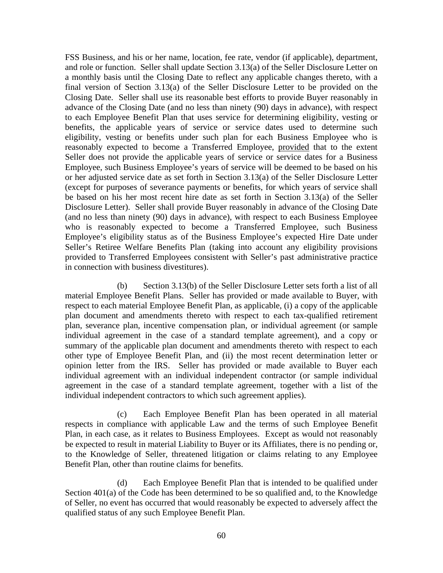FSS Business, and his or her name, location, fee rate, vendor (if applicable), department, and role or function. Seller shall update Section 3.13(a) of the Seller Disclosure Letter on a monthly basis until the Closing Date to reflect any applicable changes thereto, with a final version of Section 3.13(a) of the Seller Disclosure Letter to be provided on the Closing Date. Seller shall use its reasonable best efforts to provide Buyer reasonably in advance of the Closing Date (and no less than ninety (90) days in advance), with respect to each Employee Benefit Plan that uses service for determining eligibility, vesting or benefits, the applicable years of service or service dates used to determine such eligibility, vesting or benefits under such plan for each Business Employee who is reasonably expected to become a Transferred Employee, provided that to the extent Seller does not provide the applicable years of service or service dates for a Business Employee, such Business Employee's years of service will be deemed to be based on his or her adjusted service date as set forth in Section 3.13(a) of the Seller Disclosure Letter (except for purposes of severance payments or benefits, for which years of service shall be based on his her most recent hire date as set forth in Section 3.13(a) of the Seller Disclosure Letter). Seller shall provide Buyer reasonably in advance of the Closing Date (and no less than ninety (90) days in advance), with respect to each Business Employee who is reasonably expected to become a Transferred Employee, such Business Employee's eligibility status as of the Business Employee's expected Hire Date under Seller's Retiree Welfare Benefits Plan (taking into account any eligibility provisions provided to Transferred Employees consistent with Seller's past administrative practice in connection with business divestitures).

(b) Section 3.13(b) of the Seller Disclosure Letter sets forth a list of all material Employee Benefit Plans. Seller has provided or made available to Buyer, with respect to each material Employee Benefit Plan, as applicable, (i) a copy of the applicable plan document and amendments thereto with respect to each tax-qualified retirement plan, severance plan, incentive compensation plan, or individual agreement (or sample individual agreement in the case of a standard template agreement), and a copy or summary of the applicable plan document and amendments thereto with respect to each other type of Employee Benefit Plan, and (ii) the most recent determination letter or opinion letter from the IRS. Seller has provided or made available to Buyer each individual agreement with an individual independent contractor (or sample individual agreement in the case of a standard template agreement, together with a list of the individual independent contractors to which such agreement applies).

(c) Each Employee Benefit Plan has been operated in all material respects in compliance with applicable Law and the terms of such Employee Benefit Plan, in each case, as it relates to Business Employees. Except as would not reasonably be expected to result in material Liability to Buyer or its Affiliates, there is no pending or, to the Knowledge of Seller, threatened litigation or claims relating to any Employee Benefit Plan, other than routine claims for benefits.

(d) Each Employee Benefit Plan that is intended to be qualified under Section 401(a) of the Code has been determined to be so qualified and, to the Knowledge of Seller, no event has occurred that would reasonably be expected to adversely affect the qualified status of any such Employee Benefit Plan.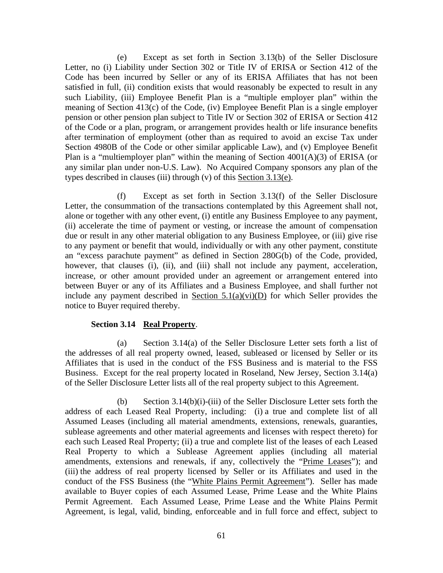(e) Except as set forth in Section 3.13(b) of the Seller Disclosure Letter, no (i) Liability under Section 302 or Title IV of ERISA or Section 412 of the Code has been incurred by Seller or any of its ERISA Affiliates that has not been satisfied in full, (ii) condition exists that would reasonably be expected to result in any such Liability, (iii) Employee Benefit Plan is a "multiple employer plan" within the meaning of Section 413(c) of the Code, (iv) Employee Benefit Plan is a single employer pension or other pension plan subject to Title IV or Section 302 of ERISA or Section 412 of the Code or a plan, program, or arrangement provides health or life insurance benefits after termination of employment (other than as required to avoid an excise Tax under Section 4980B of the Code or other similar applicable Law), and (v) Employee Benefit Plan is a "multiemployer plan" within the meaning of Section 4001(A)(3) of ERISA (or any similar plan under non-U.S. Law). No Acquired Company sponsors any plan of the types described in clauses (iii) through (v) of this Section 3.13(e).

(f) Except as set forth in Section 3.13(f) of the Seller Disclosure Letter, the consummation of the transactions contemplated by this Agreement shall not, alone or together with any other event, (i) entitle any Business Employee to any payment, (ii) accelerate the time of payment or vesting, or increase the amount of compensation due or result in any other material obligation to any Business Employee, or (iii) give rise to any payment or benefit that would, individually or with any other payment, constitute an "excess parachute payment" as defined in Section 280G(b) of the Code, provided, however, that clauses (i), (ii), and (iii) shall not include any payment, acceleration, increase, or other amount provided under an agreement or arrangement entered into between Buyer or any of its Affiliates and a Business Employee, and shall further not include any payment described in Section  $5.1(a)(vi)(D)$  for which Seller provides the notice to Buyer required thereby.

# **Section 3.14 Real Property**.

(a) Section 3.14(a) of the Seller Disclosure Letter sets forth a list of the addresses of all real property owned, leased, subleased or licensed by Seller or its Affiliates that is used in the conduct of the FSS Business and is material to the FSS Business. Except for the real property located in Roseland, New Jersey, Section 3.14(a) of the Seller Disclosure Letter lists all of the real property subject to this Agreement.

(b) Section 3.14(b)(i)-(iii) of the Seller Disclosure Letter sets forth the address of each Leased Real Property, including: (i) a true and complete list of all Assumed Leases (including all material amendments, extensions, renewals, guaranties, sublease agreements and other material agreements and licenses with respect thereto) for each such Leased Real Property; (ii) a true and complete list of the leases of each Leased Real Property to which a Sublease Agreement applies (including all material amendments, extensions and renewals, if any, collectively the "Prime Leases"); and (iii) the address of real property licensed by Seller or its Affiliates and used in the conduct of the FSS Business (the "White Plains Permit Agreement"). Seller has made available to Buyer copies of each Assumed Lease, Prime Lease and the White Plains Permit Agreement. Each Assumed Lease, Prime Lease and the White Plains Permit Agreement, is legal, valid, binding, enforceable and in full force and effect, subject to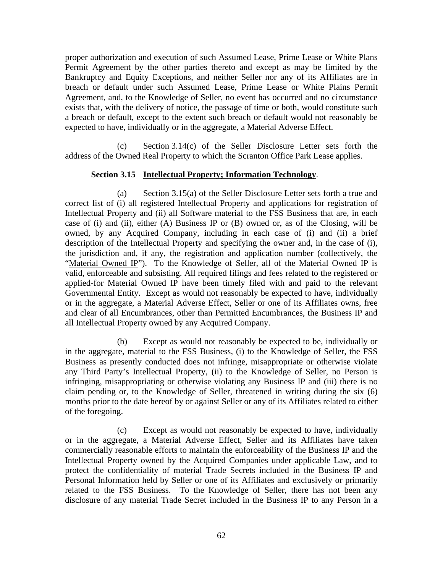proper authorization and execution of such Assumed Lease, Prime Lease or White Plans Permit Agreement by the other parties thereto and except as may be limited by the Bankruptcy and Equity Exceptions, and neither Seller nor any of its Affiliates are in breach or default under such Assumed Lease, Prime Lease or White Plains Permit Agreement, and, to the Knowledge of Seller, no event has occurred and no circumstance exists that, with the delivery of notice, the passage of time or both, would constitute such a breach or default, except to the extent such breach or default would not reasonably be expected to have, individually or in the aggregate, a Material Adverse Effect.

(c) Section 3.14(c) of the Seller Disclosure Letter sets forth the address of the Owned Real Property to which the Scranton Office Park Lease applies.

# **Section 3.15 Intellectual Property; Information Technology**.

(a) Section 3.15(a) of the Seller Disclosure Letter sets forth a true and correct list of (i) all registered Intellectual Property and applications for registration of Intellectual Property and (ii) all Software material to the FSS Business that are, in each case of (i) and (ii), either (A) Business IP or (B) owned or, as of the Closing, will be owned, by any Acquired Company, including in each case of (i) and (ii) a brief description of the Intellectual Property and specifying the owner and, in the case of (i), the jurisdiction and, if any, the registration and application number (collectively, the "Material Owned IP"). To the Knowledge of Seller, all of the Material Owned IP is valid, enforceable and subsisting. All required filings and fees related to the registered or applied-for Material Owned IP have been timely filed with and paid to the relevant Governmental Entity. Except as would not reasonably be expected to have, individually or in the aggregate, a Material Adverse Effect, Seller or one of its Affiliates owns, free and clear of all Encumbrances, other than Permitted Encumbrances, the Business IP and all Intellectual Property owned by any Acquired Company.

(b) Except as would not reasonably be expected to be, individually or in the aggregate, material to the FSS Business, (i) to the Knowledge of Seller, the FSS Business as presently conducted does not infringe, misappropriate or otherwise violate any Third Party's Intellectual Property, (ii) to the Knowledge of Seller, no Person is infringing, misappropriating or otherwise violating any Business IP and (iii) there is no claim pending or, to the Knowledge of Seller, threatened in writing during the six (6) months prior to the date hereof by or against Seller or any of its Affiliates related to either of the foregoing.

(c) Except as would not reasonably be expected to have, individually or in the aggregate, a Material Adverse Effect, Seller and its Affiliates have taken commercially reasonable efforts to maintain the enforceability of the Business IP and the Intellectual Property owned by the Acquired Companies under applicable Law, and to protect the confidentiality of material Trade Secrets included in the Business IP and Personal Information held by Seller or one of its Affiliates and exclusively or primarily related to the FSS Business. To the Knowledge of Seller, there has not been any disclosure of any material Trade Secret included in the Business IP to any Person in a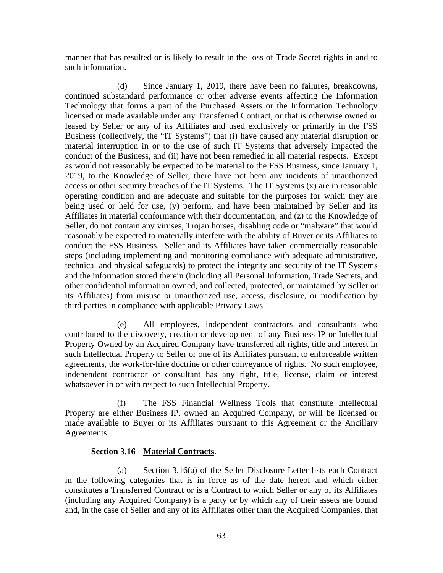manner that has resulted or is likely to result in the loss of Trade Secret rights in and to such information.

(d) Since January 1, 2019, there have been no failures, breakdowns, continued substandard performance or other adverse events affecting the Information Technology that forms a part of the Purchased Assets or the Information Technology licensed or made available under any Transferred Contract, or that is otherwise owned or leased by Seller or any of its Affiliates and used exclusively or primarily in the FSS Business (collectively, the "IT Systems") that (i) have caused any material disruption or material interruption in or to the use of such IT Systems that adversely impacted the conduct of the Business, and (ii) have not been remedied in all material respects. Except as would not reasonably be expected to be material to the FSS Business, since January 1, 2019, to the Knowledge of Seller, there have not been any incidents of unauthorized access or other security breaches of the IT Systems. The IT Systems (x) are in reasonable operating condition and are adequate and suitable for the purposes for which they are being used or held for use, (y) perform, and have been maintained by Seller and its Affiliates in material conformance with their documentation, and (z) to the Knowledge of Seller, do not contain any viruses, Trojan horses, disabling code or "malware" that would reasonably be expected to materially interfere with the ability of Buyer or its Affiliates to conduct the FSS Business. Seller and its Affiliates have taken commercially reasonable steps (including implementing and monitoring compliance with adequate administrative, technical and physical safeguards) to protect the integrity and security of the IT Systems and the information stored therein (including all Personal Information, Trade Secrets, and other confidential information owned, and collected, protected, or maintained by Seller or its Affiliates) from misuse or unauthorized use, access, disclosure, or modification by third parties in compliance with applicable Privacy Laws.

(e) All employees, independent contractors and consultants who contributed to the discovery, creation or development of any Business IP or Intellectual Property Owned by an Acquired Company have transferred all rights, title and interest in such Intellectual Property to Seller or one of its Affiliates pursuant to enforceable written agreements, the work-for-hire doctrine or other conveyance of rights. No such employee, independent contractor or consultant has any right, title, license, claim or interest whatsoever in or with respect to such Intellectual Property.

(f) The FSS Financial Wellness Tools that constitute Intellectual Property are either Business IP, owned an Acquired Company, or will be licensed or made available to Buyer or its Affiliates pursuant to this Agreement or the Ancillary Agreements.

# **Section 3.16 Material Contracts**.

(a) Section 3.16(a) of the Seller Disclosure Letter lists each Contract in the following categories that is in force as of the date hereof and which either constitutes a Transferred Contract or is a Contract to which Seller or any of its Affiliates (including any Acquired Company) is a party or by which any of their assets are bound and, in the case of Seller and any of its Affiliates other than the Acquired Companies, that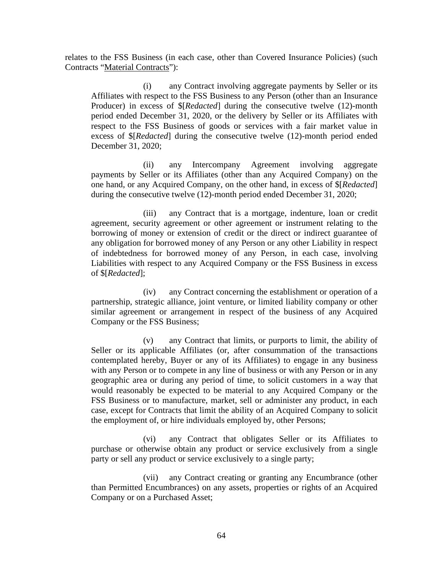relates to the FSS Business (in each case, other than Covered Insurance Policies) (such Contracts "Material Contracts"):

(i) any Contract involving aggregate payments by Seller or its Affiliates with respect to the FSS Business to any Person (other than an Insurance Producer) in excess of \$[*Redacted*] during the consecutive twelve (12)-month period ended December 31, 2020, or the delivery by Seller or its Affiliates with respect to the FSS Business of goods or services with a fair market value in excess of \$[*Redacted*] during the consecutive twelve (12)-month period ended December 31, 2020;

(ii) any Intercompany Agreement involving aggregate payments by Seller or its Affiliates (other than any Acquired Company) on the one hand, or any Acquired Company, on the other hand, in excess of \$[*Redacted*] during the consecutive twelve (12)-month period ended December 31, 2020;

(iii) any Contract that is a mortgage, indenture, loan or credit agreement, security agreement or other agreement or instrument relating to the borrowing of money or extension of credit or the direct or indirect guarantee of any obligation for borrowed money of any Person or any other Liability in respect of indebtedness for borrowed money of any Person, in each case, involving Liabilities with respect to any Acquired Company or the FSS Business in excess of \$[*Redacted*];

(iv) any Contract concerning the establishment or operation of a partnership, strategic alliance, joint venture, or limited liability company or other similar agreement or arrangement in respect of the business of any Acquired Company or the FSS Business;

(v) any Contract that limits, or purports to limit, the ability of Seller or its applicable Affiliates (or, after consummation of the transactions contemplated hereby, Buyer or any of its Affiliates) to engage in any business with any Person or to compete in any line of business or with any Person or in any geographic area or during any period of time, to solicit customers in a way that would reasonably be expected to be material to any Acquired Company or the FSS Business or to manufacture, market, sell or administer any product, in each case, except for Contracts that limit the ability of an Acquired Company to solicit the employment of, or hire individuals employed by, other Persons;

(vi) any Contract that obligates Seller or its Affiliates to purchase or otherwise obtain any product or service exclusively from a single party or sell any product or service exclusively to a single party;

(vii) any Contract creating or granting any Encumbrance (other than Permitted Encumbrances) on any assets, properties or rights of an Acquired Company or on a Purchased Asset;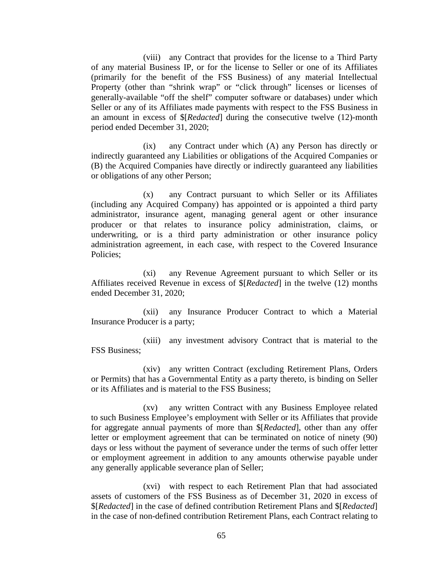(viii) any Contract that provides for the license to a Third Party of any material Business IP, or for the license to Seller or one of its Affiliates (primarily for the benefit of the FSS Business) of any material Intellectual Property (other than "shrink wrap" or "click through" licenses or licenses of generally-available "off the shelf" computer software or databases) under which Seller or any of its Affiliates made payments with respect to the FSS Business in an amount in excess of \$[*Redacted*] during the consecutive twelve (12)-month period ended December 31, 2020;

(ix) any Contract under which (A) any Person has directly or indirectly guaranteed any Liabilities or obligations of the Acquired Companies or (B) the Acquired Companies have directly or indirectly guaranteed any liabilities or obligations of any other Person;

(x) any Contract pursuant to which Seller or its Affiliates (including any Acquired Company) has appointed or is appointed a third party administrator, insurance agent, managing general agent or other insurance producer or that relates to insurance policy administration, claims, or underwriting, or is a third party administration or other insurance policy administration agreement, in each case, with respect to the Covered Insurance Policies;

(xi) any Revenue Agreement pursuant to which Seller or its Affiliates received Revenue in excess of \$[*Redacted*] in the twelve (12) months ended December 31, 2020;

(xii) any Insurance Producer Contract to which a Material Insurance Producer is a party;

(xiii) any investment advisory Contract that is material to the FSS Business;

(xiv) any written Contract (excluding Retirement Plans, Orders or Permits) that has a Governmental Entity as a party thereto, is binding on Seller or its Affiliates and is material to the FSS Business;

(xv) any written Contract with any Business Employee related to such Business Employee's employment with Seller or its Affiliates that provide for aggregate annual payments of more than \$[*Redacted*], other than any offer letter or employment agreement that can be terminated on notice of ninety (90) days or less without the payment of severance under the terms of such offer letter or employment agreement in addition to any amounts otherwise payable under any generally applicable severance plan of Seller;

(xvi) with respect to each Retirement Plan that had associated assets of customers of the FSS Business as of December 31, 2020 in excess of \$[*Redacted*] in the case of defined contribution Retirement Plans and \$[*Redacted*] in the case of non-defined contribution Retirement Plans, each Contract relating to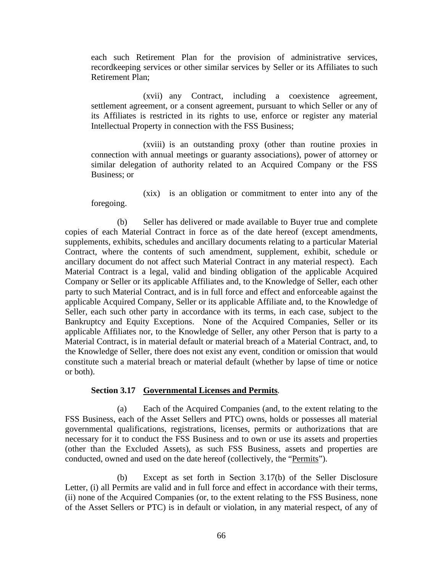each such Retirement Plan for the provision of administrative services, recordkeeping services or other similar services by Seller or its Affiliates to such Retirement Plan;

(xvii) any Contract, including a coexistence agreement, settlement agreement, or a consent agreement, pursuant to which Seller or any of its Affiliates is restricted in its rights to use, enforce or register any material Intellectual Property in connection with the FSS Business;

(xviii) is an outstanding proxy (other than routine proxies in connection with annual meetings or guaranty associations), power of attorney or similar delegation of authority related to an Acquired Company or the FSS Business; or

(xix) is an obligation or commitment to enter into any of the foregoing.

(b) Seller has delivered or made available to Buyer true and complete copies of each Material Contract in force as of the date hereof (except amendments, supplements, exhibits, schedules and ancillary documents relating to a particular Material Contract, where the contents of such amendment, supplement, exhibit, schedule or ancillary document do not affect such Material Contract in any material respect). Each Material Contract is a legal, valid and binding obligation of the applicable Acquired Company or Seller or its applicable Affiliates and, to the Knowledge of Seller, each other party to such Material Contract, and is in full force and effect and enforceable against the applicable Acquired Company, Seller or its applicable Affiliate and, to the Knowledge of Seller, each such other party in accordance with its terms, in each case, subject to the Bankruptcy and Equity Exceptions. None of the Acquired Companies, Seller or its applicable Affiliates nor, to the Knowledge of Seller, any other Person that is party to a Material Contract, is in material default or material breach of a Material Contract, and, to the Knowledge of Seller, there does not exist any event, condition or omission that would constitute such a material breach or material default (whether by lapse of time or notice or both).

### **Section 3.17 Governmental Licenses and Permits***.*

(a) Each of the Acquired Companies (and, to the extent relating to the FSS Business, each of the Asset Sellers and PTC) owns, holds or possesses all material governmental qualifications, registrations, licenses, permits or authorizations that are necessary for it to conduct the FSS Business and to own or use its assets and properties (other than the Excluded Assets), as such FSS Business, assets and properties are conducted, owned and used on the date hereof (collectively, the "Permits").

(b) Except as set forth in Section 3.17(b) of the Seller Disclosure Letter, (i) all Permits are valid and in full force and effect in accordance with their terms, (ii) none of the Acquired Companies (or, to the extent relating to the FSS Business, none of the Asset Sellers or PTC) is in default or violation, in any material respect, of any of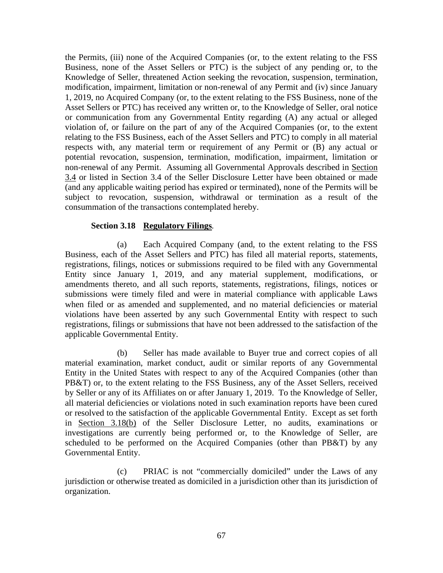the Permits, (iii) none of the Acquired Companies (or, to the extent relating to the FSS Business, none of the Asset Sellers or PTC) is the subject of any pending or, to the Knowledge of Seller, threatened Action seeking the revocation, suspension, termination, modification, impairment, limitation or non-renewal of any Permit and (iv) since January 1, 2019, no Acquired Company (or, to the extent relating to the FSS Business, none of the Asset Sellers or PTC) has received any written or, to the Knowledge of Seller, oral notice or communication from any Governmental Entity regarding (A) any actual or alleged violation of, or failure on the part of any of the Acquired Companies (or, to the extent relating to the FSS Business, each of the Asset Sellers and PTC) to comply in all material respects with, any material term or requirement of any Permit or (B) any actual or potential revocation, suspension, termination, modification, impairment, limitation or non-renewal of any Permit. Assuming all Governmental Approvals described in Section 3.4 or listed in Section 3.4 of the Seller Disclosure Letter have been obtained or made (and any applicable waiting period has expired or terminated), none of the Permits will be subject to revocation, suspension, withdrawal or termination as a result of the consummation of the transactions contemplated hereby.

# **Section 3.18 Regulatory Filings***.*

(a) Each Acquired Company (and, to the extent relating to the FSS Business, each of the Asset Sellers and PTC) has filed all material reports, statements, registrations, filings, notices or submissions required to be filed with any Governmental Entity since January 1, 2019, and any material supplement, modifications, or amendments thereto, and all such reports, statements, registrations, filings, notices or submissions were timely filed and were in material compliance with applicable Laws when filed or as amended and supplemented, and no material deficiencies or material violations have been asserted by any such Governmental Entity with respect to such registrations, filings or submissions that have not been addressed to the satisfaction of the applicable Governmental Entity.

(b) Seller has made available to Buyer true and correct copies of all material examination, market conduct, audit or similar reports of any Governmental Entity in the United States with respect to any of the Acquired Companies (other than PB&T) or, to the extent relating to the FSS Business, any of the Asset Sellers, received by Seller or any of its Affiliates on or after January 1, 2019. To the Knowledge of Seller, all material deficiencies or violations noted in such examination reports have been cured or resolved to the satisfaction of the applicable Governmental Entity. Except as set forth in Section 3.18(b) of the Seller Disclosure Letter, no audits, examinations or investigations are currently being performed or, to the Knowledge of Seller, are scheduled to be performed on the Acquired Companies (other than PB&T) by any Governmental Entity.

(c) PRIAC is not "commercially domiciled" under the Laws of any jurisdiction or otherwise treated as domiciled in a jurisdiction other than its jurisdiction of organization.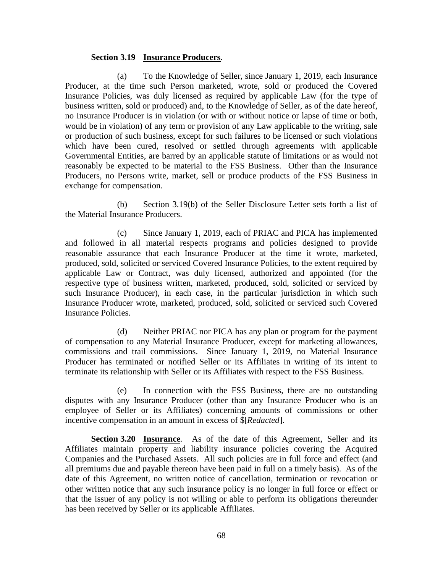## **Section 3.19 Insurance Producers***.*

(a) To the Knowledge of Seller, since January 1, 2019, each Insurance Producer, at the time such Person marketed, wrote, sold or produced the Covered Insurance Policies, was duly licensed as required by applicable Law (for the type of business written, sold or produced) and, to the Knowledge of Seller, as of the date hereof, no Insurance Producer is in violation (or with or without notice or lapse of time or both, would be in violation) of any term or provision of any Law applicable to the writing, sale or production of such business, except for such failures to be licensed or such violations which have been cured, resolved or settled through agreements with applicable Governmental Entities, are barred by an applicable statute of limitations or as would not reasonably be expected to be material to the FSS Business. Other than the Insurance Producers, no Persons write, market, sell or produce products of the FSS Business in exchange for compensation.

(b) Section 3.19(b) of the Seller Disclosure Letter sets forth a list of the Material Insurance Producers.

(c) Since January 1, 2019, each of PRIAC and PICA has implemented and followed in all material respects programs and policies designed to provide reasonable assurance that each Insurance Producer at the time it wrote, marketed, produced, sold, solicited or serviced Covered Insurance Policies, to the extent required by applicable Law or Contract, was duly licensed, authorized and appointed (for the respective type of business written, marketed, produced, sold, solicited or serviced by such Insurance Producer), in each case, in the particular jurisdiction in which such Insurance Producer wrote, marketed, produced, sold, solicited or serviced such Covered Insurance Policies.

(d) Neither PRIAC nor PICA has any plan or program for the payment of compensation to any Material Insurance Producer, except for marketing allowances, commissions and trail commissions. Since January 1, 2019, no Material Insurance Producer has terminated or notified Seller or its Affiliates in writing of its intent to terminate its relationship with Seller or its Affiliates with respect to the FSS Business.

(e) In connection with the FSS Business, there are no outstanding disputes with any Insurance Producer (other than any Insurance Producer who is an employee of Seller or its Affiliates) concerning amounts of commissions or other incentive compensation in an amount in excess of \$[*Redacted*].

**Section 3.20 Insurance***.* As of the date of this Agreement, Seller and its Affiliates maintain property and liability insurance policies covering the Acquired Companies and the Purchased Assets. All such policies are in full force and effect (and all premiums due and payable thereon have been paid in full on a timely basis). As of the date of this Agreement, no written notice of cancellation, termination or revocation or other written notice that any such insurance policy is no longer in full force or effect or that the issuer of any policy is not willing or able to perform its obligations thereunder has been received by Seller or its applicable Affiliates.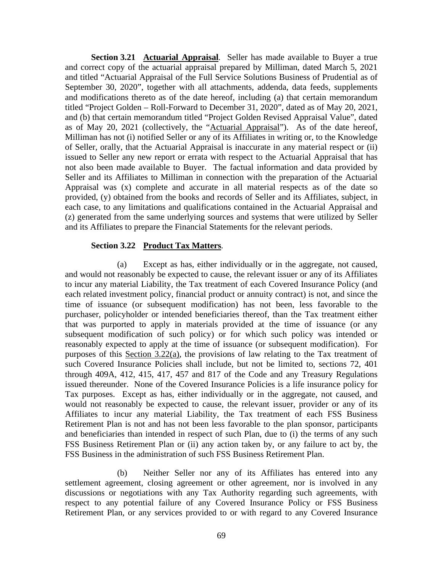**Section 3.21 Actuarial Appraisal***.* Seller has made available to Buyer a true and correct copy of the actuarial appraisal prepared by Milliman, dated March 5, 2021 and titled "Actuarial Appraisal of the Full Service Solutions Business of Prudential as of September 30, 2020", together with all attachments, addenda, data feeds, supplements and modifications thereto as of the date hereof, including (a) that certain memorandum titled "Project Golden – Roll-Forward to December 31, 2020", dated as of May 20, 2021, and (b) that certain memorandum titled "Project Golden Revised Appraisal Value", dated as of May 20, 2021 (collectively, the "Actuarial Appraisal"). As of the date hereof, Milliman has not (i) notified Seller or any of its Affiliates in writing or, to the Knowledge of Seller, orally, that the Actuarial Appraisal is inaccurate in any material respect or (ii) issued to Seller any new report or errata with respect to the Actuarial Appraisal that has not also been made available to Buyer. The factual information and data provided by Seller and its Affiliates to Milliman in connection with the preparation of the Actuarial Appraisal was (x) complete and accurate in all material respects as of the date so provided, (y) obtained from the books and records of Seller and its Affiliates, subject, in each case, to any limitations and qualifications contained in the Actuarial Appraisal and (z) generated from the same underlying sources and systems that were utilized by Seller and its Affiliates to prepare the Financial Statements for the relevant periods.

### **Section 3.22 Product Tax Matters***.*

(a) Except as has, either individually or in the aggregate, not caused, and would not reasonably be expected to cause, the relevant issuer or any of its Affiliates to incur any material Liability, the Tax treatment of each Covered Insurance Policy (and each related investment policy, financial product or annuity contract) is not, and since the time of issuance (or subsequent modification) has not been, less favorable to the purchaser, policyholder or intended beneficiaries thereof, than the Tax treatment either that was purported to apply in materials provided at the time of issuance (or any subsequent modification of such policy) or for which such policy was intended or reasonably expected to apply at the time of issuance (or subsequent modification). For purposes of this Section 3.22(a), the provisions of law relating to the Tax treatment of such Covered Insurance Policies shall include, but not be limited to, sections 72, 401 through 409A, 412, 415, 417, 457 and 817 of the Code and any Treasury Regulations issued thereunder. None of the Covered Insurance Policies is a life insurance policy for Tax purposes. Except as has, either individually or in the aggregate, not caused, and would not reasonably be expected to cause, the relevant issuer, provider or any of its Affiliates to incur any material Liability, the Tax treatment of each FSS Business Retirement Plan is not and has not been less favorable to the plan sponsor, participants and beneficiaries than intended in respect of such Plan, due to (i) the terms of any such FSS Business Retirement Plan or (ii) any action taken by, or any failure to act by, the FSS Business in the administration of such FSS Business Retirement Plan.

(b) Neither Seller nor any of its Affiliates has entered into any settlement agreement, closing agreement or other agreement, nor is involved in any discussions or negotiations with any Tax Authority regarding such agreements, with respect to any potential failure of any Covered Insurance Policy or FSS Business Retirement Plan, or any services provided to or with regard to any Covered Insurance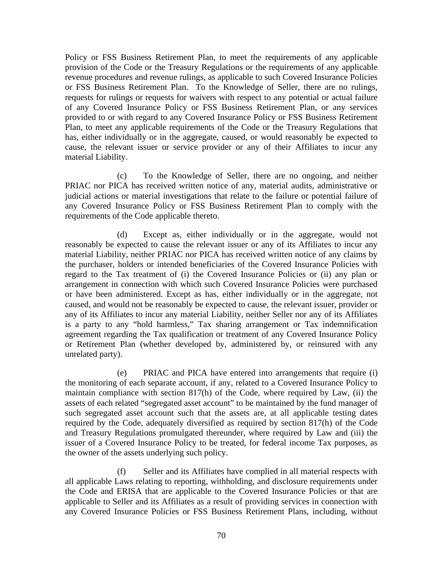Policy or FSS Business Retirement Plan, to meet the requirements of any applicable provision of the Code or the Treasury Regulations or the requirements of any applicable revenue procedures and revenue rulings, as applicable to such Covered Insurance Policies or FSS Business Retirement Plan. To the Knowledge of Seller, there are no rulings, requests for rulings or requests for waivers with respect to any potential or actual failure of any Covered Insurance Policy or FSS Business Retirement Plan, or any services provided to or with regard to any Covered Insurance Policy or FSS Business Retirement Plan, to meet any applicable requirements of the Code or the Treasury Regulations that has, either individually or in the aggregate, caused, or would reasonably be expected to cause, the relevant issuer or service provider or any of their Affiliates to incur any material Liability.

(c) To the Knowledge of Seller, there are no ongoing, and neither PRIAC nor PICA has received written notice of any, material audits, administrative or judicial actions or material investigations that relate to the failure or potential failure of any Covered Insurance Policy or FSS Business Retirement Plan to comply with the requirements of the Code applicable thereto.

(d) Except as, either individually or in the aggregate, would not reasonably be expected to cause the relevant issuer or any of its Affiliates to incur any material Liability, neither PRIAC nor PICA has received written notice of any claims by the purchaser, holders or intended beneficiaries of the Covered Insurance Policies with regard to the Tax treatment of (i) the Covered Insurance Policies or (ii) any plan or arrangement in connection with which such Covered Insurance Policies were purchased or have been administered. Except as has, either individually or in the aggregate, not caused, and would not be reasonably be expected to cause, the relevant issuer, provider or any of its Affiliates to incur any material Liability, neither Seller nor any of its Affiliates is a party to any "hold harmless," Tax sharing arrangement or Tax indemnification agreement regarding the Tax qualification or treatment of any Covered Insurance Policy or Retirement Plan (whether developed by, administered by, or reinsured with any unrelated party).

(e) PRIAC and PICA have entered into arrangements that require (i) the monitoring of each separate account, if any, related to a Covered Insurance Policy to maintain compliance with section 817(h) of the Code, where required by Law, (ii) the assets of each related "segregated asset account" to be maintained by the fund manager of such segregated asset account such that the assets are, at all applicable testing dates required by the Code, adequately diversified as required by section 817(h) of the Code and Treasury Regulations promulgated thereunder, where required by Law and (iii) the issuer of a Covered Insurance Policy to be treated, for federal income Tax purposes, as the owner of the assets underlying such policy.

(f) Seller and its Affiliates have complied in all material respects with all applicable Laws relating to reporting, withholding, and disclosure requirements under the Code and ERISA that are applicable to the Covered Insurance Policies or that are applicable to Seller and its Affiliates as a result of providing services in connection with any Covered Insurance Policies or FSS Business Retirement Plans, including, without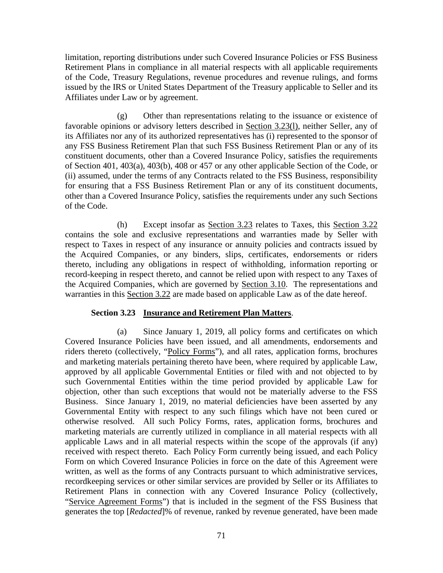limitation, reporting distributions under such Covered Insurance Policies or FSS Business Retirement Plans in compliance in all material respects with all applicable requirements of the Code, Treasury Regulations, revenue procedures and revenue rulings, and forms issued by the IRS or United States Department of the Treasury applicable to Seller and its Affiliates under Law or by agreement.

(g) Other than representations relating to the issuance or existence of favorable opinions or advisory letters described in Section 3.23(l), neither Seller, any of its Affiliates nor any of its authorized representatives has (i) represented to the sponsor of any FSS Business Retirement Plan that such FSS Business Retirement Plan or any of its constituent documents, other than a Covered Insurance Policy, satisfies the requirements of Section 401, 403(a), 403(b), 408 or 457 or any other applicable Section of the Code, or (ii) assumed, under the terms of any Contracts related to the FSS Business, responsibility for ensuring that a FSS Business Retirement Plan or any of its constituent documents, other than a Covered Insurance Policy, satisfies the requirements under any such Sections of the Code.

(h) Except insofar as Section 3.23 relates to Taxes, this Section 3.22 contains the sole and exclusive representations and warranties made by Seller with respect to Taxes in respect of any insurance or annuity policies and contracts issued by the Acquired Companies, or any binders, slips, certificates, endorsements or riders thereto, including any obligations in respect of withholding, information reporting or record-keeping in respect thereto, and cannot be relied upon with respect to any Taxes of the Acquired Companies, which are governed by Section 3.10. The representations and warranties in this Section 3.22 are made based on applicable Law as of the date hereof.

# **Section 3.23 Insurance and Retirement Plan Matters**.

(a) Since January 1, 2019, all policy forms and certificates on which Covered Insurance Policies have been issued, and all amendments, endorsements and riders thereto (collectively, "Policy Forms"), and all rates, application forms, brochures and marketing materials pertaining thereto have been, where required by applicable Law, approved by all applicable Governmental Entities or filed with and not objected to by such Governmental Entities within the time period provided by applicable Law for objection, other than such exceptions that would not be materially adverse to the FSS Business. Since January 1, 2019, no material deficiencies have been asserted by any Governmental Entity with respect to any such filings which have not been cured or otherwise resolved. All such Policy Forms, rates, application forms, brochures and marketing materials are currently utilized in compliance in all material respects with all applicable Laws and in all material respects within the scope of the approvals (if any) received with respect thereto. Each Policy Form currently being issued, and each Policy Form on which Covered Insurance Policies in force on the date of this Agreement were written, as well as the forms of any Contracts pursuant to which administrative services, recordkeeping services or other similar services are provided by Seller or its Affiliates to Retirement Plans in connection with any Covered Insurance Policy (collectively, "Service Agreement Forms") that is included in the segment of the FSS Business that generates the top [*Redacted*]% of revenue, ranked by revenue generated, have been made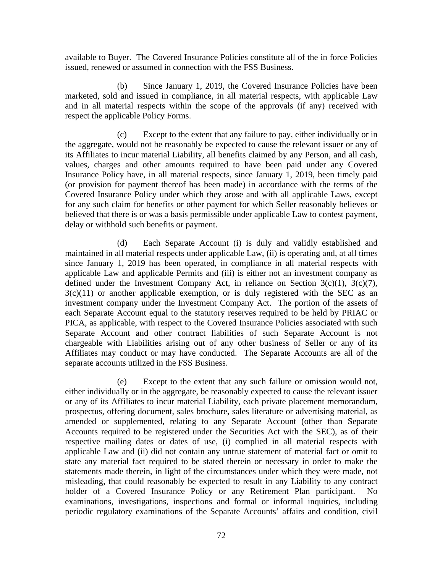available to Buyer. The Covered Insurance Policies constitute all of the in force Policies issued, renewed or assumed in connection with the FSS Business.

(b) Since January 1, 2019, the Covered Insurance Policies have been marketed, sold and issued in compliance, in all material respects, with applicable Law and in all material respects within the scope of the approvals (if any) received with respect the applicable Policy Forms.

(c) Except to the extent that any failure to pay, either individually or in the aggregate, would not be reasonably be expected to cause the relevant issuer or any of its Affiliates to incur material Liability, all benefits claimed by any Person, and all cash, values, charges and other amounts required to have been paid under any Covered Insurance Policy have, in all material respects, since January 1, 2019, been timely paid (or provision for payment thereof has been made) in accordance with the terms of the Covered Insurance Policy under which they arose and with all applicable Laws, except for any such claim for benefits or other payment for which Seller reasonably believes or believed that there is or was a basis permissible under applicable Law to contest payment, delay or withhold such benefits or payment.

(d) Each Separate Account (i) is duly and validly established and maintained in all material respects under applicable Law, (ii) is operating and, at all times since January 1, 2019 has been operated, in compliance in all material respects with applicable Law and applicable Permits and (iii) is either not an investment company as defined under the Investment Company Act, in reliance on Section  $3(c)(1)$ ,  $3(c)(7)$ ,  $3(c)(11)$  or another applicable exemption, or is duly registered with the SEC as an investment company under the Investment Company Act. The portion of the assets of each Separate Account equal to the statutory reserves required to be held by PRIAC or PICA, as applicable, with respect to the Covered Insurance Policies associated with such Separate Account and other contract liabilities of such Separate Account is not chargeable with Liabilities arising out of any other business of Seller or any of its Affiliates may conduct or may have conducted. The Separate Accounts are all of the separate accounts utilized in the FSS Business.

(e) Except to the extent that any such failure or omission would not, either individually or in the aggregate, be reasonably expected to cause the relevant issuer or any of its Affiliates to incur material Liability, each private placement memorandum, prospectus, offering document, sales brochure, sales literature or advertising material, as amended or supplemented, relating to any Separate Account (other than Separate Accounts required to be registered under the Securities Act with the SEC), as of their respective mailing dates or dates of use, (i) complied in all material respects with applicable Law and (ii) did not contain any untrue statement of material fact or omit to state any material fact required to be stated therein or necessary in order to make the statements made therein, in light of the circumstances under which they were made, not misleading, that could reasonably be expected to result in any Liability to any contract holder of a Covered Insurance Policy or any Retirement Plan participant. No examinations, investigations, inspections and formal or informal inquiries, including periodic regulatory examinations of the Separate Accounts' affairs and condition, civil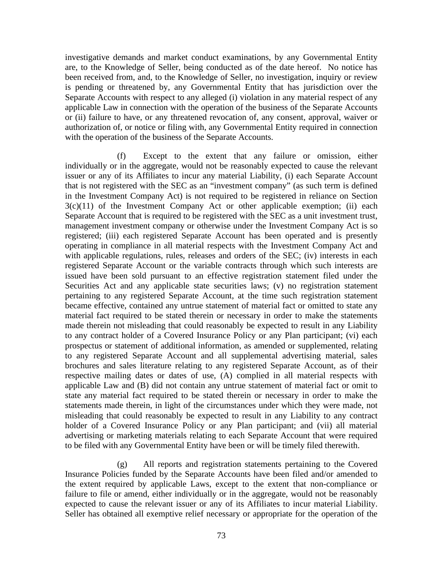investigative demands and market conduct examinations, by any Governmental Entity are, to the Knowledge of Seller, being conducted as of the date hereof. No notice has been received from, and, to the Knowledge of Seller, no investigation, inquiry or review is pending or threatened by, any Governmental Entity that has jurisdiction over the Separate Accounts with respect to any alleged (i) violation in any material respect of any applicable Law in connection with the operation of the business of the Separate Accounts or (ii) failure to have, or any threatened revocation of, any consent, approval, waiver or authorization of, or notice or filing with, any Governmental Entity required in connection with the operation of the business of the Separate Accounts.

(f) Except to the extent that any failure or omission, either individually or in the aggregate, would not be reasonably expected to cause the relevant issuer or any of its Affiliates to incur any material Liability, (i) each Separate Account that is not registered with the SEC as an "investment company" (as such term is defined in the Investment Company Act) is not required to be registered in reliance on Section  $3(c)(11)$  of the Investment Company Act or other applicable exemption; (ii) each Separate Account that is required to be registered with the SEC as a unit investment trust, management investment company or otherwise under the Investment Company Act is so registered; (iii) each registered Separate Account has been operated and is presently operating in compliance in all material respects with the Investment Company Act and with applicable regulations, rules, releases and orders of the SEC; (iv) interests in each registered Separate Account or the variable contracts through which such interests are issued have been sold pursuant to an effective registration statement filed under the Securities Act and any applicable state securities laws; (v) no registration statement pertaining to any registered Separate Account, at the time such registration statement became effective, contained any untrue statement of material fact or omitted to state any material fact required to be stated therein or necessary in order to make the statements made therein not misleading that could reasonably be expected to result in any Liability to any contract holder of a Covered Insurance Policy or any Plan participant; (vi) each prospectus or statement of additional information, as amended or supplemented, relating to any registered Separate Account and all supplemental advertising material, sales brochures and sales literature relating to any registered Separate Account, as of their respective mailing dates or dates of use, (A) complied in all material respects with applicable Law and (B) did not contain any untrue statement of material fact or omit to state any material fact required to be stated therein or necessary in order to make the statements made therein, in light of the circumstances under which they were made, not misleading that could reasonably be expected to result in any Liability to any contract holder of a Covered Insurance Policy or any Plan participant; and (vii) all material advertising or marketing materials relating to each Separate Account that were required to be filed with any Governmental Entity have been or will be timely filed therewith.

(g) All reports and registration statements pertaining to the Covered Insurance Policies funded by the Separate Accounts have been filed and/or amended to the extent required by applicable Laws, except to the extent that non-compliance or failure to file or amend, either individually or in the aggregate, would not be reasonably expected to cause the relevant issuer or any of its Affiliates to incur material Liability. Seller has obtained all exemptive relief necessary or appropriate for the operation of the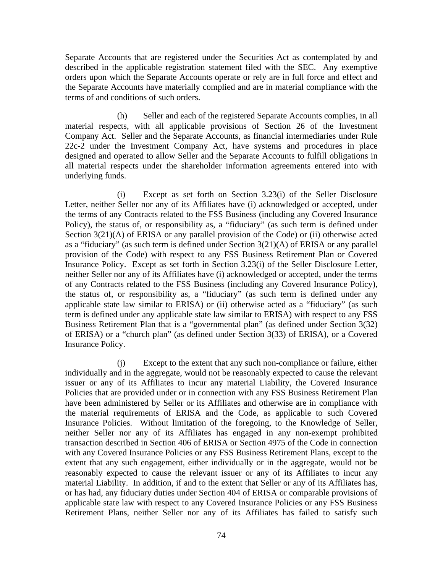Separate Accounts that are registered under the Securities Act as contemplated by and described in the applicable registration statement filed with the SEC. Any exemptive orders upon which the Separate Accounts operate or rely are in full force and effect and the Separate Accounts have materially complied and are in material compliance with the terms of and conditions of such orders.

(h) Seller and each of the registered Separate Accounts complies, in all material respects, with all applicable provisions of Section 26 of the Investment Company Act. Seller and the Separate Accounts, as financial intermediaries under Rule 22c-2 under the Investment Company Act, have systems and procedures in place designed and operated to allow Seller and the Separate Accounts to fulfill obligations in all material respects under the shareholder information agreements entered into with underlying funds.

(i) Except as set forth on Section 3.23(i) of the Seller Disclosure Letter, neither Seller nor any of its Affiliates have (i) acknowledged or accepted, under the terms of any Contracts related to the FSS Business (including any Covered Insurance Policy), the status of, or responsibility as, a "fiduciary" (as such term is defined under Section 3(21)(A) of ERISA or any parallel provision of the Code) or (ii) otherwise acted as a "fiduciary" (as such term is defined under Section 3(21)(A) of ERISA or any parallel provision of the Code) with respect to any FSS Business Retirement Plan or Covered Insurance Policy. Except as set forth in Section 3.23(i) of the Seller Disclosure Letter, neither Seller nor any of its Affiliates have (i) acknowledged or accepted, under the terms of any Contracts related to the FSS Business (including any Covered Insurance Policy), the status of, or responsibility as, a "fiduciary" (as such term is defined under any applicable state law similar to ERISA) or (ii) otherwise acted as a "fiduciary" (as such term is defined under any applicable state law similar to ERISA) with respect to any FSS Business Retirement Plan that is a "governmental plan" (as defined under Section 3(32) of ERISA) or a "church plan" (as defined under Section 3(33) of ERISA), or a Covered Insurance Policy.

(j) Except to the extent that any such non-compliance or failure, either individually and in the aggregate, would not be reasonably expected to cause the relevant issuer or any of its Affiliates to incur any material Liability, the Covered Insurance Policies that are provided under or in connection with any FSS Business Retirement Plan have been administered by Seller or its Affiliates and otherwise are in compliance with the material requirements of ERISA and the Code, as applicable to such Covered Insurance Policies. Without limitation of the foregoing, to the Knowledge of Seller, neither Seller nor any of its Affiliates has engaged in any non-exempt prohibited transaction described in Section 406 of ERISA or Section 4975 of the Code in connection with any Covered Insurance Policies or any FSS Business Retirement Plans, except to the extent that any such engagement, either individually or in the aggregate, would not be reasonably expected to cause the relevant issuer or any of its Affiliates to incur any material Liability. In addition, if and to the extent that Seller or any of its Affiliates has, or has had, any fiduciary duties under Section 404 of ERISA or comparable provisions of applicable state law with respect to any Covered Insurance Policies or any FSS Business Retirement Plans, neither Seller nor any of its Affiliates has failed to satisfy such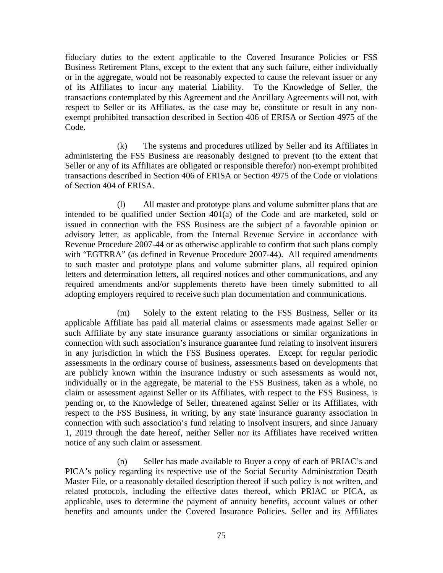fiduciary duties to the extent applicable to the Covered Insurance Policies or FSS Business Retirement Plans, except to the extent that any such failure, either individually or in the aggregate, would not be reasonably expected to cause the relevant issuer or any of its Affiliates to incur any material Liability. To the Knowledge of Seller, the transactions contemplated by this Agreement and the Ancillary Agreements will not, with respect to Seller or its Affiliates, as the case may be, constitute or result in any nonexempt prohibited transaction described in Section 406 of ERISA or Section 4975 of the Code.

(k) The systems and procedures utilized by Seller and its Affiliates in administering the FSS Business are reasonably designed to prevent (to the extent that Seller or any of its Affiliates are obligated or responsible therefor) non-exempt prohibited transactions described in Section 406 of ERISA or Section 4975 of the Code or violations of Section 404 of ERISA.

(l) All master and prototype plans and volume submitter plans that are intended to be qualified under Section 401(a) of the Code and are marketed, sold or issued in connection with the FSS Business are the subject of a favorable opinion or advisory letter, as applicable, from the Internal Revenue Service in accordance with Revenue Procedure 2007-44 or as otherwise applicable to confirm that such plans comply with "EGTRRA" (as defined in Revenue Procedure 2007-44). All required amendments to such master and prototype plans and volume submitter plans, all required opinion letters and determination letters, all required notices and other communications, and any required amendments and/or supplements thereto have been timely submitted to all adopting employers required to receive such plan documentation and communications.

(m) Solely to the extent relating to the FSS Business, Seller or its applicable Affiliate has paid all material claims or assessments made against Seller or such Affiliate by any state insurance guaranty associations or similar organizations in connection with such association's insurance guarantee fund relating to insolvent insurers in any jurisdiction in which the FSS Business operates. Except for regular periodic assessments in the ordinary course of business, assessments based on developments that are publicly known within the insurance industry or such assessments as would not, individually or in the aggregate, be material to the FSS Business, taken as a whole, no claim or assessment against Seller or its Affiliates, with respect to the FSS Business, is pending or, to the Knowledge of Seller, threatened against Seller or its Affiliates, with respect to the FSS Business, in writing, by any state insurance guaranty association in connection with such association's fund relating to insolvent insurers, and since January 1, 2019 through the date hereof, neither Seller nor its Affiliates have received written notice of any such claim or assessment.

(n) Seller has made available to Buyer a copy of each of PRIAC's and PICA's policy regarding its respective use of the Social Security Administration Death Master File, or a reasonably detailed description thereof if such policy is not written, and related protocols, including the effective dates thereof, which PRIAC or PICA, as applicable, uses to determine the payment of annuity benefits, account values or other benefits and amounts under the Covered Insurance Policies. Seller and its Affiliates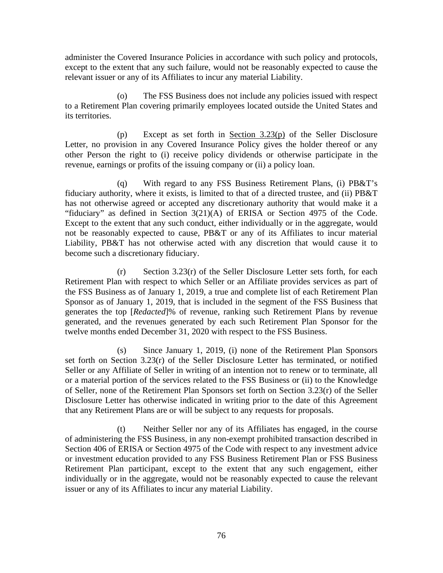administer the Covered Insurance Policies in accordance with such policy and protocols, except to the extent that any such failure, would not be reasonably expected to cause the relevant issuer or any of its Affiliates to incur any material Liability.

(o) The FSS Business does not include any policies issued with respect to a Retirement Plan covering primarily employees located outside the United States and its territories.

(p) Except as set forth in Section 3.23(p) of the Seller Disclosure Letter, no provision in any Covered Insurance Policy gives the holder thereof or any other Person the right to (i) receive policy dividends or otherwise participate in the revenue, earnings or profits of the issuing company or (ii) a policy loan.

(q) With regard to any FSS Business Retirement Plans, (i) PB&T's fiduciary authority, where it exists, is limited to that of a directed trustee, and (ii) PB&T has not otherwise agreed or accepted any discretionary authority that would make it a "fiduciary" as defined in Section 3(21)(A) of ERISA or Section 4975 of the Code. Except to the extent that any such conduct, either individually or in the aggregate, would not be reasonably expected to cause, PB&T or any of its Affiliates to incur material Liability, PB&T has not otherwise acted with any discretion that would cause it to become such a discretionary fiduciary.

(r) Section 3.23(r) of the Seller Disclosure Letter sets forth, for each Retirement Plan with respect to which Seller or an Affiliate provides services as part of the FSS Business as of January 1, 2019, a true and complete list of each Retirement Plan Sponsor as of January 1, 2019, that is included in the segment of the FSS Business that generates the top [*Redacted*]% of revenue, ranking such Retirement Plans by revenue generated, and the revenues generated by each such Retirement Plan Sponsor for the twelve months ended December 31, 2020 with respect to the FSS Business.

(s) Since January 1, 2019, (i) none of the Retirement Plan Sponsors set forth on Section 3.23(r) of the Seller Disclosure Letter has terminated, or notified Seller or any Affiliate of Seller in writing of an intention not to renew or to terminate, all or a material portion of the services related to the FSS Business or (ii) to the Knowledge of Seller, none of the Retirement Plan Sponsors set forth on Section 3.23(r) of the Seller Disclosure Letter has otherwise indicated in writing prior to the date of this Agreement that any Retirement Plans are or will be subject to any requests for proposals.

(t) Neither Seller nor any of its Affiliates has engaged, in the course of administering the FSS Business, in any non-exempt prohibited transaction described in Section 406 of ERISA or Section 4975 of the Code with respect to any investment advice or investment education provided to any FSS Business Retirement Plan or FSS Business Retirement Plan participant, except to the extent that any such engagement, either individually or in the aggregate, would not be reasonably expected to cause the relevant issuer or any of its Affiliates to incur any material Liability.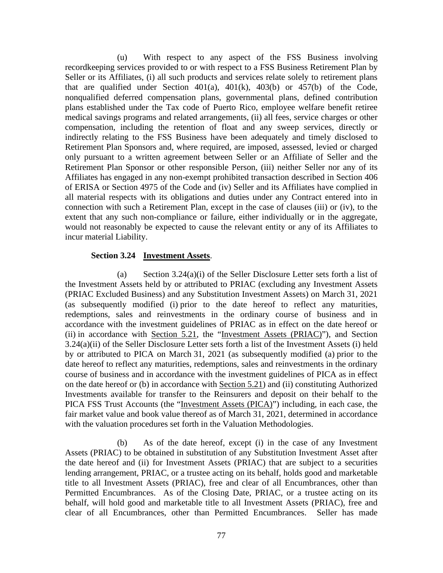(u) With respect to any aspect of the FSS Business involving recordkeeping services provided to or with respect to a FSS Business Retirement Plan by Seller or its Affiliates, (i) all such products and services relate solely to retirement plans that are qualified under Section  $401(a)$ ,  $401(k)$ ,  $403(b)$  or  $457(b)$  of the Code, nonqualified deferred compensation plans, governmental plans, defined contribution plans established under the Tax code of Puerto Rico, employee welfare benefit retiree medical savings programs and related arrangements, (ii) all fees, service charges or other compensation, including the retention of float and any sweep services, directly or indirectly relating to the FSS Business have been adequately and timely disclosed to Retirement Plan Sponsors and, where required, are imposed, assessed, levied or charged only pursuant to a written agreement between Seller or an Affiliate of Seller and the Retirement Plan Sponsor or other responsible Person, (iii) neither Seller nor any of its Affiliates has engaged in any non-exempt prohibited transaction described in Section 406 of ERISA or Section 4975 of the Code and (iv) Seller and its Affiliates have complied in all material respects with its obligations and duties under any Contract entered into in connection with such a Retirement Plan, except in the case of clauses (iii) or (iv), to the extent that any such non-compliance or failure, either individually or in the aggregate, would not reasonably be expected to cause the relevant entity or any of its Affiliates to incur material Liability.

# **Section 3.24 Investment Assets**.

(a) Section 3.24(a)(i) of the Seller Disclosure Letter sets forth a list of the Investment Assets held by or attributed to PRIAC (excluding any Investment Assets (PRIAC Excluded Business) and any Substitution Investment Assets) on March 31, 2021 (as subsequently modified (i) prior to the date hereof to reflect any maturities, redemptions, sales and reinvestments in the ordinary course of business and in accordance with the investment guidelines of PRIAC as in effect on the date hereof or (ii) in accordance with Section 5.21, the "Investment Assets (PRIAC)"), and Section 3.24(a)(ii) of the Seller Disclosure Letter sets forth a list of the Investment Assets (i) held by or attributed to PICA on March 31, 2021 (as subsequently modified (a) prior to the date hereof to reflect any maturities, redemptions, sales and reinvestments in the ordinary course of business and in accordance with the investment guidelines of PICA as in effect on the date hereof or (b) in accordance with Section 5.21) and (ii) constituting Authorized Investments available for transfer to the Reinsurers and deposit on their behalf to the PICA FSS Trust Accounts (the "Investment Assets (PICA)") including, in each case, the fair market value and book value thereof as of March 31, 2021, determined in accordance with the valuation procedures set forth in the Valuation Methodologies.

(b) As of the date hereof, except (i) in the case of any Investment Assets (PRIAC) to be obtained in substitution of any Substitution Investment Asset after the date hereof and (ii) for Investment Assets (PRIAC) that are subject to a securities lending arrangement, PRIAC, or a trustee acting on its behalf, holds good and marketable title to all Investment Assets (PRIAC), free and clear of all Encumbrances, other than Permitted Encumbrances. As of the Closing Date, PRIAC, or a trustee acting on its behalf, will hold good and marketable title to all Investment Assets (PRIAC), free and clear of all Encumbrances, other than Permitted Encumbrances. Seller has made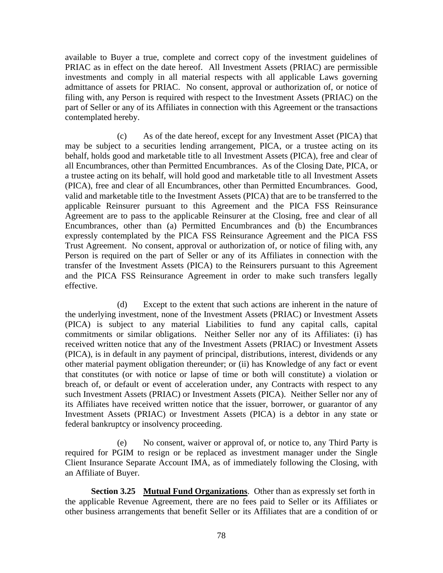available to Buyer a true, complete and correct copy of the investment guidelines of PRIAC as in effect on the date hereof. All Investment Assets (PRIAC) are permissible investments and comply in all material respects with all applicable Laws governing admittance of assets for PRIAC. No consent, approval or authorization of, or notice of filing with, any Person is required with respect to the Investment Assets (PRIAC) on the part of Seller or any of its Affiliates in connection with this Agreement or the transactions contemplated hereby.

(c) As of the date hereof, except for any Investment Asset (PICA) that may be subject to a securities lending arrangement, PICA, or a trustee acting on its behalf, holds good and marketable title to all Investment Assets (PICA), free and clear of all Encumbrances, other than Permitted Encumbrances. As of the Closing Date, PICA, or a trustee acting on its behalf, will hold good and marketable title to all Investment Assets (PICA), free and clear of all Encumbrances, other than Permitted Encumbrances. Good, valid and marketable title to the Investment Assets (PICA) that are to be transferred to the applicable Reinsurer pursuant to this Agreement and the PICA FSS Reinsurance Agreement are to pass to the applicable Reinsurer at the Closing, free and clear of all Encumbrances, other than (a) Permitted Encumbrances and (b) the Encumbrances expressly contemplated by the PICA FSS Reinsurance Agreement and the PICA FSS Trust Agreement. No consent, approval or authorization of, or notice of filing with, any Person is required on the part of Seller or any of its Affiliates in connection with the transfer of the Investment Assets (PICA) to the Reinsurers pursuant to this Agreement and the PICA FSS Reinsurance Agreement in order to make such transfers legally effective.

(d) Except to the extent that such actions are inherent in the nature of the underlying investment, none of the Investment Assets (PRIAC) or Investment Assets (PICA) is subject to any material Liabilities to fund any capital calls, capital commitments or similar obligations. Neither Seller nor any of its Affiliates: (i) has received written notice that any of the Investment Assets (PRIAC) or Investment Assets (PICA), is in default in any payment of principal, distributions, interest, dividends or any other material payment obligation thereunder; or (ii) has Knowledge of any fact or event that constitutes (or with notice or lapse of time or both will constitute) a violation or breach of, or default or event of acceleration under, any Contracts with respect to any such Investment Assets (PRIAC) or Investment Assets (PICA). Neither Seller nor any of its Affiliates have received written notice that the issuer, borrower, or guarantor of any Investment Assets (PRIAC) or Investment Assets (PICA) is a debtor in any state or federal bankruptcy or insolvency proceeding.

(e) No consent, waiver or approval of, or notice to, any Third Party is required for PGIM to resign or be replaced as investment manager under the Single Client Insurance Separate Account IMA, as of immediately following the Closing, with an Affiliate of Buyer.

**Section 3.25 Mutual Fund Organizations**. Other than as expressly set forth in the applicable Revenue Agreement, there are no fees paid to Seller or its Affiliates or other business arrangements that benefit Seller or its Affiliates that are a condition of or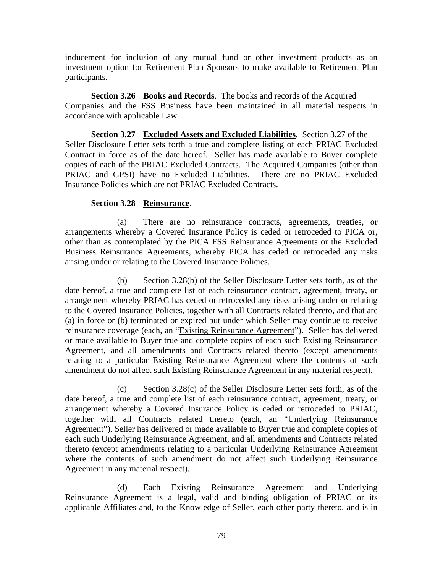inducement for inclusion of any mutual fund or other investment products as an investment option for Retirement Plan Sponsors to make available to Retirement Plan participants.

**Section 3.26 Books and Records**. The books and records of the Acquired Companies and the FSS Business have been maintained in all material respects in accordance with applicable Law.

**Section 3.27 Excluded Assets and Excluded Liabilities**. Section 3.27 of the Seller Disclosure Letter sets forth a true and complete listing of each PRIAC Excluded Contract in force as of the date hereof. Seller has made available to Buyer complete copies of each of the PRIAC Excluded Contracts. The Acquired Companies (other than PRIAC and GPSI) have no Excluded Liabilities. There are no PRIAC Excluded Insurance Policies which are not PRIAC Excluded Contracts.

# **Section 3.28 Reinsurance**.

(a) There are no reinsurance contracts, agreements, treaties, or arrangements whereby a Covered Insurance Policy is ceded or retroceded to PICA or, other than as contemplated by the PICA FSS Reinsurance Agreements or the Excluded Business Reinsurance Agreements, whereby PICA has ceded or retroceded any risks arising under or relating to the Covered Insurance Policies.

(b) Section 3.28(b) of the Seller Disclosure Letter sets forth, as of the date hereof, a true and complete list of each reinsurance contract, agreement, treaty, or arrangement whereby PRIAC has ceded or retroceded any risks arising under or relating to the Covered Insurance Policies, together with all Contracts related thereto, and that are (a) in force or (b) terminated or expired but under which Seller may continue to receive reinsurance coverage (each, an "Existing Reinsurance Agreement"). Seller has delivered or made available to Buyer true and complete copies of each such Existing Reinsurance Agreement, and all amendments and Contracts related thereto (except amendments relating to a particular Existing Reinsurance Agreement where the contents of such amendment do not affect such Existing Reinsurance Agreement in any material respect).

(c) Section 3.28(c) of the Seller Disclosure Letter sets forth, as of the date hereof, a true and complete list of each reinsurance contract, agreement, treaty, or arrangement whereby a Covered Insurance Policy is ceded or retroceded to PRIAC, together with all Contracts related thereto (each, an "Underlying Reinsurance Agreement"). Seller has delivered or made available to Buyer true and complete copies of each such Underlying Reinsurance Agreement, and all amendments and Contracts related thereto (except amendments relating to a particular Underlying Reinsurance Agreement where the contents of such amendment do not affect such Underlying Reinsurance Agreement in any material respect).

(d) Each Existing Reinsurance Agreement and Underlying Reinsurance Agreement is a legal, valid and binding obligation of PRIAC or its applicable Affiliates and, to the Knowledge of Seller, each other party thereto, and is in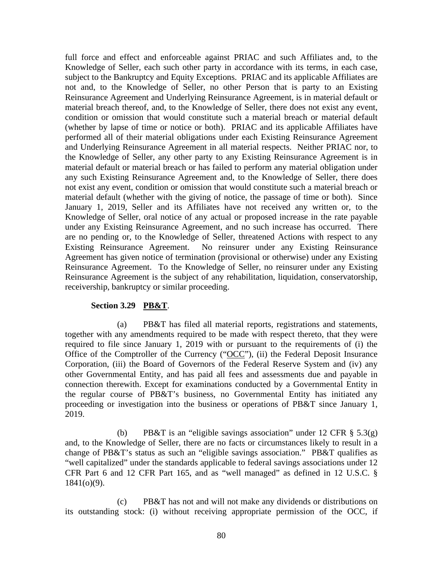full force and effect and enforceable against PRIAC and such Affiliates and, to the Knowledge of Seller, each such other party in accordance with its terms, in each case, subject to the Bankruptcy and Equity Exceptions. PRIAC and its applicable Affiliates are not and, to the Knowledge of Seller, no other Person that is party to an Existing Reinsurance Agreement and Underlying Reinsurance Agreement, is in material default or material breach thereof, and, to the Knowledge of Seller, there does not exist any event, condition or omission that would constitute such a material breach or material default (whether by lapse of time or notice or both). PRIAC and its applicable Affiliates have performed all of their material obligations under each Existing Reinsurance Agreement and Underlying Reinsurance Agreement in all material respects. Neither PRIAC nor, to the Knowledge of Seller, any other party to any Existing Reinsurance Agreement is in material default or material breach or has failed to perform any material obligation under any such Existing Reinsurance Agreement and, to the Knowledge of Seller, there does not exist any event, condition or omission that would constitute such a material breach or material default (whether with the giving of notice, the passage of time or both). Since January 1, 2019, Seller and its Affiliates have not received any written or, to the Knowledge of Seller, oral notice of any actual or proposed increase in the rate payable under any Existing Reinsurance Agreement, and no such increase has occurred. There are no pending or, to the Knowledge of Seller, threatened Actions with respect to any Existing Reinsurance Agreement. No reinsurer under any Existing Reinsurance Agreement has given notice of termination (provisional or otherwise) under any Existing Reinsurance Agreement. To the Knowledge of Seller, no reinsurer under any Existing Reinsurance Agreement is the subject of any rehabilitation, liquidation, conservatorship, receivership, bankruptcy or similar proceeding.

### **Section 3.29 PB&T**.

(a) PB&T has filed all material reports, registrations and statements, together with any amendments required to be made with respect thereto, that they were required to file since January 1, 2019 with or pursuant to the requirements of (i) the Office of the Comptroller of the Currency ("OCC"), (ii) the Federal Deposit Insurance Corporation, (iii) the Board of Governors of the Federal Reserve System and (iv) any other Governmental Entity, and has paid all fees and assessments due and payable in connection therewith. Except for examinations conducted by a Governmental Entity in the regular course of PB&T's business, no Governmental Entity has initiated any proceeding or investigation into the business or operations of PB&T since January 1, 2019.

(b) PB&T is an "eligible savings association" under 12 CFR  $\S$  5.3(g) and, to the Knowledge of Seller, there are no facts or circumstances likely to result in a change of PB&T's status as such an "eligible savings association." PB&T qualifies as "well capitalized" under the standards applicable to federal savings associations under 12 CFR Part 6 and 12 CFR Part 165, and as "well managed" as defined in 12 U.S.C. § 1841(o)(9).

(c) PB&T has not and will not make any dividends or distributions on its outstanding stock: (i) without receiving appropriate permission of the OCC, if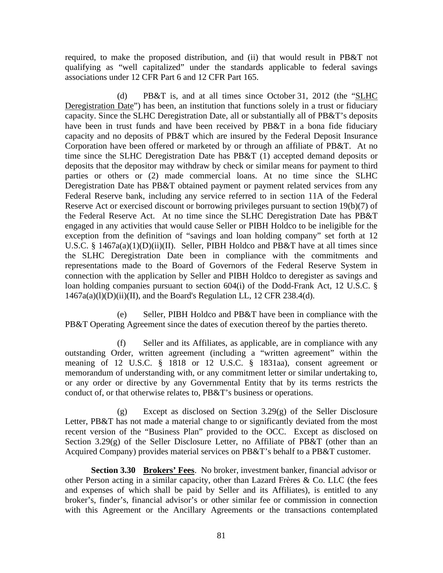required, to make the proposed distribution, and (ii) that would result in PB&T not qualifying as "well capitalized" under the standards applicable to federal savings associations under 12 CFR Part 6 and 12 CFR Part 165.

(d) PB&T is, and at all times since October 31, 2012 (the "SLHC Deregistration Date") has been, an institution that functions solely in a trust or fiduciary capacity. Since the SLHC Deregistration Date, all or substantially all of PB&T's deposits have been in trust funds and have been received by PB&T in a bona fide fiduciary capacity and no deposits of PB&T which are insured by the Federal Deposit Insurance Corporation have been offered or marketed by or through an affiliate of PB&T. At no time since the SLHC Deregistration Date has PB&T (1) accepted demand deposits or deposits that the depositor may withdraw by check or similar means for payment to third parties or others or (2) made commercial loans. At no time since the SLHC Deregistration Date has PB&T obtained payment or payment related services from any Federal Reserve bank, including any service referred to in section 11A of the Federal Reserve Act or exercised discount or borrowing privileges pursuant to section 19(b)(7) of the Federal Reserve Act. At no time since the SLHC Deregistration Date has PB&T engaged in any activities that would cause Seller or PIBH Holdco to be ineligible for the exception from the definition of "savings and loan holding company" set forth at 12 U.S.C. § 1467a(a)(1)(D)(ii)(II). Seller, PIBH Holdco and PB&T have at all times since the SLHC Deregistration Date been in compliance with the commitments and representations made to the Board of Governors of the Federal Reserve System in connection with the application by Seller and PIBH Holdco to deregister as savings and loan holding companies pursuant to section 604(i) of the Dodd-Frank Act, 12 U.S.C. §  $1467a(a)(l)(D)(ii)(II)$ , and the Board's Regulation LL, 12 CFR 238.4(d).

(e) Seller, PIBH Holdco and PB&T have been in compliance with the PB&T Operating Agreement since the dates of execution thereof by the parties thereto.

(f) Seller and its Affiliates, as applicable, are in compliance with any outstanding Order, written agreement (including a "written agreement" within the meaning of 12 U.S.C. § 1818 or 12 U.S.C. § 1831aa), consent agreement or memorandum of understanding with, or any commitment letter or similar undertaking to, or any order or directive by any Governmental Entity that by its terms restricts the conduct of, or that otherwise relates to, PB&T's business or operations.

(g) Except as disclosed on Section 3.29(g) of the Seller Disclosure Letter, PB&T has not made a material change to or significantly deviated from the most recent version of the "Business Plan" provided to the OCC. Except as disclosed on Section 3.29(g) of the Seller Disclosure Letter, no Affiliate of PB&T (other than an Acquired Company) provides material services on PB&T's behalf to a PB&T customer.

**Section 3.30 Brokers' Fees**. No broker, investment banker, financial advisor or other Person acting in a similar capacity, other than Lazard Frères  $\&$  Co. LLC (the fees and expenses of which shall be paid by Seller and its Affiliates), is entitled to any broker's, finder's, financial advisor's or other similar fee or commission in connection with this Agreement or the Ancillary Agreements or the transactions contemplated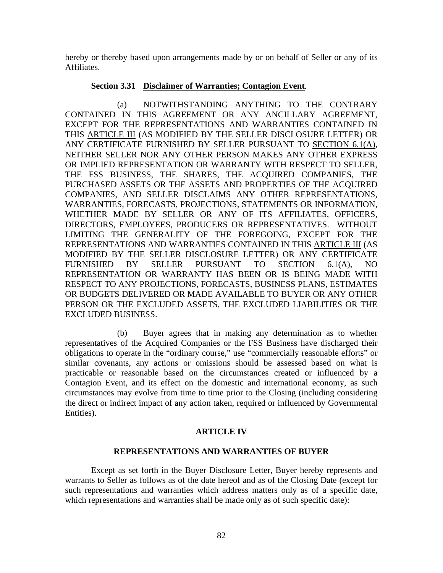hereby or thereby based upon arrangements made by or on behalf of Seller or any of its Affiliates.

### **Section 3.31 Disclaimer of Warranties; Contagion Event***.*

(a) NOTWITHSTANDING ANYTHING TO THE CONTRARY CONTAINED IN THIS AGREEMENT OR ANY ANCILLARY AGREEMENT, EXCEPT FOR THE REPRESENTATIONS AND WARRANTIES CONTAINED IN THIS ARTICLE III (AS MODIFIED BY THE SELLER DISCLOSURE LETTER) OR ANY CERTIFICATE FURNISHED BY SELLER PURSUANT TO SECTION 6.1(A), NEITHER SELLER NOR ANY OTHER PERSON MAKES ANY OTHER EXPRESS OR IMPLIED REPRESENTATION OR WARRANTY WITH RESPECT TO SELLER, THE FSS BUSINESS, THE SHARES, THE ACQUIRED COMPANIES, THE PURCHASED ASSETS OR THE ASSETS AND PROPERTIES OF THE ACQUIRED COMPANIES, AND SELLER DISCLAIMS ANY OTHER REPRESENTATIONS, WARRANTIES, FORECASTS, PROJECTIONS, STATEMENTS OR INFORMATION, WHETHER MADE BY SELLER OR ANY OF ITS AFFILIATES, OFFICERS, DIRECTORS, EMPLOYEES, PRODUCERS OR REPRESENTATIVES. WITHOUT LIMITING THE GENERALITY OF THE FOREGOING, EXCEPT FOR THE REPRESENTATIONS AND WARRANTIES CONTAINED IN THIS ARTICLE III (AS MODIFIED BY THE SELLER DISCLOSURE LETTER) OR ANY CERTIFICATE FURNISHED BY SELLER PURSUANT TO SECTION 6.1(A), NO REPRESENTATION OR WARRANTY HAS BEEN OR IS BEING MADE WITH RESPECT TO ANY PROJECTIONS, FORECASTS, BUSINESS PLANS, ESTIMATES OR BUDGETS DELIVERED OR MADE AVAILABLE TO BUYER OR ANY OTHER PERSON OR THE EXCLUDED ASSETS, THE EXCLUDED LIABILITIES OR THE EXCLUDED BUSINESS.

(b) Buyer agrees that in making any determination as to whether representatives of the Acquired Companies or the FSS Business have discharged their obligations to operate in the "ordinary course," use "commercially reasonable efforts" or similar covenants, any actions or omissions should be assessed based on what is practicable or reasonable based on the circumstances created or influenced by a Contagion Event, and its effect on the domestic and international economy, as such circumstances may evolve from time to time prior to the Closing (including considering the direct or indirect impact of any action taken, required or influenced by Governmental Entities).

### **ARTICLE IV**

### **REPRESENTATIONS AND WARRANTIES OF BUYER**

Except as set forth in the Buyer Disclosure Letter, Buyer hereby represents and warrants to Seller as follows as of the date hereof and as of the Closing Date (except for such representations and warranties which address matters only as of a specific date, which representations and warranties shall be made only as of such specific date):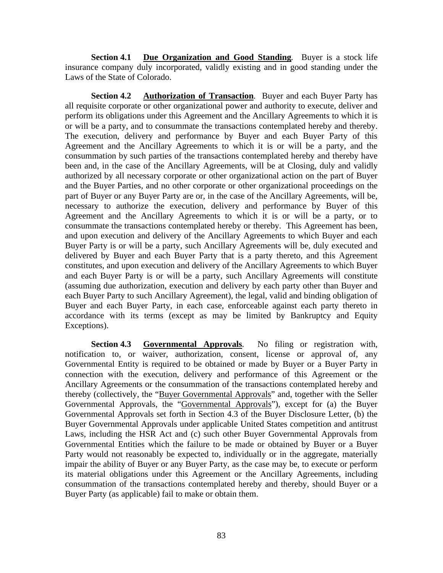**Section 4.1 Due Organization and Good Standing***.* Buyer is a stock life insurance company duly incorporated, validly existing and in good standing under the Laws of the State of Colorado.

**Section 4.2 Authorization of Transaction***.* Buyer and each Buyer Party has all requisite corporate or other organizational power and authority to execute, deliver and perform its obligations under this Agreement and the Ancillary Agreements to which it is or will be a party, and to consummate the transactions contemplated hereby and thereby. The execution, delivery and performance by Buyer and each Buyer Party of this Agreement and the Ancillary Agreements to which it is or will be a party, and the consummation by such parties of the transactions contemplated hereby and thereby have been and, in the case of the Ancillary Agreements, will be at Closing, duly and validly authorized by all necessary corporate or other organizational action on the part of Buyer and the Buyer Parties, and no other corporate or other organizational proceedings on the part of Buyer or any Buyer Party are or, in the case of the Ancillary Agreements, will be, necessary to authorize the execution, delivery and performance by Buyer of this Agreement and the Ancillary Agreements to which it is or will be a party, or to consummate the transactions contemplated hereby or thereby. This Agreement has been, and upon execution and delivery of the Ancillary Agreements to which Buyer and each Buyer Party is or will be a party, such Ancillary Agreements will be, duly executed and delivered by Buyer and each Buyer Party that is a party thereto, and this Agreement constitutes, and upon execution and delivery of the Ancillary Agreements to which Buyer and each Buyer Party is or will be a party, such Ancillary Agreements will constitute (assuming due authorization, execution and delivery by each party other than Buyer and each Buyer Party to such Ancillary Agreement), the legal, valid and binding obligation of Buyer and each Buyer Party, in each case, enforceable against each party thereto in accordance with its terms (except as may be limited by Bankruptcy and Equity Exceptions).

**Section 4.3 Governmental Approvals***.* No filing or registration with, notification to, or waiver, authorization, consent, license or approval of, any Governmental Entity is required to be obtained or made by Buyer or a Buyer Party in connection with the execution, delivery and performance of this Agreement or the Ancillary Agreements or the consummation of the transactions contemplated hereby and thereby (collectively, the "Buyer Governmental Approvals" and, together with the Seller Governmental Approvals, the "Governmental Approvals"), except for (a) the Buyer Governmental Approvals set forth in Section 4.3 of the Buyer Disclosure Letter, (b) the Buyer Governmental Approvals under applicable United States competition and antitrust Laws, including the HSR Act and (c) such other Buyer Governmental Approvals from Governmental Entities which the failure to be made or obtained by Buyer or a Buyer Party would not reasonably be expected to, individually or in the aggregate, materially impair the ability of Buyer or any Buyer Party, as the case may be, to execute or perform its material obligations under this Agreement or the Ancillary Agreements, including consummation of the transactions contemplated hereby and thereby, should Buyer or a Buyer Party (as applicable) fail to make or obtain them.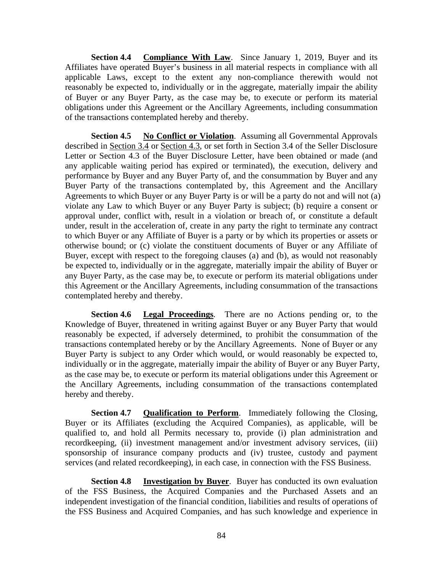**Section 4.4 Compliance With Law**. Since January 1, 2019, Buyer and its Affiliates have operated Buyer's business in all material respects in compliance with all applicable Laws, except to the extent any non-compliance therewith would not reasonably be expected to, individually or in the aggregate, materially impair the ability of Buyer or any Buyer Party, as the case may be, to execute or perform its material obligations under this Agreement or the Ancillary Agreements, including consummation of the transactions contemplated hereby and thereby.

**Section 4.5 No Conflict or Violation**. Assuming all Governmental Approvals described in Section 3.4 or Section 4.3, or set forth in Section 3.4 of the Seller Disclosure Letter or Section 4.3 of the Buyer Disclosure Letter, have been obtained or made (and any applicable waiting period has expired or terminated), the execution, delivery and performance by Buyer and any Buyer Party of, and the consummation by Buyer and any Buyer Party of the transactions contemplated by, this Agreement and the Ancillary Agreements to which Buyer or any Buyer Party is or will be a party do not and will not (a) violate any Law to which Buyer or any Buyer Party is subject; (b) require a consent or approval under, conflict with, result in a violation or breach of, or constitute a default under, result in the acceleration of, create in any party the right to terminate any contract to which Buyer or any Affiliate of Buyer is a party or by which its properties or assets or otherwise bound; or (c) violate the constituent documents of Buyer or any Affiliate of Buyer, except with respect to the foregoing clauses (a) and (b), as would not reasonably be expected to, individually or in the aggregate, materially impair the ability of Buyer or any Buyer Party, as the case may be, to execute or perform its material obligations under this Agreement or the Ancillary Agreements, including consummation of the transactions contemplated hereby and thereby.

**Section 4.6 Legal Proceedings***.* There are no Actions pending or, to the Knowledge of Buyer, threatened in writing against Buyer or any Buyer Party that would reasonably be expected, if adversely determined, to prohibit the consummation of the transactions contemplated hereby or by the Ancillary Agreements. None of Buyer or any Buyer Party is subject to any Order which would, or would reasonably be expected to, individually or in the aggregate, materially impair the ability of Buyer or any Buyer Party, as the case may be, to execute or perform its material obligations under this Agreement or the Ancillary Agreements, including consummation of the transactions contemplated hereby and thereby.

**Section 4.7 Qualification to Perform**. Immediately following the Closing, Buyer or its Affiliates (excluding the Acquired Companies), as applicable, will be qualified to, and hold all Permits necessary to, provide (i) plan administration and recordkeeping, (ii) investment management and/or investment advisory services, (iii) sponsorship of insurance company products and (iv) trustee, custody and payment services (and related recordkeeping), in each case, in connection with the FSS Business.

**Section 4.8 Investigation by Buyer**. Buyer has conducted its own evaluation of the FSS Business, the Acquired Companies and the Purchased Assets and an independent investigation of the financial condition, liabilities and results of operations of the FSS Business and Acquired Companies, and has such knowledge and experience in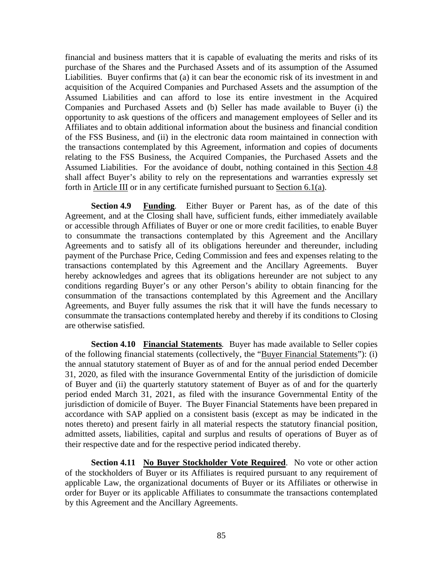financial and business matters that it is capable of evaluating the merits and risks of its purchase of the Shares and the Purchased Assets and of its assumption of the Assumed Liabilities. Buyer confirms that (a) it can bear the economic risk of its investment in and acquisition of the Acquired Companies and Purchased Assets and the assumption of the Assumed Liabilities and can afford to lose its entire investment in the Acquired Companies and Purchased Assets and (b) Seller has made available to Buyer (i) the opportunity to ask questions of the officers and management employees of Seller and its Affiliates and to obtain additional information about the business and financial condition of the FSS Business, and (ii) in the electronic data room maintained in connection with the transactions contemplated by this Agreement, information and copies of documents relating to the FSS Business, the Acquired Companies, the Purchased Assets and the Assumed Liabilities. For the avoidance of doubt, nothing contained in this Section 4.8 shall affect Buyer's ability to rely on the representations and warranties expressly set forth in Article III or in any certificate furnished pursuant to Section  $6.1(a)$ .

**Section 4.9 Funding***.* Either Buyer or Parent has, as of the date of this Agreement, and at the Closing shall have, sufficient funds, either immediately available or accessible through Affiliates of Buyer or one or more credit facilities, to enable Buyer to consummate the transactions contemplated by this Agreement and the Ancillary Agreements and to satisfy all of its obligations hereunder and thereunder, including payment of the Purchase Price, Ceding Commission and fees and expenses relating to the transactions contemplated by this Agreement and the Ancillary Agreements. Buyer hereby acknowledges and agrees that its obligations hereunder are not subject to any conditions regarding Buyer's or any other Person's ability to obtain financing for the consummation of the transactions contemplated by this Agreement and the Ancillary Agreements, and Buyer fully assumes the risk that it will have the funds necessary to consummate the transactions contemplated hereby and thereby if its conditions to Closing are otherwise satisfied.

**Section 4.10 Financial Statements***.* Buyer has made available to Seller copies of the following financial statements (collectively, the "Buyer Financial Statements"): (i) the annual statutory statement of Buyer as of and for the annual period ended December 31, 2020, as filed with the insurance Governmental Entity of the jurisdiction of domicile of Buyer and (ii) the quarterly statutory statement of Buyer as of and for the quarterly period ended March 31, 2021, as filed with the insurance Governmental Entity of the jurisdiction of domicile of Buyer. The Buyer Financial Statements have been prepared in accordance with SAP applied on a consistent basis (except as may be indicated in the notes thereto) and present fairly in all material respects the statutory financial position, admitted assets, liabilities, capital and surplus and results of operations of Buyer as of their respective date and for the respective period indicated thereby.

**Section 4.11** No Buyer Stockholder Vote Required. No vote or other action of the stockholders of Buyer or its Affiliates is required pursuant to any requirement of applicable Law, the organizational documents of Buyer or its Affiliates or otherwise in order for Buyer or its applicable Affiliates to consummate the transactions contemplated by this Agreement and the Ancillary Agreements.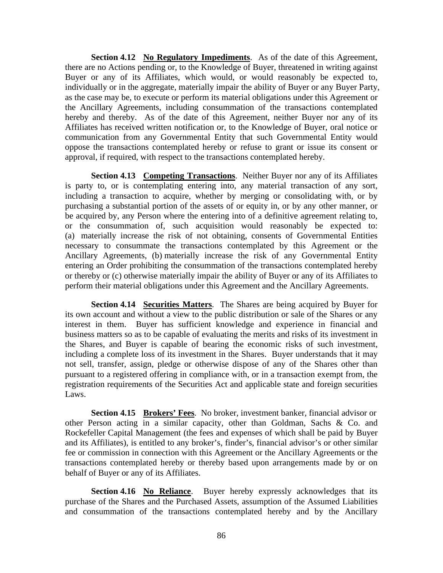**Section 4.12** No Regulatory Impediments. As of the date of this Agreement, there are no Actions pending or, to the Knowledge of Buyer, threatened in writing against Buyer or any of its Affiliates, which would, or would reasonably be expected to, individually or in the aggregate, materially impair the ability of Buyer or any Buyer Party, as the case may be, to execute or perform its material obligations under this Agreement or the Ancillary Agreements, including consummation of the transactions contemplated hereby and thereby. As of the date of this Agreement, neither Buyer nor any of its Affiliates has received written notification or, to the Knowledge of Buyer, oral notice or communication from any Governmental Entity that such Governmental Entity would oppose the transactions contemplated hereby or refuse to grant or issue its consent or approval, if required, with respect to the transactions contemplated hereby.

**Section 4.13 Competing Transactions**. Neither Buyer nor any of its Affiliates is party to, or is contemplating entering into, any material transaction of any sort, including a transaction to acquire, whether by merging or consolidating with, or by purchasing a substantial portion of the assets of or equity in, or by any other manner, or be acquired by, any Person where the entering into of a definitive agreement relating to, or the consummation of, such acquisition would reasonably be expected to: (a) materially increase the risk of not obtaining, consents of Governmental Entities necessary to consummate the transactions contemplated by this Agreement or the Ancillary Agreements, (b) materially increase the risk of any Governmental Entity entering an Order prohibiting the consummation of the transactions contemplated hereby or thereby or (c) otherwise materially impair the ability of Buyer or any of its Affiliates to perform their material obligations under this Agreement and the Ancillary Agreements.

**Section 4.14 Securities Matters**. The Shares are being acquired by Buyer for its own account and without a view to the public distribution or sale of the Shares or any interest in them. Buyer has sufficient knowledge and experience in financial and business matters so as to be capable of evaluating the merits and risks of its investment in the Shares, and Buyer is capable of bearing the economic risks of such investment, including a complete loss of its investment in the Shares. Buyer understands that it may not sell, transfer, assign, pledge or otherwise dispose of any of the Shares other than pursuant to a registered offering in compliance with, or in a transaction exempt from, the registration requirements of the Securities Act and applicable state and foreign securities Laws.

**Section 4.15 Brokers' Fees***.* No broker, investment banker, financial advisor or other Person acting in a similar capacity, other than Goldman, Sachs & Co. and Rockefeller Capital Management (the fees and expenses of which shall be paid by Buyer and its Affiliates), is entitled to any broker's, finder's, financial advisor's or other similar fee or commission in connection with this Agreement or the Ancillary Agreements or the transactions contemplated hereby or thereby based upon arrangements made by or on behalf of Buyer or any of its Affiliates.

**Section 4.16 No Reliance**. Buyer hereby expressly acknowledges that its purchase of the Shares and the Purchased Assets, assumption of the Assumed Liabilities and consummation of the transactions contemplated hereby and by the Ancillary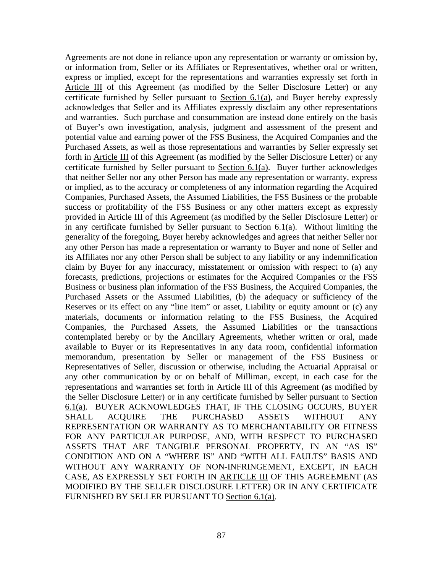Agreements are not done in reliance upon any representation or warranty or omission by, or information from, Seller or its Affiliates or Representatives, whether oral or written, express or implied, except for the representations and warranties expressly set forth in Article III of this Agreement (as modified by the Seller Disclosure Letter) or any certificate furnished by Seller pursuant to Section 6.1(a), and Buyer hereby expressly acknowledges that Seller and its Affiliates expressly disclaim any other representations and warranties. Such purchase and consummation are instead done entirely on the basis of Buyer's own investigation, analysis, judgment and assessment of the present and potential value and earning power of the FSS Business, the Acquired Companies and the Purchased Assets, as well as those representations and warranties by Seller expressly set forth in Article III of this Agreement (as modified by the Seller Disclosure Letter) or any certificate furnished by Seller pursuant to Section 6.1(a). Buyer further acknowledges that neither Seller nor any other Person has made any representation or warranty, express or implied, as to the accuracy or completeness of any information regarding the Acquired Companies, Purchased Assets, the Assumed Liabilities, the FSS Business or the probable success or profitability of the FSS Business or any other matters except as expressly provided in Article III of this Agreement (as modified by the Seller Disclosure Letter) or in any certificate furnished by Seller pursuant to Section  $6.1(a)$ . Without limiting the generality of the foregoing, Buyer hereby acknowledges and agrees that neither Seller nor any other Person has made a representation or warranty to Buyer and none of Seller and its Affiliates nor any other Person shall be subject to any liability or any indemnification claim by Buyer for any inaccuracy, misstatement or omission with respect to (a) any forecasts, predictions, projections or estimates for the Acquired Companies or the FSS Business or business plan information of the FSS Business, the Acquired Companies, the Purchased Assets or the Assumed Liabilities, (b) the adequacy or sufficiency of the Reserves or its effect on any "line item" or asset, Liability or equity amount or (c) any materials, documents or information relating to the FSS Business, the Acquired Companies, the Purchased Assets, the Assumed Liabilities or the transactions contemplated hereby or by the Ancillary Agreements, whether written or oral, made available to Buyer or its Representatives in any data room, confidential information memorandum, presentation by Seller or management of the FSS Business or Representatives of Seller, discussion or otherwise, including the Actuarial Appraisal or any other communication by or on behalf of Milliman, except, in each case for the representations and warranties set forth in Article III of this Agreement (as modified by the Seller Disclosure Letter) or in any certificate furnished by Seller pursuant to Section 6.1(a). BUYER ACKNOWLEDGES THAT, IF THE CLOSING OCCURS, BUYER SHALL ACQUIRE THE PURCHASED ASSETS WITHOUT ANY REPRESENTATION OR WARRANTY AS TO MERCHANTABILITY OR FITNESS FOR ANY PARTICULAR PURPOSE, AND, WITH RESPECT TO PURCHASED ASSETS THAT ARE TANGIBLE PERSONAL PROPERTY, IN AN "AS IS" CONDITION AND ON A "WHERE IS" AND "WITH ALL FAULTS" BASIS AND WITHOUT ANY WARRANTY OF NON-INFRINGEMENT, EXCEPT, IN EACH CASE, AS EXPRESSLY SET FORTH IN ARTICLE III OF THIS AGREEMENT (AS MODIFIED BY THE SELLER DISCLOSURE LETTER) OR IN ANY CERTIFICATE FURNISHED BY SELLER PURSUANT TO Section 6.1(a).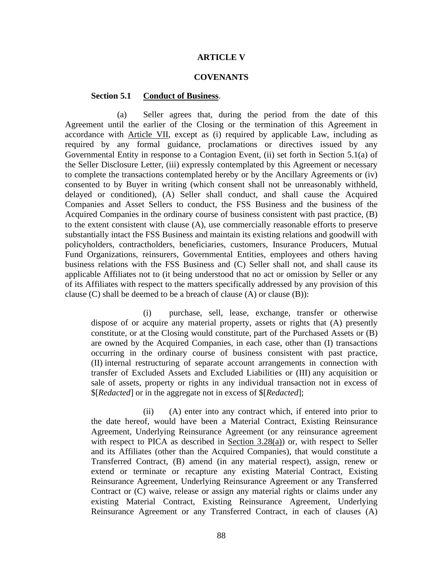### **ARTICLE V**

#### **COVENANTS**

### **Section 5.1 Conduct of Business**.

(a) Seller agrees that, during the period from the date of this Agreement until the earlier of the Closing or the termination of this Agreement in accordance with Article VII, except as (i) required by applicable Law, including as required by any formal guidance, proclamations or directives issued by any Governmental Entity in response to a Contagion Event, (ii) set forth in Section 5.1(a) of the Seller Disclosure Letter, (iii) expressly contemplated by this Agreement or necessary to complete the transactions contemplated hereby or by the Ancillary Agreements or (iv) consented to by Buyer in writing (which consent shall not be unreasonably withheld, delayed or conditioned), (A) Seller shall conduct, and shall cause the Acquired Companies and Asset Sellers to conduct, the FSS Business and the business of the Acquired Companies in the ordinary course of business consistent with past practice, (B) to the extent consistent with clause (A), use commercially reasonable efforts to preserve substantially intact the FSS Business and maintain its existing relations and goodwill with policyholders, contractholders, beneficiaries, customers, Insurance Producers, Mutual Fund Organizations, reinsurers, Governmental Entities, employees and others having business relations with the FSS Business and (C) Seller shall not, and shall cause its applicable Affiliates not to (it being understood that no act or omission by Seller or any of its Affiliates with respect to the matters specifically addressed by any provision of this clause  $(C)$  shall be deemed to be a breach of clause  $(A)$  or clause  $(B)$ :

(i) purchase, sell, lease, exchange, transfer or otherwise dispose of or acquire any material property, assets or rights that (A) presently constitute, or at the Closing would constitute, part of the Purchased Assets or (B) are owned by the Acquired Companies, in each case, other than (I) transactions occurring in the ordinary course of business consistent with past practice, (II) internal restructuring of separate account arrangements in connection with transfer of Excluded Assets and Excluded Liabilities or (III) any acquisition or sale of assets, property or rights in any individual transaction not in excess of \$[*Redacted*] or in the aggregate not in excess of \$[*Redacted*];

(ii) (A) enter into any contract which, if entered into prior to the date hereof, would have been a Material Contract, Existing Reinsurance Agreement, Underlying Reinsurance Agreement (or any reinsurance agreement with respect to PICA as described in Section  $3.28(a)$ ) or, with respect to Seller and its Affiliates (other than the Acquired Companies), that would constitute a Transferred Contract, (B) amend (in any material respect), assign, renew or extend or terminate or recapture any existing Material Contract, Existing Reinsurance Agreement, Underlying Reinsurance Agreement or any Transferred Contract or (C) waive, release or assign any material rights or claims under any existing Material Contract, Existing Reinsurance Agreement, Underlying Reinsurance Agreement or any Transferred Contract, in each of clauses (A)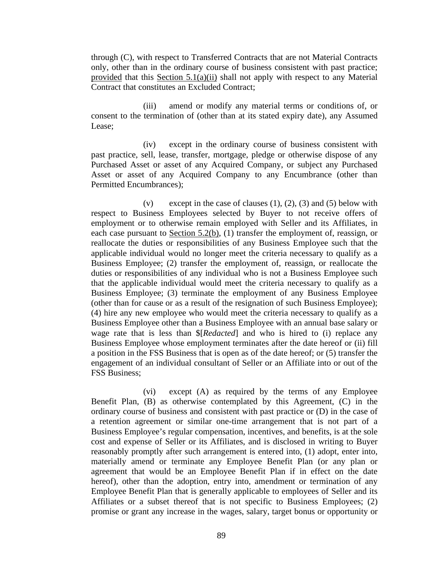through (C), with respect to Transferred Contracts that are not Material Contracts only, other than in the ordinary course of business consistent with past practice; provided that this Section 5.1(a)(ii) shall not apply with respect to any Material Contract that constitutes an Excluded Contract;

(iii) amend or modify any material terms or conditions of, or consent to the termination of (other than at its stated expiry date), any Assumed Lease;

(iv) except in the ordinary course of business consistent with past practice, sell, lease, transfer, mortgage, pledge or otherwise dispose of any Purchased Asset or asset of any Acquired Company, or subject any Purchased Asset or asset of any Acquired Company to any Encumbrance (other than Permitted Encumbrances);

(v) except in the case of clauses  $(1)$ ,  $(2)$ ,  $(3)$  and  $(5)$  below with respect to Business Employees selected by Buyer to not receive offers of employment or to otherwise remain employed with Seller and its Affiliates, in each case pursuant to <u>Section 5.2(b)</u>, (1) transfer the employment of, reassign, or reallocate the duties or responsibilities of any Business Employee such that the applicable individual would no longer meet the criteria necessary to qualify as a Business Employee; (2) transfer the employment of, reassign, or reallocate the duties or responsibilities of any individual who is not a Business Employee such that the applicable individual would meet the criteria necessary to qualify as a Business Employee; (3) terminate the employment of any Business Employee (other than for cause or as a result of the resignation of such Business Employee); (4) hire any new employee who would meet the criteria necessary to qualify as a Business Employee other than a Business Employee with an annual base salary or wage rate that is less than \$[*Redacted*] and who is hired to (i) replace any Business Employee whose employment terminates after the date hereof or (ii) fill a position in the FSS Business that is open as of the date hereof; or (5) transfer the engagement of an individual consultant of Seller or an Affiliate into or out of the FSS Business;

(vi) except (A) as required by the terms of any Employee Benefit Plan, (B) as otherwise contemplated by this Agreement, (C) in the ordinary course of business and consistent with past practice or (D) in the case of a retention agreement or similar one-time arrangement that is not part of a Business Employee's regular compensation, incentives, and benefits, is at the sole cost and expense of Seller or its Affiliates, and is disclosed in writing to Buyer reasonably promptly after such arrangement is entered into, (1) adopt, enter into, materially amend or terminate any Employee Benefit Plan (or any plan or agreement that would be an Employee Benefit Plan if in effect on the date hereof), other than the adoption, entry into, amendment or termination of any Employee Benefit Plan that is generally applicable to employees of Seller and its Affiliates or a subset thereof that is not specific to Business Employees; (2) promise or grant any increase in the wages, salary, target bonus or opportunity or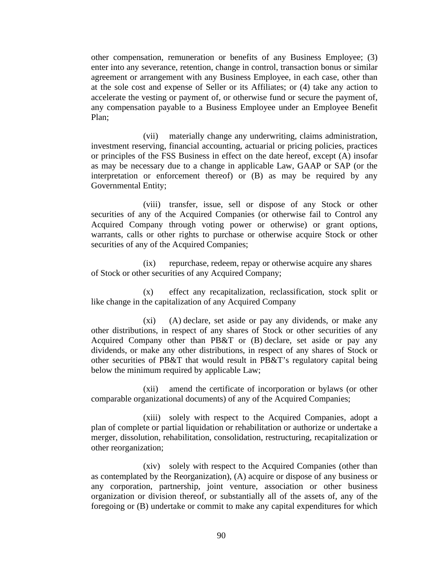other compensation, remuneration or benefits of any Business Employee; (3) enter into any severance, retention, change in control, transaction bonus or similar agreement or arrangement with any Business Employee, in each case, other than at the sole cost and expense of Seller or its Affiliates; or (4) take any action to accelerate the vesting or payment of, or otherwise fund or secure the payment of, any compensation payable to a Business Employee under an Employee Benefit Plan;

(vii) materially change any underwriting, claims administration, investment reserving, financial accounting, actuarial or pricing policies, practices or principles of the FSS Business in effect on the date hereof, except (A) insofar as may be necessary due to a change in applicable Law, GAAP or SAP (or the interpretation or enforcement thereof) or (B) as may be required by any Governmental Entity;

(viii) transfer, issue, sell or dispose of any Stock or other securities of any of the Acquired Companies (or otherwise fail to Control any Acquired Company through voting power or otherwise) or grant options, warrants, calls or other rights to purchase or otherwise acquire Stock or other securities of any of the Acquired Companies;

(ix) repurchase, redeem, repay or otherwise acquire any shares of Stock or other securities of any Acquired Company;

(x) effect any recapitalization, reclassification, stock split or like change in the capitalization of any Acquired Company

(xi) (A) declare, set aside or pay any dividends, or make any other distributions, in respect of any shares of Stock or other securities of any Acquired Company other than PB&T or (B) declare, set aside or pay any dividends, or make any other distributions, in respect of any shares of Stock or other securities of PB&T that would result in PB&T's regulatory capital being below the minimum required by applicable Law;

(xii) amend the certificate of incorporation or bylaws (or other comparable organizational documents) of any of the Acquired Companies;

(xiii) solely with respect to the Acquired Companies, adopt a plan of complete or partial liquidation or rehabilitation or authorize or undertake a merger, dissolution, rehabilitation, consolidation, restructuring, recapitalization or other reorganization;

(xiv) solely with respect to the Acquired Companies (other than as contemplated by the Reorganization), (A) acquire or dispose of any business or any corporation, partnership, joint venture, association or other business organization or division thereof, or substantially all of the assets of, any of the foregoing or (B) undertake or commit to make any capital expenditures for which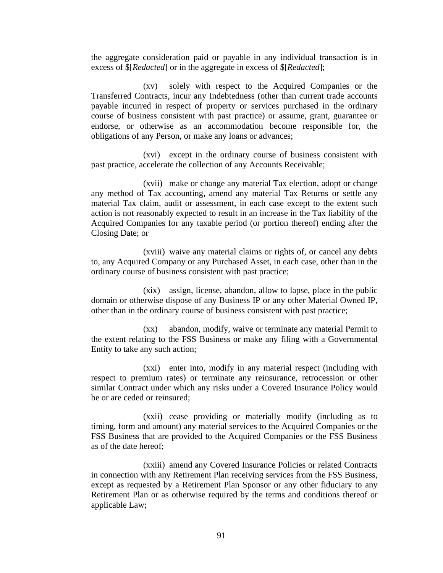the aggregate consideration paid or payable in any individual transaction is in excess of \$[*Redacted*] or in the aggregate in excess of \$[*Redacted*];

(xv) solely with respect to the Acquired Companies or the Transferred Contracts, incur any Indebtedness (other than current trade accounts payable incurred in respect of property or services purchased in the ordinary course of business consistent with past practice) or assume, grant, guarantee or endorse, or otherwise as an accommodation become responsible for, the obligations of any Person, or make any loans or advances;

(xvi) except in the ordinary course of business consistent with past practice, accelerate the collection of any Accounts Receivable;

(xvii) make or change any material Tax election, adopt or change any method of Tax accounting, amend any material Tax Returns or settle any material Tax claim, audit or assessment, in each case except to the extent such action is not reasonably expected to result in an increase in the Tax liability of the Acquired Companies for any taxable period (or portion thereof) ending after the Closing Date; or

(xviii) waive any material claims or rights of, or cancel any debts to, any Acquired Company or any Purchased Asset, in each case, other than in the ordinary course of business consistent with past practice;

(xix) assign, license, abandon, allow to lapse, place in the public domain or otherwise dispose of any Business IP or any other Material Owned IP, other than in the ordinary course of business consistent with past practice;

(xx) abandon, modify, waive or terminate any material Permit to the extent relating to the FSS Business or make any filing with a Governmental Entity to take any such action;

(xxi) enter into, modify in any material respect (including with respect to premium rates) or terminate any reinsurance, retrocession or other similar Contract under which any risks under a Covered Insurance Policy would be or are ceded or reinsured;

(xxii) cease providing or materially modify (including as to timing, form and amount) any material services to the Acquired Companies or the FSS Business that are provided to the Acquired Companies or the FSS Business as of the date hereof;

(xxiii) amend any Covered Insurance Policies or related Contracts in connection with any Retirement Plan receiving services from the FSS Business, except as requested by a Retirement Plan Sponsor or any other fiduciary to any Retirement Plan or as otherwise required by the terms and conditions thereof or applicable Law;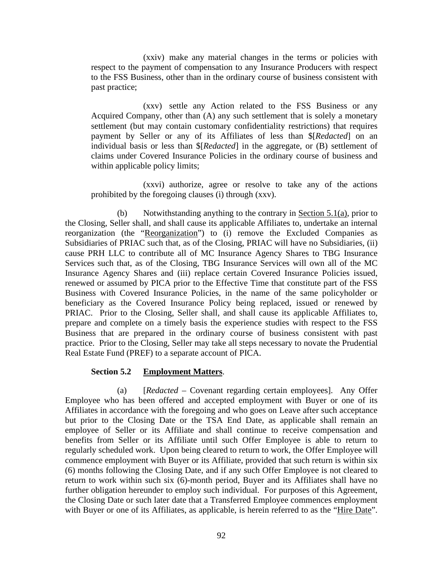(xxiv) make any material changes in the terms or policies with respect to the payment of compensation to any Insurance Producers with respect to the FSS Business, other than in the ordinary course of business consistent with past practice;

(xxv) settle any Action related to the FSS Business or any Acquired Company, other than (A) any such settlement that is solely a monetary settlement (but may contain customary confidentiality restrictions) that requires payment by Seller or any of its Affiliates of less than \$[*Redacted*] on an individual basis or less than \$[*Redacted*] in the aggregate, or (B) settlement of claims under Covered Insurance Policies in the ordinary course of business and within applicable policy limits;

(xxvi) authorize, agree or resolve to take any of the actions prohibited by the foregoing clauses (i) through (xxv).

(b) Notwithstanding anything to the contrary in Section 5.1(a), prior to the Closing, Seller shall, and shall cause its applicable Affiliates to, undertake an internal reorganization (the "Reorganization") to (i) remove the Excluded Companies as Subsidiaries of PRIAC such that, as of the Closing, PRIAC will have no Subsidiaries, (ii) cause PRH LLC to contribute all of MC Insurance Agency Shares to TBG Insurance Services such that, as of the Closing, TBG Insurance Services will own all of the MC Insurance Agency Shares and (iii) replace certain Covered Insurance Policies issued, renewed or assumed by PICA prior to the Effective Time that constitute part of the FSS Business with Covered Insurance Policies, in the name of the same policyholder or beneficiary as the Covered Insurance Policy being replaced, issued or renewed by PRIAC. Prior to the Closing, Seller shall, and shall cause its applicable Affiliates to, prepare and complete on a timely basis the experience studies with respect to the FSS Business that are prepared in the ordinary course of business consistent with past practice. Prior to the Closing, Seller may take all steps necessary to novate the Prudential Real Estate Fund (PREF) to a separate account of PICA.

## **Section 5.2 Employment Matters**.

(a) [*Redacted –* Covenant regarding certain employees]. Any Offer Employee who has been offered and accepted employment with Buyer or one of its Affiliates in accordance with the foregoing and who goes on Leave after such acceptance but prior to the Closing Date or the TSA End Date, as applicable shall remain an employee of Seller or its Affiliate and shall continue to receive compensation and benefits from Seller or its Affiliate until such Offer Employee is able to return to regularly scheduled work. Upon being cleared to return to work, the Offer Employee will commence employment with Buyer or its Affiliate, provided that such return is within six (6) months following the Closing Date, and if any such Offer Employee is not cleared to return to work within such six (6)-month period, Buyer and its Affiliates shall have no further obligation hereunder to employ such individual. For purposes of this Agreement, the Closing Date or such later date that a Transferred Employee commences employment with Buyer or one of its Affiliates, as applicable, is herein referred to as the "Hire Date".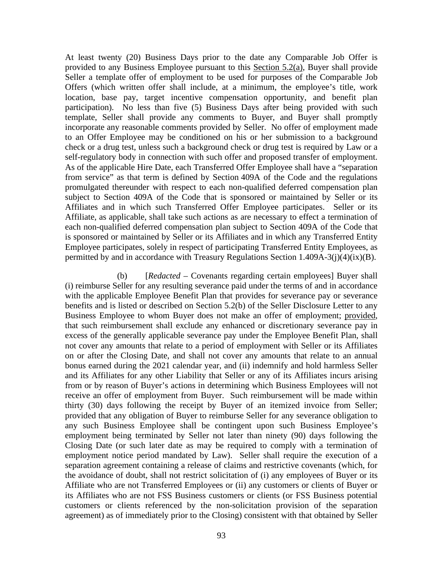At least twenty (20) Business Days prior to the date any Comparable Job Offer is provided to any Business Employee pursuant to this Section 5.2(a), Buyer shall provide Seller a template offer of employment to be used for purposes of the Comparable Job Offers (which written offer shall include, at a minimum, the employee's title, work location, base pay, target incentive compensation opportunity, and benefit plan participation). No less than five (5) Business Days after being provided with such template, Seller shall provide any comments to Buyer, and Buyer shall promptly incorporate any reasonable comments provided by Seller. No offer of employment made to an Offer Employee may be conditioned on his or her submission to a background check or a drug test, unless such a background check or drug test is required by Law or a self-regulatory body in connection with such offer and proposed transfer of employment. As of the applicable Hire Date, each Transferred Offer Employee shall have a "separation from service" as that term is defined by Section 409A of the Code and the regulations promulgated thereunder with respect to each non-qualified deferred compensation plan subject to Section 409A of the Code that is sponsored or maintained by Seller or its Affiliates and in which such Transferred Offer Employee participates. Seller or its Affiliate, as applicable, shall take such actions as are necessary to effect a termination of each non-qualified deferred compensation plan subject to Section 409A of the Code that is sponsored or maintained by Seller or its Affiliates and in which any Transferred Entity Employee participates, solely in respect of participating Transferred Entity Employees, as permitted by and in accordance with Treasury Regulations Section 1.409A-3(j)(4)(ix)(B).

(b) [*Redacted –* Covenants regarding certain employees] Buyer shall (i) reimburse Seller for any resulting severance paid under the terms of and in accordance with the applicable Employee Benefit Plan that provides for severance pay or severance benefits and is listed or described on Section 5.2(b) of the Seller Disclosure Letter to any Business Employee to whom Buyer does not make an offer of employment; provided, that such reimbursement shall exclude any enhanced or discretionary severance pay in excess of the generally applicable severance pay under the Employee Benefit Plan, shall not cover any amounts that relate to a period of employment with Seller or its Affiliates on or after the Closing Date, and shall not cover any amounts that relate to an annual bonus earned during the 2021 calendar year, and (ii) indemnify and hold harmless Seller and its Affiliates for any other Liability that Seller or any of its Affiliates incurs arising from or by reason of Buyer's actions in determining which Business Employees will not receive an offer of employment from Buyer. Such reimbursement will be made within thirty (30) days following the receipt by Buyer of an itemized invoice from Seller; provided that any obligation of Buyer to reimburse Seller for any severance obligation to any such Business Employee shall be contingent upon such Business Employee's employment being terminated by Seller not later than ninety (90) days following the Closing Date (or such later date as may be required to comply with a termination of employment notice period mandated by Law). Seller shall require the execution of a separation agreement containing a release of claims and restrictive covenants (which, for the avoidance of doubt, shall not restrict solicitation of (i) any employees of Buyer or its Affiliate who are not Transferred Employees or (ii) any customers or clients of Buyer or its Affiliates who are not FSS Business customers or clients (or FSS Business potential customers or clients referenced by the non-solicitation provision of the separation agreement) as of immediately prior to the Closing) consistent with that obtained by Seller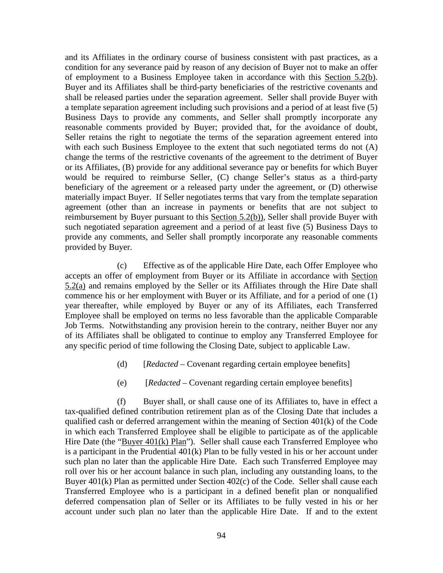and its Affiliates in the ordinary course of business consistent with past practices, as a condition for any severance paid by reason of any decision of Buyer not to make an offer of employment to a Business Employee taken in accordance with this Section 5.2(b). Buyer and its Affiliates shall be third-party beneficiaries of the restrictive covenants and shall be released parties under the separation agreement. Seller shall provide Buyer with a template separation agreement including such provisions and a period of at least five (5) Business Days to provide any comments, and Seller shall promptly incorporate any reasonable comments provided by Buyer; provided that, for the avoidance of doubt, Seller retains the right to negotiate the terms of the separation agreement entered into with each such Business Employee to the extent that such negotiated terms do not (A) change the terms of the restrictive covenants of the agreement to the detriment of Buyer or its Affiliates, (B) provide for any additional severance pay or benefits for which Buyer would be required to reimburse Seller, (C) change Seller's status as a third-party beneficiary of the agreement or a released party under the agreement, or (D) otherwise materially impact Buyer. If Seller negotiates terms that vary from the template separation agreement (other than an increase in payments or benefits that are not subject to reimbursement by Buyer pursuant to this Section 5.2(b)), Seller shall provide Buyer with such negotiated separation agreement and a period of at least five (5) Business Days to provide any comments, and Seller shall promptly incorporate any reasonable comments provided by Buyer.

(c) Effective as of the applicable Hire Date, each Offer Employee who accepts an offer of employment from Buyer or its Affiliate in accordance with Section 5.2(a) and remains employed by the Seller or its Affiliates through the Hire Date shall commence his or her employment with Buyer or its Affiliate, and for a period of one (1) year thereafter, while employed by Buyer or any of its Affiliates, each Transferred Employee shall be employed on terms no less favorable than the applicable Comparable Job Terms. Notwithstanding any provision herein to the contrary, neither Buyer nor any of its Affiliates shall be obligated to continue to employ any Transferred Employee for any specific period of time following the Closing Date, subject to applicable Law.

- (d) [*Redacted –* Covenant regarding certain employee benefits]
- (e) [*Redacted* Covenant regarding certain employee benefits]

(f) Buyer shall, or shall cause one of its Affiliates to, have in effect a tax-qualified defined contribution retirement plan as of the Closing Date that includes a qualified cash or deferred arrangement within the meaning of Section  $401(k)$  of the Code in which each Transferred Employee shall be eligible to participate as of the applicable Hire Date (the "Buyer 401(k) Plan"). Seller shall cause each Transferred Employee who is a participant in the Prudential 401(k) Plan to be fully vested in his or her account under such plan no later than the applicable Hire Date. Each such Transferred Employee may roll over his or her account balance in such plan, including any outstanding loans, to the Buyer 401(k) Plan as permitted under Section 402(c) of the Code. Seller shall cause each Transferred Employee who is a participant in a defined benefit plan or nonqualified deferred compensation plan of Seller or its Affiliates to be fully vested in his or her account under such plan no later than the applicable Hire Date. If and to the extent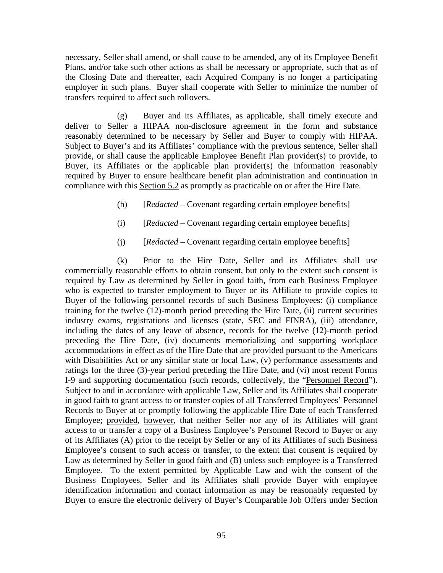necessary, Seller shall amend, or shall cause to be amended, any of its Employee Benefit Plans, and/or take such other actions as shall be necessary or appropriate, such that as of the Closing Date and thereafter, each Acquired Company is no longer a participating employer in such plans. Buyer shall cooperate with Seller to minimize the number of transfers required to affect such rollovers.

(g) Buyer and its Affiliates, as applicable, shall timely execute and deliver to Seller a HIPAA non-disclosure agreement in the form and substance reasonably determined to be necessary by Seller and Buyer to comply with HIPAA. Subject to Buyer's and its Affiliates' compliance with the previous sentence, Seller shall provide, or shall cause the applicable Employee Benefit Plan provider(s) to provide, to Buyer, its Affiliates or the applicable plan provider(s) the information reasonably required by Buyer to ensure healthcare benefit plan administration and continuation in compliance with this Section 5.2 as promptly as practicable on or after the Hire Date.

- (h) [*Redacted* Covenant regarding certain employee benefits]
- (i) [*Redacted* Covenant regarding certain employee benefits]
- (j) [*Redacted* Covenant regarding certain employee benefits]

(k) Prior to the Hire Date, Seller and its Affiliates shall use commercially reasonable efforts to obtain consent, but only to the extent such consent is required by Law as determined by Seller in good faith, from each Business Employee who is expected to transfer employment to Buyer or its Affiliate to provide copies to Buyer of the following personnel records of such Business Employees: (i) compliance training for the twelve (12)-month period preceding the Hire Date, (ii) current securities industry exams, registrations and licenses (state, SEC and FINRA), (iii) attendance, including the dates of any leave of absence, records for the twelve (12)-month period preceding the Hire Date, (iv) documents memorializing and supporting workplace accommodations in effect as of the Hire Date that are provided pursuant to the Americans with Disabilities Act or any similar state or local Law, (v) performance assessments and ratings for the three (3)-year period preceding the Hire Date, and (vi) most recent Forms I-9 and supporting documentation (such records, collectively, the "Personnel Record"). Subject to and in accordance with applicable Law, Seller and its Affiliates shall cooperate in good faith to grant access to or transfer copies of all Transferred Employees' Personnel Records to Buyer at or promptly following the applicable Hire Date of each Transferred Employee; provided, however, that neither Seller nor any of its Affiliates will grant access to or transfer a copy of a Business Employee's Personnel Record to Buyer or any of its Affiliates (A) prior to the receipt by Seller or any of its Affiliates of such Business Employee's consent to such access or transfer, to the extent that consent is required by Law as determined by Seller in good faith and (B) unless such employee is a Transferred Employee. To the extent permitted by Applicable Law and with the consent of the Business Employees, Seller and its Affiliates shall provide Buyer with employee identification information and contact information as may be reasonably requested by Buyer to ensure the electronic delivery of Buyer's Comparable Job Offers under Section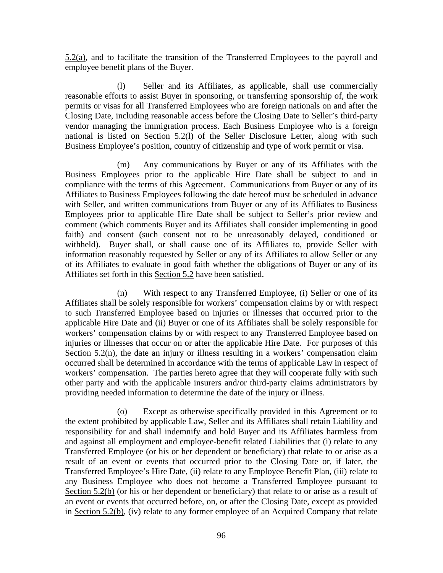$5.2(a)$ , and to facilitate the transition of the Transferred Employees to the payroll and employee benefit plans of the Buyer.

(l) Seller and its Affiliates, as applicable, shall use commercially reasonable efforts to assist Buyer in sponsoring, or transferring sponsorship of, the work permits or visas for all Transferred Employees who are foreign nationals on and after the Closing Date, including reasonable access before the Closing Date to Seller's third-party vendor managing the immigration process. Each Business Employee who is a foreign national is listed on Section 5.2(l) of the Seller Disclosure Letter, along with such Business Employee's position, country of citizenship and type of work permit or visa.

(m) Any communications by Buyer or any of its Affiliates with the Business Employees prior to the applicable Hire Date shall be subject to and in compliance with the terms of this Agreement. Communications from Buyer or any of its Affiliates to Business Employees following the date hereof must be scheduled in advance with Seller, and written communications from Buyer or any of its Affiliates to Business Employees prior to applicable Hire Date shall be subject to Seller's prior review and comment (which comments Buyer and its Affiliates shall consider implementing in good faith) and consent (such consent not to be unreasonably delayed, conditioned or withheld). Buyer shall, or shall cause one of its Affiliates to, provide Seller with information reasonably requested by Seller or any of its Affiliates to allow Seller or any of its Affiliates to evaluate in good faith whether the obligations of Buyer or any of its Affiliates set forth in this Section 5.2 have been satisfied.

(n) With respect to any Transferred Employee, (i) Seller or one of its Affiliates shall be solely responsible for workers' compensation claims by or with respect to such Transferred Employee based on injuries or illnesses that occurred prior to the applicable Hire Date and (ii) Buyer or one of its Affiliates shall be solely responsible for workers' compensation claims by or with respect to any Transferred Employee based on injuries or illnesses that occur on or after the applicable Hire Date. For purposes of this Section 5.2(n), the date an injury or illness resulting in a workers' compensation claim occurred shall be determined in accordance with the terms of applicable Law in respect of workers' compensation. The parties hereto agree that they will cooperate fully with such other party and with the applicable insurers and/or third-party claims administrators by providing needed information to determine the date of the injury or illness.

(o) Except as otherwise specifically provided in this Agreement or to the extent prohibited by applicable Law, Seller and its Affiliates shall retain Liability and responsibility for and shall indemnify and hold Buyer and its Affiliates harmless from and against all employment and employee-benefit related Liabilities that (i) relate to any Transferred Employee (or his or her dependent or beneficiary) that relate to or arise as a result of an event or events that occurred prior to the Closing Date or, if later, the Transferred Employee's Hire Date, (ii) relate to any Employee Benefit Plan, (iii) relate to any Business Employee who does not become a Transferred Employee pursuant to Section 5.2(b) (or his or her dependent or beneficiary) that relate to or arise as a result of an event or events that occurred before, on, or after the Closing Date, except as provided in Section 5.2(b), (iv) relate to any former employee of an Acquired Company that relate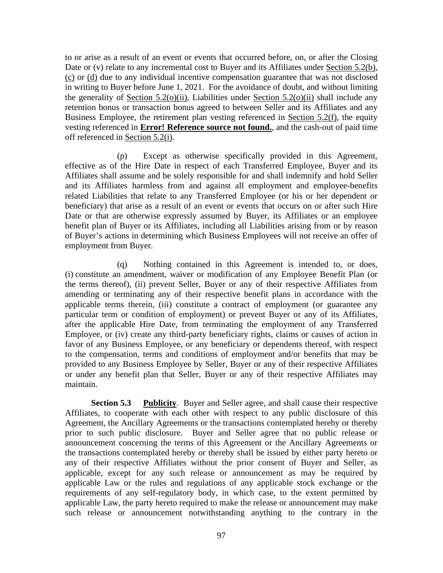to or arise as a result of an event or events that occurred before, on, or after the Closing Date or (v) relate to any incremental cost to Buyer and its Affiliates under Section 5.2(b), (c) or (d) due to any individual incentive compensation guarantee that was not disclosed in writing to Buyer before June 1, 2021. For the avoidance of doubt, and without limiting the generality of Section 5.2(o)(ii), Liabilities under Section 5.2(o)(ii) shall include any retention bonus or transaction bonus agreed to between Seller and its Affiliates and any Business Employee, the retirement plan vesting referenced in Section 5.2(f), the equity vesting referenced in **Error! Reference source not found.**, and the cash-out of paid time off referenced in Section 5.2(i).

(p) Except as otherwise specifically provided in this Agreement, effective as of the Hire Date in respect of each Transferred Employee, Buyer and its Affiliates shall assume and be solely responsible for and shall indemnify and hold Seller and its Affiliates harmless from and against all employment and employee-benefits related Liabilities that relate to any Transferred Employee (or his or her dependent or beneficiary) that arise as a result of an event or events that occurs on or after such Hire Date or that are otherwise expressly assumed by Buyer, its Affiliates or an employee benefit plan of Buyer or its Affiliates, including all Liabilities arising from or by reason of Buyer's actions in determining which Business Employees will not receive an offer of employment from Buyer.

(q) Nothing contained in this Agreement is intended to, or does, (i) constitute an amendment, waiver or modification of any Employee Benefit Plan (or the terms thereof), (ii) prevent Seller, Buyer or any of their respective Affiliates from amending or terminating any of their respective benefit plans in accordance with the applicable terms therein, (iii) constitute a contract of employment (or guarantee any particular term or condition of employment) or prevent Buyer or any of its Affiliates, after the applicable Hire Date, from terminating the employment of any Transferred Employee, or (iv) create any third-party beneficiary rights, claims or causes of action in favor of any Business Employee, or any beneficiary or dependents thereof, with respect to the compensation, terms and conditions of employment and/or benefits that may be provided to any Business Employee by Seller, Buyer or any of their respective Affiliates or under any benefit plan that Seller, Buyer or any of their respective Affiliates may maintain.

**Section 5.3 Publicity**. Buyer and Seller agree, and shall cause their respective Affiliates, to cooperate with each other with respect to any public disclosure of this Agreement, the Ancillary Agreements or the transactions contemplated hereby or thereby prior to such public disclosure. Buyer and Seller agree that no public release or announcement concerning the terms of this Agreement or the Ancillary Agreements or the transactions contemplated hereby or thereby shall be issued by either party hereto or any of their respective Affiliates without the prior consent of Buyer and Seller, as applicable, except for any such release or announcement as may be required by applicable Law or the rules and regulations of any applicable stock exchange or the requirements of any self-regulatory body, in which case, to the extent permitted by applicable Law, the party hereto required to make the release or announcement may make such release or announcement notwithstanding anything to the contrary in the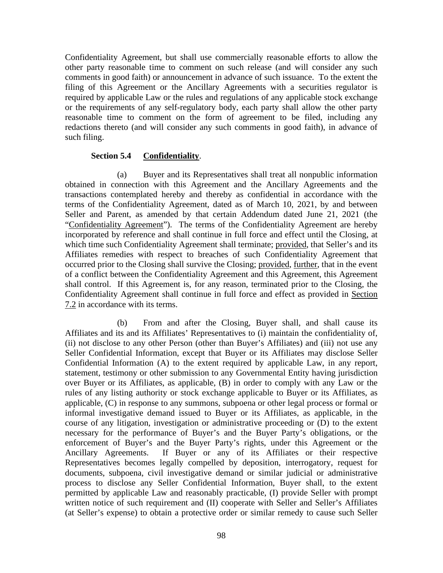Confidentiality Agreement, but shall use commercially reasonable efforts to allow the other party reasonable time to comment on such release (and will consider any such comments in good faith) or announcement in advance of such issuance. To the extent the filing of this Agreement or the Ancillary Agreements with a securities regulator is required by applicable Law or the rules and regulations of any applicable stock exchange or the requirements of any self-regulatory body, each party shall allow the other party reasonable time to comment on the form of agreement to be filed, including any redactions thereto (and will consider any such comments in good faith), in advance of such filing.

# **Section 5.4 Confidentiality**.

(a) Buyer and its Representatives shall treat all nonpublic information obtained in connection with this Agreement and the Ancillary Agreements and the transactions contemplated hereby and thereby as confidential in accordance with the terms of the Confidentiality Agreement, dated as of March 10, 2021, by and between Seller and Parent, as amended by that certain Addendum dated June 21, 2021 (the "Confidentiality Agreement"). The terms of the Confidentiality Agreement are hereby incorporated by reference and shall continue in full force and effect until the Closing, at which time such Confidentiality Agreement shall terminate; provided, that Seller's and its Affiliates remedies with respect to breaches of such Confidentiality Agreement that occurred prior to the Closing shall survive the Closing; provided, further, that in the event of a conflict between the Confidentiality Agreement and this Agreement, this Agreement shall control. If this Agreement is, for any reason, terminated prior to the Closing, the Confidentiality Agreement shall continue in full force and effect as provided in Section 7.2 in accordance with its terms.

(b) From and after the Closing, Buyer shall, and shall cause its Affiliates and its and its Affiliates' Representatives to (i) maintain the confidentiality of, (ii) not disclose to any other Person (other than Buyer's Affiliates) and (iii) not use any Seller Confidential Information, except that Buyer or its Affiliates may disclose Seller Confidential Information (A) to the extent required by applicable Law, in any report, statement, testimony or other submission to any Governmental Entity having jurisdiction over Buyer or its Affiliates, as applicable, (B) in order to comply with any Law or the rules of any listing authority or stock exchange applicable to Buyer or its Affiliates, as applicable, (C) in response to any summons, subpoena or other legal process or formal or informal investigative demand issued to Buyer or its Affiliates, as applicable, in the course of any litigation, investigation or administrative proceeding or (D) to the extent necessary for the performance of Buyer's and the Buyer Party's obligations, or the enforcement of Buyer's and the Buyer Party's rights, under this Agreement or the Ancillary Agreements. If Buyer or any of its Affiliates or their respective Representatives becomes legally compelled by deposition, interrogatory, request for documents, subpoena, civil investigative demand or similar judicial or administrative process to disclose any Seller Confidential Information, Buyer shall, to the extent permitted by applicable Law and reasonably practicable, (I) provide Seller with prompt written notice of such requirement and (II) cooperate with Seller and Seller's Affiliates (at Seller's expense) to obtain a protective order or similar remedy to cause such Seller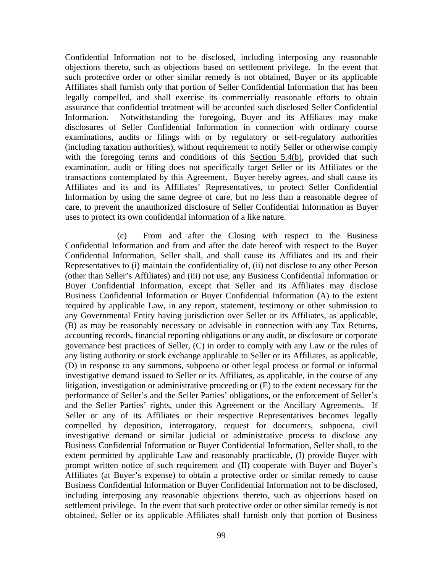Confidential Information not to be disclosed, including interposing any reasonable objections thereto, such as objections based on settlement privilege. In the event that such protective order or other similar remedy is not obtained, Buyer or its applicable Affiliates shall furnish only that portion of Seller Confidential Information that has been legally compelled, and shall exercise its commercially reasonable efforts to obtain assurance that confidential treatment will be accorded such disclosed Seller Confidential Information. Notwithstanding the foregoing, Buyer and its Affiliates may make disclosures of Seller Confidential Information in connection with ordinary course examinations, audits or filings with or by regulatory or self-regulatory authorities (including taxation authorities), without requirement to notify Seller or otherwise comply with the foregoing terms and conditions of this Section 5.4(b), provided that such examination, audit or filing does not specifically target Seller or its Affiliates or the transactions contemplated by this Agreement. Buyer hereby agrees, and shall cause its Affiliates and its and its Affiliates' Representatives, to protect Seller Confidential Information by using the same degree of care, but no less than a reasonable degree of care, to prevent the unauthorized disclosure of Seller Confidential Information as Buyer uses to protect its own confidential information of a like nature.

(c) From and after the Closing with respect to the Business Confidential Information and from and after the date hereof with respect to the Buyer Confidential Information, Seller shall, and shall cause its Affiliates and its and their Representatives to (i) maintain the confidentiality of, (ii) not disclose to any other Person (other than Seller's Affiliates) and (iii) not use, any Business Confidential Information or Buyer Confidential Information, except that Seller and its Affiliates may disclose Business Confidential Information or Buyer Confidential Information (A) to the extent required by applicable Law, in any report, statement, testimony or other submission to any Governmental Entity having jurisdiction over Seller or its Affiliates, as applicable, (B) as may be reasonably necessary or advisable in connection with any Tax Returns, accounting records, financial reporting obligations or any audit, or disclosure or corporate governance best practices of Seller, (C) in order to comply with any Law or the rules of any listing authority or stock exchange applicable to Seller or its Affiliates, as applicable, (D) in response to any summons, subpoena or other legal process or formal or informal investigative demand issued to Seller or its Affiliates, as applicable, in the course of any litigation, investigation or administrative proceeding or (E) to the extent necessary for the performance of Seller's and the Seller Parties' obligations, or the enforcement of Seller's and the Seller Parties' rights, under this Agreement or the Ancillary Agreements. If Seller or any of its Affiliates or their respective Representatives becomes legally compelled by deposition, interrogatory, request for documents, subpoena, civil investigative demand or similar judicial or administrative process to disclose any Business Confidential Information or Buyer Confidential Information, Seller shall, to the extent permitted by applicable Law and reasonably practicable, (I) provide Buyer with prompt written notice of such requirement and (II) cooperate with Buyer and Buyer's Affiliates (at Buyer's expense) to obtain a protective order or similar remedy to cause Business Confidential Information or Buyer Confidential Information not to be disclosed, including interposing any reasonable objections thereto, such as objections based on settlement privilege. In the event that such protective order or other similar remedy is not obtained, Seller or its applicable Affiliates shall furnish only that portion of Business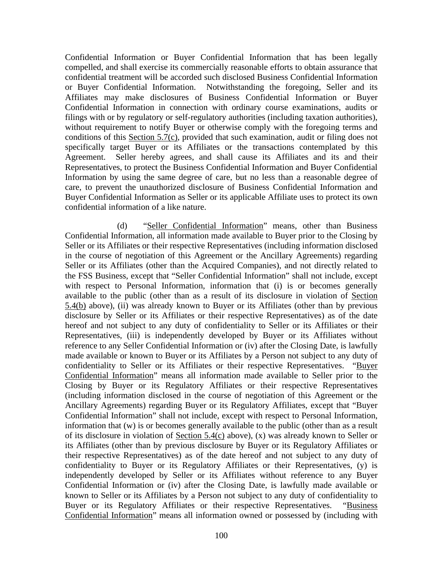Confidential Information or Buyer Confidential Information that has been legally compelled, and shall exercise its commercially reasonable efforts to obtain assurance that confidential treatment will be accorded such disclosed Business Confidential Information or Buyer Confidential Information. Notwithstanding the foregoing, Seller and its Affiliates may make disclosures of Business Confidential Information or Buyer Confidential Information in connection with ordinary course examinations, audits or filings with or by regulatory or self-regulatory authorities (including taxation authorities), without requirement to notify Buyer or otherwise comply with the foregoing terms and conditions of this Section 5.7(c), provided that such examination, audit or filing does not specifically target Buyer or its Affiliates or the transactions contemplated by this Agreement. Seller hereby agrees, and shall cause its Affiliates and its and their Representatives, to protect the Business Confidential Information and Buyer Confidential Information by using the same degree of care, but no less than a reasonable degree of care, to prevent the unauthorized disclosure of Business Confidential Information and Buyer Confidential Information as Seller or its applicable Affiliate uses to protect its own confidential information of a like nature.

(d) "Seller Confidential Information" means, other than Business Confidential Information, all information made available to Buyer prior to the Closing by Seller or its Affiliates or their respective Representatives (including information disclosed in the course of negotiation of this Agreement or the Ancillary Agreements) regarding Seller or its Affiliates (other than the Acquired Companies), and not directly related to the FSS Business, except that "Seller Confidential Information" shall not include, except with respect to Personal Information, information that (i) is or becomes generally available to the public (other than as a result of its disclosure in violation of Section 5.4(b) above), (ii) was already known to Buyer or its Affiliates (other than by previous disclosure by Seller or its Affiliates or their respective Representatives) as of the date hereof and not subject to any duty of confidentiality to Seller or its Affiliates or their Representatives, (iii) is independently developed by Buyer or its Affiliates without reference to any Seller Confidential Information or (iv) after the Closing Date, is lawfully made available or known to Buyer or its Affiliates by a Person not subject to any duty of confidentiality to Seller or its Affiliates or their respective Representatives. "Buyer Confidential Information" means all information made available to Seller prior to the Closing by Buyer or its Regulatory Affiliates or their respective Representatives (including information disclosed in the course of negotiation of this Agreement or the Ancillary Agreements) regarding Buyer or its Regulatory Affiliates, except that "Buyer Confidential Information" shall not include, except with respect to Personal Information, information that (w) is or becomes generally available to the public (other than as a result of its disclosure in violation of Section 5.4(c) above), (x) was already known to Seller or its Affiliates (other than by previous disclosure by Buyer or its Regulatory Affiliates or their respective Representatives) as of the date hereof and not subject to any duty of confidentiality to Buyer or its Regulatory Affiliates or their Representatives, (y) is independently developed by Seller or its Affiliates without reference to any Buyer Confidential Information or (iv) after the Closing Date, is lawfully made available or known to Seller or its Affiliates by a Person not subject to any duty of confidentiality to Buyer or its Regulatory Affiliates or their respective Representatives. "Business Confidential Information" means all information owned or possessed by (including with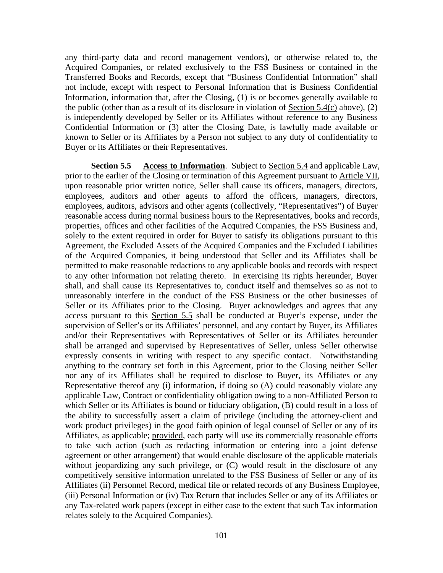any third-party data and record management vendors), or otherwise related to, the Acquired Companies, or related exclusively to the FSS Business or contained in the Transferred Books and Records, except that "Business Confidential Information" shall not include, except with respect to Personal Information that is Business Confidential Information, information that, after the Closing, (1) is or becomes generally available to the public (other than as a result of its disclosure in violation of  $Section 5.4(c)$  above), (2) is independently developed by Seller or its Affiliates without reference to any Business Confidential Information or (3) after the Closing Date, is lawfully made available or known to Seller or its Affiliates by a Person not subject to any duty of confidentiality to Buyer or its Affiliates or their Representatives.

**Section 5.5 Access to Information**. Subject to Section 5.4 and applicable Law, prior to the earlier of the Closing or termination of this Agreement pursuant to Article VII, upon reasonable prior written notice, Seller shall cause its officers, managers, directors, employees, auditors and other agents to afford the officers, managers, directors, employees, auditors, advisors and other agents (collectively, "Representatives") of Buyer reasonable access during normal business hours to the Representatives, books and records, properties, offices and other facilities of the Acquired Companies, the FSS Business and, solely to the extent required in order for Buyer to satisfy its obligations pursuant to this Agreement, the Excluded Assets of the Acquired Companies and the Excluded Liabilities of the Acquired Companies, it being understood that Seller and its Affiliates shall be permitted to make reasonable redactions to any applicable books and records with respect to any other information not relating thereto. In exercising its rights hereunder, Buyer shall, and shall cause its Representatives to, conduct itself and themselves so as not to unreasonably interfere in the conduct of the FSS Business or the other businesses of Seller or its Affiliates prior to the Closing. Buyer acknowledges and agrees that any access pursuant to this Section 5.5 shall be conducted at Buyer's expense, under the supervision of Seller's or its Affiliates' personnel, and any contact by Buyer, its Affiliates and/or their Representatives with Representatives of Seller or its Affiliates hereunder shall be arranged and supervised by Representatives of Seller, unless Seller otherwise expressly consents in writing with respect to any specific contact. Notwithstanding anything to the contrary set forth in this Agreement, prior to the Closing neither Seller nor any of its Affiliates shall be required to disclose to Buyer, its Affiliates or any Representative thereof any (i) information, if doing so (A) could reasonably violate any applicable Law, Contract or confidentiality obligation owing to a non-Affiliated Person to which Seller or its Affiliates is bound or fiduciary obligation, (B) could result in a loss of the ability to successfully assert a claim of privilege (including the attorney-client and work product privileges) in the good faith opinion of legal counsel of Seller or any of its Affiliates, as applicable; provided, each party will use its commercially reasonable efforts to take such action (such as redacting information or entering into a joint defense agreement or other arrangement) that would enable disclosure of the applicable materials without jeopardizing any such privilege, or  $(C)$  would result in the disclosure of any competitively sensitive information unrelated to the FSS Business of Seller or any of its Affiliates (ii) Personnel Record, medical file or related records of any Business Employee, (iii) Personal Information or (iv) Tax Return that includes Seller or any of its Affiliates or any Tax-related work papers (except in either case to the extent that such Tax information relates solely to the Acquired Companies).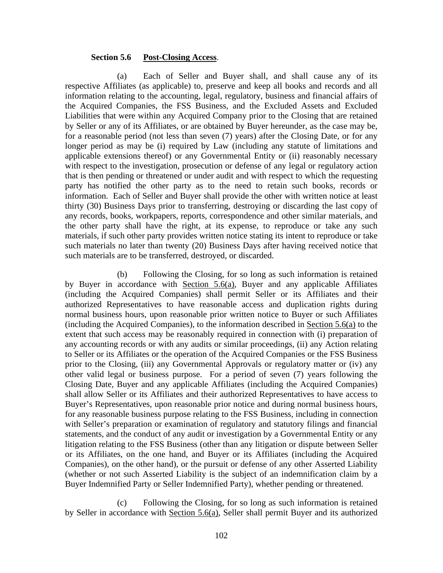### **Section 5.6 Post-Closing Access**.

(a) Each of Seller and Buyer shall, and shall cause any of its respective Affiliates (as applicable) to, preserve and keep all books and records and all information relating to the accounting, legal, regulatory, business and financial affairs of the Acquired Companies, the FSS Business, and the Excluded Assets and Excluded Liabilities that were within any Acquired Company prior to the Closing that are retained by Seller or any of its Affiliates, or are obtained by Buyer hereunder, as the case may be, for a reasonable period (not less than seven (7) years) after the Closing Date, or for any longer period as may be (i) required by Law (including any statute of limitations and applicable extensions thereof) or any Governmental Entity or (ii) reasonably necessary with respect to the investigation, prosecution or defense of any legal or regulatory action that is then pending or threatened or under audit and with respect to which the requesting party has notified the other party as to the need to retain such books, records or information. Each of Seller and Buyer shall provide the other with written notice at least thirty (30) Business Days prior to transferring, destroying or discarding the last copy of any records, books, workpapers, reports, correspondence and other similar materials, and the other party shall have the right, at its expense, to reproduce or take any such materials, if such other party provides written notice stating its intent to reproduce or take such materials no later than twenty (20) Business Days after having received notice that such materials are to be transferred, destroyed, or discarded.

(b) Following the Closing, for so long as such information is retained by Buyer in accordance with Section 5.6(a), Buyer and any applicable Affiliates (including the Acquired Companies) shall permit Seller or its Affiliates and their authorized Representatives to have reasonable access and duplication rights during normal business hours, upon reasonable prior written notice to Buyer or such Affiliates (including the Acquired Companies), to the information described in Section 5.6(a) to the extent that such access may be reasonably required in connection with (i) preparation of any accounting records or with any audits or similar proceedings, (ii) any Action relating to Seller or its Affiliates or the operation of the Acquired Companies or the FSS Business prior to the Closing, (iii) any Governmental Approvals or regulatory matter or (iv) any other valid legal or business purpose. For a period of seven (7) years following the Closing Date, Buyer and any applicable Affiliates (including the Acquired Companies) shall allow Seller or its Affiliates and their authorized Representatives to have access to Buyer's Representatives, upon reasonable prior notice and during normal business hours, for any reasonable business purpose relating to the FSS Business, including in connection with Seller's preparation or examination of regulatory and statutory filings and financial statements, and the conduct of any audit or investigation by a Governmental Entity or any litigation relating to the FSS Business (other than any litigation or dispute between Seller or its Affiliates, on the one hand, and Buyer or its Affiliates (including the Acquired Companies), on the other hand), or the pursuit or defense of any other Asserted Liability (whether or not such Asserted Liability is the subject of an indemnification claim by a Buyer Indemnified Party or Seller Indemnified Party), whether pending or threatened.

(c) Following the Closing, for so long as such information is retained by Seller in accordance with Section 5.6(a), Seller shall permit Buyer and its authorized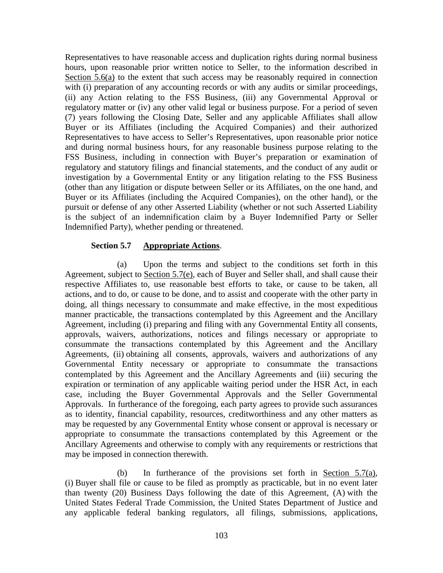Representatives to have reasonable access and duplication rights during normal business hours, upon reasonable prior written notice to Seller, to the information described in Section 5.6(a) to the extent that such access may be reasonably required in connection with (i) preparation of any accounting records or with any audits or similar proceedings, (ii) any Action relating to the FSS Business, (iii) any Governmental Approval or regulatory matter or (iv) any other valid legal or business purpose. For a period of seven (7) years following the Closing Date, Seller and any applicable Affiliates shall allow Buyer or its Affiliates (including the Acquired Companies) and their authorized Representatives to have access to Seller's Representatives, upon reasonable prior notice and during normal business hours, for any reasonable business purpose relating to the FSS Business, including in connection with Buyer's preparation or examination of regulatory and statutory filings and financial statements, and the conduct of any audit or investigation by a Governmental Entity or any litigation relating to the FSS Business (other than any litigation or dispute between Seller or its Affiliates, on the one hand, and Buyer or its Affiliates (including the Acquired Companies), on the other hand), or the pursuit or defense of any other Asserted Liability (whether or not such Asserted Liability is the subject of an indemnification claim by a Buyer Indemnified Party or Seller Indemnified Party), whether pending or threatened.

#### **Section 5.7 Appropriate Actions**.

(a) Upon the terms and subject to the conditions set forth in this Agreement, subject to Section 5.7(e), each of Buyer and Seller shall, and shall cause their respective Affiliates to, use reasonable best efforts to take, or cause to be taken, all actions, and to do, or cause to be done, and to assist and cooperate with the other party in doing, all things necessary to consummate and make effective, in the most expeditious manner practicable, the transactions contemplated by this Agreement and the Ancillary Agreement, including (i) preparing and filing with any Governmental Entity all consents, approvals, waivers, authorizations, notices and filings necessary or appropriate to consummate the transactions contemplated by this Agreement and the Ancillary Agreements, (ii) obtaining all consents, approvals, waivers and authorizations of any Governmental Entity necessary or appropriate to consummate the transactions contemplated by this Agreement and the Ancillary Agreements and (iii) securing the expiration or termination of any applicable waiting period under the HSR Act, in each case, including the Buyer Governmental Approvals and the Seller Governmental Approvals. In furtherance of the foregoing, each party agrees to provide such assurances as to identity, financial capability, resources, creditworthiness and any other matters as may be requested by any Governmental Entity whose consent or approval is necessary or appropriate to consummate the transactions contemplated by this Agreement or the Ancillary Agreements and otherwise to comply with any requirements or restrictions that may be imposed in connection therewith.

(b) In furtherance of the provisions set forth in Section 5.7(a), (i) Buyer shall file or cause to be filed as promptly as practicable, but in no event later than twenty (20) Business Days following the date of this Agreement, (A) with the United States Federal Trade Commission, the United States Department of Justice and any applicable federal banking regulators, all filings, submissions, applications,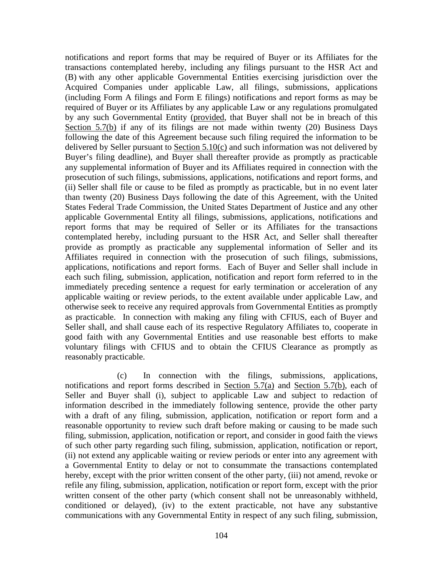notifications and report forms that may be required of Buyer or its Affiliates for the transactions contemplated hereby, including any filings pursuant to the HSR Act and (B) with any other applicable Governmental Entities exercising jurisdiction over the Acquired Companies under applicable Law, all filings, submissions, applications (including Form A filings and Form E filings) notifications and report forms as may be required of Buyer or its Affiliates by any applicable Law or any regulations promulgated by any such Governmental Entity (provided, that Buyer shall not be in breach of this Section 5.7(b) if any of its filings are not made within twenty (20) Business Days following the date of this Agreement because such filing required the information to be delivered by Seller pursuant to Section 5.10(c) and such information was not delivered by Buyer's filing deadline), and Buyer shall thereafter provide as promptly as practicable any supplemental information of Buyer and its Affiliates required in connection with the prosecution of such filings, submissions, applications, notifications and report forms, and (ii) Seller shall file or cause to be filed as promptly as practicable, but in no event later than twenty (20) Business Days following the date of this Agreement, with the United States Federal Trade Commission, the United States Department of Justice and any other applicable Governmental Entity all filings, submissions, applications, notifications and report forms that may be required of Seller or its Affiliates for the transactions contemplated hereby, including pursuant to the HSR Act, and Seller shall thereafter provide as promptly as practicable any supplemental information of Seller and its Affiliates required in connection with the prosecution of such filings, submissions, applications, notifications and report forms. Each of Buyer and Seller shall include in each such filing, submission, application, notification and report form referred to in the immediately preceding sentence a request for early termination or acceleration of any applicable waiting or review periods, to the extent available under applicable Law, and otherwise seek to receive any required approvals from Governmental Entities as promptly as practicable. In connection with making any filing with CFIUS, each of Buyer and Seller shall, and shall cause each of its respective Regulatory Affiliates to, cooperate in good faith with any Governmental Entities and use reasonable best efforts to make voluntary filings with CFIUS and to obtain the CFIUS Clearance as promptly as reasonably practicable.

(c) In connection with the filings, submissions, applications, notifications and report forms described in Section  $5.7(a)$  and Section  $5.7(b)$ , each of Seller and Buyer shall (i), subject to applicable Law and subject to redaction of information described in the immediately following sentence, provide the other party with a draft of any filing, submission, application, notification or report form and a reasonable opportunity to review such draft before making or causing to be made such filing, submission, application, notification or report, and consider in good faith the views of such other party regarding such filing, submission, application, notification or report, (ii) not extend any applicable waiting or review periods or enter into any agreement with a Governmental Entity to delay or not to consummate the transactions contemplated hereby, except with the prior written consent of the other party, (iii) not amend, revoke or refile any filing, submission, application, notification or report form, except with the prior written consent of the other party (which consent shall not be unreasonably withheld, conditioned or delayed), (iv) to the extent practicable, not have any substantive communications with any Governmental Entity in respect of any such filing, submission,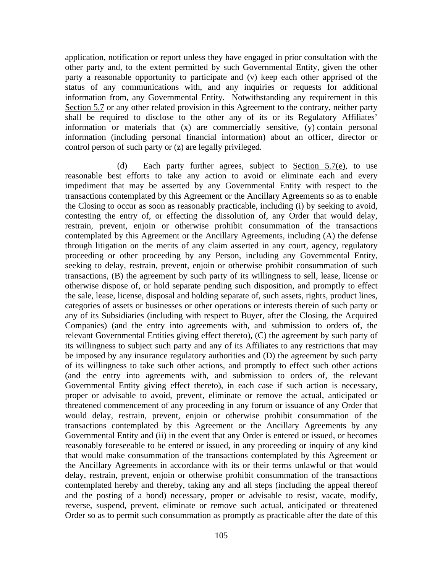application, notification or report unless they have engaged in prior consultation with the other party and, to the extent permitted by such Governmental Entity, given the other party a reasonable opportunity to participate and (v) keep each other apprised of the status of any communications with, and any inquiries or requests for additional information from, any Governmental Entity. Notwithstanding any requirement in this Section 5.7 or any other related provision in this Agreement to the contrary, neither party shall be required to disclose to the other any of its or its Regulatory Affiliates' information or materials that (x) are commercially sensitive, (y) contain personal information (including personal financial information) about an officer, director or control person of such party or (z) are legally privileged.

(d) Each party further agrees, subject to Section 5.7(e), to use reasonable best efforts to take any action to avoid or eliminate each and every impediment that may be asserted by any Governmental Entity with respect to the transactions contemplated by this Agreement or the Ancillary Agreements so as to enable the Closing to occur as soon as reasonably practicable, including (i) by seeking to avoid, contesting the entry of, or effecting the dissolution of, any Order that would delay, restrain, prevent, enjoin or otherwise prohibit consummation of the transactions contemplated by this Agreement or the Ancillary Agreements, including (A) the defense through litigation on the merits of any claim asserted in any court, agency, regulatory proceeding or other proceeding by any Person, including any Governmental Entity, seeking to delay, restrain, prevent, enjoin or otherwise prohibit consummation of such transactions, (B) the agreement by such party of its willingness to sell, lease, license or otherwise dispose of, or hold separate pending such disposition, and promptly to effect the sale, lease, license, disposal and holding separate of, such assets, rights, product lines, categories of assets or businesses or other operations or interests therein of such party or any of its Subsidiaries (including with respect to Buyer, after the Closing, the Acquired Companies) (and the entry into agreements with, and submission to orders of, the relevant Governmental Entities giving effect thereto), (C) the agreement by such party of its willingness to subject such party and any of its Affiliates to any restrictions that may be imposed by any insurance regulatory authorities and (D) the agreement by such party of its willingness to take such other actions, and promptly to effect such other actions (and the entry into agreements with, and submission to orders of, the relevant Governmental Entity giving effect thereto), in each case if such action is necessary, proper or advisable to avoid, prevent, eliminate or remove the actual, anticipated or threatened commencement of any proceeding in any forum or issuance of any Order that would delay, restrain, prevent, enjoin or otherwise prohibit consummation of the transactions contemplated by this Agreement or the Ancillary Agreements by any Governmental Entity and (ii) in the event that any Order is entered or issued, or becomes reasonably foreseeable to be entered or issued, in any proceeding or inquiry of any kind that would make consummation of the transactions contemplated by this Agreement or the Ancillary Agreements in accordance with its or their terms unlawful or that would delay, restrain, prevent, enjoin or otherwise prohibit consummation of the transactions contemplated hereby and thereby, taking any and all steps (including the appeal thereof and the posting of a bond) necessary, proper or advisable to resist, vacate, modify, reverse, suspend, prevent, eliminate or remove such actual, anticipated or threatened Order so as to permit such consummation as promptly as practicable after the date of this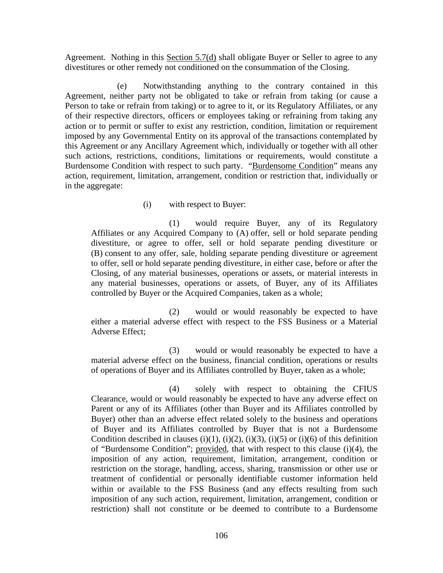Agreement. Nothing in this Section 5.7(d) shall obligate Buyer or Seller to agree to any divestitures or other remedy not conditioned on the consummation of the Closing.

(e) Notwithstanding anything to the contrary contained in this Agreement, neither party not be obligated to take or refrain from taking (or cause a Person to take or refrain from taking) or to agree to it, or its Regulatory Affiliates, or any of their respective directors, officers or employees taking or refraining from taking any action or to permit or suffer to exist any restriction, condition, limitation or requirement imposed by any Governmental Entity on its approval of the transactions contemplated by this Agreement or any Ancillary Agreement which, individually or together with all other such actions, restrictions, conditions, limitations or requirements, would constitute a Burdensome Condition with respect to such party. "Burdensome Condition" means any action, requirement, limitation, arrangement, condition or restriction that, individually or in the aggregate:

#### (i) with respect to Buyer:

(1) would require Buyer, any of its Regulatory Affiliates or any Acquired Company to (A) offer, sell or hold separate pending divestiture, or agree to offer, sell or hold separate pending divestiture or (B) consent to any offer, sale, holding separate pending divestiture or agreement to offer, sell or hold separate pending divestiture, in either case, before or after the Closing, of any material businesses, operations or assets, or material interests in any material businesses, operations or assets, of Buyer, any of its Affiliates controlled by Buyer or the Acquired Companies, taken as a whole;

(2) would or would reasonably be expected to have either a material adverse effect with respect to the FSS Business or a Material Adverse Effect;

(3) would or would reasonably be expected to have a material adverse effect on the business, financial condition, operations or results of operations of Buyer and its Affiliates controlled by Buyer, taken as a whole;

(4) solely with respect to obtaining the CFIUS Clearance, would or would reasonably be expected to have any adverse effect on Parent or any of its Affiliates (other than Buyer and its Affiliates controlled by Buyer) other than an adverse effect related solely to the business and operations of Buyer and its Affiliates controlled by Buyer that is not a Burdensome Condition described in clauses (i)(1), (i)(2), (i)(3), (i)(5) or (i)(6) of this definition of "Burdensome Condition"; provided, that with respect to this clause (i)(4), the imposition of any action, requirement, limitation, arrangement, condition or restriction on the storage, handling, access, sharing, transmission or other use or treatment of confidential or personally identifiable customer information held within or available to the FSS Business (and any effects resulting from such imposition of any such action, requirement, limitation, arrangement, condition or restriction) shall not constitute or be deemed to contribute to a Burdensome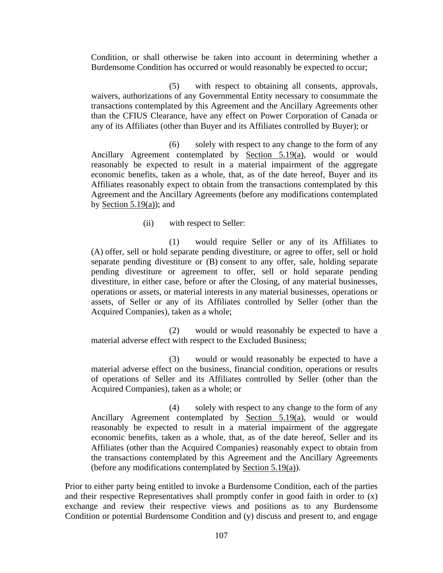Condition, or shall otherwise be taken into account in determining whether a Burdensome Condition has occurred or would reasonably be expected to occur;

(5) with respect to obtaining all consents, approvals, waivers, authorizations of any Governmental Entity necessary to consummate the transactions contemplated by this Agreement and the Ancillary Agreements other than the CFIUS Clearance, have any effect on Power Corporation of Canada or any of its Affiliates (other than Buyer and its Affiliates controlled by Buyer); or

(6) solely with respect to any change to the form of any Ancillary Agreement contemplated by Section 5.19(a), would or would reasonably be expected to result in a material impairment of the aggregate economic benefits, taken as a whole, that, as of the date hereof, Buyer and its Affiliates reasonably expect to obtain from the transactions contemplated by this Agreement and the Ancillary Agreements (before any modifications contemplated by Section  $5.19(a)$ ; and

(ii) with respect to Seller:

(1) would require Seller or any of its Affiliates to (A) offer, sell or hold separate pending divestiture, or agree to offer, sell or hold separate pending divestiture or (B) consent to any offer, sale, holding separate pending divestiture or agreement to offer, sell or hold separate pending divestiture, in either case, before or after the Closing, of any material businesses, operations or assets, or material interests in any material businesses, operations or assets, of Seller or any of its Affiliates controlled by Seller (other than the Acquired Companies), taken as a whole;

(2) would or would reasonably be expected to have a material adverse effect with respect to the Excluded Business;

(3) would or would reasonably be expected to have a material adverse effect on the business, financial condition, operations or results of operations of Seller and its Affiliates controlled by Seller (other than the Acquired Companies), taken as a whole; or

(4) solely with respect to any change to the form of any Ancillary Agreement contemplated by Section 5.19(a), would or would reasonably be expected to result in a material impairment of the aggregate economic benefits, taken as a whole, that, as of the date hereof, Seller and its Affiliates (other than the Acquired Companies) reasonably expect to obtain from the transactions contemplated by this Agreement and the Ancillary Agreements (before any modifications contemplated by Section 5.19(a)).

Prior to either party being entitled to invoke a Burdensome Condition, each of the parties and their respective Representatives shall promptly confer in good faith in order to (x) exchange and review their respective views and positions as to any Burdensome Condition or potential Burdensome Condition and (y) discuss and present to, and engage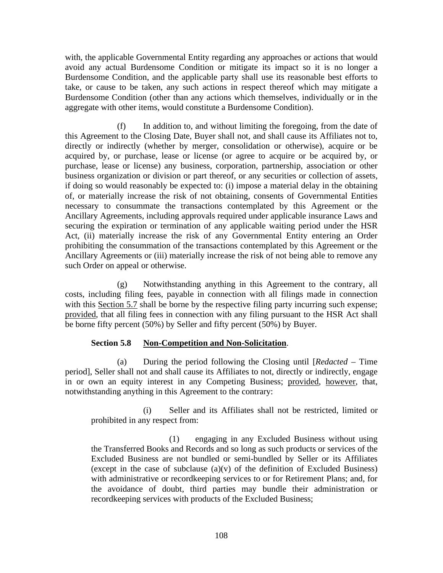with, the applicable Governmental Entity regarding any approaches or actions that would avoid any actual Burdensome Condition or mitigate its impact so it is no longer a Burdensome Condition, and the applicable party shall use its reasonable best efforts to take, or cause to be taken, any such actions in respect thereof which may mitigate a Burdensome Condition (other than any actions which themselves, individually or in the aggregate with other items, would constitute a Burdensome Condition).

(f) In addition to, and without limiting the foregoing, from the date of this Agreement to the Closing Date, Buyer shall not, and shall cause its Affiliates not to, directly or indirectly (whether by merger, consolidation or otherwise), acquire or be acquired by, or purchase, lease or license (or agree to acquire or be acquired by, or purchase, lease or license) any business, corporation, partnership, association or other business organization or division or part thereof, or any securities or collection of assets, if doing so would reasonably be expected to: (i) impose a material delay in the obtaining of, or materially increase the risk of not obtaining, consents of Governmental Entities necessary to consummate the transactions contemplated by this Agreement or the Ancillary Agreements, including approvals required under applicable insurance Laws and securing the expiration or termination of any applicable waiting period under the HSR Act, (ii) materially increase the risk of any Governmental Entity entering an Order prohibiting the consummation of the transactions contemplated by this Agreement or the Ancillary Agreements or (iii) materially increase the risk of not being able to remove any such Order on appeal or otherwise.

(g) Notwithstanding anything in this Agreement to the contrary, all costs, including filing fees, payable in connection with all filings made in connection with this Section 5.7 shall be borne by the respective filing party incurring such expense; provided, that all filing fees in connection with any filing pursuant to the HSR Act shall be borne fifty percent (50%) by Seller and fifty percent (50%) by Buyer.

# **Section 5.8 Non-Competition and Non-Solicitation**.

(a) During the period following the Closing until [*Redacted* – Time period], Seller shall not and shall cause its Affiliates to not, directly or indirectly, engage in or own an equity interest in any Competing Business; provided, however, that, notwithstanding anything in this Agreement to the contrary:

(i) Seller and its Affiliates shall not be restricted, limited or prohibited in any respect from:

(1) engaging in any Excluded Business without using the Transferred Books and Records and so long as such products or services of the Excluded Business are not bundled or semi-bundled by Seller or its Affiliates (except in the case of subclause  $(a)(v)$  of the definition of Excluded Business) with administrative or recordkeeping services to or for Retirement Plans; and, for the avoidance of doubt, third parties may bundle their administration or recordkeeping services with products of the Excluded Business;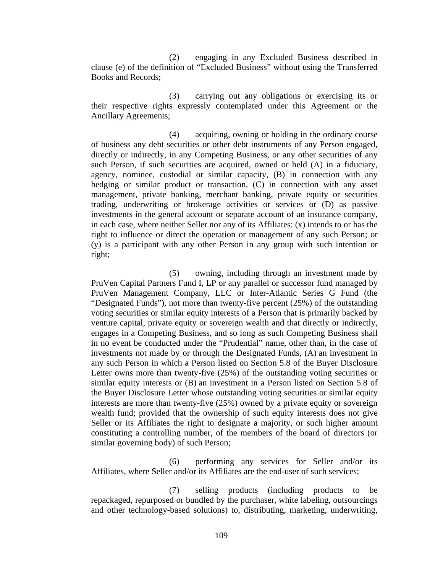(2) engaging in any Excluded Business described in clause (e) of the definition of "Excluded Business" without using the Transferred Books and Records;

(3) carrying out any obligations or exercising its or their respective rights expressly contemplated under this Agreement or the Ancillary Agreements;

(4) acquiring, owning or holding in the ordinary course of business any debt securities or other debt instruments of any Person engaged, directly or indirectly, in any Competing Business, or any other securities of any such Person, if such securities are acquired, owned or held (A) in a fiduciary, agency, nominee, custodial or similar capacity, (B) in connection with any hedging or similar product or transaction, (C) in connection with any asset management, private banking, merchant banking, private equity or securities trading, underwriting or brokerage activities or services or (D) as passive investments in the general account or separate account of an insurance company, in each case, where neither Seller nor any of its Affiliates: (x) intends to or has the right to influence or direct the operation or management of any such Person; or (y) is a participant with any other Person in any group with such intention or right;

(5) owning, including through an investment made by PruVen Capital Partners Fund I, LP or any parallel or successor fund managed by PruVen Management Company, LLC or Inter-Atlantic Series G Fund (the "Designated Funds"), not more than twenty-five percent (25%) of the outstanding voting securities or similar equity interests of a Person that is primarily backed by venture capital, private equity or sovereign wealth and that directly or indirectly, engages in a Competing Business, and so long as such Competing Business shall in no event be conducted under the "Prudential" name, other than, in the case of investments not made by or through the Designated Funds, (A) an investment in any such Person in which a Person listed on Section 5.8 of the Buyer Disclosure Letter owns more than twenty-five  $(25%)$  of the outstanding voting securities or similar equity interests or (B) an investment in a Person listed on Section 5.8 of the Buyer Disclosure Letter whose outstanding voting securities or similar equity interests are more than twenty-five (25%) owned by a private equity or sovereign wealth fund; provided that the ownership of such equity interests does not give Seller or its Affiliates the right to designate a majority, or such higher amount constituting a controlling number, of the members of the board of directors (or similar governing body) of such Person;

(6) performing any services for Seller and/or its Affiliates, where Seller and/or its Affiliates are the end-user of such services;

(7) selling products (including products to be repackaged, repurposed or bundled by the purchaser, white labeling, outsourcings and other technology-based solutions) to, distributing, marketing, underwriting,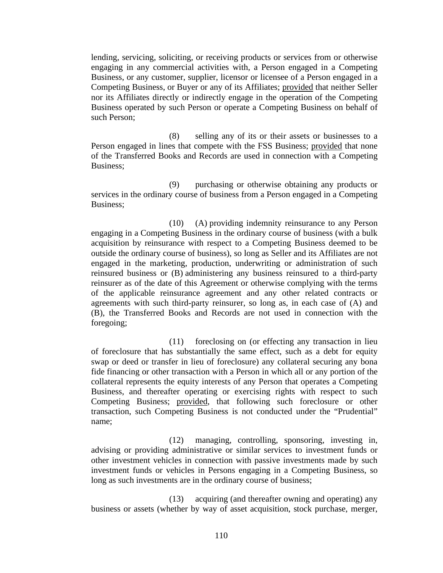lending, servicing, soliciting, or receiving products or services from or otherwise engaging in any commercial activities with, a Person engaged in a Competing Business, or any customer, supplier, licensor or licensee of a Person engaged in a Competing Business, or Buyer or any of its Affiliates; provided that neither Seller nor its Affiliates directly or indirectly engage in the operation of the Competing Business operated by such Person or operate a Competing Business on behalf of such Person;

(8) selling any of its or their assets or businesses to a Person engaged in lines that compete with the FSS Business; provided that none of the Transferred Books and Records are used in connection with a Competing Business;

(9) purchasing or otherwise obtaining any products or services in the ordinary course of business from a Person engaged in a Competing Business;

(10) (A) providing indemnity reinsurance to any Person engaging in a Competing Business in the ordinary course of business (with a bulk acquisition by reinsurance with respect to a Competing Business deemed to be outside the ordinary course of business), so long as Seller and its Affiliates are not engaged in the marketing, production, underwriting or administration of such reinsured business or (B) administering any business reinsured to a third-party reinsurer as of the date of this Agreement or otherwise complying with the terms of the applicable reinsurance agreement and any other related contracts or agreements with such third-party reinsurer, so long as, in each case of (A) and (B), the Transferred Books and Records are not used in connection with the foregoing;

(11) foreclosing on (or effecting any transaction in lieu of foreclosure that has substantially the same effect, such as a debt for equity swap or deed or transfer in lieu of foreclosure) any collateral securing any bona fide financing or other transaction with a Person in which all or any portion of the collateral represents the equity interests of any Person that operates a Competing Business, and thereafter operating or exercising rights with respect to such Competing Business; provided, that following such foreclosure or other transaction, such Competing Business is not conducted under the "Prudential" name;

(12) managing, controlling, sponsoring, investing in, advising or providing administrative or similar services to investment funds or other investment vehicles in connection with passive investments made by such investment funds or vehicles in Persons engaging in a Competing Business, so long as such investments are in the ordinary course of business;

(13) acquiring (and thereafter owning and operating) any business or assets (whether by way of asset acquisition, stock purchase, merger,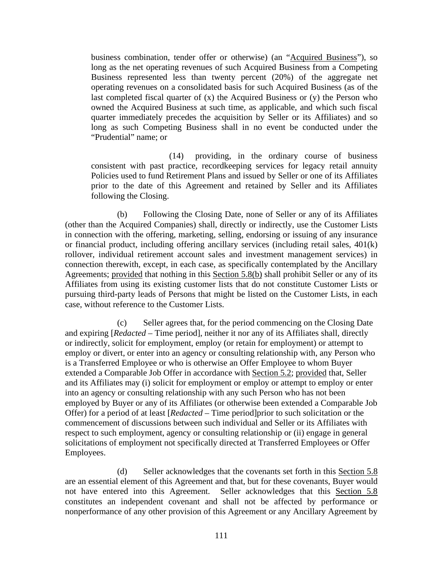business combination, tender offer or otherwise) (an "Acquired Business"), so long as the net operating revenues of such Acquired Business from a Competing Business represented less than twenty percent (20%) of the aggregate net operating revenues on a consolidated basis for such Acquired Business (as of the last completed fiscal quarter of  $(x)$  the Acquired Business or  $(y)$  the Person who owned the Acquired Business at such time, as applicable, and which such fiscal quarter immediately precedes the acquisition by Seller or its Affiliates) and so long as such Competing Business shall in no event be conducted under the "Prudential" name; or

(14) providing, in the ordinary course of business consistent with past practice, recordkeeping services for legacy retail annuity Policies used to fund Retirement Plans and issued by Seller or one of its Affiliates prior to the date of this Agreement and retained by Seller and its Affiliates following the Closing.

(b) Following the Closing Date, none of Seller or any of its Affiliates (other than the Acquired Companies) shall, directly or indirectly, use the Customer Lists in connection with the offering, marketing, selling, endorsing or issuing of any insurance or financial product, including offering ancillary services (including retail sales, 401(k) rollover, individual retirement account sales and investment management services) in connection therewith, except, in each case, as specifically contemplated by the Ancillary Agreements; provided that nothing in this Section 5.8(b) shall prohibit Seller or any of its Affiliates from using its existing customer lists that do not constitute Customer Lists or pursuing third-party leads of Persons that might be listed on the Customer Lists, in each case, without reference to the Customer Lists.

(c) Seller agrees that, for the period commencing on the Closing Date and expiring [*Redacted* – Time period], neither it nor any of its Affiliates shall, directly or indirectly, solicit for employment, employ (or retain for employment) or attempt to employ or divert, or enter into an agency or consulting relationship with, any Person who is a Transferred Employee or who is otherwise an Offer Employee to whom Buyer extended a Comparable Job Offer in accordance with Section 5.2; provided that, Seller and its Affiliates may (i) solicit for employment or employ or attempt to employ or enter into an agency or consulting relationship with any such Person who has not been employed by Buyer or any of its Affiliates (or otherwise been extended a Comparable Job Offer) for a period of at least [*Redacted* – Time period]prior to such solicitation or the commencement of discussions between such individual and Seller or its Affiliates with respect to such employment, agency or consulting relationship or (ii) engage in general solicitations of employment not specifically directed at Transferred Employees or Offer Employees.

(d) Seller acknowledges that the covenants set forth in this Section 5.8 are an essential element of this Agreement and that, but for these covenants, Buyer would not have entered into this Agreement. Seller acknowledges that this Section 5.8 constitutes an independent covenant and shall not be affected by performance or nonperformance of any other provision of this Agreement or any Ancillary Agreement by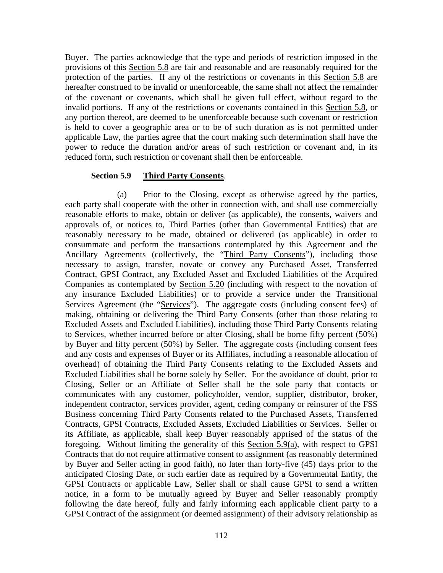Buyer. The parties acknowledge that the type and periods of restriction imposed in the provisions of this Section 5.8 are fair and reasonable and are reasonably required for the protection of the parties. If any of the restrictions or covenants in this Section 5.8 are hereafter construed to be invalid or unenforceable, the same shall not affect the remainder of the covenant or covenants, which shall be given full effect, without regard to the invalid portions. If any of the restrictions or covenants contained in this Section 5.8, or any portion thereof, are deemed to be unenforceable because such covenant or restriction is held to cover a geographic area or to be of such duration as is not permitted under applicable Law, the parties agree that the court making such determination shall have the power to reduce the duration and/or areas of such restriction or covenant and, in its reduced form, such restriction or covenant shall then be enforceable.

## **Section 5.9 Third Party Consents**.

(a) Prior to the Closing, except as otherwise agreed by the parties, each party shall cooperate with the other in connection with, and shall use commercially reasonable efforts to make, obtain or deliver (as applicable), the consents, waivers and approvals of, or notices to, Third Parties (other than Governmental Entities) that are reasonably necessary to be made, obtained or delivered (as applicable) in order to consummate and perform the transactions contemplated by this Agreement and the Ancillary Agreements (collectively, the "Third Party Consents"), including those necessary to assign, transfer, novate or convey any Purchased Asset, Transferred Contract, GPSI Contract, any Excluded Asset and Excluded Liabilities of the Acquired Companies as contemplated by Section 5.20 (including with respect to the novation of any insurance Excluded Liabilities) or to provide a service under the Transitional Services Agreement (the "Services"). The aggregate costs (including consent fees) of making, obtaining or delivering the Third Party Consents (other than those relating to Excluded Assets and Excluded Liabilities), including those Third Party Consents relating to Services, whether incurred before or after Closing, shall be borne fifty percent (50%) by Buyer and fifty percent (50%) by Seller. The aggregate costs (including consent fees and any costs and expenses of Buyer or its Affiliates, including a reasonable allocation of overhead) of obtaining the Third Party Consents relating to the Excluded Assets and Excluded Liabilities shall be borne solely by Seller. For the avoidance of doubt, prior to Closing, Seller or an Affiliate of Seller shall be the sole party that contacts or communicates with any customer, policyholder, vendor, supplier, distributor, broker, independent contractor, services provider, agent, ceding company or reinsurer of the FSS Business concerning Third Party Consents related to the Purchased Assets, Transferred Contracts, GPSI Contracts, Excluded Assets, Excluded Liabilities or Services. Seller or its Affiliate, as applicable, shall keep Buyer reasonably apprised of the status of the foregoing. Without limiting the generality of this Section 5.9(a), with respect to GPSI Contracts that do not require affirmative consent to assignment (as reasonably determined by Buyer and Seller acting in good faith), no later than forty-five (45) days prior to the anticipated Closing Date, or such earlier date as required by a Governmental Entity, the GPSI Contracts or applicable Law, Seller shall or shall cause GPSI to send a written notice, in a form to be mutually agreed by Buyer and Seller reasonably promptly following the date hereof, fully and fairly informing each applicable client party to a GPSI Contract of the assignment (or deemed assignment) of their advisory relationship as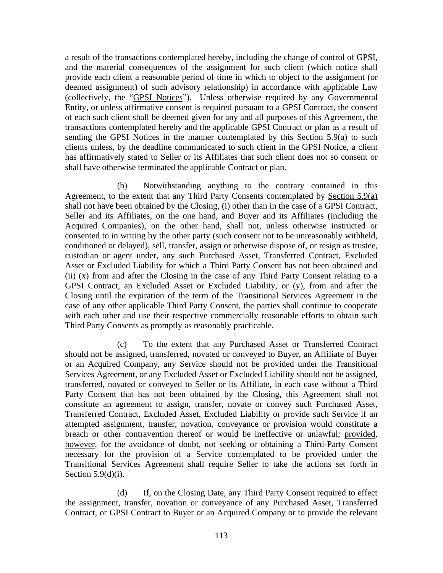a result of the transactions contemplated hereby, including the change of control of GPSI, and the material consequences of the assignment for such client (which notice shall provide each client a reasonable period of time in which to object to the assignment (or deemed assignment) of such advisory relationship) in accordance with applicable Law (collectively, the "GPSI Notices"). Unless otherwise required by any Governmental Entity, or unless affirmative consent is required pursuant to a GPSI Contract, the consent of each such client shall be deemed given for any and all purposes of this Agreement, the transactions contemplated hereby and the applicable GPSI Contract or plan as a result of sending the GPSI Notices in the manner contemplated by this Section 5.9(a) to such clients unless, by the deadline communicated to such client in the GPSI Notice, a client has affirmatively stated to Seller or its Affiliates that such client does not so consent or shall have otherwise terminated the applicable Contract or plan.

(b) Notwithstanding anything to the contrary contained in this Agreement, to the extent that any Third Party Consents contemplated by Section 5.9(a) shall not have been obtained by the Closing, (i) other than in the case of a GPSI Contract, Seller and its Affiliates, on the one hand, and Buyer and its Affiliates (including the Acquired Companies), on the other hand, shall not, unless otherwise instructed or consented to in writing by the other party (such consent not to be unreasonably withheld, conditioned or delayed), sell, transfer, assign or otherwise dispose of, or resign as trustee, custodian or agent under, any such Purchased Asset, Transferred Contract, Excluded Asset or Excluded Liability for which a Third Party Consent has not been obtained and (ii) (x) from and after the Closing in the case of any Third Party Consent relating to a GPSI Contract, an Excluded Asset or Excluded Liability, or (y), from and after the Closing until the expiration of the term of the Transitional Services Agreement in the case of any other applicable Third Party Consent, the parties shall continue to cooperate with each other and use their respective commercially reasonable efforts to obtain such Third Party Consents as promptly as reasonably practicable.

(c) To the extent that any Purchased Asset or Transferred Contract should not be assigned, transferred, novated or conveyed to Buyer, an Affiliate of Buyer or an Acquired Company, any Service should not be provided under the Transitional Services Agreement, or any Excluded Asset or Excluded Liability should not be assigned, transferred, novated or conveyed to Seller or its Affiliate, in each case without a Third Party Consent that has not been obtained by the Closing, this Agreement shall not constitute an agreement to assign, transfer, novate or convey such Purchased Asset, Transferred Contract, Excluded Asset, Excluded Liability or provide such Service if an attempted assignment, transfer, novation, conveyance or provision would constitute a breach or other contravention thereof or would be ineffective or unlawful; provided, however, for the avoidance of doubt, not seeking or obtaining a Third-Party Consent necessary for the provision of a Service contemplated to be provided under the Transitional Services Agreement shall require Seller to take the actions set forth in Section  $5.9(d)(i)$ .

(d) If, on the Closing Date, any Third Party Consent required to effect the assignment, transfer, novation or conveyance of any Purchased Asset, Transferred Contract, or GPSI Contract to Buyer or an Acquired Company or to provide the relevant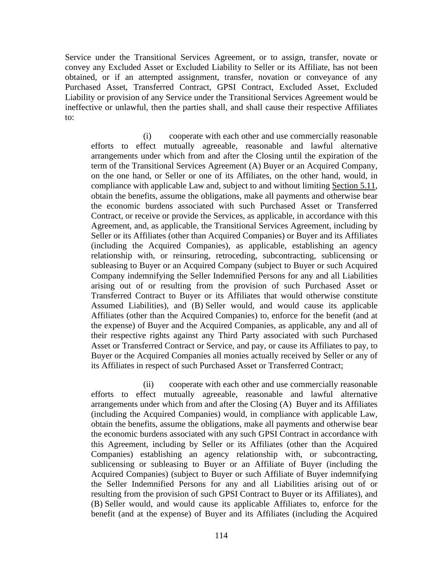Service under the Transitional Services Agreement, or to assign, transfer, novate or convey any Excluded Asset or Excluded Liability to Seller or its Affiliate, has not been obtained, or if an attempted assignment, transfer, novation or conveyance of any Purchased Asset, Transferred Contract, GPSI Contract, Excluded Asset, Excluded Liability or provision of any Service under the Transitional Services Agreement would be ineffective or unlawful, then the parties shall, and shall cause their respective Affiliates to:

(i) cooperate with each other and use commercially reasonable efforts to effect mutually agreeable, reasonable and lawful alternative arrangements under which from and after the Closing until the expiration of the term of the Transitional Services Agreement (A) Buyer or an Acquired Company, on the one hand, or Seller or one of its Affiliates, on the other hand, would, in compliance with applicable Law and, subject to and without limiting Section 5.11, obtain the benefits, assume the obligations, make all payments and otherwise bear the economic burdens associated with such Purchased Asset or Transferred Contract, or receive or provide the Services, as applicable, in accordance with this Agreement, and, as applicable, the Transitional Services Agreement, including by Seller or its Affiliates (other than Acquired Companies) or Buyer and its Affiliates (including the Acquired Companies), as applicable, establishing an agency relationship with, or reinsuring, retroceding, subcontracting, sublicensing or subleasing to Buyer or an Acquired Company (subject to Buyer or such Acquired Company indemnifying the Seller Indemnified Persons for any and all Liabilities arising out of or resulting from the provision of such Purchased Asset or Transferred Contract to Buyer or its Affiliates that would otherwise constitute Assumed Liabilities), and (B) Seller would, and would cause its applicable Affiliates (other than the Acquired Companies) to, enforce for the benefit (and at the expense) of Buyer and the Acquired Companies, as applicable, any and all of their respective rights against any Third Party associated with such Purchased Asset or Transferred Contract or Service, and pay, or cause its Affiliates to pay, to Buyer or the Acquired Companies all monies actually received by Seller or any of its Affiliates in respect of such Purchased Asset or Transferred Contract;

(ii) cooperate with each other and use commercially reasonable efforts to effect mutually agreeable, reasonable and lawful alternative arrangements under which from and after the Closing (A) Buyer and its Affiliates (including the Acquired Companies) would, in compliance with applicable Law, obtain the benefits, assume the obligations, make all payments and otherwise bear the economic burdens associated with any such GPSI Contract in accordance with this Agreement, including by Seller or its Affiliates (other than the Acquired Companies) establishing an agency relationship with, or subcontracting, sublicensing or subleasing to Buyer or an Affiliate of Buyer (including the Acquired Companies) (subject to Buyer or such Affiliate of Buyer indemnifying the Seller Indemnified Persons for any and all Liabilities arising out of or resulting from the provision of such GPSI Contract to Buyer or its Affiliates), and (B) Seller would, and would cause its applicable Affiliates to, enforce for the benefit (and at the expense) of Buyer and its Affiliates (including the Acquired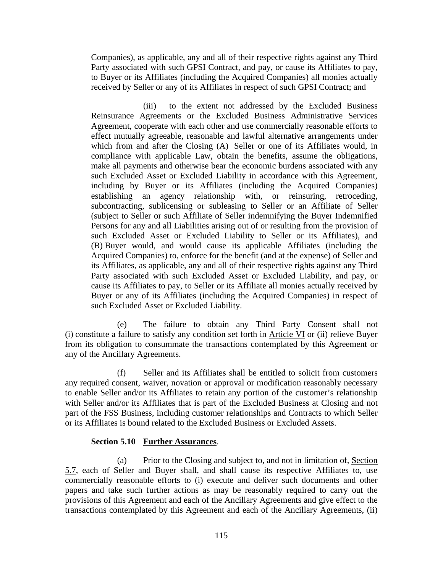Companies), as applicable, any and all of their respective rights against any Third Party associated with such GPSI Contract, and pay, or cause its Affiliates to pay, to Buyer or its Affiliates (including the Acquired Companies) all monies actually received by Seller or any of its Affiliates in respect of such GPSI Contract; and

(iii) to the extent not addressed by the Excluded Business Reinsurance Agreements or the Excluded Business Administrative Services Agreement, cooperate with each other and use commercially reasonable efforts to effect mutually agreeable, reasonable and lawful alternative arrangements under which from and after the Closing (A) Seller or one of its Affiliates would, in compliance with applicable Law, obtain the benefits, assume the obligations, make all payments and otherwise bear the economic burdens associated with any such Excluded Asset or Excluded Liability in accordance with this Agreement, including by Buyer or its Affiliates (including the Acquired Companies) establishing an agency relationship with, or reinsuring, retroceding, subcontracting, sublicensing or subleasing to Seller or an Affiliate of Seller (subject to Seller or such Affiliate of Seller indemnifying the Buyer Indemnified Persons for any and all Liabilities arising out of or resulting from the provision of such Excluded Asset or Excluded Liability to Seller or its Affiliates), and (B) Buyer would, and would cause its applicable Affiliates (including the Acquired Companies) to, enforce for the benefit (and at the expense) of Seller and its Affiliates, as applicable, any and all of their respective rights against any Third Party associated with such Excluded Asset or Excluded Liability, and pay, or cause its Affiliates to pay, to Seller or its Affiliate all monies actually received by Buyer or any of its Affiliates (including the Acquired Companies) in respect of such Excluded Asset or Excluded Liability.

(e) The failure to obtain any Third Party Consent shall not (i) constitute a failure to satisfy any condition set forth in Article VI or (ii) relieve Buyer from its obligation to consummate the transactions contemplated by this Agreement or any of the Ancillary Agreements.

(f) Seller and its Affiliates shall be entitled to solicit from customers any required consent, waiver, novation or approval or modification reasonably necessary to enable Seller and/or its Affiliates to retain any portion of the customer's relationship with Seller and/or its Affiliates that is part of the Excluded Business at Closing and not part of the FSS Business, including customer relationships and Contracts to which Seller or its Affiliates is bound related to the Excluded Business or Excluded Assets.

## **Section 5.10 Further Assurances**.

(a) Prior to the Closing and subject to, and not in limitation of, Section 5.7, each of Seller and Buyer shall, and shall cause its respective Affiliates to, use commercially reasonable efforts to (i) execute and deliver such documents and other papers and take such further actions as may be reasonably required to carry out the provisions of this Agreement and each of the Ancillary Agreements and give effect to the transactions contemplated by this Agreement and each of the Ancillary Agreements, (ii)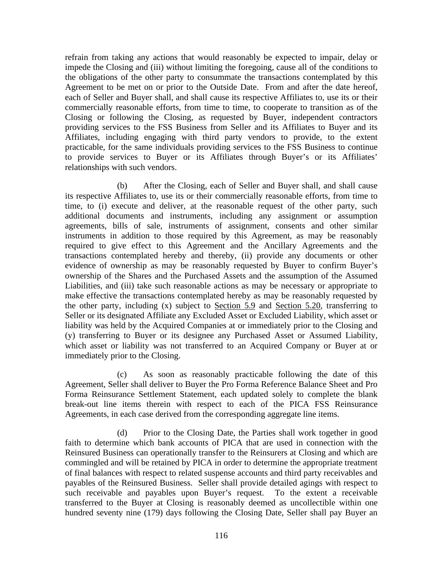refrain from taking any actions that would reasonably be expected to impair, delay or impede the Closing and (iii) without limiting the foregoing, cause all of the conditions to the obligations of the other party to consummate the transactions contemplated by this Agreement to be met on or prior to the Outside Date. From and after the date hereof, each of Seller and Buyer shall, and shall cause its respective Affiliates to, use its or their commercially reasonable efforts, from time to time, to cooperate to transition as of the Closing or following the Closing, as requested by Buyer, independent contractors providing services to the FSS Business from Seller and its Affiliates to Buyer and its Affiliates, including engaging with third party vendors to provide, to the extent practicable, for the same individuals providing services to the FSS Business to continue to provide services to Buyer or its Affiliates through Buyer's or its Affiliates' relationships with such vendors.

(b) After the Closing, each of Seller and Buyer shall, and shall cause its respective Affiliates to, use its or their commercially reasonable efforts, from time to time, to (i) execute and deliver, at the reasonable request of the other party, such additional documents and instruments, including any assignment or assumption agreements, bills of sale, instruments of assignment, consents and other similar instruments in addition to those required by this Agreement, as may be reasonably required to give effect to this Agreement and the Ancillary Agreements and the transactions contemplated hereby and thereby, (ii) provide any documents or other evidence of ownership as may be reasonably requested by Buyer to confirm Buyer's ownership of the Shares and the Purchased Assets and the assumption of the Assumed Liabilities, and (iii) take such reasonable actions as may be necessary or appropriate to make effective the transactions contemplated hereby as may be reasonably requested by the other party, including (x) subject to Section 5.9 and Section 5.20, transferring to Seller or its designated Affiliate any Excluded Asset or Excluded Liability, which asset or liability was held by the Acquired Companies at or immediately prior to the Closing and (y) transferring to Buyer or its designee any Purchased Asset or Assumed Liability, which asset or liability was not transferred to an Acquired Company or Buyer at or immediately prior to the Closing.

(c) As soon as reasonably practicable following the date of this Agreement, Seller shall deliver to Buyer the Pro Forma Reference Balance Sheet and Pro Forma Reinsurance Settlement Statement, each updated solely to complete the blank break-out line items therein with respect to each of the PICA FSS Reinsurance Agreements, in each case derived from the corresponding aggregate line items.

(d) Prior to the Closing Date, the Parties shall work together in good faith to determine which bank accounts of PICA that are used in connection with the Reinsured Business can operationally transfer to the Reinsurers at Closing and which are commingled and will be retained by PICA in order to determine the appropriate treatment of final balances with respect to related suspense accounts and third party receivables and payables of the Reinsured Business. Seller shall provide detailed agings with respect to such receivable and payables upon Buyer's request. To the extent a receivable transferred to the Buyer at Closing is reasonably deemed as uncollectible within one hundred seventy nine (179) days following the Closing Date, Seller shall pay Buyer an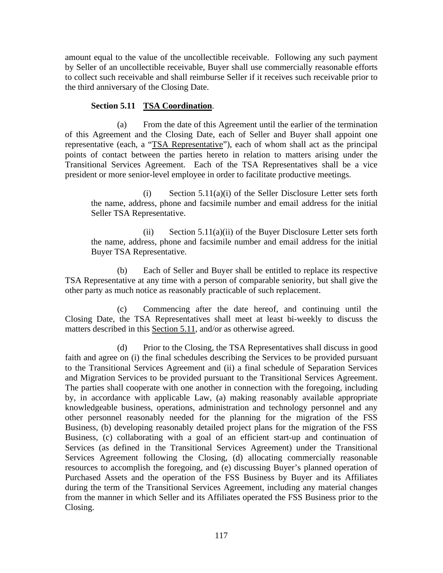amount equal to the value of the uncollectible receivable. Following any such payment by Seller of an uncollectible receivable, Buyer shall use commercially reasonable efforts to collect such receivable and shall reimburse Seller if it receives such receivable prior to the third anniversary of the Closing Date.

# **Section 5.11 TSA Coordination**.

(a) From the date of this Agreement until the earlier of the termination of this Agreement and the Closing Date, each of Seller and Buyer shall appoint one representative (each, a "TSA Representative"), each of whom shall act as the principal points of contact between the parties hereto in relation to matters arising under the Transitional Services Agreement. Each of the TSA Representatives shall be a vice president or more senior-level employee in order to facilitate productive meetings.

 $(i)$  Section 5.11(a)(i) of the Seller Disclosure Letter sets forth the name, address, phone and facsimile number and email address for the initial Seller TSA Representative.

(ii) Section  $5.11(a)(ii)$  of the Buyer Disclosure Letter sets forth the name, address, phone and facsimile number and email address for the initial Buyer TSA Representative.

(b) Each of Seller and Buyer shall be entitled to replace its respective TSA Representative at any time with a person of comparable seniority, but shall give the other party as much notice as reasonably practicable of such replacement.

(c) Commencing after the date hereof, and continuing until the Closing Date, the TSA Representatives shall meet at least bi-weekly to discuss the matters described in this Section 5.11, and/or as otherwise agreed.

(d) Prior to the Closing, the TSA Representatives shall discuss in good faith and agree on (i) the final schedules describing the Services to be provided pursuant to the Transitional Services Agreement and (ii) a final schedule of Separation Services and Migration Services to be provided pursuant to the Transitional Services Agreement. The parties shall cooperate with one another in connection with the foregoing, including by, in accordance with applicable Law, (a) making reasonably available appropriate knowledgeable business, operations, administration and technology personnel and any other personnel reasonably needed for the planning for the migration of the FSS Business, (b) developing reasonably detailed project plans for the migration of the FSS Business, (c) collaborating with a goal of an efficient start-up and continuation of Services (as defined in the Transitional Services Agreement) under the Transitional Services Agreement following the Closing, (d) allocating commercially reasonable resources to accomplish the foregoing, and (e) discussing Buyer's planned operation of Purchased Assets and the operation of the FSS Business by Buyer and its Affiliates during the term of the Transitional Services Agreement, including any material changes from the manner in which Seller and its Affiliates operated the FSS Business prior to the Closing.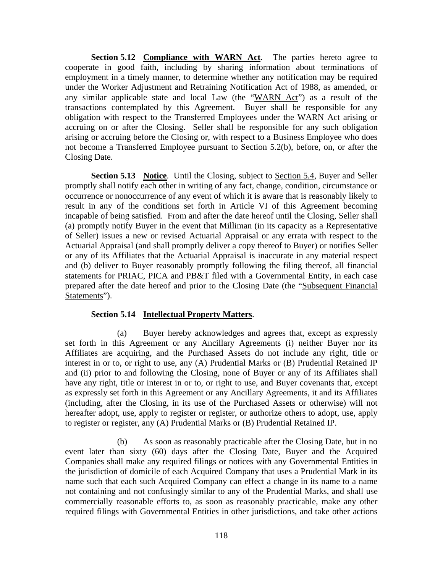**Section 5.12 Compliance with WARN Act.** The parties hereto agree to cooperate in good faith, including by sharing information about terminations of employment in a timely manner, to determine whether any notification may be required under the Worker Adjustment and Retraining Notification Act of 1988, as amended, or any similar applicable state and local Law (the "WARN Act") as a result of the transactions contemplated by this Agreement. Buyer shall be responsible for any obligation with respect to the Transferred Employees under the WARN Act arising or accruing on or after the Closing. Seller shall be responsible for any such obligation arising or accruing before the Closing or, with respect to a Business Employee who does not become a Transferred Employee pursuant to Section 5.2(b), before, on, or after the Closing Date.

**Section 5.13 Notice**. Until the Closing, subject to Section 5.4, Buyer and Seller promptly shall notify each other in writing of any fact, change, condition, circumstance or occurrence or nonoccurrence of any event of which it is aware that is reasonably likely to result in any of the conditions set forth in Article VI of this Agreement becoming incapable of being satisfied. From and after the date hereof until the Closing, Seller shall (a) promptly notify Buyer in the event that Milliman (in its capacity as a Representative of Seller) issues a new or revised Actuarial Appraisal or any errata with respect to the Actuarial Appraisal (and shall promptly deliver a copy thereof to Buyer) or notifies Seller or any of its Affiliates that the Actuarial Appraisal is inaccurate in any material respect and (b) deliver to Buyer reasonably promptly following the filing thereof, all financial statements for PRIAC, PICA and PB&T filed with a Governmental Entity, in each case prepared after the date hereof and prior to the Closing Date (the "Subsequent Financial Statements").

### **Section 5.14 Intellectual Property Matters**.

(a) Buyer hereby acknowledges and agrees that, except as expressly set forth in this Agreement or any Ancillary Agreements (i) neither Buyer nor its Affiliates are acquiring, and the Purchased Assets do not include any right, title or interest in or to, or right to use, any (A) Prudential Marks or (B) Prudential Retained IP and (ii) prior to and following the Closing, none of Buyer or any of its Affiliates shall have any right, title or interest in or to, or right to use, and Buyer covenants that, except as expressly set forth in this Agreement or any Ancillary Agreements, it and its Affiliates (including, after the Closing, in its use of the Purchased Assets or otherwise) will not hereafter adopt, use, apply to register or register, or authorize others to adopt, use, apply to register or register, any (A) Prudential Marks or (B) Prudential Retained IP.

(b) As soon as reasonably practicable after the Closing Date, but in no event later than sixty (60) days after the Closing Date, Buyer and the Acquired Companies shall make any required filings or notices with any Governmental Entities in the jurisdiction of domicile of each Acquired Company that uses a Prudential Mark in its name such that each such Acquired Company can effect a change in its name to a name not containing and not confusingly similar to any of the Prudential Marks, and shall use commercially reasonable efforts to, as soon as reasonably practicable, make any other required filings with Governmental Entities in other jurisdictions, and take other actions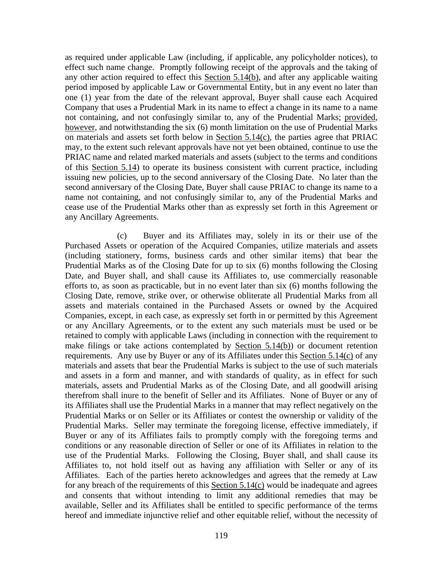as required under applicable Law (including, if applicable, any policyholder notices), to effect such name change. Promptly following receipt of the approvals and the taking of any other action required to effect this Section 5.14(b), and after any applicable waiting period imposed by applicable Law or Governmental Entity, but in any event no later than one (1) year from the date of the relevant approval, Buyer shall cause each Acquired Company that uses a Prudential Mark in its name to effect a change in its name to a name not containing, and not confusingly similar to, any of the Prudential Marks; provided, however, and notwithstanding the six (6) month limitation on the use of Prudential Marks on materials and assets set forth below in Section 5.14(c), the parties agree that PRIAC may, to the extent such relevant approvals have not yet been obtained, continue to use the PRIAC name and related marked materials and assets (subject to the terms and conditions of this Section 5.14) to operate its business consistent with current practice, including issuing new policies, up to the second anniversary of the Closing Date. No later than the second anniversary of the Closing Date, Buyer shall cause PRIAC to change its name to a name not containing, and not confusingly similar to, any of the Prudential Marks and cease use of the Prudential Marks other than as expressly set forth in this Agreement or any Ancillary Agreements.

(c) Buyer and its Affiliates may, solely in its or their use of the Purchased Assets or operation of the Acquired Companies, utilize materials and assets (including stationery, forms, business cards and other similar items) that bear the Prudential Marks as of the Closing Date for up to six (6) months following the Closing Date, and Buyer shall, and shall cause its Affiliates to, use commercially reasonable efforts to, as soon as practicable, but in no event later than six (6) months following the Closing Date, remove, strike over, or otherwise obliterate all Prudential Marks from all assets and materials contained in the Purchased Assets or owned by the Acquired Companies, except, in each case, as expressly set forth in or permitted by this Agreement or any Ancillary Agreements, or to the extent any such materials must be used or be retained to comply with applicable Laws (including in connection with the requirement to make filings or take actions contemplated by Section 5.14(b)) or document retention requirements. Any use by Buyer or any of its Affiliates under this Section 5.14(c) of any materials and assets that bear the Prudential Marks is subject to the use of such materials and assets in a form and manner, and with standards of quality, as in effect for such materials, assets and Prudential Marks as of the Closing Date, and all goodwill arising therefrom shall inure to the benefit of Seller and its Affiliates. None of Buyer or any of its Affiliates shall use the Prudential Marks in a manner that may reflect negatively on the Prudential Marks or on Seller or its Affiliates or contest the ownership or validity of the Prudential Marks. Seller may terminate the foregoing license, effective immediately, if Buyer or any of its Affiliates fails to promptly comply with the foregoing terms and conditions or any reasonable direction of Seller or one of its Affiliates in relation to the use of the Prudential Marks. Following the Closing, Buyer shall, and shall cause its Affiliates to, not hold itself out as having any affiliation with Seller or any of its Affiliates. Each of the parties hereto acknowledges and agrees that the remedy at Law for any breach of the requirements of this Section 5.14(c) would be inadequate and agrees and consents that without intending to limit any additional remedies that may be available, Seller and its Affiliates shall be entitled to specific performance of the terms hereof and immediate injunctive relief and other equitable relief, without the necessity of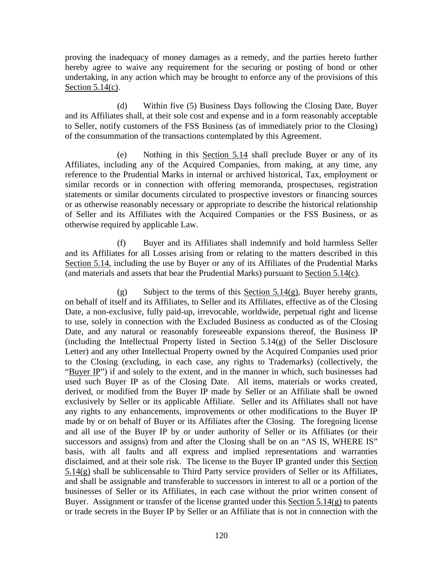proving the inadequacy of money damages as a remedy, and the parties hereto further hereby agree to waive any requirement for the securing or posting of bond or other undertaking, in any action which may be brought to enforce any of the provisions of this Section 5.14(c).

(d) Within five (5) Business Days following the Closing Date, Buyer and its Affiliates shall, at their sole cost and expense and in a form reasonably acceptable to Seller, notify customers of the FSS Business (as of immediately prior to the Closing) of the consummation of the transactions contemplated by this Agreement.

(e) Nothing in this Section 5.14 shall preclude Buyer or any of its Affiliates, including any of the Acquired Companies, from making, at any time, any reference to the Prudential Marks in internal or archived historical, Tax, employment or similar records or in connection with offering memoranda, prospectuses, registration statements or similar documents circulated to prospective investors or financing sources or as otherwise reasonably necessary or appropriate to describe the historical relationship of Seller and its Affiliates with the Acquired Companies or the FSS Business, or as otherwise required by applicable Law.

(f) Buyer and its Affiliates shall indemnify and hold harmless Seller and its Affiliates for all Losses arising from or relating to the matters described in this Section 5.14, including the use by Buyer or any of its Affiliates of the Prudential Marks (and materials and assets that bear the Prudential Marks) pursuant to Section 5.14(c).

(g) Subject to the terms of this Section 5.14(g), Buyer hereby grants, on behalf of itself and its Affiliates, to Seller and its Affiliates, effective as of the Closing Date, a non-exclusive, fully paid-up, irrevocable, worldwide, perpetual right and license to use, solely in connection with the Excluded Business as conducted as of the Closing Date, and any natural or reasonably foreseeable expansions thereof, the Business IP (including the Intellectual Property listed in Section  $5.14(g)$  of the Seller Disclosure Letter) and any other Intellectual Property owned by the Acquired Companies used prior to the Closing (excluding, in each case, any rights to Trademarks) (collectively, the "Buyer IP") if and solely to the extent, and in the manner in which, such businesses had used such Buyer IP as of the Closing Date. All items, materials or works created, derived, or modified from the Buyer IP made by Seller or an Affiliate shall be owned exclusively by Seller or its applicable Affiliate. Seller and its Affiliates shall not have any rights to any enhancements, improvements or other modifications to the Buyer IP made by or on behalf of Buyer or its Affiliates after the Closing. The foregoing license and all use of the Buyer IP by or under authority of Seller or its Affiliates (or their successors and assigns) from and after the Closing shall be on an "AS IS, WHERE IS" basis, with all faults and all express and implied representations and warranties disclaimed, and at their sole risk. The license to the Buyer IP granted under this Section 5.14(g) shall be sublicensable to Third Party service providers of Seller or its Affiliates, and shall be assignable and transferable to successors in interest to all or a portion of the businesses of Seller or its Affiliates, in each case without the prior written consent of Buyer. Assignment or transfer of the license granted under this Section 5.14(g) to patents or trade secrets in the Buyer IP by Seller or an Affiliate that is not in connection with the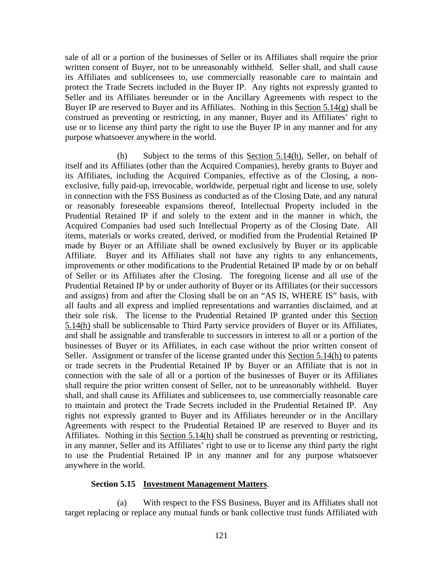sale of all or a portion of the businesses of Seller or its Affiliates shall require the prior written consent of Buyer, not to be unreasonably withheld. Seller shall, and shall cause its Affiliates and sublicensees to, use commercially reasonable care to maintain and protect the Trade Secrets included in the Buyer IP. Any rights not expressly granted to Seller and its Affiliates hereunder or in the Ancillary Agreements with respect to the Buyer IP are reserved to Buyer and its Affiliates. Nothing in this Section  $5.14(g)$  shall be construed as preventing or restricting, in any manner, Buyer and its Affiliates' right to use or to license any third party the right to use the Buyer IP in any manner and for any purpose whatsoever anywhere in the world.

(h) Subject to the terms of this Section 5.14(h), Seller, on behalf of itself and its Affiliates (other than the Acquired Companies), hereby grants to Buyer and its Affiliates, including the Acquired Companies, effective as of the Closing, a nonexclusive, fully paid-up, irrevocable, worldwide, perpetual right and license to use, solely in connection with the FSS Business as conducted as of the Closing Date, and any natural or reasonably foreseeable expansions thereof, Intellectual Property included in the Prudential Retained IP if and solely to the extent and in the manner in which, the Acquired Companies had used such Intellectual Property as of the Closing Date. All items, materials or works created, derived, or modified from the Prudential Retained IP made by Buyer or an Affiliate shall be owned exclusively by Buyer or its applicable Affiliate. Buyer and its Affiliates shall not have any rights to any enhancements, improvements or other modifications to the Prudential Retained IP made by or on behalf of Seller or its Affiliates after the Closing. The foregoing license and all use of the Prudential Retained IP by or under authority of Buyer or its Affiliates (or their successors and assigns) from and after the Closing shall be on an "AS IS, WHERE IS" basis, with all faults and all express and implied representations and warranties disclaimed, and at their sole risk. The license to the Prudential Retained IP granted under this Section 5.14(h) shall be sublicensable to Third Party service providers of Buyer or its Affiliates, and shall be assignable and transferable to successors in interest to all or a portion of the businesses of Buyer or its Affiliates, in each case without the prior written consent of Seller. Assignment or transfer of the license granted under this Section 5.14(h) to patents or trade secrets in the Prudential Retained IP by Buyer or an Affiliate that is not in connection with the sale of all or a portion of the businesses of Buyer or its Affiliates shall require the prior written consent of Seller, not to be unreasonably withheld. Buyer shall, and shall cause its Affiliates and sublicensees to, use commercially reasonable care to maintain and protect the Trade Secrets included in the Prudential Retained IP. Any rights not expressly granted to Buyer and its Affiliates hereunder or in the Ancillary Agreements with respect to the Prudential Retained IP are reserved to Buyer and its Affiliates. Nothing in this Section 5.14(h) shall be construed as preventing or restricting, in any manner, Seller and its Affiliates' right to use or to license any third party the right to use the Prudential Retained IP in any manner and for any purpose whatsoever anywhere in the world.

#### **Section 5.15 Investment Management Matters**.

(a) With respect to the FSS Business, Buyer and its Affiliates shall not target replacing or replace any mutual funds or bank collective trust funds Affiliated with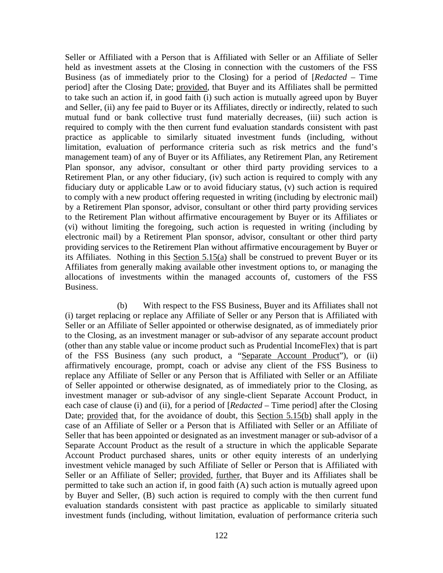Seller or Affiliated with a Person that is Affiliated with Seller or an Affiliate of Seller held as investment assets at the Closing in connection with the customers of the FSS Business (as of immediately prior to the Closing) for a period of [*Redacted* – Time period] after the Closing Date; provided, that Buyer and its Affiliates shall be permitted to take such an action if, in good faith (i) such action is mutually agreed upon by Buyer and Seller, (ii) any fee paid to Buyer or its Affiliates, directly or indirectly, related to such mutual fund or bank collective trust fund materially decreases, (iii) such action is required to comply with the then current fund evaluation standards consistent with past practice as applicable to similarly situated investment funds (including, without limitation, evaluation of performance criteria such as risk metrics and the fund's management team) of any of Buyer or its Affiliates, any Retirement Plan, any Retirement Plan sponsor, any advisor, consultant or other third party providing services to a Retirement Plan, or any other fiduciary, (iv) such action is required to comply with any fiduciary duty or applicable Law or to avoid fiduciary status, (v) such action is required to comply with a new product offering requested in writing (including by electronic mail) by a Retirement Plan sponsor, advisor, consultant or other third party providing services to the Retirement Plan without affirmative encouragement by Buyer or its Affiliates or (vi) without limiting the foregoing, such action is requested in writing (including by electronic mail) by a Retirement Plan sponsor, advisor, consultant or other third party providing services to the Retirement Plan without affirmative encouragement by Buyer or its Affiliates. Nothing in this Section 5.15(a) shall be construed to prevent Buyer or its Affiliates from generally making available other investment options to, or managing the allocations of investments within the managed accounts of, customers of the FSS Business.

(b) With respect to the FSS Business, Buyer and its Affiliates shall not (i) target replacing or replace any Affiliate of Seller or any Person that is Affiliated with Seller or an Affiliate of Seller appointed or otherwise designated, as of immediately prior to the Closing, as an investment manager or sub-advisor of any separate account product (other than any stable value or income product such as Prudential IncomeFlex) that is part of the FSS Business (any such product, a "Separate Account Product"), or (ii) affirmatively encourage, prompt, coach or advise any client of the FSS Business to replace any Affiliate of Seller or any Person that is Affiliated with Seller or an Affiliate of Seller appointed or otherwise designated, as of immediately prior to the Closing, as investment manager or sub-advisor of any single-client Separate Account Product, in each case of clause (i) and (ii), for a period of [*Redacted* – Time period] after the Closing Date; provided that, for the avoidance of doubt, this Section 5.15(b) shall apply in the case of an Affiliate of Seller or a Person that is Affiliated with Seller or an Affiliate of Seller that has been appointed or designated as an investment manager or sub-advisor of a Separate Account Product as the result of a structure in which the applicable Separate Account Product purchased shares, units or other equity interests of an underlying investment vehicle managed by such Affiliate of Seller or Person that is Affiliated with Seller or an Affiliate of Seller; provided, further, that Buyer and its Affiliates shall be permitted to take such an action if, in good faith (A) such action is mutually agreed upon by Buyer and Seller, (B) such action is required to comply with the then current fund evaluation standards consistent with past practice as applicable to similarly situated investment funds (including, without limitation, evaluation of performance criteria such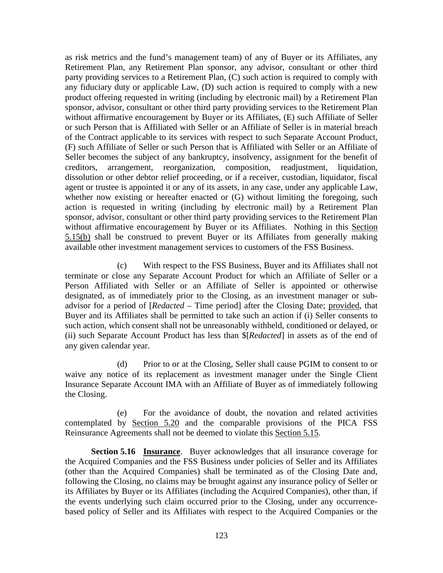as risk metrics and the fund's management team) of any of Buyer or its Affiliates, any Retirement Plan, any Retirement Plan sponsor, any advisor, consultant or other third party providing services to a Retirement Plan, (C) such action is required to comply with any fiduciary duty or applicable Law, (D) such action is required to comply with a new product offering requested in writing (including by electronic mail) by a Retirement Plan sponsor, advisor, consultant or other third party providing services to the Retirement Plan without affirmative encouragement by Buyer or its Affiliates, (E) such Affiliate of Seller or such Person that is Affiliated with Seller or an Affiliate of Seller is in material breach of the Contract applicable to its services with respect to such Separate Account Product, (F) such Affiliate of Seller or such Person that is Affiliated with Seller or an Affiliate of Seller becomes the subject of any bankruptcy, insolvency, assignment for the benefit of creditors, arrangement, reorganization, composition, readjustment, liquidation, dissolution or other debtor relief proceeding, or if a receiver, custodian, liquidator, fiscal agent or trustee is appointed it or any of its assets, in any case, under any applicable Law, whether now existing or hereafter enacted or (G) without limiting the foregoing, such action is requested in writing (including by electronic mail) by a Retirement Plan sponsor, advisor, consultant or other third party providing services to the Retirement Plan without affirmative encouragement by Buyer or its Affiliates. Nothing in this Section 5.15(b) shall be construed to prevent Buyer or its Affiliates from generally making available other investment management services to customers of the FSS Business.

(c) With respect to the FSS Business, Buyer and its Affiliates shall not terminate or close any Separate Account Product for which an Affiliate of Seller or a Person Affiliated with Seller or an Affiliate of Seller is appointed or otherwise designated, as of immediately prior to the Closing, as an investment manager or subadvisor for a period of [*Redacted* – Time period] after the Closing Date; provided, that Buyer and its Affiliates shall be permitted to take such an action if (i) Seller consents to such action, which consent shall not be unreasonably withheld, conditioned or delayed, or (ii) such Separate Account Product has less than \$[*Redacted*] in assets as of the end of any given calendar year.

(d) Prior to or at the Closing, Seller shall cause PGIM to consent to or waive any notice of its replacement as investment manager under the Single Client Insurance Separate Account IMA with an Affiliate of Buyer as of immediately following the Closing.

(e) For the avoidance of doubt, the novation and related activities contemplated by Section 5.20 and the comparable provisions of the PICA FSS Reinsurance Agreements shall not be deemed to violate this Section 5.15.

**Section 5.16 Insurance**. Buyer acknowledges that all insurance coverage for the Acquired Companies and the FSS Business under policies of Seller and its Affiliates (other than the Acquired Companies) shall be terminated as of the Closing Date and, following the Closing, no claims may be brought against any insurance policy of Seller or its Affiliates by Buyer or its Affiliates (including the Acquired Companies), other than, if the events underlying such claim occurred prior to the Closing, under any occurrencebased policy of Seller and its Affiliates with respect to the Acquired Companies or the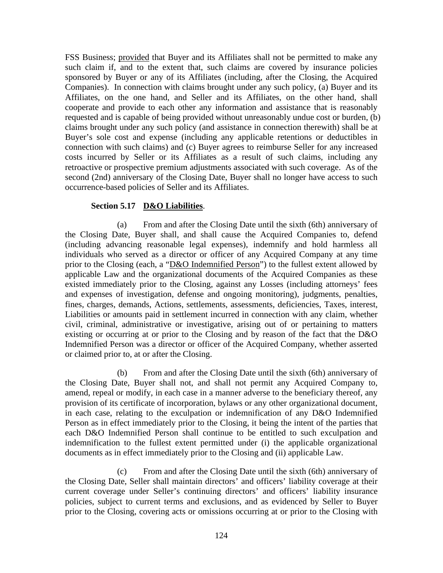FSS Business; provided that Buyer and its Affiliates shall not be permitted to make any such claim if, and to the extent that, such claims are covered by insurance policies sponsored by Buyer or any of its Affiliates (including, after the Closing, the Acquired Companies). In connection with claims brought under any such policy, (a) Buyer and its Affiliates, on the one hand, and Seller and its Affiliates, on the other hand, shall cooperate and provide to each other any information and assistance that is reasonably requested and is capable of being provided without unreasonably undue cost or burden, (b) claims brought under any such policy (and assistance in connection therewith) shall be at Buyer's sole cost and expense (including any applicable retentions or deductibles in connection with such claims) and (c) Buyer agrees to reimburse Seller for any increased costs incurred by Seller or its Affiliates as a result of such claims, including any retroactive or prospective premium adjustments associated with such coverage. As of the second (2nd) anniversary of the Closing Date, Buyer shall no longer have access to such occurrence-based policies of Seller and its Affiliates.

# **Section 5.17 D&O Liabilities**.

(a) From and after the Closing Date until the sixth (6th) anniversary of the Closing Date, Buyer shall, and shall cause the Acquired Companies to, defend (including advancing reasonable legal expenses), indemnify and hold harmless all individuals who served as a director or officer of any Acquired Company at any time prior to the Closing (each, a "D&O Indemnified Person") to the fullest extent allowed by applicable Law and the organizational documents of the Acquired Companies as these existed immediately prior to the Closing, against any Losses (including attorneys' fees and expenses of investigation, defense and ongoing monitoring), judgments, penalties, fines, charges, demands, Actions, settlements, assessments, deficiencies, Taxes, interest, Liabilities or amounts paid in settlement incurred in connection with any claim, whether civil, criminal, administrative or investigative, arising out of or pertaining to matters existing or occurring at or prior to the Closing and by reason of the fact that the D&O Indemnified Person was a director or officer of the Acquired Company, whether asserted or claimed prior to, at or after the Closing.

(b) From and after the Closing Date until the sixth (6th) anniversary of the Closing Date, Buyer shall not, and shall not permit any Acquired Company to, amend, repeal or modify, in each case in a manner adverse to the beneficiary thereof, any provision of its certificate of incorporation, bylaws or any other organizational document, in each case, relating to the exculpation or indemnification of any D&O Indemnified Person as in effect immediately prior to the Closing, it being the intent of the parties that each D&O Indemnified Person shall continue to be entitled to such exculpation and indemnification to the fullest extent permitted under (i) the applicable organizational documents as in effect immediately prior to the Closing and (ii) applicable Law.

(c) From and after the Closing Date until the sixth (6th) anniversary of the Closing Date, Seller shall maintain directors' and officers' liability coverage at their current coverage under Seller's continuing directors' and officers' liability insurance policies, subject to current terms and exclusions, and as evidenced by Seller to Buyer prior to the Closing, covering acts or omissions occurring at or prior to the Closing with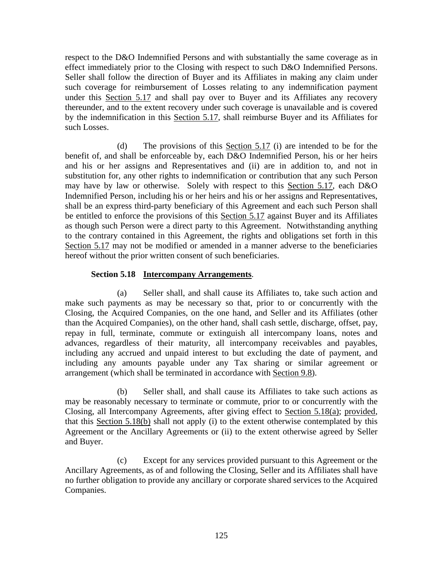respect to the D&O Indemnified Persons and with substantially the same coverage as in effect immediately prior to the Closing with respect to such D&O Indemnified Persons. Seller shall follow the direction of Buyer and its Affiliates in making any claim under such coverage for reimbursement of Losses relating to any indemnification payment under this Section 5.17 and shall pay over to Buyer and its Affiliates any recovery thereunder, and to the extent recovery under such coverage is unavailable and is covered by the indemnification in this Section 5.17, shall reimburse Buyer and its Affiliates for such Losses.

(d) The provisions of this Section 5.17 (i) are intended to be for the benefit of, and shall be enforceable by, each D&O Indemnified Person, his or her heirs and his or her assigns and Representatives and (ii) are in addition to, and not in substitution for, any other rights to indemnification or contribution that any such Person may have by law or otherwise. Solely with respect to this Section 5.17, each D&O Indemnified Person, including his or her heirs and his or her assigns and Representatives, shall be an express third-party beneficiary of this Agreement and each such Person shall be entitled to enforce the provisions of this Section 5.17 against Buyer and its Affiliates as though such Person were a direct party to this Agreement. Notwithstanding anything to the contrary contained in this Agreement, the rights and obligations set forth in this Section 5.17 may not be modified or amended in a manner adverse to the beneficiaries hereof without the prior written consent of such beneficiaries.

## **Section 5.18 Intercompany Arrangements**.

(a) Seller shall, and shall cause its Affiliates to, take such action and make such payments as may be necessary so that, prior to or concurrently with the Closing, the Acquired Companies, on the one hand, and Seller and its Affiliates (other than the Acquired Companies), on the other hand, shall cash settle, discharge, offset, pay, repay in full, terminate, commute or extinguish all intercompany loans, notes and advances, regardless of their maturity, all intercompany receivables and payables, including any accrued and unpaid interest to but excluding the date of payment, and including any amounts payable under any Tax sharing or similar agreement or arrangement (which shall be terminated in accordance with Section 9.8).

(b) Seller shall, and shall cause its Affiliates to take such actions as may be reasonably necessary to terminate or commute, prior to or concurrently with the Closing, all Intercompany Agreements, after giving effect to Section 5.18(a); provided, that this Section 5.18(b) shall not apply (i) to the extent otherwise contemplated by this Agreement or the Ancillary Agreements or (ii) to the extent otherwise agreed by Seller and Buyer.

(c) Except for any services provided pursuant to this Agreement or the Ancillary Agreements, as of and following the Closing, Seller and its Affiliates shall have no further obligation to provide any ancillary or corporate shared services to the Acquired Companies.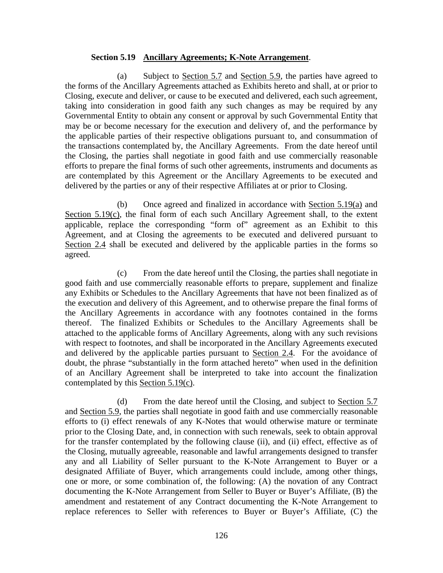#### **Section 5.19 Ancillary Agreements; K-Note Arrangement**.

(a) Subject to Section 5.7 and Section 5.9, the parties have agreed to the forms of the Ancillary Agreements attached as Exhibits hereto and shall, at or prior to Closing, execute and deliver, or cause to be executed and delivered, each such agreement, taking into consideration in good faith any such changes as may be required by any Governmental Entity to obtain any consent or approval by such Governmental Entity that may be or become necessary for the execution and delivery of, and the performance by the applicable parties of their respective obligations pursuant to, and consummation of the transactions contemplated by, the Ancillary Agreements. From the date hereof until the Closing, the parties shall negotiate in good faith and use commercially reasonable efforts to prepare the final forms of such other agreements, instruments and documents as are contemplated by this Agreement or the Ancillary Agreements to be executed and delivered by the parties or any of their respective Affiliates at or prior to Closing.

(b) Once agreed and finalized in accordance with Section 5.19(a) and Section 5.19(c), the final form of each such Ancillary Agreement shall, to the extent applicable, replace the corresponding "form of" agreement as an Exhibit to this Agreement, and at Closing the agreements to be executed and delivered pursuant to Section 2.4 shall be executed and delivered by the applicable parties in the forms so agreed.

(c) From the date hereof until the Closing, the parties shall negotiate in good faith and use commercially reasonable efforts to prepare, supplement and finalize any Exhibits or Schedules to the Ancillary Agreements that have not been finalized as of the execution and delivery of this Agreement, and to otherwise prepare the final forms of the Ancillary Agreements in accordance with any footnotes contained in the forms thereof. The finalized Exhibits or Schedules to the Ancillary Agreements shall be attached to the applicable forms of Ancillary Agreements, along with any such revisions with respect to footnotes, and shall be incorporated in the Ancillary Agreements executed and delivered by the applicable parties pursuant to Section 2.4. For the avoidance of doubt, the phrase "substantially in the form attached hereto" when used in the definition of an Ancillary Agreement shall be interpreted to take into account the finalization contemplated by this Section 5.19(c).

(d) From the date hereof until the Closing, and subject to Section 5.7 and Section 5.9, the parties shall negotiate in good faith and use commercially reasonable efforts to (i) effect renewals of any K-Notes that would otherwise mature or terminate prior to the Closing Date, and, in connection with such renewals, seek to obtain approval for the transfer contemplated by the following clause (ii), and (ii) effect, effective as of the Closing, mutually agreeable, reasonable and lawful arrangements designed to transfer any and all Liability of Seller pursuant to the K-Note Arrangement to Buyer or a designated Affiliate of Buyer, which arrangements could include, among other things, one or more, or some combination of, the following: (A) the novation of any Contract documenting the K-Note Arrangement from Seller to Buyer or Buyer's Affiliate, (B) the amendment and restatement of any Contract documenting the K-Note Arrangement to replace references to Seller with references to Buyer or Buyer's Affiliate, (C) the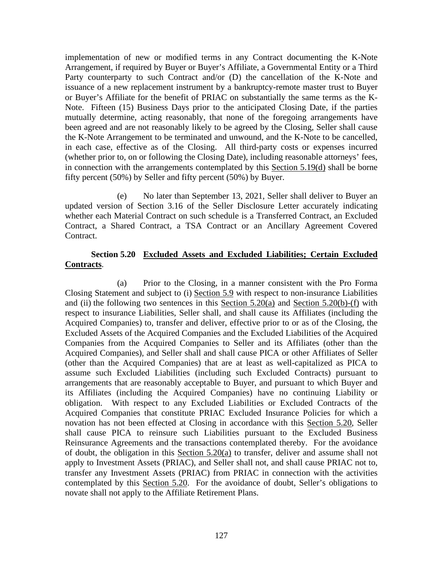implementation of new or modified terms in any Contract documenting the K-Note Arrangement, if required by Buyer or Buyer's Affiliate, a Governmental Entity or a Third Party counterparty to such Contract and/or (D) the cancellation of the K-Note and issuance of a new replacement instrument by a bankruptcy-remote master trust to Buyer or Buyer's Affiliate for the benefit of PRIAC on substantially the same terms as the K-Note. Fifteen (15) Business Days prior to the anticipated Closing Date, if the parties mutually determine, acting reasonably, that none of the foregoing arrangements have been agreed and are not reasonably likely to be agreed by the Closing, Seller shall cause the K-Note Arrangement to be terminated and unwound, and the K-Note to be cancelled, in each case, effective as of the Closing. All third-party costs or expenses incurred (whether prior to, on or following the Closing Date), including reasonable attorneys' fees, in connection with the arrangements contemplated by this Section 5.19(d) shall be borne fifty percent (50%) by Seller and fifty percent (50%) by Buyer.

(e) No later than September 13, 2021, Seller shall deliver to Buyer an updated version of Section 3.16 of the Seller Disclosure Letter accurately indicating whether each Material Contract on such schedule is a Transferred Contract, an Excluded Contract, a Shared Contract, a TSA Contract or an Ancillary Agreement Covered Contract.

# **Section 5.20 Excluded Assets and Excluded Liabilities; Certain Excluded Contracts**.

(a) Prior to the Closing, in a manner consistent with the Pro Forma Closing Statement and subject to (i) Section 5.9 with respect to non-insurance Liabilities and (ii) the following two sentences in this Section  $5.20(a)$  and Section  $5.20(b)$ -(f) with respect to insurance Liabilities, Seller shall, and shall cause its Affiliates (including the Acquired Companies) to, transfer and deliver, effective prior to or as of the Closing, the Excluded Assets of the Acquired Companies and the Excluded Liabilities of the Acquired Companies from the Acquired Companies to Seller and its Affiliates (other than the Acquired Companies), and Seller shall and shall cause PICA or other Affiliates of Seller (other than the Acquired Companies) that are at least as well-capitalized as PICA to assume such Excluded Liabilities (including such Excluded Contracts) pursuant to arrangements that are reasonably acceptable to Buyer, and pursuant to which Buyer and its Affiliates (including the Acquired Companies) have no continuing Liability or obligation. With respect to any Excluded Liabilities or Excluded Contracts of the Acquired Companies that constitute PRIAC Excluded Insurance Policies for which a novation has not been effected at Closing in accordance with this Section 5.20, Seller shall cause PICA to reinsure such Liabilities pursuant to the Excluded Business Reinsurance Agreements and the transactions contemplated thereby. For the avoidance of doubt, the obligation in this Section 5.20(a) to transfer, deliver and assume shall not apply to Investment Assets (PRIAC), and Seller shall not, and shall cause PRIAC not to, transfer any Investment Assets (PRIAC) from PRIAC in connection with the activities contemplated by this Section 5.20. For the avoidance of doubt, Seller's obligations to novate shall not apply to the Affiliate Retirement Plans.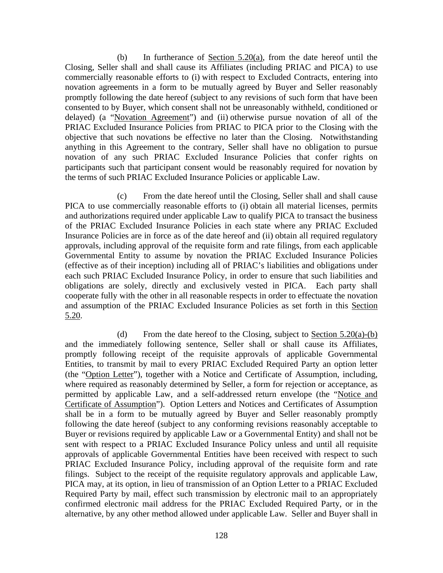(b) In furtherance of <u>Section 5.20(a)</u>, from the date hereof until the Closing, Seller shall and shall cause its Affiliates (including PRIAC and PICA) to use commercially reasonable efforts to (i) with respect to Excluded Contracts, entering into novation agreements in a form to be mutually agreed by Buyer and Seller reasonably promptly following the date hereof (subject to any revisions of such form that have been consented to by Buyer, which consent shall not be unreasonably withheld, conditioned or delayed) (a "Novation Agreement") and (ii) otherwise pursue novation of all of the PRIAC Excluded Insurance Policies from PRIAC to PICA prior to the Closing with the objective that such novations be effective no later than the Closing. Notwithstanding anything in this Agreement to the contrary, Seller shall have no obligation to pursue novation of any such PRIAC Excluded Insurance Policies that confer rights on participants such that participant consent would be reasonably required for novation by the terms of such PRIAC Excluded Insurance Policies or applicable Law.

(c) From the date hereof until the Closing, Seller shall and shall cause PICA to use commercially reasonable efforts to (i) obtain all material licenses, permits and authorizations required under applicable Law to qualify PICA to transact the business of the PRIAC Excluded Insurance Policies in each state where any PRIAC Excluded Insurance Policies are in force as of the date hereof and (ii) obtain all required regulatory approvals, including approval of the requisite form and rate filings, from each applicable Governmental Entity to assume by novation the PRIAC Excluded Insurance Policies (effective as of their inception) including all of PRIAC's liabilities and obligations under each such PRIAC Excluded Insurance Policy, in order to ensure that such liabilities and obligations are solely, directly and exclusively vested in PICA. Each party shall cooperate fully with the other in all reasonable respects in order to effectuate the novation and assumption of the PRIAC Excluded Insurance Policies as set forth in this Section 5.20.

(d) From the date hereof to the Closing, subject to Section  $5.20(a)$ -(b) and the immediately following sentence, Seller shall or shall cause its Affiliates, promptly following receipt of the requisite approvals of applicable Governmental Entities, to transmit by mail to every PRIAC Excluded Required Party an option letter (the "Option Letter"), together with a Notice and Certificate of Assumption, including, where required as reasonably determined by Seller, a form for rejection or acceptance, as permitted by applicable Law, and a self-addressed return envelope (the "Notice and Certificate of Assumption"). Option Letters and Notices and Certificates of Assumption shall be in a form to be mutually agreed by Buyer and Seller reasonably promptly following the date hereof (subject to any conforming revisions reasonably acceptable to Buyer or revisions required by applicable Law or a Governmental Entity) and shall not be sent with respect to a PRIAC Excluded Insurance Policy unless and until all requisite approvals of applicable Governmental Entities have been received with respect to such PRIAC Excluded Insurance Policy, including approval of the requisite form and rate filings. Subject to the receipt of the requisite regulatory approvals and applicable Law, PICA may, at its option, in lieu of transmission of an Option Letter to a PRIAC Excluded Required Party by mail, effect such transmission by electronic mail to an appropriately confirmed electronic mail address for the PRIAC Excluded Required Party, or in the alternative, by any other method allowed under applicable Law. Seller and Buyer shall in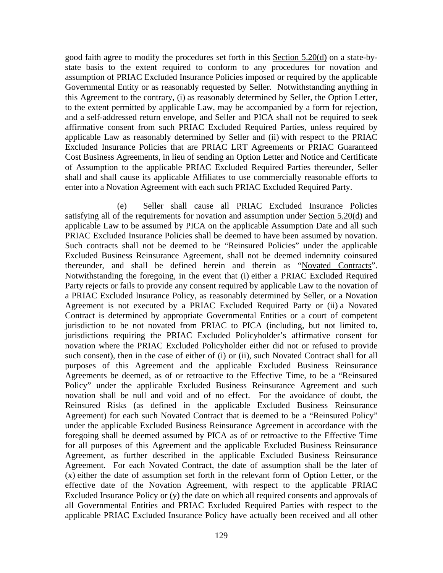good faith agree to modify the procedures set forth in this Section 5.20(d) on a state-bystate basis to the extent required to conform to any procedures for novation and assumption of PRIAC Excluded Insurance Policies imposed or required by the applicable Governmental Entity or as reasonably requested by Seller. Notwithstanding anything in this Agreement to the contrary, (i) as reasonably determined by Seller, the Option Letter, to the extent permitted by applicable Law, may be accompanied by a form for rejection, and a self-addressed return envelope, and Seller and PICA shall not be required to seek affirmative consent from such PRIAC Excluded Required Parties, unless required by applicable Law as reasonably determined by Seller and (ii) with respect to the PRIAC Excluded Insurance Policies that are PRIAC LRT Agreements or PRIAC Guaranteed Cost Business Agreements, in lieu of sending an Option Letter and Notice and Certificate of Assumption to the applicable PRIAC Excluded Required Parties thereunder, Seller shall and shall cause its applicable Affiliates to use commercially reasonable efforts to enter into a Novation Agreement with each such PRIAC Excluded Required Party.

(e) Seller shall cause all PRIAC Excluded Insurance Policies satisfying all of the requirements for novation and assumption under Section 5.20(d) and applicable Law to be assumed by PICA on the applicable Assumption Date and all such PRIAC Excluded Insurance Policies shall be deemed to have been assumed by novation. Such contracts shall not be deemed to be "Reinsured Policies" under the applicable Excluded Business Reinsurance Agreement, shall not be deemed indemnity coinsured thereunder, and shall be defined herein and therein as "Novated Contracts". Notwithstanding the foregoing, in the event that (i) either a PRIAC Excluded Required Party rejects or fails to provide any consent required by applicable Law to the novation of a PRIAC Excluded Insurance Policy, as reasonably determined by Seller, or a Novation Agreement is not executed by a PRIAC Excluded Required Party or (ii) a Novated Contract is determined by appropriate Governmental Entities or a court of competent jurisdiction to be not novated from PRIAC to PICA (including, but not limited to, jurisdictions requiring the PRIAC Excluded Policyholder's affirmative consent for novation where the PRIAC Excluded Policyholder either did not or refused to provide such consent), then in the case of either of (i) or (ii), such Novated Contract shall for all purposes of this Agreement and the applicable Excluded Business Reinsurance Agreements be deemed, as of or retroactive to the Effective Time, to be a "Reinsured Policy" under the applicable Excluded Business Reinsurance Agreement and such novation shall be null and void and of no effect. For the avoidance of doubt, the Reinsured Risks (as defined in the applicable Excluded Business Reinsurance Agreement) for each such Novated Contract that is deemed to be a "Reinsured Policy" under the applicable Excluded Business Reinsurance Agreement in accordance with the foregoing shall be deemed assumed by PICA as of or retroactive to the Effective Time for all purposes of this Agreement and the applicable Excluded Business Reinsurance Agreement, as further described in the applicable Excluded Business Reinsurance Agreement. For each Novated Contract, the date of assumption shall be the later of (x) either the date of assumption set forth in the relevant form of Option Letter, or the effective date of the Novation Agreement, with respect to the applicable PRIAC Excluded Insurance Policy or (y) the date on which all required consents and approvals of all Governmental Entities and PRIAC Excluded Required Parties with respect to the applicable PRIAC Excluded Insurance Policy have actually been received and all other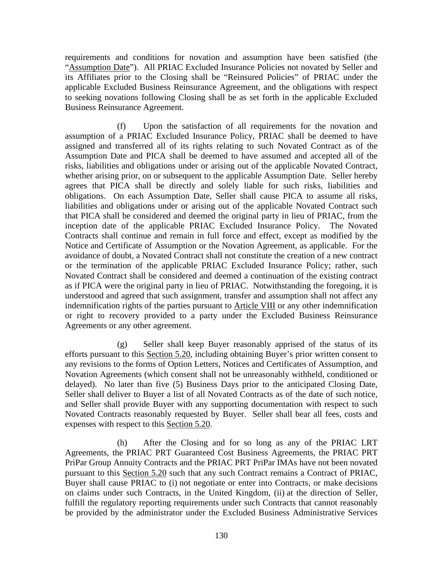requirements and conditions for novation and assumption have been satisfied (the "Assumption Date"). All PRIAC Excluded Insurance Policies not novated by Seller and its Affiliates prior to the Closing shall be "Reinsured Policies" of PRIAC under the applicable Excluded Business Reinsurance Agreement, and the obligations with respect to seeking novations following Closing shall be as set forth in the applicable Excluded Business Reinsurance Agreement.

(f) Upon the satisfaction of all requirements for the novation and assumption of a PRIAC Excluded Insurance Policy, PRIAC shall be deemed to have assigned and transferred all of its rights relating to such Novated Contract as of the Assumption Date and PICA shall be deemed to have assumed and accepted all of the risks, liabilities and obligations under or arising out of the applicable Novated Contract, whether arising prior, on or subsequent to the applicable Assumption Date. Seller hereby agrees that PICA shall be directly and solely liable for such risks, liabilities and obligations. On each Assumption Date, Seller shall cause PICA to assume all risks, liabilities and obligations under or arising out of the applicable Novated Contract such that PICA shall be considered and deemed the original party in lieu of PRIAC, from the inception date of the applicable PRIAC Excluded Insurance Policy. The Novated Contracts shall continue and remain in full force and effect, except as modified by the Notice and Certificate of Assumption or the Novation Agreement, as applicable. For the avoidance of doubt, a Novated Contract shall not constitute the creation of a new contract or the termination of the applicable PRIAC Excluded Insurance Policy; rather, such Novated Contract shall be considered and deemed a continuation of the existing contract as if PICA were the original party in lieu of PRIAC. Notwithstanding the foregoing, it is understood and agreed that such assignment, transfer and assumption shall not affect any indemnification rights of the parties pursuant to Article VIII or any other indemnification or right to recovery provided to a party under the Excluded Business Reinsurance Agreements or any other agreement.

(g) Seller shall keep Buyer reasonably apprised of the status of its efforts pursuant to this Section 5.20, including obtaining Buyer's prior written consent to any revisions to the forms of Option Letters, Notices and Certificates of Assumption, and Novation Agreements (which consent shall not be unreasonably withheld, conditioned or delayed). No later than five (5) Business Days prior to the anticipated Closing Date, Seller shall deliver to Buyer a list of all Novated Contracts as of the date of such notice, and Seller shall provide Buyer with any supporting documentation with respect to such Novated Contracts reasonably requested by Buyer. Seller shall bear all fees, costs and expenses with respect to this Section 5.20.

(h) After the Closing and for so long as any of the PRIAC LRT Agreements, the PRIAC PRT Guaranteed Cost Business Agreements, the PRIAC PRT PriPar Group Annuity Contracts and the PRIAC PRT PriPar IMAs have not been novated pursuant to this Section 5.20 such that any such Contract remains a Contract of PRIAC, Buyer shall cause PRIAC to (i) not negotiate or enter into Contracts, or make decisions on claims under such Contracts, in the United Kingdom, (ii) at the direction of Seller, fulfill the regulatory reporting requirements under such Contracts that cannot reasonably be provided by the administrator under the Excluded Business Administrative Services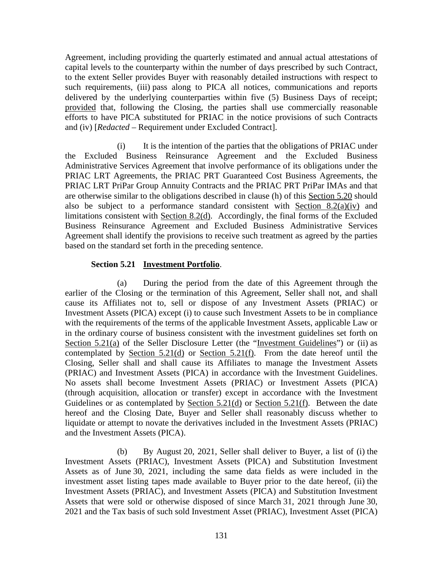Agreement, including providing the quarterly estimated and annual actual attestations of capital levels to the counterparty within the number of days prescribed by such Contract, to the extent Seller provides Buyer with reasonably detailed instructions with respect to such requirements, (iii) pass along to PICA all notices, communications and reports delivered by the underlying counterparties within five (5) Business Days of receipt; provided that, following the Closing, the parties shall use commercially reasonable efforts to have PICA substituted for PRIAC in the notice provisions of such Contracts and (iv) [*Redacted* – Requirement under Excluded Contract].

(i) It is the intention of the parties that the obligations of PRIAC under the Excluded Business Reinsurance Agreement and the Excluded Business Administrative Services Agreement that involve performance of its obligations under the PRIAC LRT Agreements, the PRIAC PRT Guaranteed Cost Business Agreements, the PRIAC LRT PriPar Group Annuity Contracts and the PRIAC PRT PriPar IMAs and that are otherwise similar to the obligations described in clause (h) of this Section 5.20 should also be subject to a performance standard consistent with Section  $8.2(a)(iv)$  and limitations consistent with Section 8.2(d). Accordingly, the final forms of the Excluded Business Reinsurance Agreement and Excluded Business Administrative Services Agreement shall identify the provisions to receive such treatment as agreed by the parties based on the standard set forth in the preceding sentence.

#### **Section 5.21 Investment Portfolio**.

(a) During the period from the date of this Agreement through the earlier of the Closing or the termination of this Agreement, Seller shall not, and shall cause its Affiliates not to, sell or dispose of any Investment Assets (PRIAC) or Investment Assets (PICA) except (i) to cause such Investment Assets to be in compliance with the requirements of the terms of the applicable Investment Assets, applicable Law or in the ordinary course of business consistent with the investment guidelines set forth on Section 5.21(a) of the Seller Disclosure Letter (the "Investment Guidelines") or (ii) as contemplated by Section 5.21(d) or Section 5.21(f). From the date hereof until the Closing, Seller shall and shall cause its Affiliates to manage the Investment Assets (PRIAC) and Investment Assets (PICA) in accordance with the Investment Guidelines. No assets shall become Investment Assets (PRIAC) or Investment Assets (PICA) (through acquisition, allocation or transfer) except in accordance with the Investment Guidelines or as contemplated by Section 5.21(d) or Section 5.21(f). Between the date hereof and the Closing Date, Buyer and Seller shall reasonably discuss whether to liquidate or attempt to novate the derivatives included in the Investment Assets (PRIAC) and the Investment Assets (PICA).

(b) By August 20, 2021, Seller shall deliver to Buyer, a list of (i) the Investment Assets (PRIAC), Investment Assets (PICA) and Substitution Investment Assets as of June 30, 2021, including the same data fields as were included in the investment asset listing tapes made available to Buyer prior to the date hereof, (ii) the Investment Assets (PRIAC), and Investment Assets (PICA) and Substitution Investment Assets that were sold or otherwise disposed of since March 31, 2021 through June 30, 2021 and the Tax basis of such sold Investment Asset (PRIAC), Investment Asset (PICA)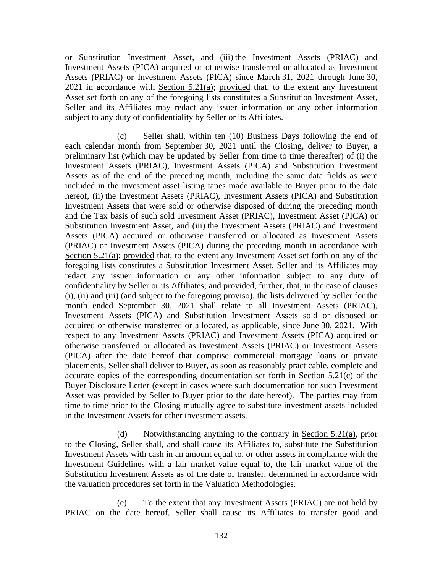or Substitution Investment Asset, and (iii) the Investment Assets (PRIAC) and Investment Assets (PICA) acquired or otherwise transferred or allocated as Investment Assets (PRIAC) or Investment Assets (PICA) since March 31, 2021 through June 30, 2021 in accordance with Section  $5.21(a)$ ; provided that, to the extent any Investment Asset set forth on any of the foregoing lists constitutes a Substitution Investment Asset, Seller and its Affiliates may redact any issuer information or any other information subject to any duty of confidentiality by Seller or its Affiliates.

(c) Seller shall, within ten (10) Business Days following the end of each calendar month from September 30, 2021 until the Closing, deliver to Buyer, a preliminary list (which may be updated by Seller from time to time thereafter) of (i) the Investment Assets (PRIAC), Investment Assets (PICA) and Substitution Investment Assets as of the end of the preceding month, including the same data fields as were included in the investment asset listing tapes made available to Buyer prior to the date hereof, (ii) the Investment Assets (PRIAC), Investment Assets (PICA) and Substitution Investment Assets that were sold or otherwise disposed of during the preceding month and the Tax basis of such sold Investment Asset (PRIAC), Investment Asset (PICA) or Substitution Investment Asset, and (iii) the Investment Assets (PRIAC) and Investment Assets (PICA) acquired or otherwise transferred or allocated as Investment Assets (PRIAC) or Investment Assets (PICA) during the preceding month in accordance with Section 5.21(a); provided that, to the extent any Investment Asset set forth on any of the foregoing lists constitutes a Substitution Investment Asset, Seller and its Affiliates may redact any issuer information or any other information subject to any duty of confidentiality by Seller or its Affiliates; and provided, further, that, in the case of clauses (i), (ii) and (iii) (and subject to the foregoing proviso), the lists delivered by Seller for the month ended September 30, 2021 shall relate to all Investment Assets (PRIAC), Investment Assets (PICA) and Substitution Investment Assets sold or disposed or acquired or otherwise transferred or allocated, as applicable, since June 30, 2021. With respect to any Investment Assets (PRIAC) and Investment Assets (PICA) acquired or otherwise transferred or allocated as Investment Assets (PRIAC) or Investment Assets (PICA) after the date hereof that comprise commercial mortgage loans or private placements, Seller shall deliver to Buyer, as soon as reasonably practicable, complete and accurate copies of the corresponding documentation set forth in Section 5.21(c) of the Buyer Disclosure Letter (except in cases where such documentation for such Investment Asset was provided by Seller to Buyer prior to the date hereof). The parties may from time to time prior to the Closing mutually agree to substitute investment assets included in the Investment Assets for other investment assets.

(d) Notwithstanding anything to the contrary in Section 5.21(a), prior to the Closing, Seller shall, and shall cause its Affiliates to, substitute the Substitution Investment Assets with cash in an amount equal to, or other assets in compliance with the Investment Guidelines with a fair market value equal to, the fair market value of the Substitution Investment Assets as of the date of transfer, determined in accordance with the valuation procedures set forth in the Valuation Methodologies.

(e) To the extent that any Investment Assets (PRIAC) are not held by PRIAC on the date hereof, Seller shall cause its Affiliates to transfer good and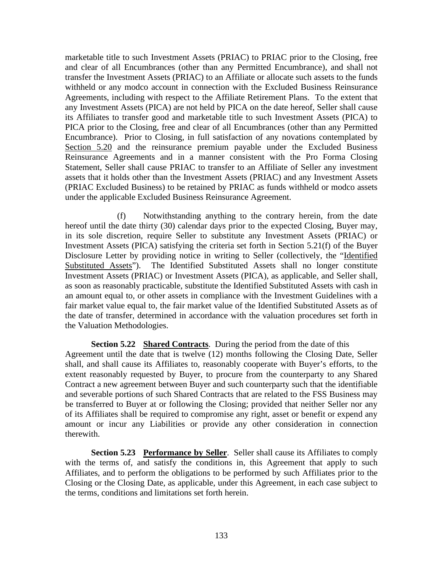marketable title to such Investment Assets (PRIAC) to PRIAC prior to the Closing, free and clear of all Encumbrances (other than any Permitted Encumbrance), and shall not transfer the Investment Assets (PRIAC) to an Affiliate or allocate such assets to the funds withheld or any modco account in connection with the Excluded Business Reinsurance Agreements, including with respect to the Affiliate Retirement Plans. To the extent that any Investment Assets (PICA) are not held by PICA on the date hereof, Seller shall cause its Affiliates to transfer good and marketable title to such Investment Assets (PICA) to PICA prior to the Closing, free and clear of all Encumbrances (other than any Permitted Encumbrance). Prior to Closing, in full satisfaction of any novations contemplated by Section 5.20 and the reinsurance premium payable under the Excluded Business Reinsurance Agreements and in a manner consistent with the Pro Forma Closing Statement, Seller shall cause PRIAC to transfer to an Affiliate of Seller any investment assets that it holds other than the Investment Assets (PRIAC) and any Investment Assets (PRIAC Excluded Business) to be retained by PRIAC as funds withheld or modco assets under the applicable Excluded Business Reinsurance Agreement.

(f) Notwithstanding anything to the contrary herein, from the date hereof until the date thirty (30) calendar days prior to the expected Closing, Buyer may, in its sole discretion, require Seller to substitute any Investment Assets (PRIAC) or Investment Assets (PICA) satisfying the criteria set forth in Section 5.21(f) of the Buyer Disclosure Letter by providing notice in writing to Seller (collectively, the "Identified Substituted Assets"). The Identified Substituted Assets shall no longer constitute Investment Assets (PRIAC) or Investment Assets (PICA), as applicable, and Seller shall, as soon as reasonably practicable, substitute the Identified Substituted Assets with cash in an amount equal to, or other assets in compliance with the Investment Guidelines with a fair market value equal to, the fair market value of the Identified Substituted Assets as of the date of transfer, determined in accordance with the valuation procedures set forth in the Valuation Methodologies.

**Section 5.22 Shared Contracts**. During the period from the date of this Agreement until the date that is twelve (12) months following the Closing Date, Seller shall, and shall cause its Affiliates to, reasonably cooperate with Buyer's efforts, to the extent reasonably requested by Buyer, to procure from the counterparty to any Shared Contract a new agreement between Buyer and such counterparty such that the identifiable and severable portions of such Shared Contracts that are related to the FSS Business may be transferred to Buyer at or following the Closing; provided that neither Seller nor any of its Affiliates shall be required to compromise any right, asset or benefit or expend any amount or incur any Liabilities or provide any other consideration in connection therewith.

**Section 5.23 Performance by Seller**. Seller shall cause its Affiliates to comply with the terms of, and satisfy the conditions in, this Agreement that apply to such Affiliates, and to perform the obligations to be performed by such Affiliates prior to the Closing or the Closing Date, as applicable, under this Agreement, in each case subject to the terms, conditions and limitations set forth herein.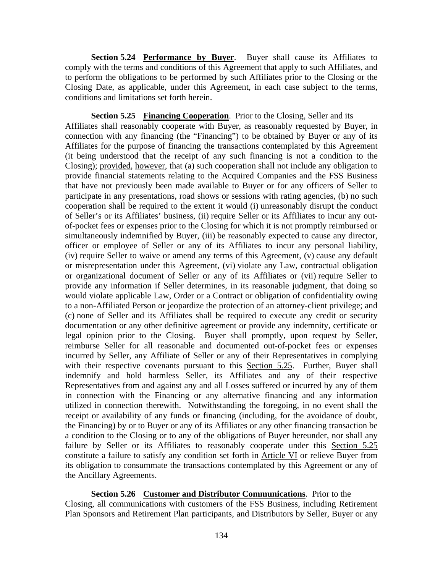**Section 5.24 Performance by Buyer.** Buyer shall cause its Affiliates to comply with the terms and conditions of this Agreement that apply to such Affiliates, and to perform the obligations to be performed by such Affiliates prior to the Closing or the Closing Date, as applicable, under this Agreement, in each case subject to the terms, conditions and limitations set forth herein.

**Section 5.25 Financing Cooperation**. Prior to the Closing, Seller and its Affiliates shall reasonably cooperate with Buyer, as reasonably requested by Buyer, in connection with any financing (the "Financing") to be obtained by Buyer or any of its Affiliates for the purpose of financing the transactions contemplated by this Agreement (it being understood that the receipt of any such financing is not a condition to the Closing); provided, however, that (a) such cooperation shall not include any obligation to provide financial statements relating to the Acquired Companies and the FSS Business that have not previously been made available to Buyer or for any officers of Seller to participate in any presentations, road shows or sessions with rating agencies, (b) no such cooperation shall be required to the extent it would (i) unreasonably disrupt the conduct of Seller's or its Affiliates' business, (ii) require Seller or its Affiliates to incur any outof-pocket fees or expenses prior to the Closing for which it is not promptly reimbursed or simultaneously indemnified by Buyer, (iii) be reasonably expected to cause any director, officer or employee of Seller or any of its Affiliates to incur any personal liability, (iv) require Seller to waive or amend any terms of this Agreement, (v) cause any default or misrepresentation under this Agreement, (vi) violate any Law, contractual obligation or organizational document of Seller or any of its Affiliates or (vii) require Seller to provide any information if Seller determines, in its reasonable judgment, that doing so would violate applicable Law, Order or a Contract or obligation of confidentiality owing to a non-Affiliated Person or jeopardize the protection of an attorney-client privilege; and (c) none of Seller and its Affiliates shall be required to execute any credit or security documentation or any other definitive agreement or provide any indemnity, certificate or legal opinion prior to the Closing. Buyer shall promptly, upon request by Seller, reimburse Seller for all reasonable and documented out-of-pocket fees or expenses incurred by Seller, any Affiliate of Seller or any of their Representatives in complying with their respective covenants pursuant to this Section 5.25. Further, Buyer shall indemnify and hold harmless Seller, its Affiliates and any of their respective Representatives from and against any and all Losses suffered or incurred by any of them in connection with the Financing or any alternative financing and any information utilized in connection therewith. Notwithstanding the foregoing, in no event shall the receipt or availability of any funds or financing (including, for the avoidance of doubt, the Financing) by or to Buyer or any of its Affiliates or any other financing transaction be a condition to the Closing or to any of the obligations of Buyer hereunder, nor shall any failure by Seller or its Affiliates to reasonably cooperate under this Section 5.25 constitute a failure to satisfy any condition set forth in Article VI or relieve Buyer from its obligation to consummate the transactions contemplated by this Agreement or any of the Ancillary Agreements.

**Section 5.26 Customer and Distributor Communications**. Prior to the Closing, all communications with customers of the FSS Business, including Retirement Plan Sponsors and Retirement Plan participants, and Distributors by Seller, Buyer or any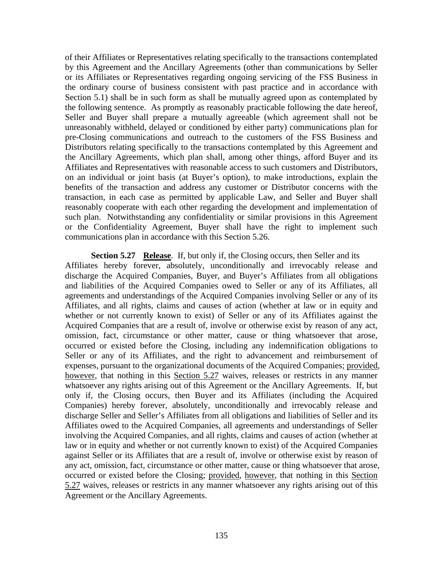of their Affiliates or Representatives relating specifically to the transactions contemplated by this Agreement and the Ancillary Agreements (other than communications by Seller or its Affiliates or Representatives regarding ongoing servicing of the FSS Business in the ordinary course of business consistent with past practice and in accordance with Section 5.1) shall be in such form as shall be mutually agreed upon as contemplated by the following sentence. As promptly as reasonably practicable following the date hereof, Seller and Buyer shall prepare a mutually agreeable (which agreement shall not be unreasonably withheld, delayed or conditioned by either party) communications plan for pre-Closing communications and outreach to the customers of the FSS Business and Distributors relating specifically to the transactions contemplated by this Agreement and the Ancillary Agreements, which plan shall, among other things, afford Buyer and its Affiliates and Representatives with reasonable access to such customers and Distributors, on an individual or joint basis (at Buyer's option), to make introductions, explain the benefits of the transaction and address any customer or Distributor concerns with the transaction, in each case as permitted by applicable Law, and Seller and Buyer shall reasonably cooperate with each other regarding the development and implementation of such plan. Notwithstanding any confidentiality or similar provisions in this Agreement or the Confidentiality Agreement, Buyer shall have the right to implement such communications plan in accordance with this Section 5.26.

## **Section 5.27 Release**. If, but only if, the Closing occurs, then Seller and its

Affiliates hereby forever, absolutely, unconditionally and irrevocably release and discharge the Acquired Companies, Buyer, and Buyer's Affiliates from all obligations and liabilities of the Acquired Companies owed to Seller or any of its Affiliates, all agreements and understandings of the Acquired Companies involving Seller or any of its Affiliates, and all rights, claims and causes of action (whether at law or in equity and whether or not currently known to exist) of Seller or any of its Affiliates against the Acquired Companies that are a result of, involve or otherwise exist by reason of any act, omission, fact, circumstance or other matter, cause or thing whatsoever that arose, occurred or existed before the Closing, including any indemnification obligations to Seller or any of its Affiliates, and the right to advancement and reimbursement of expenses, pursuant to the organizational documents of the Acquired Companies; provided, however, that nothing in this Section 5.27 waives, releases or restricts in any manner whatsoever any rights arising out of this Agreement or the Ancillary Agreements. If, but only if, the Closing occurs, then Buyer and its Affiliates (including the Acquired Companies) hereby forever, absolutely, unconditionally and irrevocably release and discharge Seller and Seller's Affiliates from all obligations and liabilities of Seller and its Affiliates owed to the Acquired Companies, all agreements and understandings of Seller involving the Acquired Companies, and all rights, claims and causes of action (whether at law or in equity and whether or not currently known to exist) of the Acquired Companies against Seller or its Affiliates that are a result of, involve or otherwise exist by reason of any act, omission, fact, circumstance or other matter, cause or thing whatsoever that arose, occurred or existed before the Closing; provided, however, that nothing in this Section 5.27 waives, releases or restricts in any manner whatsoever any rights arising out of this Agreement or the Ancillary Agreements.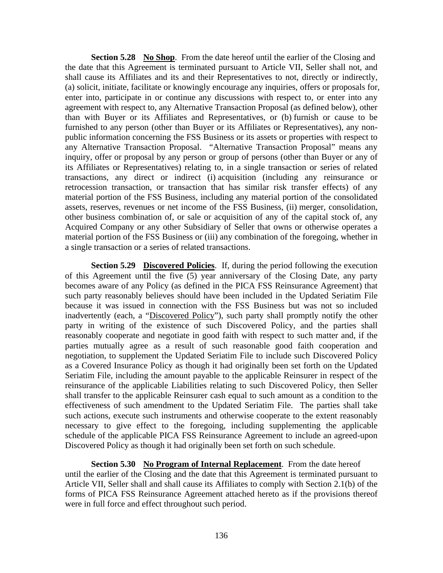**Section 5.28 No Shop**. From the date hereof until the earlier of the Closing and the date that this Agreement is terminated pursuant to Article VII, Seller shall not, and shall cause its Affiliates and its and their Representatives to not, directly or indirectly, (a) solicit, initiate, facilitate or knowingly encourage any inquiries, offers or proposals for, enter into, participate in or continue any discussions with respect to, or enter into any agreement with respect to, any Alternative Transaction Proposal (as defined below), other than with Buyer or its Affiliates and Representatives, or (b) furnish or cause to be furnished to any person (other than Buyer or its Affiliates or Representatives), any nonpublic information concerning the FSS Business or its assets or properties with respect to any Alternative Transaction Proposal. "Alternative Transaction Proposal" means any inquiry, offer or proposal by any person or group of persons (other than Buyer or any of its Affiliates or Representatives) relating to, in a single transaction or series of related transactions, any direct or indirect (i) acquisition (including any reinsurance or retrocession transaction, or transaction that has similar risk transfer effects) of any material portion of the FSS Business, including any material portion of the consolidated assets, reserves, revenues or net income of the FSS Business, (ii) merger, consolidation, other business combination of, or sale or acquisition of any of the capital stock of, any Acquired Company or any other Subsidiary of Seller that owns or otherwise operates a material portion of the FSS Business or (iii) any combination of the foregoing, whether in a single transaction or a series of related transactions.

**Section 5.29 Discovered Policies**. If, during the period following the execution of this Agreement until the five (5) year anniversary of the Closing Date, any party becomes aware of any Policy (as defined in the PICA FSS Reinsurance Agreement) that such party reasonably believes should have been included in the Updated Seriatim File because it was issued in connection with the FSS Business but was not so included inadvertently (each, a "Discovered Policy"), such party shall promptly notify the other party in writing of the existence of such Discovered Policy, and the parties shall reasonably cooperate and negotiate in good faith with respect to such matter and, if the parties mutually agree as a result of such reasonable good faith cooperation and negotiation, to supplement the Updated Seriatim File to include such Discovered Policy as a Covered Insurance Policy as though it had originally been set forth on the Updated Seriatim File, including the amount payable to the applicable Reinsurer in respect of the reinsurance of the applicable Liabilities relating to such Discovered Policy, then Seller shall transfer to the applicable Reinsurer cash equal to such amount as a condition to the effectiveness of such amendment to the Updated Seriatim File. The parties shall take such actions, execute such instruments and otherwise cooperate to the extent reasonably necessary to give effect to the foregoing, including supplementing the applicable schedule of the applicable PICA FSS Reinsurance Agreement to include an agreed-upon Discovered Policy as though it had originally been set forth on such schedule.

**Section 5.30 No Program of Internal Replacement**. From the date hereof until the earlier of the Closing and the date that this Agreement is terminated pursuant to Article VII, Seller shall and shall cause its Affiliates to comply with Section 2.1(b) of the forms of PICA FSS Reinsurance Agreement attached hereto as if the provisions thereof were in full force and effect throughout such period.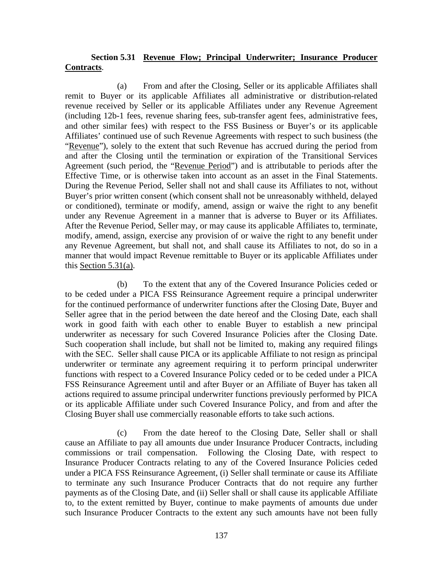# **Section 5.31 Revenue Flow; Principal Underwriter; Insurance Producer Contracts**.

(a) From and after the Closing, Seller or its applicable Affiliates shall remit to Buyer or its applicable Affiliates all administrative or distribution-related revenue received by Seller or its applicable Affiliates under any Revenue Agreement (including 12b-1 fees, revenue sharing fees, sub-transfer agent fees, administrative fees, and other similar fees) with respect to the FSS Business or Buyer's or its applicable Affiliates' continued use of such Revenue Agreements with respect to such business (the "Revenue"), solely to the extent that such Revenue has accrued during the period from and after the Closing until the termination or expiration of the Transitional Services Agreement (such period, the "Revenue Period") and is attributable to periods after the Effective Time, or is otherwise taken into account as an asset in the Final Statements. During the Revenue Period, Seller shall not and shall cause its Affiliates to not, without Buyer's prior written consent (which consent shall not be unreasonably withheld, delayed or conditioned), terminate or modify, amend, assign or waive the right to any benefit under any Revenue Agreement in a manner that is adverse to Buyer or its Affiliates. After the Revenue Period, Seller may, or may cause its applicable Affiliates to, terminate, modify, amend, assign, exercise any provision of or waive the right to any benefit under any Revenue Agreement, but shall not, and shall cause its Affiliates to not, do so in a manner that would impact Revenue remittable to Buyer or its applicable Affiliates under this Section 5.31(a).

(b) To the extent that any of the Covered Insurance Policies ceded or to be ceded under a PICA FSS Reinsurance Agreement require a principal underwriter for the continued performance of underwriter functions after the Closing Date, Buyer and Seller agree that in the period between the date hereof and the Closing Date, each shall work in good faith with each other to enable Buyer to establish a new principal underwriter as necessary for such Covered Insurance Policies after the Closing Date. Such cooperation shall include, but shall not be limited to, making any required filings with the SEC. Seller shall cause PICA or its applicable Affiliate to not resign as principal underwriter or terminate any agreement requiring it to perform principal underwriter functions with respect to a Covered Insurance Policy ceded or to be ceded under a PICA FSS Reinsurance Agreement until and after Buyer or an Affiliate of Buyer has taken all actions required to assume principal underwriter functions previously performed by PICA or its applicable Affiliate under such Covered Insurance Policy, and from and after the Closing Buyer shall use commercially reasonable efforts to take such actions.

(c) From the date hereof to the Closing Date, Seller shall or shall cause an Affiliate to pay all amounts due under Insurance Producer Contracts, including commissions or trail compensation. Following the Closing Date, with respect to Insurance Producer Contracts relating to any of the Covered Insurance Policies ceded under a PICA FSS Reinsurance Agreement, (i) Seller shall terminate or cause its Affiliate to terminate any such Insurance Producer Contracts that do not require any further payments as of the Closing Date, and (ii) Seller shall or shall cause its applicable Affiliate to, to the extent remitted by Buyer, continue to make payments of amounts due under such Insurance Producer Contracts to the extent any such amounts have not been fully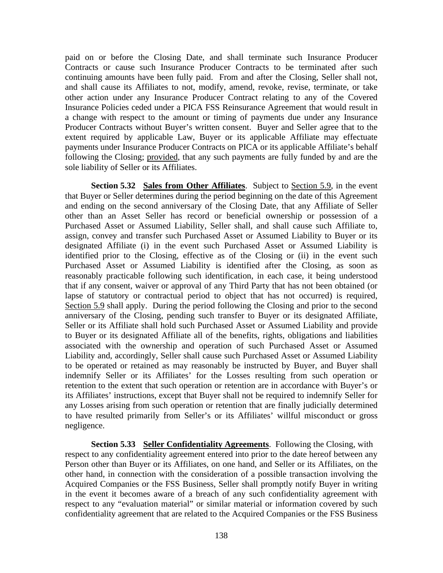paid on or before the Closing Date, and shall terminate such Insurance Producer Contracts or cause such Insurance Producer Contracts to be terminated after such continuing amounts have been fully paid. From and after the Closing, Seller shall not, and shall cause its Affiliates to not, modify, amend, revoke, revise, terminate, or take other action under any Insurance Producer Contract relating to any of the Covered Insurance Policies ceded under a PICA FSS Reinsurance Agreement that would result in a change with respect to the amount or timing of payments due under any Insurance Producer Contracts without Buyer's written consent. Buyer and Seller agree that to the extent required by applicable Law, Buyer or its applicable Affiliate may effectuate payments under Insurance Producer Contracts on PICA or its applicable Affiliate's behalf following the Closing; provided, that any such payments are fully funded by and are the sole liability of Seller or its Affiliates.

**Section 5.32** Sales from Other Affiliates. Subject to Section 5.9, in the event that Buyer or Seller determines during the period beginning on the date of this Agreement and ending on the second anniversary of the Closing Date, that any Affiliate of Seller other than an Asset Seller has record or beneficial ownership or possession of a Purchased Asset or Assumed Liability, Seller shall, and shall cause such Affiliate to, assign, convey and transfer such Purchased Asset or Assumed Liability to Buyer or its designated Affiliate (i) in the event such Purchased Asset or Assumed Liability is identified prior to the Closing, effective as of the Closing or (ii) in the event such Purchased Asset or Assumed Liability is identified after the Closing, as soon as reasonably practicable following such identification, in each case, it being understood that if any consent, waiver or approval of any Third Party that has not been obtained (or lapse of statutory or contractual period to object that has not occurred) is required, Section 5.9 shall apply. During the period following the Closing and prior to the second anniversary of the Closing, pending such transfer to Buyer or its designated Affiliate, Seller or its Affiliate shall hold such Purchased Asset or Assumed Liability and provide to Buyer or its designated Affiliate all of the benefits, rights, obligations and liabilities associated with the ownership and operation of such Purchased Asset or Assumed Liability and, accordingly, Seller shall cause such Purchased Asset or Assumed Liability to be operated or retained as may reasonably be instructed by Buyer, and Buyer shall indemnify Seller or its Affiliates' for the Losses resulting from such operation or retention to the extent that such operation or retention are in accordance with Buyer's or its Affiliates' instructions, except that Buyer shall not be required to indemnify Seller for any Losses arising from such operation or retention that are finally judicially determined to have resulted primarily from Seller's or its Affiliates' willful misconduct or gross negligence.

**Section 5.33 Seller Confidentiality Agreements**. Following the Closing, with respect to any confidentiality agreement entered into prior to the date hereof between any Person other than Buyer or its Affiliates, on one hand, and Seller or its Affiliates, on the other hand, in connection with the consideration of a possible transaction involving the Acquired Companies or the FSS Business, Seller shall promptly notify Buyer in writing in the event it becomes aware of a breach of any such confidentiality agreement with respect to any "evaluation material" or similar material or information covered by such confidentiality agreement that are related to the Acquired Companies or the FSS Business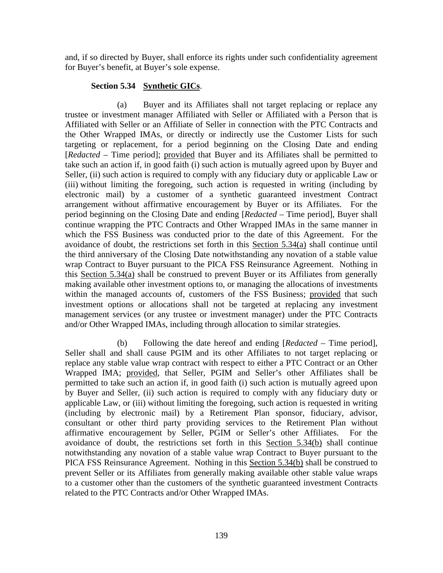and, if so directed by Buyer, shall enforce its rights under such confidentiality agreement for Buyer's benefit, at Buyer's sole expense.

## **Section 5.34 Synthetic GICs**.

(a) Buyer and its Affiliates shall not target replacing or replace any trustee or investment manager Affiliated with Seller or Affiliated with a Person that is Affiliated with Seller or an Affiliate of Seller in connection with the PTC Contracts and the Other Wrapped IMAs, or directly or indirectly use the Customer Lists for such targeting or replacement, for a period beginning on the Closing Date and ending [*Redacted* – Time period]; provided that Buyer and its Affiliates shall be permitted to take such an action if, in good faith (i) such action is mutually agreed upon by Buyer and Seller, (ii) such action is required to comply with any fiduciary duty or applicable Law or (iii) without limiting the foregoing, such action is requested in writing (including by electronic mail) by a customer of a synthetic guaranteed investment Contract arrangement without affirmative encouragement by Buyer or its Affiliates. For the period beginning on the Closing Date and ending [*Redacted* – Time period], Buyer shall continue wrapping the PTC Contracts and Other Wrapped IMAs in the same manner in which the FSS Business was conducted prior to the date of this Agreement. For the avoidance of doubt, the restrictions set forth in this Section 5.34(a) shall continue until the third anniversary of the Closing Date notwithstanding any novation of a stable value wrap Contract to Buyer pursuant to the PICA FSS Reinsurance Agreement. Nothing in this Section 5.34(a) shall be construed to prevent Buyer or its Affiliates from generally making available other investment options to, or managing the allocations of investments within the managed accounts of, customers of the FSS Business; provided that such investment options or allocations shall not be targeted at replacing any investment management services (or any trustee or investment manager) under the PTC Contracts and/or Other Wrapped IMAs, including through allocation to similar strategies.

(b) Following the date hereof and ending [*Redacted* – Time period], Seller shall and shall cause PGIM and its other Affiliates to not target replacing or replace any stable value wrap contract with respect to either a PTC Contract or an Other Wrapped IMA; provided, that Seller, PGIM and Seller's other Affiliates shall be permitted to take such an action if, in good faith (i) such action is mutually agreed upon by Buyer and Seller, (ii) such action is required to comply with any fiduciary duty or applicable Law, or (iii) without limiting the foregoing, such action is requested in writing (including by electronic mail) by a Retirement Plan sponsor, fiduciary, advisor, consultant or other third party providing services to the Retirement Plan without affirmative encouragement by Seller, PGIM or Seller's other Affiliates. For the avoidance of doubt, the restrictions set forth in this Section 5.34(b) shall continue notwithstanding any novation of a stable value wrap Contract to Buyer pursuant to the PICA FSS Reinsurance Agreement. Nothing in this Section 5.34(b) shall be construed to prevent Seller or its Affiliates from generally making available other stable value wraps to a customer other than the customers of the synthetic guaranteed investment Contracts related to the PTC Contracts and/or Other Wrapped IMAs.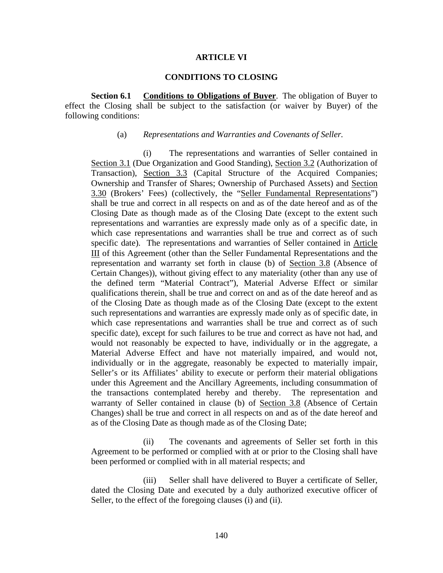#### **ARTICLE VI**

### **CONDITIONS TO CLOSING**

**Section 6.1 Conditions to Obligations of Buyer**. The obligation of Buyer to effect the Closing shall be subject to the satisfaction (or waiver by Buyer) of the following conditions:

#### (a) *Representations and Warranties and Covenants of Seller*.

(i) The representations and warranties of Seller contained in Section 3.1 (Due Organization and Good Standing), Section 3.2 (Authorization of Transaction), Section 3.3 (Capital Structure of the Acquired Companies; Ownership and Transfer of Shares; Ownership of Purchased Assets) and Section 3.30 (Brokers' Fees) (collectively, the "Seller Fundamental Representations") shall be true and correct in all respects on and as of the date hereof and as of the Closing Date as though made as of the Closing Date (except to the extent such representations and warranties are expressly made only as of a specific date, in which case representations and warranties shall be true and correct as of such specific date). The representations and warranties of Seller contained in Article III of this Agreement (other than the Seller Fundamental Representations and the representation and warranty set forth in clause (b) of Section 3.8 (Absence of Certain Changes)), without giving effect to any materiality (other than any use of the defined term "Material Contract"), Material Adverse Effect or similar qualifications therein, shall be true and correct on and as of the date hereof and as of the Closing Date as though made as of the Closing Date (except to the extent such representations and warranties are expressly made only as of specific date, in which case representations and warranties shall be true and correct as of such specific date), except for such failures to be true and correct as have not had, and would not reasonably be expected to have, individually or in the aggregate, a Material Adverse Effect and have not materially impaired, and would not, individually or in the aggregate, reasonably be expected to materially impair, Seller's or its Affiliates' ability to execute or perform their material obligations under this Agreement and the Ancillary Agreements, including consummation of the transactions contemplated hereby and thereby. The representation and warranty of Seller contained in clause (b) of Section 3.8 (Absence of Certain Changes) shall be true and correct in all respects on and as of the date hereof and as of the Closing Date as though made as of the Closing Date;

(ii) The covenants and agreements of Seller set forth in this Agreement to be performed or complied with at or prior to the Closing shall have been performed or complied with in all material respects; and

(iii) Seller shall have delivered to Buyer a certificate of Seller, dated the Closing Date and executed by a duly authorized executive officer of Seller, to the effect of the foregoing clauses (i) and (ii).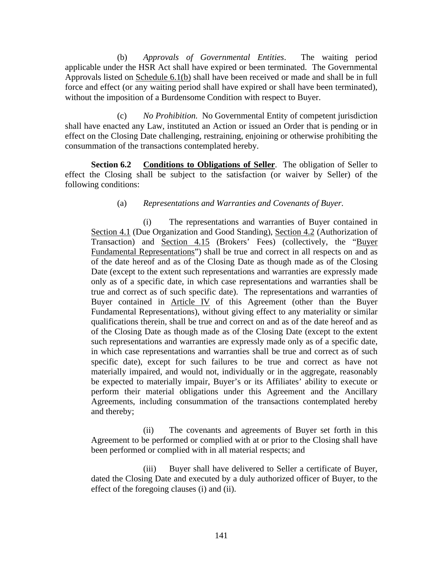(b) *Approvals of Governmental Entities*. The waiting period applicable under the HSR Act shall have expired or been terminated. The Governmental Approvals listed on Schedule 6.1(b) shall have been received or made and shall be in full force and effect (or any waiting period shall have expired or shall have been terminated), without the imposition of a Burdensome Condition with respect to Buyer.

(c) *No Prohibition.* No Governmental Entity of competent jurisdiction shall have enacted any Law, instituted an Action or issued an Order that is pending or in effect on the Closing Date challenging, restraining, enjoining or otherwise prohibiting the consummation of the transactions contemplated hereby.

**Section 6.2 Conditions to Obligations of Seller**. The obligation of Seller to effect the Closing shall be subject to the satisfaction (or waiver by Seller) of the following conditions:

## (a) *Representations and Warranties and Covenants of Buyer*.

(i) The representations and warranties of Buyer contained in Section 4.1 (Due Organization and Good Standing), Section 4.2 (Authorization of Transaction) and Section 4.15 (Brokers' Fees) (collectively, the "Buyer Fundamental Representations") shall be true and correct in all respects on and as of the date hereof and as of the Closing Date as though made as of the Closing Date (except to the extent such representations and warranties are expressly made only as of a specific date, in which case representations and warranties shall be true and correct as of such specific date). The representations and warranties of Buyer contained in Article IV of this Agreement (other than the Buyer Fundamental Representations), without giving effect to any materiality or similar qualifications therein, shall be true and correct on and as of the date hereof and as of the Closing Date as though made as of the Closing Date (except to the extent such representations and warranties are expressly made only as of a specific date, in which case representations and warranties shall be true and correct as of such specific date), except for such failures to be true and correct as have not materially impaired, and would not, individually or in the aggregate, reasonably be expected to materially impair, Buyer's or its Affiliates' ability to execute or perform their material obligations under this Agreement and the Ancillary Agreements, including consummation of the transactions contemplated hereby and thereby;

(ii) The covenants and agreements of Buyer set forth in this Agreement to be performed or complied with at or prior to the Closing shall have been performed or complied with in all material respects; and

(iii) Buyer shall have delivered to Seller a certificate of Buyer, dated the Closing Date and executed by a duly authorized officer of Buyer, to the effect of the foregoing clauses (i) and (ii).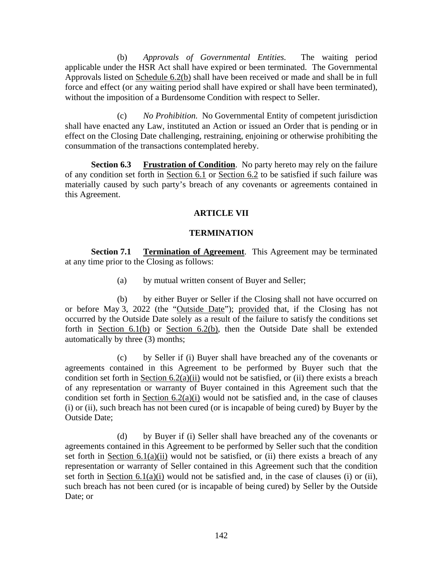(b) *Approvals of Governmental Entities.* The waiting period applicable under the HSR Act shall have expired or been terminated. The Governmental Approvals listed on Schedule 6.2(b) shall have been received or made and shall be in full force and effect (or any waiting period shall have expired or shall have been terminated), without the imposition of a Burdensome Condition with respect to Seller.

(c) *No Prohibition.* No Governmental Entity of competent jurisdiction shall have enacted any Law, instituted an Action or issued an Order that is pending or in effect on the Closing Date challenging, restraining, enjoining or otherwise prohibiting the consummation of the transactions contemplated hereby.

**Section 6.3 Frustration of Condition**. No party hereto may rely on the failure of any condition set forth in Section 6.1 or Section 6.2 to be satisfied if such failure was materially caused by such party's breach of any covenants or agreements contained in this Agreement.

# **ARTICLE VII**

# **TERMINATION**

**Section 7.1 • Termination of Agreement.** This Agreement may be terminated at any time prior to the Closing as follows:

(a) by mutual written consent of Buyer and Seller;

(b) by either Buyer or Seller if the Closing shall not have occurred on or before May 3, 2022 (the "Outside Date"); provided that, if the Closing has not occurred by the Outside Date solely as a result of the failure to satisfy the conditions set forth in Section 6.1(b) or Section 6.2(b), then the Outside Date shall be extended automatically by three (3) months;

(c) by Seller if (i) Buyer shall have breached any of the covenants or agreements contained in this Agreement to be performed by Buyer such that the condition set forth in Section  $6.2(a)(ii)$  would not be satisfied, or (ii) there exists a breach of any representation or warranty of Buyer contained in this Agreement such that the condition set forth in Section  $6.2(a)(i)$  would not be satisfied and, in the case of clauses (i) or (ii), such breach has not been cured (or is incapable of being cured) by Buyer by the Outside Date;

(d) by Buyer if (i) Seller shall have breached any of the covenants or agreements contained in this Agreement to be performed by Seller such that the condition set forth in Section  $6.1(a)(ii)$  would not be satisfied, or (ii) there exists a breach of any representation or warranty of Seller contained in this Agreement such that the condition set forth in Section  $6.1(a)(i)$  would not be satisfied and, in the case of clauses (i) or (ii), such breach has not been cured (or is incapable of being cured) by Seller by the Outside Date; or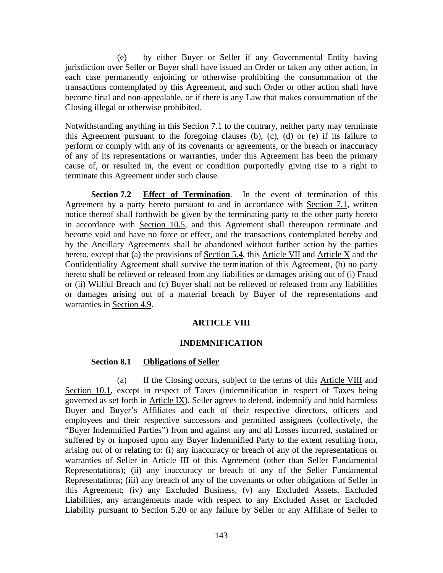(e) by either Buyer or Seller if any Governmental Entity having jurisdiction over Seller or Buyer shall have issued an Order or taken any other action, in each case permanently enjoining or otherwise prohibiting the consummation of the transactions contemplated by this Agreement, and such Order or other action shall have become final and non-appealable, or if there is any Law that makes consummation of the Closing illegal or otherwise prohibited.

Notwithstanding anything in this Section 7.1 to the contrary, neither party may terminate this Agreement pursuant to the foregoing clauses (b), (c), (d) or (e) if its failure to perform or comply with any of its covenants or agreements, or the breach or inaccuracy of any of its representations or warranties, under this Agreement has been the primary cause of, or resulted in, the event or condition purportedly giving rise to a right to terminate this Agreement under such clause.

**Section 7.2 Effect of Termination**. In the event of termination of this Agreement by a party hereto pursuant to and in accordance with Section 7.1, written notice thereof shall forthwith be given by the terminating party to the other party hereto in accordance with Section 10.5, and this Agreement shall thereupon terminate and become void and have no force or effect, and the transactions contemplated hereby and by the Ancillary Agreements shall be abandoned without further action by the parties hereto, except that (a) the provisions of Section 5.4, this Article VII and Article  $X$  and the Confidentiality Agreement shall survive the termination of this Agreement, (b) no party hereto shall be relieved or released from any liabilities or damages arising out of (i) Fraud or (ii) Willful Breach and (c) Buyer shall not be relieved or released from any liabilities or damages arising out of a material breach by Buyer of the representations and warranties in Section 4.9.

### **ARTICLE VIII**

#### **INDEMNIFICATION**

### **Section 8.1 Obligations of Seller**.

(a) If the Closing occurs, subject to the terms of this Article VIII and Section 10.1, except in respect of Taxes (indemnification in respect of Taxes being governed as set forth in Article IX), Seller agrees to defend, indemnify and hold harmless Buyer and Buyer's Affiliates and each of their respective directors, officers and employees and their respective successors and permitted assignees (collectively, the "Buyer Indemnified Parties") from and against any and all Losses incurred, sustained or suffered by or imposed upon any Buyer Indemnified Party to the extent resulting from, arising out of or relating to: (i) any inaccuracy or breach of any of the representations or warranties of Seller in Article III of this Agreement (other than Seller Fundamental Representations); (ii) any inaccuracy or breach of any of the Seller Fundamental Representations; (iii) any breach of any of the covenants or other obligations of Seller in this Agreement; (iv) any Excluded Business, (v) any Excluded Assets, Excluded Liabilities, any arrangements made with respect to any Excluded Asset or Excluded Liability pursuant to Section 5.20 or any failure by Seller or any Affiliate of Seller to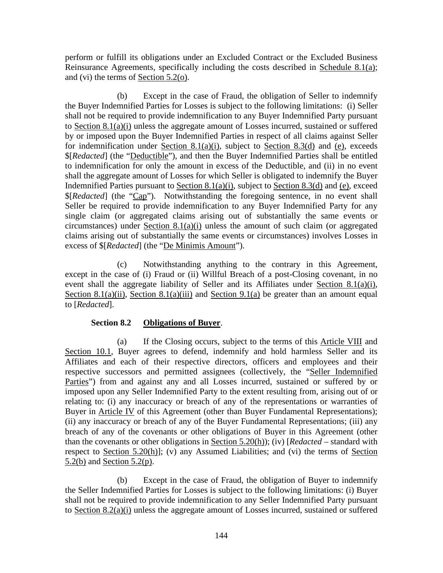perform or fulfill its obligations under an Excluded Contract or the Excluded Business Reinsurance Agreements, specifically including the costs described in Schedule 8.1(a); and (vi) the terms of Section 5.2(o).

(b) Except in the case of Fraud, the obligation of Seller to indemnify the Buyer Indemnified Parties for Losses is subject to the following limitations: (i) Seller shall not be required to provide indemnification to any Buyer Indemnified Party pursuant to Section 8.1(a)(i) unless the aggregate amount of Losses incurred, sustained or suffered by or imposed upon the Buyer Indemnified Parties in respect of all claims against Seller for indemnification under Section 8.1(a)(i), subject to Section 8.3(d) and (e), exceeds \$[*Redacted*] (the "Deductible"), and then the Buyer Indemnified Parties shall be entitled to indemnification for only the amount in excess of the Deductible, and (ii) in no event shall the aggregate amount of Losses for which Seller is obligated to indemnify the Buyer Indemnified Parties pursuant to Section 8.1(a)(i), subject to Section 8.3(d) and (e), exceed \$[*Redacted*] (the "Cap"). Notwithstanding the foregoing sentence, in no event shall Seller be required to provide indemnification to any Buyer Indemnified Party for any single claim (or aggregated claims arising out of substantially the same events or circumstances) under Section 8.1(a)(i) unless the amount of such claim (or aggregated claims arising out of substantially the same events or circumstances) involves Losses in excess of \$[*Redacted*] (the "De Minimis Amount").

(c) Notwithstanding anything to the contrary in this Agreement, except in the case of (i) Fraud or (ii) Willful Breach of a post-Closing covenant, in no event shall the aggregate liability of Seller and its Affiliates under Section 8.1(a)(i), Section 8.1(a)(ii), Section 8.1(a)(iii) and Section 9.1(a) be greater than an amount equal to [*Redacted*].

# **Section 8.2 Obligations of Buyer**.

(a) If the Closing occurs, subject to the terms of this Article VIII and Section 10.1, Buyer agrees to defend, indemnify and hold harmless Seller and its Affiliates and each of their respective directors, officers and employees and their respective successors and permitted assignees (collectively, the "Seller Indemnified Parties") from and against any and all Losses incurred, sustained or suffered by or imposed upon any Seller Indemnified Party to the extent resulting from, arising out of or relating to: (i) any inaccuracy or breach of any of the representations or warranties of Buyer in Article IV of this Agreement (other than Buyer Fundamental Representations); (ii) any inaccuracy or breach of any of the Buyer Fundamental Representations; (iii) any breach of any of the covenants or other obligations of Buyer in this Agreement (other than the covenants or other obligations in Section 5.20(h)); (iv) [*Redacted* – standard with respect to Section 5.20(h)]; (v) any Assumed Liabilities; and (vi) the terms of Section 5.2(b) and Section 5.2(p).

(b) Except in the case of Fraud, the obligation of Buyer to indemnify the Seller Indemnified Parties for Losses is subject to the following limitations: (i) Buyer shall not be required to provide indemnification to any Seller Indemnified Party pursuant to Section 8.2(a)(i) unless the aggregate amount of Losses incurred, sustained or suffered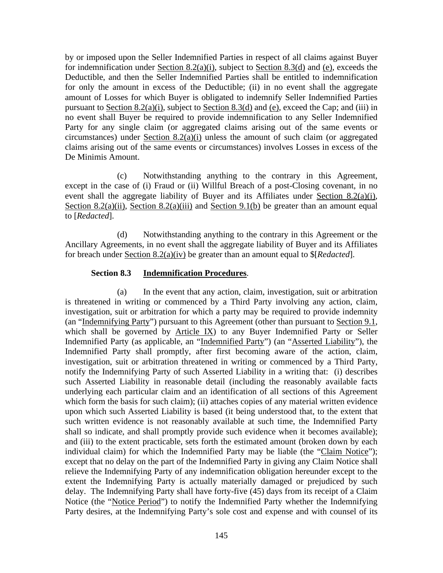by or imposed upon the Seller Indemnified Parties in respect of all claims against Buyer for indemnification under Section 8.2(a)(i), subject to Section 8.3(d) and (e), exceeds the Deductible, and then the Seller Indemnified Parties shall be entitled to indemnification for only the amount in excess of the Deductible; (ii) in no event shall the aggregate amount of Losses for which Buyer is obligated to indemnify Seller Indemnified Parties pursuant to Section 8.2(a)(i), subject to Section 8.3(d) and (e), exceed the Cap; and (iii) in no event shall Buyer be required to provide indemnification to any Seller Indemnified Party for any single claim (or aggregated claims arising out of the same events or circumstances) under Section 8.2(a)(i) unless the amount of such claim (or aggregated claims arising out of the same events or circumstances) involves Losses in excess of the De Minimis Amount.

(c) Notwithstanding anything to the contrary in this Agreement, except in the case of (i) Fraud or (ii) Willful Breach of a post-Closing covenant, in no event shall the aggregate liability of Buyer and its Affiliates under Section 8.2(a)(i), Section 8.2(a)(ii), Section 8.2(a)(iii) and Section 9.1(b) be greater than an amount equal to [*Redacted*].

(d) Notwithstanding anything to the contrary in this Agreement or the Ancillary Agreements, in no event shall the aggregate liability of Buyer and its Affiliates for breach under Section 8.2(a)(iv) be greater than an amount equal to \$[*Redacted*].

## **Section 8.3 Indemnification Procedures**.

(a) In the event that any action, claim, investigation, suit or arbitration is threatened in writing or commenced by a Third Party involving any action, claim, investigation, suit or arbitration for which a party may be required to provide indemnity (an "Indemnifying Party") pursuant to this Agreement (other than pursuant to Section 9.1, which shall be governed by Article IX) to any Buyer Indemnified Party or Seller Indemnified Party (as applicable, an "Indemnified Party") (an "Asserted Liability"), the Indemnified Party shall promptly, after first becoming aware of the action, claim, investigation, suit or arbitration threatened in writing or commenced by a Third Party, notify the Indemnifying Party of such Asserted Liability in a writing that: (i) describes such Asserted Liability in reasonable detail (including the reasonably available facts underlying each particular claim and an identification of all sections of this Agreement which form the basis for such claim); (ii) attaches copies of any material written evidence upon which such Asserted Liability is based (it being understood that, to the extent that such written evidence is not reasonably available at such time, the Indemnified Party shall so indicate, and shall promptly provide such evidence when it becomes available); and (iii) to the extent practicable, sets forth the estimated amount (broken down by each individual claim) for which the Indemnified Party may be liable (the "Claim Notice"); except that no delay on the part of the Indemnified Party in giving any Claim Notice shall relieve the Indemnifying Party of any indemnification obligation hereunder except to the extent the Indemnifying Party is actually materially damaged or prejudiced by such delay. The Indemnifying Party shall have forty-five (45) days from its receipt of a Claim Notice (the "Notice Period") to notify the Indemnified Party whether the Indemnifying Party desires, at the Indemnifying Party's sole cost and expense and with counsel of its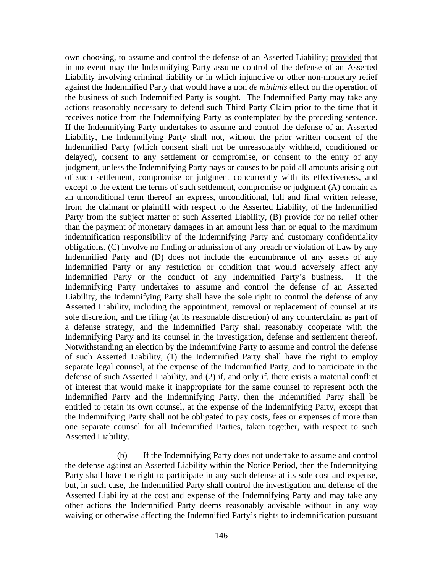own choosing, to assume and control the defense of an Asserted Liability; provided that in no event may the Indemnifying Party assume control of the defense of an Asserted Liability involving criminal liability or in which injunctive or other non-monetary relief against the Indemnified Party that would have a non *de minimis* effect on the operation of the business of such Indemnified Party is sought. The Indemnified Party may take any actions reasonably necessary to defend such Third Party Claim prior to the time that it receives notice from the Indemnifying Party as contemplated by the preceding sentence. If the Indemnifying Party undertakes to assume and control the defense of an Asserted Liability, the Indemnifying Party shall not, without the prior written consent of the Indemnified Party (which consent shall not be unreasonably withheld, conditioned or delayed), consent to any settlement or compromise, or consent to the entry of any judgment, unless the Indemnifying Party pays or causes to be paid all amounts arising out of such settlement, compromise or judgment concurrently with its effectiveness, and except to the extent the terms of such settlement, compromise or judgment (A) contain as an unconditional term thereof an express, unconditional, full and final written release, from the claimant or plaintiff with respect to the Asserted Liability, of the Indemnified Party from the subject matter of such Asserted Liability, (B) provide for no relief other than the payment of monetary damages in an amount less than or equal to the maximum indemnification responsibility of the Indemnifying Party and customary confidentiality obligations, (C) involve no finding or admission of any breach or violation of Law by any Indemnified Party and (D) does not include the encumbrance of any assets of any Indemnified Party or any restriction or condition that would adversely affect any Indemnified Party or the conduct of any Indemnified Party's business. If the Indemnifying Party undertakes to assume and control the defense of an Asserted Liability, the Indemnifying Party shall have the sole right to control the defense of any Asserted Liability, including the appointment, removal or replacement of counsel at its sole discretion, and the filing (at its reasonable discretion) of any counterclaim as part of a defense strategy, and the Indemnified Party shall reasonably cooperate with the Indemnifying Party and its counsel in the investigation, defense and settlement thereof. Notwithstanding an election by the Indemnifying Party to assume and control the defense of such Asserted Liability, (1) the Indemnified Party shall have the right to employ separate legal counsel, at the expense of the Indemnified Party, and to participate in the defense of such Asserted Liability, and (2) if, and only if, there exists a material conflict of interest that would make it inappropriate for the same counsel to represent both the Indemnified Party and the Indemnifying Party, then the Indemnified Party shall be entitled to retain its own counsel, at the expense of the Indemnifying Party, except that the Indemnifying Party shall not be obligated to pay costs, fees or expenses of more than one separate counsel for all Indemnified Parties, taken together, with respect to such Asserted Liability.

(b) If the Indemnifying Party does not undertake to assume and control the defense against an Asserted Liability within the Notice Period, then the Indemnifying Party shall have the right to participate in any such defense at its sole cost and expense, but, in such case, the Indemnified Party shall control the investigation and defense of the Asserted Liability at the cost and expense of the Indemnifying Party and may take any other actions the Indemnified Party deems reasonably advisable without in any way waiving or otherwise affecting the Indemnified Party's rights to indemnification pursuant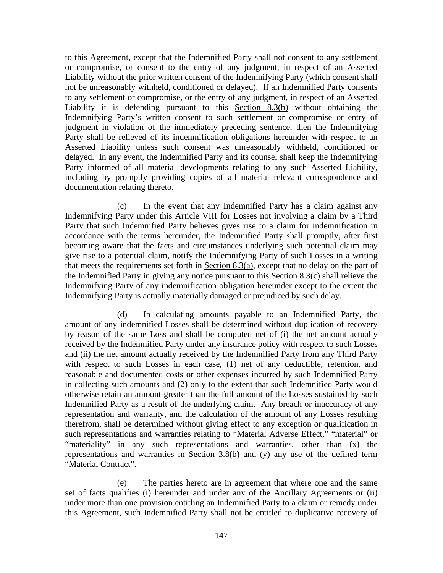to this Agreement, except that the Indemnified Party shall not consent to any settlement or compromise, or consent to the entry of any judgment, in respect of an Asserted Liability without the prior written consent of the Indemnifying Party (which consent shall not be unreasonably withheld, conditioned or delayed). If an Indemnified Party consents to any settlement or compromise, or the entry of any judgment, in respect of an Asserted Liability it is defending pursuant to this Section 8.3(b) without obtaining the Indemnifying Party's written consent to such settlement or compromise or entry of judgment in violation of the immediately preceding sentence, then the Indemnifying Party shall be relieved of its indemnification obligations hereunder with respect to an Asserted Liability unless such consent was unreasonably withheld, conditioned or delayed. In any event, the Indemnified Party and its counsel shall keep the Indemnifying Party informed of all material developments relating to any such Asserted Liability, including by promptly providing copies of all material relevant correspondence and documentation relating thereto.

(c) In the event that any Indemnified Party has a claim against any Indemnifying Party under this Article VIII for Losses not involving a claim by a Third Party that such Indemnified Party believes gives rise to a claim for indemnification in accordance with the terms hereunder, the Indemnified Party shall promptly, after first becoming aware that the facts and circumstances underlying such potential claim may give rise to a potential claim, notify the Indemnifying Party of such Losses in a writing that meets the requirements set forth in Section 8.3(a), except that no delay on the part of the Indemnified Party in giving any notice pursuant to this Section 8.3(c) shall relieve the Indemnifying Party of any indemnification obligation hereunder except to the extent the Indemnifying Party is actually materially damaged or prejudiced by such delay.

(d) In calculating amounts payable to an Indemnified Party, the amount of any indemnified Losses shall be determined without duplication of recovery by reason of the same Loss and shall be computed net of (i) the net amount actually received by the Indemnified Party under any insurance policy with respect to such Losses and (ii) the net amount actually received by the Indemnified Party from any Third Party with respect to such Losses in each case, (1) net of any deductible, retention, and reasonable and documented costs or other expenses incurred by such Indemnified Party in collecting such amounts and (2) only to the extent that such Indemnified Party would otherwise retain an amount greater than the full amount of the Losses sustained by such Indemnified Party as a result of the underlying claim. Any breach or inaccuracy of any representation and warranty, and the calculation of the amount of any Losses resulting therefrom, shall be determined without giving effect to any exception or qualification in such representations and warranties relating to "Material Adverse Effect," "material" or "materiality" in any such representations and warranties, other than (x) the representations and warranties in Section 3.8(b) and (y) any use of the defined term "Material Contract".

(e) The parties hereto are in agreement that where one and the same set of facts qualifies (i) hereunder and under any of the Ancillary Agreements or (ii) under more than one provision entitling an Indemnified Party to a claim or remedy under this Agreement, such Indemnified Party shall not be entitled to duplicative recovery of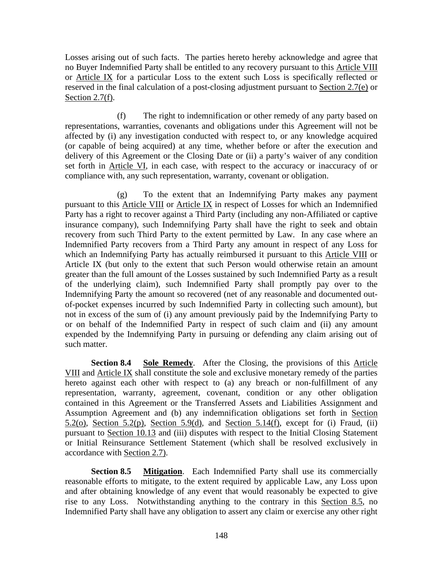Losses arising out of such facts. The parties hereto hereby acknowledge and agree that no Buyer Indemnified Party shall be entitled to any recovery pursuant to this Article VIII or Article IX for a particular Loss to the extent such Loss is specifically reflected or reserved in the final calculation of a post-closing adjustment pursuant to Section 2.7(e) or Section 2.7(f).

(f) The right to indemnification or other remedy of any party based on representations, warranties, covenants and obligations under this Agreement will not be affected by (i) any investigation conducted with respect to, or any knowledge acquired (or capable of being acquired) at any time, whether before or after the execution and delivery of this Agreement or the Closing Date or (ii) a party's waiver of any condition set forth in Article VI, in each case, with respect to the accuracy or inaccuracy of or compliance with, any such representation, warranty, covenant or obligation.

(g) To the extent that an Indemnifying Party makes any payment pursuant to this Article VIII or Article IX in respect of Losses for which an Indemnified Party has a right to recover against a Third Party (including any non-Affiliated or captive insurance company), such Indemnifying Party shall have the right to seek and obtain recovery from such Third Party to the extent permitted by Law. In any case where an Indemnified Party recovers from a Third Party any amount in respect of any Loss for which an Indemnifying Party has actually reimbursed it pursuant to this Article VIII or Article IX (but only to the extent that such Person would otherwise retain an amount greater than the full amount of the Losses sustained by such Indemnified Party as a result of the underlying claim), such Indemnified Party shall promptly pay over to the Indemnifying Party the amount so recovered (net of any reasonable and documented outof-pocket expenses incurred by such Indemnified Party in collecting such amount), but not in excess of the sum of (i) any amount previously paid by the Indemnifying Party to or on behalf of the Indemnified Party in respect of such claim and (ii) any amount expended by the Indemnifying Party in pursuing or defending any claim arising out of such matter.

**Section 8.4 Sole Remedy**. After the Closing, the provisions of this Article VIII and Article IX shall constitute the sole and exclusive monetary remedy of the parties hereto against each other with respect to (a) any breach or non-fulfillment of any representation, warranty, agreement, covenant, condition or any other obligation contained in this Agreement or the Transferred Assets and Liabilities Assignment and Assumption Agreement and (b) any indemnification obligations set forth in Section 5.2(o), Section 5.2(p), Section 5.9(d), and Section 5.14(f), except for (i) Fraud, (ii) pursuant to Section 10.13 and (iii) disputes with respect to the Initial Closing Statement or Initial Reinsurance Settlement Statement (which shall be resolved exclusively in accordance with Section 2.7).

**Section 8.5 Mitigation**. Each Indemnified Party shall use its commercially reasonable efforts to mitigate, to the extent required by applicable Law, any Loss upon and after obtaining knowledge of any event that would reasonably be expected to give rise to any Loss. Notwithstanding anything to the contrary in this Section 8.5, no Indemnified Party shall have any obligation to assert any claim or exercise any other right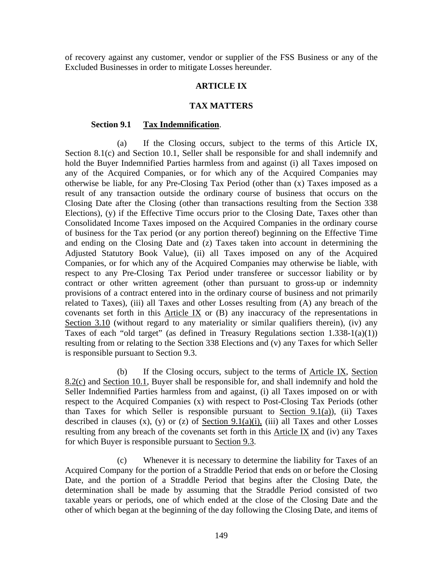of recovery against any customer, vendor or supplier of the FSS Business or any of the Excluded Businesses in order to mitigate Losses hereunder.

### **ARTICLE IX**

#### **TAX MATTERS**

#### **Section 9.1 Tax Indemnification**.

(a) If the Closing occurs, subject to the terms of this Article IX, Section 8.1(c) and Section 10.1, Seller shall be responsible for and shall indemnify and hold the Buyer Indemnified Parties harmless from and against (i) all Taxes imposed on any of the Acquired Companies, or for which any of the Acquired Companies may otherwise be liable, for any Pre-Closing Tax Period (other than (x) Taxes imposed as a result of any transaction outside the ordinary course of business that occurs on the Closing Date after the Closing (other than transactions resulting from the Section 338 Elections), (y) if the Effective Time occurs prior to the Closing Date, Taxes other than Consolidated Income Taxes imposed on the Acquired Companies in the ordinary course of business for the Tax period (or any portion thereof) beginning on the Effective Time and ending on the Closing Date and (z) Taxes taken into account in determining the Adjusted Statutory Book Value), (ii) all Taxes imposed on any of the Acquired Companies, or for which any of the Acquired Companies may otherwise be liable, with respect to any Pre-Closing Tax Period under transferee or successor liability or by contract or other written agreement (other than pursuant to gross-up or indemnity provisions of a contract entered into in the ordinary course of business and not primarily related to Taxes), (iii) all Taxes and other Losses resulting from (A) any breach of the covenants set forth in this Article IX or (B) any inaccuracy of the representations in Section 3.10 (without regard to any materiality or similar qualifiers therein), (iv) any Taxes of each "old target" (as defined in Treasury Regulations section  $1.338-1(a)(1)$ ) resulting from or relating to the Section 338 Elections and (v) any Taxes for which Seller is responsible pursuant to Section 9.3.

(b) If the Closing occurs, subject to the terms of Article IX, Section 8.2(c) and Section 10.1, Buyer shall be responsible for, and shall indemnify and hold the Seller Indemnified Parties harmless from and against, (i) all Taxes imposed on or with respect to the Acquired Companies (x) with respect to Post-Closing Tax Periods (other than Taxes for which Seller is responsible pursuant to Section 9.1(a)), (ii) Taxes described in clauses  $(x)$ ,  $(y)$  or  $(z)$  of <u>Section 9.1(a)(i)</u>, (iii) all Taxes and other Losses resulting from any breach of the covenants set forth in this Article IX and (iv) any Taxes for which Buyer is responsible pursuant to Section 9.3.

(c) Whenever it is necessary to determine the liability for Taxes of an Acquired Company for the portion of a Straddle Period that ends on or before the Closing Date, and the portion of a Straddle Period that begins after the Closing Date, the determination shall be made by assuming that the Straddle Period consisted of two taxable years or periods, one of which ended at the close of the Closing Date and the other of which began at the beginning of the day following the Closing Date, and items of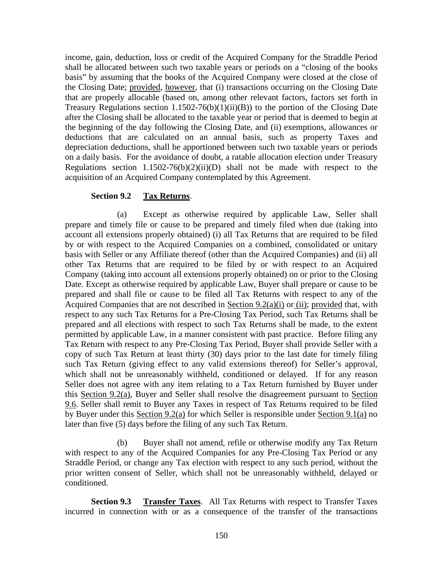income, gain, deduction, loss or credit of the Acquired Company for the Straddle Period shall be allocated between such two taxable years or periods on a "closing of the books basis" by assuming that the books of the Acquired Company were closed at the close of the Closing Date; provided, however, that (i) transactions occurring on the Closing Date that are properly allocable (based on, among other relevant factors, factors set forth in Treasury Regulations section  $1.1502-76(b)(1)(ii)(B)$  to the portion of the Closing Date after the Closing shall be allocated to the taxable year or period that is deemed to begin at the beginning of the day following the Closing Date, and (ii) exemptions, allowances or deductions that are calculated on an annual basis, such as property Taxes and depreciation deductions, shall be apportioned between such two taxable years or periods on a daily basis. For the avoidance of doubt, a ratable allocation election under Treasury Regulations section  $1.1502-76(b)(2)(ii)(D)$  shall not be made with respect to the acquisition of an Acquired Company contemplated by this Agreement.

### **Section 9.2 Tax Returns**.

(a) Except as otherwise required by applicable Law, Seller shall prepare and timely file or cause to be prepared and timely filed when due (taking into account all extensions properly obtained) (i) all Tax Returns that are required to be filed by or with respect to the Acquired Companies on a combined, consolidated or unitary basis with Seller or any Affiliate thereof (other than the Acquired Companies) and (ii) all other Tax Returns that are required to be filed by or with respect to an Acquired Company (taking into account all extensions properly obtained) on or prior to the Closing Date. Except as otherwise required by applicable Law, Buyer shall prepare or cause to be prepared and shall file or cause to be filed all Tax Returns with respect to any of the Acquired Companies that are not described in Section  $9.2(a)(i)$  or (ii); provided that, with respect to any such Tax Returns for a Pre-Closing Tax Period, such Tax Returns shall be prepared and all elections with respect to such Tax Returns shall be made, to the extent permitted by applicable Law, in a manner consistent with past practice. Before filing any Tax Return with respect to any Pre-Closing Tax Period, Buyer shall provide Seller with a copy of such Tax Return at least thirty (30) days prior to the last date for timely filing such Tax Return (giving effect to any valid extensions thereof) for Seller's approval, which shall not be unreasonably withheld, conditioned or delayed. If for any reason Seller does not agree with any item relating to a Tax Return furnished by Buyer under this Section 9.2(a), Buyer and Seller shall resolve the disagreement pursuant to Section 9.6. Seller shall remit to Buyer any Taxes in respect of Tax Returns required to be filed by Buyer under this Section 9.2(a) for which Seller is responsible under Section 9.1(a) no later than five (5) days before the filing of any such Tax Return.

(b) Buyer shall not amend, refile or otherwise modify any Tax Return with respect to any of the Acquired Companies for any Pre-Closing Tax Period or any Straddle Period, or change any Tax election with respect to any such period, without the prior written consent of Seller, which shall not be unreasonably withheld, delayed or conditioned.

**Section 9.3 Transfer Taxes**. All Tax Returns with respect to Transfer Taxes incurred in connection with or as a consequence of the transfer of the transactions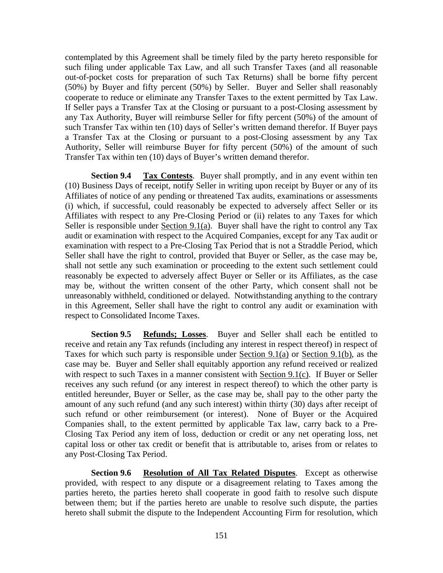contemplated by this Agreement shall be timely filed by the party hereto responsible for such filing under applicable Tax Law, and all such Transfer Taxes (and all reasonable out-of-pocket costs for preparation of such Tax Returns) shall be borne fifty percent (50%) by Buyer and fifty percent (50%) by Seller. Buyer and Seller shall reasonably cooperate to reduce or eliminate any Transfer Taxes to the extent permitted by Tax Law. If Seller pays a Transfer Tax at the Closing or pursuant to a post-Closing assessment by any Tax Authority, Buyer will reimburse Seller for fifty percent (50%) of the amount of such Transfer Tax within ten (10) days of Seller's written demand therefor. If Buyer pays a Transfer Tax at the Closing or pursuant to a post-Closing assessment by any Tax Authority, Seller will reimburse Buyer for fifty percent (50%) of the amount of such Transfer Tax within ten (10) days of Buyer's written demand therefor.

**Section 9.4 Tax Contests**. Buyer shall promptly, and in any event within ten (10) Business Days of receipt, notify Seller in writing upon receipt by Buyer or any of its Affiliates of notice of any pending or threatened Tax audits, examinations or assessments (i) which, if successful, could reasonably be expected to adversely affect Seller or its Affiliates with respect to any Pre-Closing Period or (ii) relates to any Taxes for which Seller is responsible under Section  $9.1(a)$ . Buyer shall have the right to control any Tax audit or examination with respect to the Acquired Companies, except for any Tax audit or examination with respect to a Pre-Closing Tax Period that is not a Straddle Period, which Seller shall have the right to control, provided that Buyer or Seller, as the case may be, shall not settle any such examination or proceeding to the extent such settlement could reasonably be expected to adversely affect Buyer or Seller or its Affiliates, as the case may be, without the written consent of the other Party, which consent shall not be unreasonably withheld, conditioned or delayed. Notwithstanding anything to the contrary in this Agreement, Seller shall have the right to control any audit or examination with respect to Consolidated Income Taxes.

**Section 9.5 Refunds; Losses**. Buyer and Seller shall each be entitled to receive and retain any Tax refunds (including any interest in respect thereof) in respect of Taxes for which such party is responsible under Section  $9.1(a)$  or Section  $9.1(b)$ , as the case may be. Buyer and Seller shall equitably apportion any refund received or realized with respect to such Taxes in a manner consistent with Section 9.1(c). If Buyer or Seller receives any such refund (or any interest in respect thereof) to which the other party is entitled hereunder, Buyer or Seller, as the case may be, shall pay to the other party the amount of any such refund (and any such interest) within thirty (30) days after receipt of such refund or other reimbursement (or interest). None of Buyer or the Acquired Companies shall, to the extent permitted by applicable Tax law, carry back to a Pre-Closing Tax Period any item of loss, deduction or credit or any net operating loss, net capital loss or other tax credit or benefit that is attributable to, arises from or relates to any Post-Closing Tax Period.

**Section 9.6 Resolution of All Tax Related Disputes**. Except as otherwise provided, with respect to any dispute or a disagreement relating to Taxes among the parties hereto, the parties hereto shall cooperate in good faith to resolve such dispute between them; but if the parties hereto are unable to resolve such dispute, the parties hereto shall submit the dispute to the Independent Accounting Firm for resolution, which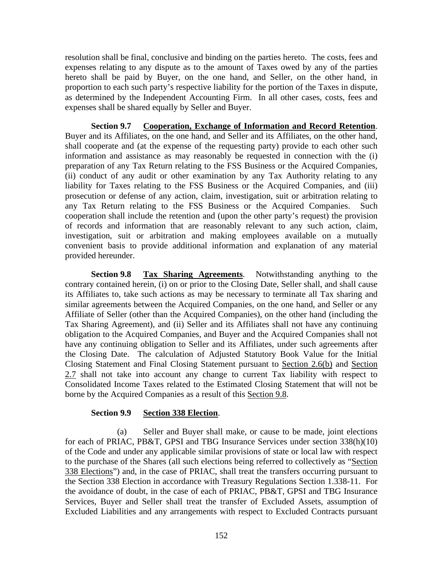resolution shall be final, conclusive and binding on the parties hereto. The costs, fees and expenses relating to any dispute as to the amount of Taxes owed by any of the parties hereto shall be paid by Buyer, on the one hand, and Seller, on the other hand, in proportion to each such party's respective liability for the portion of the Taxes in dispute, as determined by the Independent Accounting Firm. In all other cases, costs, fees and expenses shall be shared equally by Seller and Buyer.

**Section 9.7 Cooperation, Exchange of Information and Record Retention**. Buyer and its Affiliates, on the one hand, and Seller and its Affiliates, on the other hand, shall cooperate and (at the expense of the requesting party) provide to each other such information and assistance as may reasonably be requested in connection with the (i) preparation of any Tax Return relating to the FSS Business or the Acquired Companies, (ii) conduct of any audit or other examination by any Tax Authority relating to any liability for Taxes relating to the FSS Business or the Acquired Companies, and (iii) prosecution or defense of any action, claim, investigation, suit or arbitration relating to any Tax Return relating to the FSS Business or the Acquired Companies. Such cooperation shall include the retention and (upon the other party's request) the provision of records and information that are reasonably relevant to any such action, claim, investigation, suit or arbitration and making employees available on a mutually convenient basis to provide additional information and explanation of any material provided hereunder.

**Section 9.8 Tax Sharing Agreements**. Notwithstanding anything to the contrary contained herein, (i) on or prior to the Closing Date, Seller shall, and shall cause its Affiliates to, take such actions as may be necessary to terminate all Tax sharing and similar agreements between the Acquired Companies, on the one hand, and Seller or any Affiliate of Seller (other than the Acquired Companies), on the other hand (including the Tax Sharing Agreement), and (ii) Seller and its Affiliates shall not have any continuing obligation to the Acquired Companies, and Buyer and the Acquired Companies shall not have any continuing obligation to Seller and its Affiliates, under such agreements after the Closing Date. The calculation of Adjusted Statutory Book Value for the Initial Closing Statement and Final Closing Statement pursuant to Section 2.6(b) and Section 2.7 shall not take into account any change to current Tax liability with respect to Consolidated Income Taxes related to the Estimated Closing Statement that will not be borne by the Acquired Companies as a result of this Section 9.8.

### **Section 9.9 Section 338 Election**.

(a) Seller and Buyer shall make, or cause to be made, joint elections for each of PRIAC, PB&T, GPSI and TBG Insurance Services under section 338(h)(10) of the Code and under any applicable similar provisions of state or local law with respect to the purchase of the Shares (all such elections being referred to collectively as "Section 338 Elections") and, in the case of PRIAC, shall treat the transfers occurring pursuant to the Section 338 Election in accordance with Treasury Regulations Section 1.338-11. For the avoidance of doubt, in the case of each of PRIAC, PB&T, GPSI and TBG Insurance Services, Buyer and Seller shall treat the transfer of Excluded Assets, assumption of Excluded Liabilities and any arrangements with respect to Excluded Contracts pursuant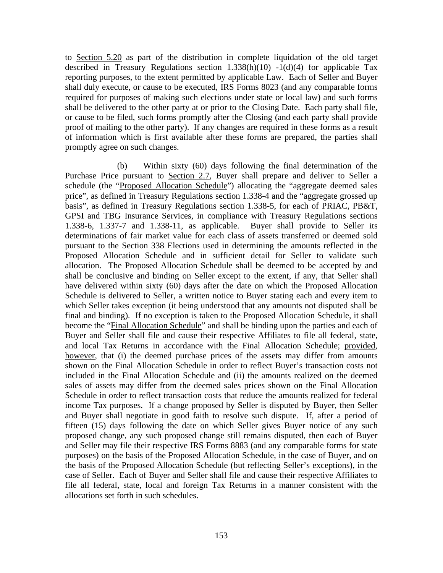to Section 5.20 as part of the distribution in complete liquidation of the old target described in Treasury Regulations section  $1.338(h)(10) -1(d)(4)$  for applicable Tax reporting purposes, to the extent permitted by applicable Law. Each of Seller and Buyer shall duly execute, or cause to be executed, IRS Forms 8023 (and any comparable forms required for purposes of making such elections under state or local law) and such forms shall be delivered to the other party at or prior to the Closing Date. Each party shall file, or cause to be filed, such forms promptly after the Closing (and each party shall provide proof of mailing to the other party). If any changes are required in these forms as a result of information which is first available after these forms are prepared, the parties shall promptly agree on such changes.

(b) Within sixty (60) days following the final determination of the Purchase Price pursuant to Section 2.7, Buyer shall prepare and deliver to Seller a schedule (the "Proposed Allocation Schedule") allocating the "aggregate deemed sales price", as defined in Treasury Regulations section 1.338-4 and the "aggregate grossed up basis", as defined in Treasury Regulations section 1.338-5, for each of PRIAC, PB&T, GPSI and TBG Insurance Services, in compliance with Treasury Regulations sections 1.338-6, 1.337-7 and 1.338-11, as applicable. Buyer shall provide to Seller its determinations of fair market value for each class of assets transferred or deemed sold pursuant to the Section 338 Elections used in determining the amounts reflected in the Proposed Allocation Schedule and in sufficient detail for Seller to validate such allocation. The Proposed Allocation Schedule shall be deemed to be accepted by and shall be conclusive and binding on Seller except to the extent, if any, that Seller shall have delivered within sixty (60) days after the date on which the Proposed Allocation Schedule is delivered to Seller, a written notice to Buyer stating each and every item to which Seller takes exception (it being understood that any amounts not disputed shall be final and binding). If no exception is taken to the Proposed Allocation Schedule, it shall become the "Final Allocation Schedule" and shall be binding upon the parties and each of Buyer and Seller shall file and cause their respective Affiliates to file all federal, state, and local Tax Returns in accordance with the Final Allocation Schedule; provided, however, that (i) the deemed purchase prices of the assets may differ from amounts shown on the Final Allocation Schedule in order to reflect Buyer's transaction costs not included in the Final Allocation Schedule and (ii) the amounts realized on the deemed sales of assets may differ from the deemed sales prices shown on the Final Allocation Schedule in order to reflect transaction costs that reduce the amounts realized for federal income Tax purposes. If a change proposed by Seller is disputed by Buyer, then Seller and Buyer shall negotiate in good faith to resolve such dispute. If, after a period of fifteen (15) days following the date on which Seller gives Buyer notice of any such proposed change, any such proposed change still remains disputed, then each of Buyer and Seller may file their respective IRS Forms 8883 (and any comparable forms for state purposes) on the basis of the Proposed Allocation Schedule, in the case of Buyer, and on the basis of the Proposed Allocation Schedule (but reflecting Seller's exceptions), in the case of Seller. Each of Buyer and Seller shall file and cause their respective Affiliates to file all federal, state, local and foreign Tax Returns in a manner consistent with the allocations set forth in such schedules.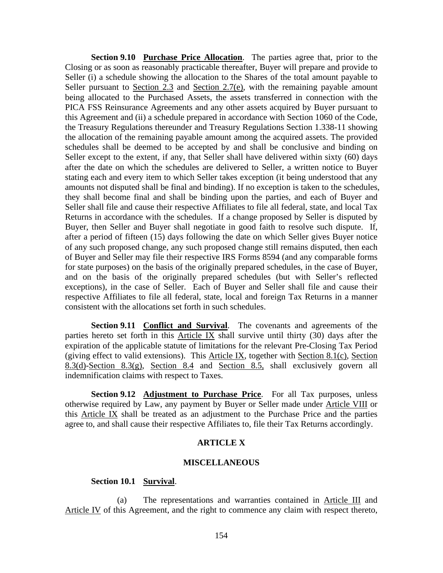**Section 9.10 Purchase Price Allocation**. The parties agree that, prior to the Closing or as soon as reasonably practicable thereafter, Buyer will prepare and provide to Seller (i) a schedule showing the allocation to the Shares of the total amount payable to Seller pursuant to Section  $2.3$  and Section  $2.7(e)$ , with the remaining payable amount being allocated to the Purchased Assets, the assets transferred in connection with the PICA FSS Reinsurance Agreements and any other assets acquired by Buyer pursuant to this Agreement and (ii) a schedule prepared in accordance with Section 1060 of the Code, the Treasury Regulations thereunder and Treasury Regulations Section 1.338-11 showing the allocation of the remaining payable amount among the acquired assets. The provided schedules shall be deemed to be accepted by and shall be conclusive and binding on Seller except to the extent, if any, that Seller shall have delivered within sixty (60) days after the date on which the schedules are delivered to Seller, a written notice to Buyer stating each and every item to which Seller takes exception (it being understood that any amounts not disputed shall be final and binding). If no exception is taken to the schedules, they shall become final and shall be binding upon the parties, and each of Buyer and Seller shall file and cause their respective Affiliates to file all federal, state, and local Tax Returns in accordance with the schedules. If a change proposed by Seller is disputed by Buyer, then Seller and Buyer shall negotiate in good faith to resolve such dispute. If, after a period of fifteen (15) days following the date on which Seller gives Buyer notice of any such proposed change, any such proposed change still remains disputed, then each of Buyer and Seller may file their respective IRS Forms 8594 (and any comparable forms for state purposes) on the basis of the originally prepared schedules, in the case of Buyer, and on the basis of the originally prepared schedules (but with Seller's reflected exceptions), in the case of Seller. Each of Buyer and Seller shall file and cause their respective Affiliates to file all federal, state, local and foreign Tax Returns in a manner consistent with the allocations set forth in such schedules.

**Section 9.11 Conflict and Survival**. The covenants and agreements of the parties hereto set forth in this Article IX shall survive until thirty (30) days after the expiration of the applicable statute of limitations for the relevant Pre-Closing Tax Period (giving effect to valid extensions). This Article IX, together with Section 8.1(c), Section 8.3(d)-Section 8.3(g), Section 8.4 and Section 8.5, shall exclusively govern all indemnification claims with respect to Taxes.

**Section 9.12 Adjustment to Purchase Price**. For all Tax purposes, unless otherwise required by Law, any payment by Buyer or Seller made under Article VIII or this Article IX shall be treated as an adjustment to the Purchase Price and the parties agree to, and shall cause their respective Affiliates to, file their Tax Returns accordingly.

### **ARTICLE X**

#### **MISCELLANEOUS**

## **Section 10.1 Survival**.

(a) The representations and warranties contained in Article III and Article IV of this Agreement, and the right to commence any claim with respect thereto,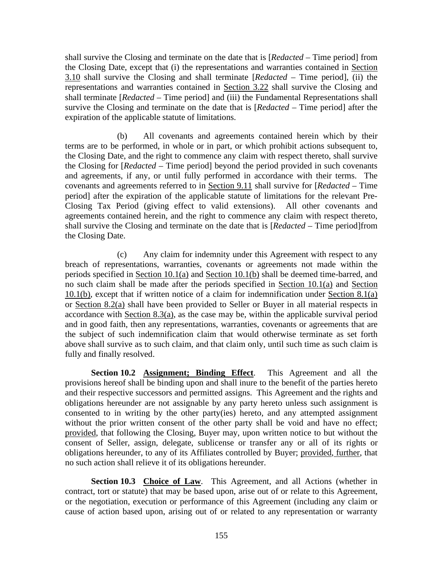shall survive the Closing and terminate on the date that is [*Redacted* – Time period] from the Closing Date, except that (i) the representations and warranties contained in Section 3.10 shall survive the Closing and shall terminate [*Redacted* – Time period], (ii) the representations and warranties contained in Section 3.22 shall survive the Closing and shall terminate [*Redacted* – Time period] and (iii) the Fundamental Representations shall survive the Closing and terminate on the date that is [*Redacted* – Time period] after the expiration of the applicable statute of limitations.

(b) All covenants and agreements contained herein which by their terms are to be performed, in whole or in part, or which prohibit actions subsequent to, the Closing Date, and the right to commence any claim with respect thereto, shall survive the Closing for [*Redacted* – Time period] beyond the period provided in such covenants and agreements, if any, or until fully performed in accordance with their terms. The covenants and agreements referred to in Section 9.11 shall survive for [*Redacted* – Time period] after the expiration of the applicable statute of limitations for the relevant Pre-Closing Tax Period (giving effect to valid extensions). All other covenants and agreements contained herein, and the right to commence any claim with respect thereto, shall survive the Closing and terminate on the date that is [*Redacted* – Time period]from the Closing Date.

(c) Any claim for indemnity under this Agreement with respect to any breach of representations, warranties, covenants or agreements not made within the periods specified in Section 10.1(a) and Section 10.1(b) shall be deemed time-barred, and no such claim shall be made after the periods specified in Section 10.1(a) and Section 10.1(b), except that if written notice of a claim for indemnification under Section 8.1(a) or Section 8.2(a) shall have been provided to Seller or Buyer in all material respects in accordance with Section 8.3(a), as the case may be, within the applicable survival period and in good faith, then any representations, warranties, covenants or agreements that are the subject of such indemnification claim that would otherwise terminate as set forth above shall survive as to such claim, and that claim only, until such time as such claim is fully and finally resolved.

**Section 10.2 Assignment; Binding Effect**. This Agreement and all the provisions hereof shall be binding upon and shall inure to the benefit of the parties hereto and their respective successors and permitted assigns. This Agreement and the rights and obligations hereunder are not assignable by any party hereto unless such assignment is consented to in writing by the other party(ies) hereto, and any attempted assignment without the prior written consent of the other party shall be void and have no effect; provided, that following the Closing, Buyer may, upon written notice to but without the consent of Seller, assign, delegate, sublicense or transfer any or all of its rights or obligations hereunder, to any of its Affiliates controlled by Buyer; provided, further, that no such action shall relieve it of its obligations hereunder.

**Section 10.3 Choice of Law**. This Agreement, and all Actions (whether in contract, tort or statute) that may be based upon, arise out of or relate to this Agreement, or the negotiation, execution or performance of this Agreement (including any claim or cause of action based upon, arising out of or related to any representation or warranty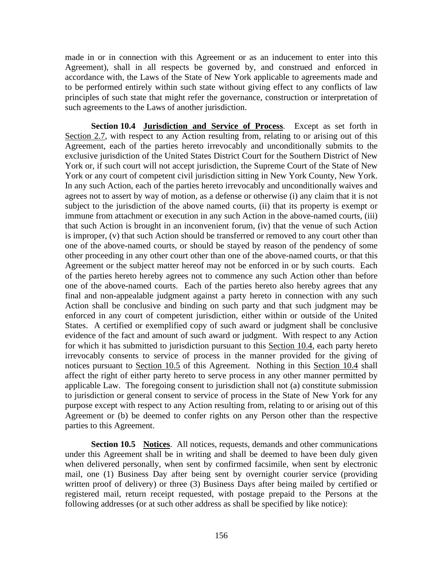made in or in connection with this Agreement or as an inducement to enter into this Agreement), shall in all respects be governed by, and construed and enforced in accordance with, the Laws of the State of New York applicable to agreements made and to be performed entirely within such state without giving effect to any conflicts of law principles of such state that might refer the governance, construction or interpretation of such agreements to the Laws of another jurisdiction.

**Section 10.4 Jurisdiction and Service of Process**. Except as set forth in Section 2.7, with respect to any Action resulting from, relating to or arising out of this Agreement, each of the parties hereto irrevocably and unconditionally submits to the exclusive jurisdiction of the United States District Court for the Southern District of New York or, if such court will not accept jurisdiction, the Supreme Court of the State of New York or any court of competent civil jurisdiction sitting in New York County, New York. In any such Action, each of the parties hereto irrevocably and unconditionally waives and agrees not to assert by way of motion, as a defense or otherwise (i) any claim that it is not subject to the jurisdiction of the above named courts, (ii) that its property is exempt or immune from attachment or execution in any such Action in the above-named courts, (iii) that such Action is brought in an inconvenient forum, (iv) that the venue of such Action is improper, (v) that such Action should be transferred or removed to any court other than one of the above-named courts, or should be stayed by reason of the pendency of some other proceeding in any other court other than one of the above-named courts, or that this Agreement or the subject matter hereof may not be enforced in or by such courts. Each of the parties hereto hereby agrees not to commence any such Action other than before one of the above-named courts. Each of the parties hereto also hereby agrees that any final and non-appealable judgment against a party hereto in connection with any such Action shall be conclusive and binding on such party and that such judgment may be enforced in any court of competent jurisdiction, either within or outside of the United States. A certified or exemplified copy of such award or judgment shall be conclusive evidence of the fact and amount of such award or judgment. With respect to any Action for which it has submitted to jurisdiction pursuant to this Section 10.4, each party hereto irrevocably consents to service of process in the manner provided for the giving of notices pursuant to Section 10.5 of this Agreement. Nothing in this Section 10.4 shall affect the right of either party hereto to serve process in any other manner permitted by applicable Law. The foregoing consent to jurisdiction shall not (a) constitute submission to jurisdiction or general consent to service of process in the State of New York for any purpose except with respect to any Action resulting from, relating to or arising out of this Agreement or (b) be deemed to confer rights on any Person other than the respective parties to this Agreement.

**Section 10.5 Notices**. All notices, requests, demands and other communications under this Agreement shall be in writing and shall be deemed to have been duly given when delivered personally, when sent by confirmed facsimile, when sent by electronic mail, one (1) Business Day after being sent by overnight courier service (providing written proof of delivery) or three (3) Business Days after being mailed by certified or registered mail, return receipt requested, with postage prepaid to the Persons at the following addresses (or at such other address as shall be specified by like notice):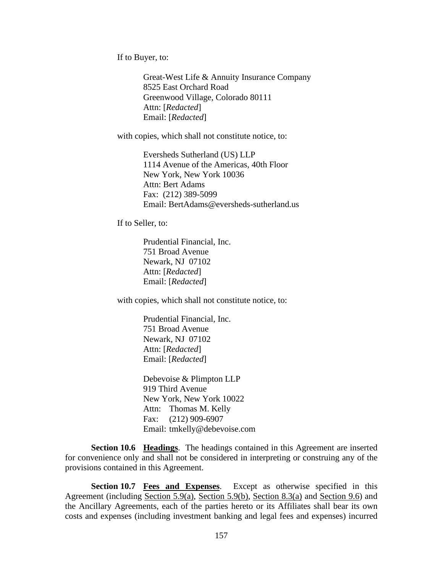If to Buyer, to:

Great-West Life & Annuity Insurance Company 8525 East Orchard Road Greenwood Village, Colorado 80111 Attn: [*Redacted*] Email: [*Redacted*]

with copies, which shall not constitute notice, to:

Eversheds Sutherland (US) LLP 1114 Avenue of the Americas, 40th Floor New York, New York 10036 Attn: Bert Adams Fax: (212) 389-5099 Email: BertAdams@eversheds-sutherland.us

If to Seller, to:

Prudential Financial, Inc. 751 Broad Avenue Newark, NJ 07102 Attn: [*Redacted*] Email: [*Redacted*]

with copies, which shall not constitute notice, to:

Prudential Financial, Inc. 751 Broad Avenue Newark, NJ 07102 Attn: [*Redacted*] Email: [*Redacted*]

Debevoise & Plimpton LLP 919 Third Avenue New York, New York 10022 Attn: Thomas M. Kelly Fax: (212) 909-6907 Email: tmkelly@debevoise.com

**Section 10.6 Headings**. The headings contained in this Agreement are inserted for convenience only and shall not be considered in interpreting or construing any of the provisions contained in this Agreement.

**Section 10.7 Fees and Expenses**. Except as otherwise specified in this Agreement (including Section 5.9(a), Section 5.9(b), Section 8.3(a) and Section 9.6) and the Ancillary Agreements, each of the parties hereto or its Affiliates shall bear its own costs and expenses (including investment banking and legal fees and expenses) incurred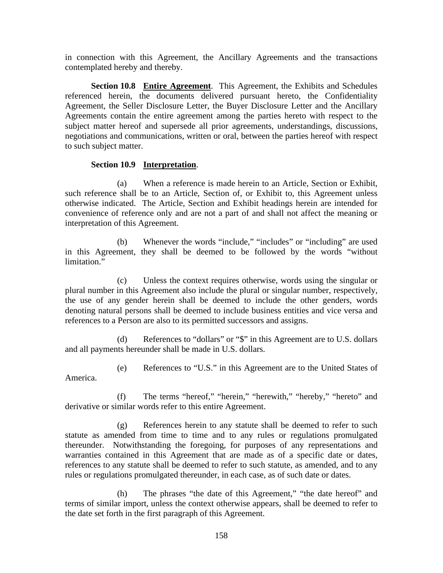in connection with this Agreement, the Ancillary Agreements and the transactions contemplated hereby and thereby.

**Section 10.8 Entire Agreement**. This Agreement, the Exhibits and Schedules referenced herein, the documents delivered pursuant hereto, the Confidentiality Agreement, the Seller Disclosure Letter, the Buyer Disclosure Letter and the Ancillary Agreements contain the entire agreement among the parties hereto with respect to the subject matter hereof and supersede all prior agreements, understandings, discussions, negotiations and communications, written or oral, between the parties hereof with respect to such subject matter.

### **Section 10.9 Interpretation**.

(a) When a reference is made herein to an Article, Section or Exhibit, such reference shall be to an Article, Section of, or Exhibit to, this Agreement unless otherwise indicated. The Article, Section and Exhibit headings herein are intended for convenience of reference only and are not a part of and shall not affect the meaning or interpretation of this Agreement.

(b) Whenever the words "include," "includes" or "including" are used in this Agreement, they shall be deemed to be followed by the words "without limitation."

(c) Unless the context requires otherwise, words using the singular or plural number in this Agreement also include the plural or singular number, respectively, the use of any gender herein shall be deemed to include the other genders, words denoting natural persons shall be deemed to include business entities and vice versa and references to a Person are also to its permitted successors and assigns.

(d) References to "dollars" or "\$" in this Agreement are to U.S. dollars and all payments hereunder shall be made in U.S. dollars.

(e) References to "U.S." in this Agreement are to the United States of America.

(f) The terms "hereof," "herein," "herewith," "hereby," "hereto" and derivative or similar words refer to this entire Agreement.

(g) References herein to any statute shall be deemed to refer to such statute as amended from time to time and to any rules or regulations promulgated thereunder. Notwithstanding the foregoing, for purposes of any representations and warranties contained in this Agreement that are made as of a specific date or dates, references to any statute shall be deemed to refer to such statute, as amended, and to any rules or regulations promulgated thereunder, in each case, as of such date or dates.

(h) The phrases "the date of this Agreement," "the date hereof" and terms of similar import, unless the context otherwise appears, shall be deemed to refer to the date set forth in the first paragraph of this Agreement.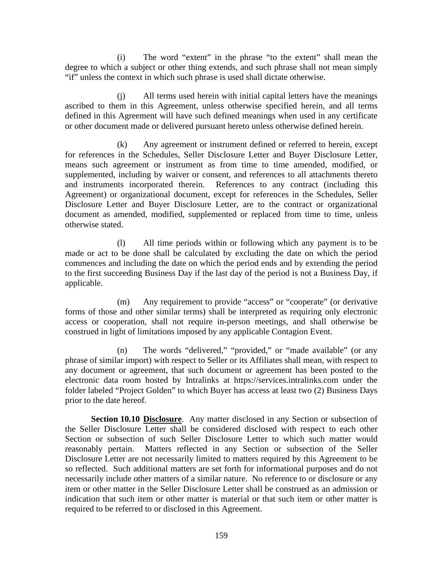(i) The word "extent" in the phrase "to the extent" shall mean the degree to which a subject or other thing extends, and such phrase shall not mean simply "if" unless the context in which such phrase is used shall dictate otherwise.

(j) All terms used herein with initial capital letters have the meanings ascribed to them in this Agreement, unless otherwise specified herein, and all terms defined in this Agreement will have such defined meanings when used in any certificate or other document made or delivered pursuant hereto unless otherwise defined herein.

(k) Any agreement or instrument defined or referred to herein, except for references in the Schedules, Seller Disclosure Letter and Buyer Disclosure Letter, means such agreement or instrument as from time to time amended, modified, or supplemented, including by waiver or consent, and references to all attachments thereto and instruments incorporated therein. References to any contract (including this Agreement) or organizational document, except for references in the Schedules, Seller Disclosure Letter and Buyer Disclosure Letter, are to the contract or organizational document as amended, modified, supplemented or replaced from time to time, unless otherwise stated.

(l) All time periods within or following which any payment is to be made or act to be done shall be calculated by excluding the date on which the period commences and including the date on which the period ends and by extending the period to the first succeeding Business Day if the last day of the period is not a Business Day, if applicable.

(m) Any requirement to provide "access" or "cooperate" (or derivative forms of those and other similar terms) shall be interpreted as requiring only electronic access or cooperation, shall not require in-person meetings, and shall otherwise be construed in light of limitations imposed by any applicable Contagion Event.

(n) The words "delivered," "provided," or "made available" (or any phrase of similar import) with respect to Seller or its Affiliates shall mean, with respect to any document or agreement, that such document or agreement has been posted to the electronic data room hosted by Intralinks at https://services.intralinks.com under the folder labeled "Project Golden" to which Buyer has access at least two (2) Business Days prior to the date hereof.

**Section 10.10 Disclosure**. Any matter disclosed in any Section or subsection of the Seller Disclosure Letter shall be considered disclosed with respect to each other Section or subsection of such Seller Disclosure Letter to which such matter would reasonably pertain. Matters reflected in any Section or subsection of the Seller Disclosure Letter are not necessarily limited to matters required by this Agreement to be so reflected. Such additional matters are set forth for informational purposes and do not necessarily include other matters of a similar nature. No reference to or disclosure or any item or other matter in the Seller Disclosure Letter shall be construed as an admission or indication that such item or other matter is material or that such item or other matter is required to be referred to or disclosed in this Agreement.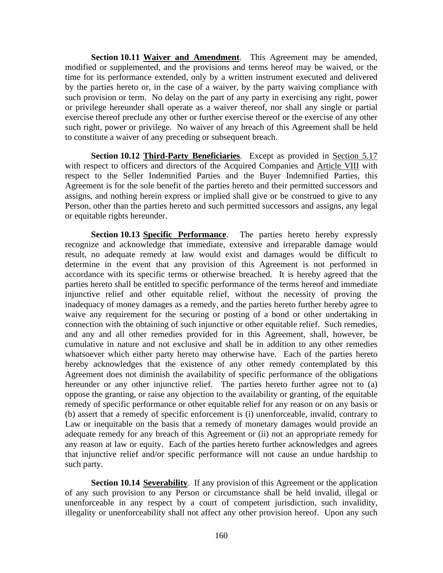**Section 10.11 Waiver and Amendment**. This Agreement may be amended, modified or supplemented, and the provisions and terms hereof may be waived, or the time for its performance extended, only by a written instrument executed and delivered by the parties hereto or, in the case of a waiver, by the party waiving compliance with such provision or term. No delay on the part of any party in exercising any right, power or privilege hereunder shall operate as a waiver thereof, nor shall any single or partial exercise thereof preclude any other or further exercise thereof or the exercise of any other such right, power or privilege. No waiver of any breach of this Agreement shall be held to constitute a waiver of any preceding or subsequent breach.

**Section 10.12 Third-Party Beneficiaries**. Except as provided in Section 5.17 with respect to officers and directors of the Acquired Companies and Article VIII with respect to the Seller Indemnified Parties and the Buyer Indemnified Parties, this Agreement is for the sole benefit of the parties hereto and their permitted successors and assigns, and nothing herein express or implied shall give or be construed to give to any Person, other than the parties hereto and such permitted successors and assigns, any legal or equitable rights hereunder.

**Section 10.13 Specific Performance**. The parties hereto hereby expressly recognize and acknowledge that immediate, extensive and irreparable damage would result, no adequate remedy at law would exist and damages would be difficult to determine in the event that any provision of this Agreement is not performed in accordance with its specific terms or otherwise breached. It is hereby agreed that the parties hereto shall be entitled to specific performance of the terms hereof and immediate injunctive relief and other equitable relief, without the necessity of proving the inadequacy of money damages as a remedy, and the parties hereto further hereby agree to waive any requirement for the securing or posting of a bond or other undertaking in connection with the obtaining of such injunctive or other equitable relief. Such remedies, and any and all other remedies provided for in this Agreement, shall, however, be cumulative in nature and not exclusive and shall be in addition to any other remedies whatsoever which either party hereto may otherwise have. Each of the parties hereto hereby acknowledges that the existence of any other remedy contemplated by this Agreement does not diminish the availability of specific performance of the obligations hereunder or any other injunctive relief. The parties hereto further agree not to (a) oppose the granting, or raise any objection to the availability or granting, of the equitable remedy of specific performance or other equitable relief for any reason or on any basis or (b) assert that a remedy of specific enforcement is (i) unenforceable, invalid, contrary to Law or inequitable on the basis that a remedy of monetary damages would provide an adequate remedy for any breach of this Agreement or (ii) not an appropriate remedy for any reason at law or equity. Each of the parties hereto further acknowledges and agrees that injunctive relief and/or specific performance will not cause an undue hardship to such party.

**Section 10.14 Severability**. If any provision of this Agreement or the application of any such provision to any Person or circumstance shall be held invalid, illegal or unenforceable in any respect by a court of competent jurisdiction, such invalidity, illegality or unenforceability shall not affect any other provision hereof. Upon any such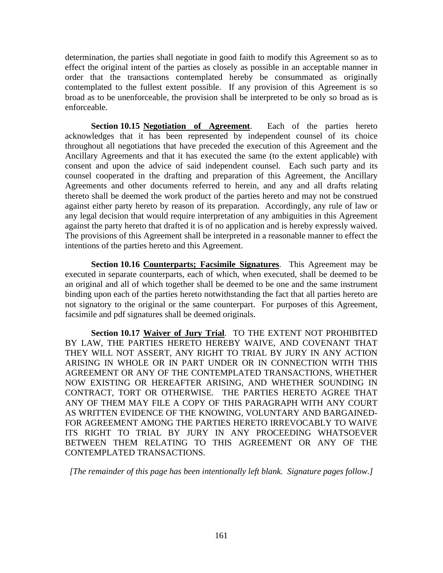determination, the parties shall negotiate in good faith to modify this Agreement so as to effect the original intent of the parties as closely as possible in an acceptable manner in order that the transactions contemplated hereby be consummated as originally contemplated to the fullest extent possible. If any provision of this Agreement is so broad as to be unenforceable, the provision shall be interpreted to be only so broad as is enforceable.

**Section 10.15 Negotiation of Agreement**. Each of the parties hereto acknowledges that it has been represented by independent counsel of its choice throughout all negotiations that have preceded the execution of this Agreement and the Ancillary Agreements and that it has executed the same (to the extent applicable) with consent and upon the advice of said independent counsel. Each such party and its counsel cooperated in the drafting and preparation of this Agreement, the Ancillary Agreements and other documents referred to herein, and any and all drafts relating thereto shall be deemed the work product of the parties hereto and may not be construed against either party hereto by reason of its preparation. Accordingly, any rule of law or any legal decision that would require interpretation of any ambiguities in this Agreement against the party hereto that drafted it is of no application and is hereby expressly waived. The provisions of this Agreement shall be interpreted in a reasonable manner to effect the intentions of the parties hereto and this Agreement.

**Section 10.16 Counterparts; Facsimile Signatures**. This Agreement may be executed in separate counterparts, each of which, when executed, shall be deemed to be an original and all of which together shall be deemed to be one and the same instrument binding upon each of the parties hereto notwithstanding the fact that all parties hereto are not signatory to the original or the same counterpart. For purposes of this Agreement, facsimile and pdf signatures shall be deemed originals.

**Section 10.17 Waiver of Jury Trial**. TO THE EXTENT NOT PROHIBITED BY LAW, THE PARTIES HERETO HEREBY WAIVE, AND COVENANT THAT THEY WILL NOT ASSERT, ANY RIGHT TO TRIAL BY JURY IN ANY ACTION ARISING IN WHOLE OR IN PART UNDER OR IN CONNECTION WITH THIS AGREEMENT OR ANY OF THE CONTEMPLATED TRANSACTIONS, WHETHER NOW EXISTING OR HEREAFTER ARISING, AND WHETHER SOUNDING IN CONTRACT, TORT OR OTHERWISE. THE PARTIES HERETO AGREE THAT ANY OF THEM MAY FILE A COPY OF THIS PARAGRAPH WITH ANY COURT AS WRITTEN EVIDENCE OF THE KNOWING, VOLUNTARY AND BARGAINED-FOR AGREEMENT AMONG THE PARTIES HERETO IRREVOCABLY TO WAIVE ITS RIGHT TO TRIAL BY JURY IN ANY PROCEEDING WHATSOEVER BETWEEN THEM RELATING TO THIS AGREEMENT OR ANY OF THE CONTEMPLATED TRANSACTIONS.

*[The remainder of this page has been intentionally left blank. Signature pages follow.]*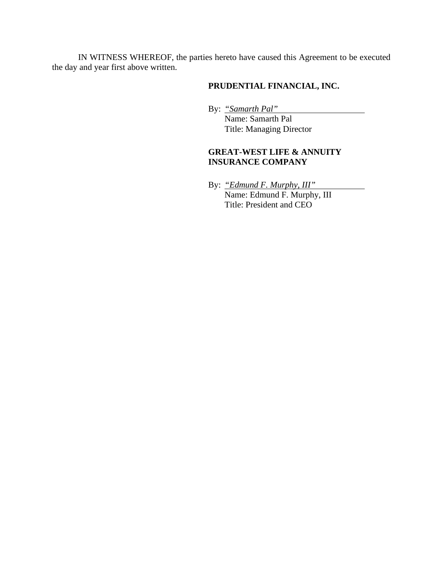IN WITNESS WHEREOF, the parties hereto have caused this Agreement to be executed the day and year first above written.

# **PRUDENTIAL FINANCIAL, INC.**

By: *"Samarth Pal"*

 Name: Samarth Pal Title: Managing Director

## **GREAT-WEST LIFE & ANNUITY INSURANCE COMPANY**

By: *"Edmund F. Murphy, III"* Name: Edmund F. Murphy, III Title: President and CEO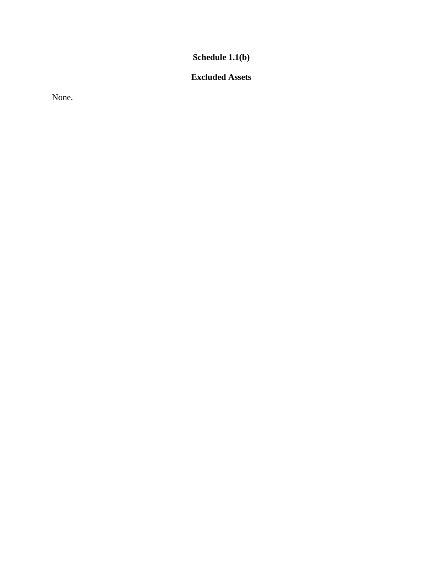**Schedule 1.1(b)** 

# **Excluded Assets**

None.